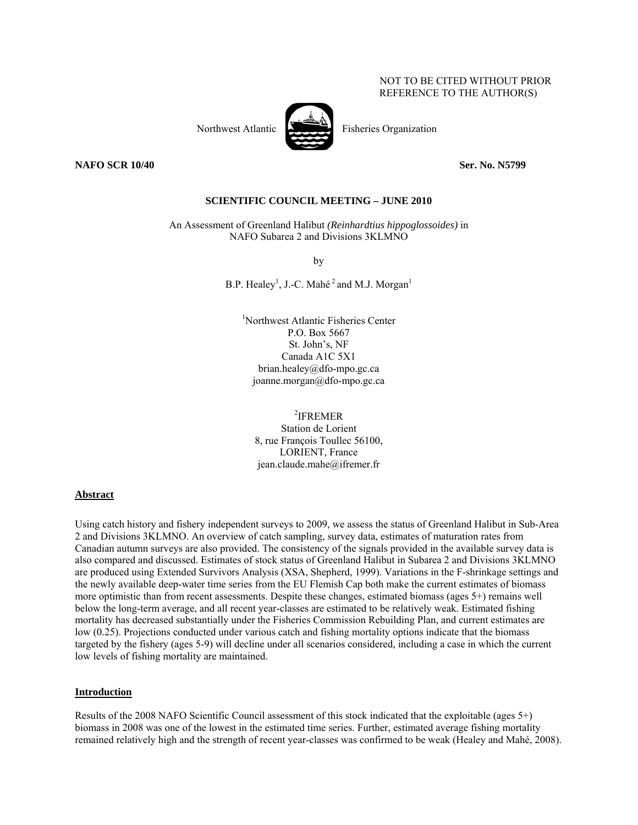# NOT TO BE CITED WITHOUT PRIOR REFERENCE TO THE AUTHOR(S)



**NAFO SCR 10/40** Ser. No. N5799

### **SCIENTIFIC COUNCIL MEETING – JUNE 2010**

An Assessment of Greenland Halibut *(Reinhardtius hippoglossoides)* in NAFO Subarea 2 and Divisions 3KLMNO

by

B.P. Healey<sup>1</sup>, J.-C. Mahé<sup>2</sup> and M.J. Morgan<sup>1</sup>

1 Northwest Atlantic Fisheries Center P.O. Box 5667 St. John's, NF Canada A1C 5X1 brian.healey@dfo-mpo.gc.ca joanne.morgan@dfo-mpo.gc.ca

2 IFREMER Station de Lorient 8, rue François Toullec 56100, LORIENT, France jean.claude.mahe@ifremer.fr

#### **Abstract**

Using catch history and fishery independent surveys to 2009, we assess the status of Greenland Halibut in Sub-Area 2 and Divisions 3KLMNO. An overview of catch sampling, survey data, estimates of maturation rates from Canadian autumn surveys are also provided. The consistency of the signals provided in the available survey data is also compared and discussed. Estimates of stock status of Greenland Halibut in Subarea 2 and Divisions 3KLMNO are produced using Extended Survivors Analysis (XSA, Shepherd, 1999). Variations in the F-shrinkage settings and the newly available deep-water time series from the EU Flemish Cap both make the current estimates of biomass more optimistic than from recent assessments. Despite these changes, estimated biomass (ages 5+) remains well below the long-term average, and all recent year-classes are estimated to be relatively weak. Estimated fishing mortality has decreased substantially under the Fisheries Commission Rebuilding Plan, and current estimates are low (0.25). Projections conducted under various catch and fishing mortality options indicate that the biomass targeted by the fishery (ages 5-9) will decline under all scenarios considered, including a case in which the current low levels of fishing mortality are maintained.

#### **Introduction**

Results of the 2008 NAFO Scientific Council assessment of this stock indicated that the exploitable (ages 5+) biomass in 2008 was one of the lowest in the estimated time series. Further, estimated average fishing mortality remained relatively high and the strength of recent year-classes was confirmed to be weak (Healey and Mahé, 2008).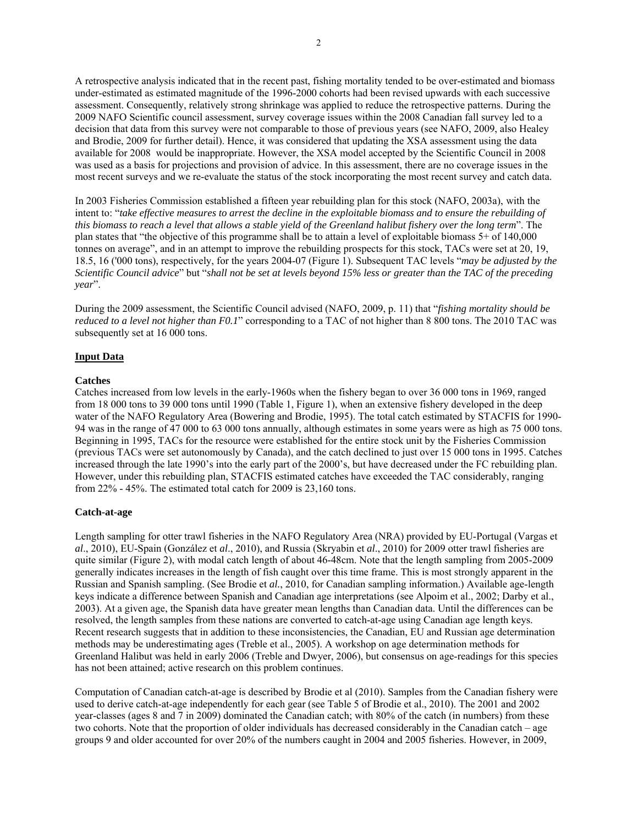A retrospective analysis indicated that in the recent past, fishing mortality tended to be over-estimated and biomass under-estimated as estimated magnitude of the 1996-2000 cohorts had been revised upwards with each successive assessment. Consequently, relatively strong shrinkage was applied to reduce the retrospective patterns. During the 2009 NAFO Scientific council assessment, survey coverage issues within the 2008 Canadian fall survey led to a decision that data from this survey were not comparable to those of previous years (see NAFO, 2009, also Healey and Brodie, 2009 for further detail). Hence, it was considered that updating the XSA assessment using the data available for 2008 would be inappropriate. However, the XSA model accepted by the Scientific Council in 2008 was used as a basis for projections and provision of advice. In this assessment, there are no coverage issues in the most recent surveys and we re-evaluate the status of the stock incorporating the most recent survey and catch data.

In 2003 Fisheries Commission established a fifteen year rebuilding plan for this stock (NAFO, 2003a), with the intent to: "*take effective measures to arrest the decline in the exploitable biomass and to ensure the rebuilding of this biomass to reach a level that allows a stable yield of the Greenland halibut fishery over the long term*". The plan states that "the objective of this programme shall be to attain a level of exploitable biomass 5+ of 140,000 tonnes on average", and in an attempt to improve the rebuilding prospects for this stock, TACs were set at 20, 19, 18.5, 16 ('000 tons), respectively, for the years 2004-07 (Figure 1). Subsequent TAC levels "*may be adjusted by the Scientific Council advice*" but "*shall not be set at levels beyond 15% less or greater than the TAC of the preceding year*".

During the 2009 assessment, the Scientific Council advised (NAFO, 2009, p. 11) that "*fishing mortality should be reduced to a level not higher than F0.1*" corresponding to a TAC of not higher than 8 800 tons. The 2010 TAC was subsequently set at 16 000 tons.

#### **Input Data**

#### **Catches**

Catches increased from low levels in the early-1960s when the fishery began to over 36 000 tons in 1969, ranged from 18 000 tons to 39 000 tons until 1990 (Table 1, Figure 1), when an extensive fishery developed in the deep water of the NAFO Regulatory Area (Bowering and Brodie, 1995). The total catch estimated by STACFIS for 1990- 94 was in the range of 47 000 to 63 000 tons annually, although estimates in some years were as high as 75 000 tons. Beginning in 1995, TACs for the resource were established for the entire stock unit by the Fisheries Commission (previous TACs were set autonomously by Canada), and the catch declined to just over 15 000 tons in 1995. Catches increased through the late 1990's into the early part of the 2000's, but have decreased under the FC rebuilding plan. However, under this rebuilding plan, STACFIS estimated catches have exceeded the TAC considerably, ranging from 22% - 45%. The estimated total catch for 2009 is 23,160 tons.

#### **Catch-at-age**

Length sampling for otter trawl fisheries in the NAFO Regulatory Area (NRA) provided by EU-Portugal (Vargas et *al*., 2010), EU-Spain (González et *al*., 2010), and Russia (Skryabin et *al*., 2010) for 2009 otter trawl fisheries are quite similar (Figure 2), with modal catch length of about 46-48cm. Note that the length sampling from 2005-2009 generally indicates increases in the length of fish caught over this time frame. This is most strongly apparent in the Russian and Spanish sampling. (See Brodie et *al.*, 2010, for Canadian sampling information.) Available age-length keys indicate a difference between Spanish and Canadian age interpretations (see Alpoim et al., 2002; Darby et al., 2003). At a given age, the Spanish data have greater mean lengths than Canadian data. Until the differences can be resolved, the length samples from these nations are converted to catch-at-age using Canadian age length keys. Recent research suggests that in addition to these inconsistencies, the Canadian, EU and Russian age determination methods may be underestimating ages (Treble et al., 2005). A workshop on age determination methods for Greenland Halibut was held in early 2006 (Treble and Dwyer, 2006), but consensus on age-readings for this species has not been attained; active research on this problem continues.

Computation of Canadian catch-at-age is described by Brodie et al (2010). Samples from the Canadian fishery were used to derive catch-at-age independently for each gear (see Table 5 of Brodie et al., 2010). The 2001 and 2002 year-classes (ages 8 and 7 in 2009) dominated the Canadian catch; with 80% of the catch (in numbers) from these two cohorts. Note that the proportion of older individuals has decreased considerably in the Canadian catch – age groups 9 and older accounted for over 20% of the numbers caught in 2004 and 2005 fisheries. However, in 2009,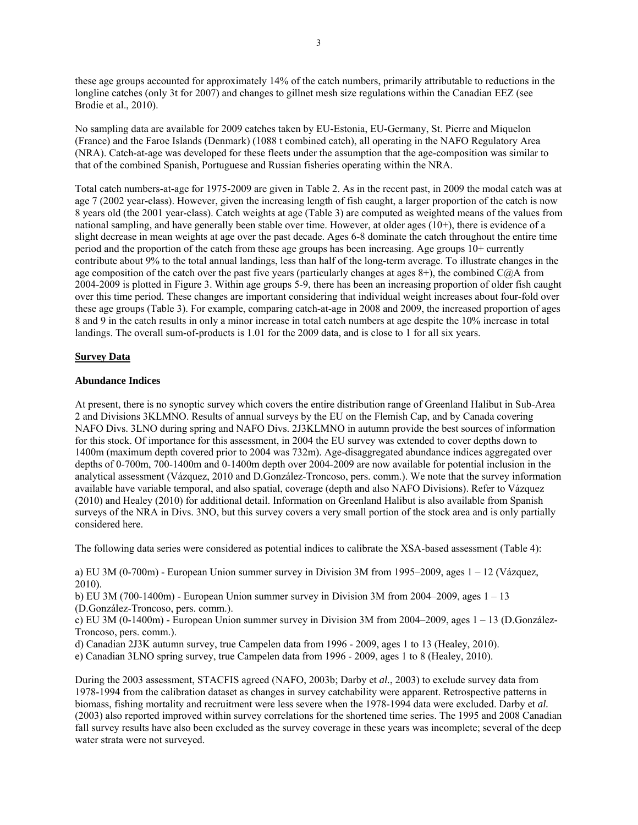these age groups accounted for approximately 14% of the catch numbers, primarily attributable to reductions in the longline catches (only 3t for 2007) and changes to gillnet mesh size regulations within the Canadian EEZ (see Brodie et al., 2010).

No sampling data are available for 2009 catches taken by EU-Estonia, EU-Germany, St. Pierre and Miquelon (France) and the Faroe Islands (Denmark) (1088 t combined catch), all operating in the NAFO Regulatory Area (NRA). Catch-at-age was developed for these fleets under the assumption that the age-composition was similar to that of the combined Spanish, Portuguese and Russian fisheries operating within the NRA.

Total catch numbers-at-age for 1975-2009 are given in Table 2. As in the recent past, in 2009 the modal catch was at age 7 (2002 year-class). However, given the increasing length of fish caught, a larger proportion of the catch is now 8 years old (the 2001 year-class). Catch weights at age (Table 3) are computed as weighted means of the values from national sampling, and have generally been stable over time. However, at older ages (10+), there is evidence of a slight decrease in mean weights at age over the past decade. Ages 6-8 dominate the catch throughout the entire time period and the proportion of the catch from these age groups has been increasing. Age groups 10+ currently contribute about 9% to the total annual landings, less than half of the long-term average. To illustrate changes in the age composition of the catch over the past five years (particularly changes at ages  $8+$ ), the combined C $\ddot{\omega}$ A from 2004-2009 is plotted in Figure 3. Within age groups 5-9, there has been an increasing proportion of older fish caught over this time period. These changes are important considering that individual weight increases about four-fold over these age groups (Table 3). For example, comparing catch-at-age in 2008 and 2009, the increased proportion of ages 8 and 9 in the catch results in only a minor increase in total catch numbers at age despite the 10% increase in total landings. The overall sum-of-products is 1.01 for the 2009 data, and is close to 1 for all six years.

## **Survey Data**

#### **Abundance Indices**

At present, there is no synoptic survey which covers the entire distribution range of Greenland Halibut in Sub-Area 2 and Divisions 3KLMNO. Results of annual surveys by the EU on the Flemish Cap, and by Canada covering NAFO Divs. 3LNO during spring and NAFO Divs. 2J3KLMNO in autumn provide the best sources of information for this stock. Of importance for this assessment, in 2004 the EU survey was extended to cover depths down to 1400m (maximum depth covered prior to 2004 was 732m). Age-disaggregated abundance indices aggregated over depths of 0-700m, 700-1400m and 0-1400m depth over 2004-2009 are now available for potential inclusion in the analytical assessment (Vázquez, 2010 and D.González-Troncoso, pers. comm.). We note that the survey information available have variable temporal, and also spatial, coverage (depth and also NAFO Divisions). Refer to Vázquez (2010) and Healey (2010) for additional detail. Information on Greenland Halibut is also available from Spanish surveys of the NRA in Divs. 3NO, but this survey covers a very small portion of the stock area and is only partially considered here.

The following data series were considered as potential indices to calibrate the XSA-based assessment (Table 4):

a) EU 3M (0-700m) - European Union summer survey in Division 3M from 1995–2009, ages 1 – 12 (Vázquez, 2010).

b) EU 3M (700-1400m) - European Union summer survey in Division 3M from 2004–2009, ages  $1 - 13$ (D.González-Troncoso, pers. comm.).

c) EU 3M (0-1400m) - European Union summer survey in Division 3M from 2004–2009, ages 1 – 13 (D.González-Troncoso, pers. comm.).

d) Canadian 2J3K autumn survey, true Campelen data from 1996 - 2009, ages 1 to 13 (Healey, 2010).

e) Canadian 3LNO spring survey, true Campelen data from 1996 - 2009, ages 1 to 8 (Healey, 2010).

During the 2003 assessment, STACFIS agreed (NAFO, 2003b; Darby et *al.*, 2003) to exclude survey data from 1978-1994 from the calibration dataset as changes in survey catchability were apparent. Retrospective patterns in biomass, fishing mortality and recruitment were less severe when the 1978-1994 data were excluded. Darby et *al.* (2003) also reported improved within survey correlations for the shortened time series. The 1995 and 2008 Canadian fall survey results have also been excluded as the survey coverage in these years was incomplete; several of the deep water strata were not surveyed.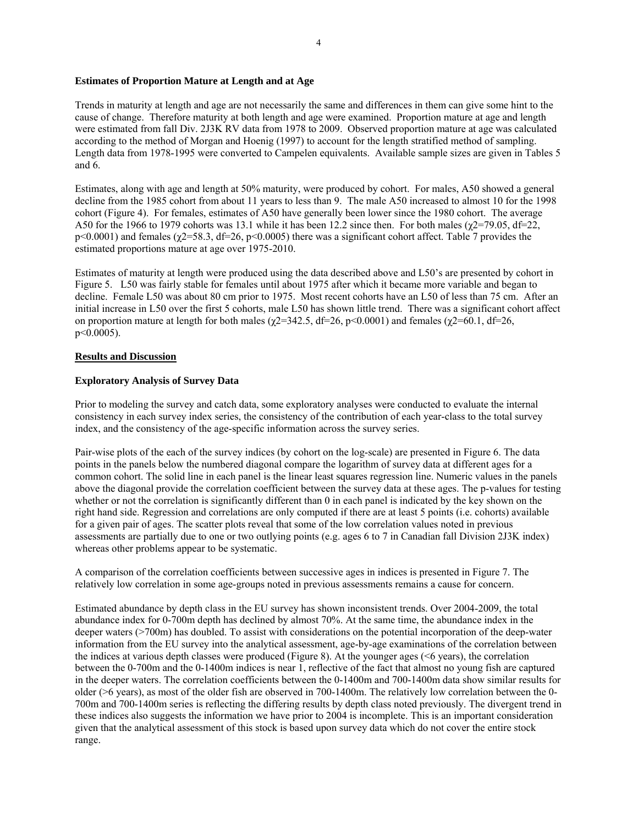## **Estimates of Proportion Mature at Length and at Age**

Trends in maturity at length and age are not necessarily the same and differences in them can give some hint to the cause of change. Therefore maturity at both length and age were examined. Proportion mature at age and length were estimated from fall Div. 2J3K RV data from 1978 to 2009. Observed proportion mature at age was calculated according to the method of Morgan and Hoenig (1997) to account for the length stratified method of sampling. Length data from 1978-1995 were converted to Campelen equivalents. Available sample sizes are given in Tables 5 and 6.

Estimates, along with age and length at 50% maturity, were produced by cohort. For males, A50 showed a general decline from the 1985 cohort from about 11 years to less than 9. The male A50 increased to almost 10 for the 1998 cohort (Figure 4). For females, estimates of A50 have generally been lower since the 1980 cohort. The average A50 for the 1966 to 1979 cohorts was 13.1 while it has been 12.2 since then. For both males ( $\gamma$ 2=79.05, df=22, p<0.0001) and females ( $\chi$ 2=58.3, df=26, p<0.0005) there was a significant cohort affect. Table 7 provides the estimated proportions mature at age over 1975-2010.

Estimates of maturity at length were produced using the data described above and L50's are presented by cohort in Figure 5. L50 was fairly stable for females until about 1975 after which it became more variable and began to decline. Female L50 was about 80 cm prior to 1975. Most recent cohorts have an L50 of less than 75 cm. After an initial increase in L50 over the first 5 cohorts, male L50 has shown little trend. There was a significant cohort affect on proportion mature at length for both males ( $\chi$ 2=342.5, df=26, p<0.0001) and females ( $\chi$ 2=60.1, df=26, p<0.0005).

## **Results and Discussion**

## **Exploratory Analysis of Survey Data**

Prior to modeling the survey and catch data, some exploratory analyses were conducted to evaluate the internal consistency in each survey index series, the consistency of the contribution of each year-class to the total survey index, and the consistency of the age-specific information across the survey series.

Pair-wise plots of the each of the survey indices (by cohort on the log-scale) are presented in Figure 6. The data points in the panels below the numbered diagonal compare the logarithm of survey data at different ages for a common cohort. The solid line in each panel is the linear least squares regression line. Numeric values in the panels above the diagonal provide the correlation coefficient between the survey data at these ages. The p-values for testing whether or not the correlation is significantly different than 0 in each panel is indicated by the key shown on the right hand side. Regression and correlations are only computed if there are at least 5 points (i.e. cohorts) available for a given pair of ages. The scatter plots reveal that some of the low correlation values noted in previous assessments are partially due to one or two outlying points (e.g. ages 6 to 7 in Canadian fall Division 2J3K index) whereas other problems appear to be systematic.

A comparison of the correlation coefficients between successive ages in indices is presented in Figure 7. The relatively low correlation in some age-groups noted in previous assessments remains a cause for concern.

Estimated abundance by depth class in the EU survey has shown inconsistent trends. Over 2004-2009, the total abundance index for 0-700m depth has declined by almost 70%. At the same time, the abundance index in the deeper waters (>700m) has doubled. To assist with considerations on the potential incorporation of the deep-water information from the EU survey into the analytical assessment, age-by-age examinations of the correlation between the indices at various depth classes were produced (Figure 8). At the younger ages (<6 years), the correlation between the 0-700m and the 0-1400m indices is near 1, reflective of the fact that almost no young fish are captured in the deeper waters. The correlation coefficients between the 0-1400m and 700-1400m data show similar results for older (>6 years), as most of the older fish are observed in 700-1400m. The relatively low correlation between the 0- 700m and 700-1400m series is reflecting the differing results by depth class noted previously. The divergent trend in these indices also suggests the information we have prior to 2004 is incomplete. This is an important consideration given that the analytical assessment of this stock is based upon survey data which do not cover the entire stock range.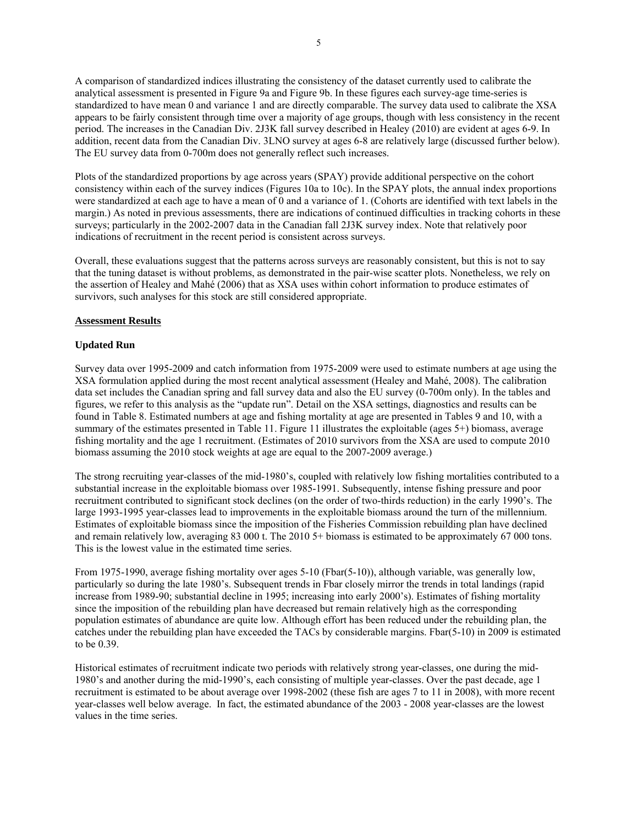A comparison of standardized indices illustrating the consistency of the dataset currently used to calibrate the analytical assessment is presented in Figure 9a and Figure 9b. In these figures each survey-age time-series is standardized to have mean 0 and variance 1 and are directly comparable. The survey data used to calibrate the XSA appears to be fairly consistent through time over a majority of age groups, though with less consistency in the recent period. The increases in the Canadian Div. 2J3K fall survey described in Healey (2010) are evident at ages 6-9. In addition, recent data from the Canadian Div. 3LNO survey at ages 6-8 are relatively large (discussed further below). The EU survey data from 0-700m does not generally reflect such increases.

Plots of the standardized proportions by age across years (SPAY) provide additional perspective on the cohort consistency within each of the survey indices (Figures 10a to 10c). In the SPAY plots, the annual index proportions were standardized at each age to have a mean of 0 and a variance of 1. (Cohorts are identified with text labels in the margin.) As noted in previous assessments, there are indications of continued difficulties in tracking cohorts in these surveys; particularly in the 2002-2007 data in the Canadian fall 2J3K survey index. Note that relatively poor indications of recruitment in the recent period is consistent across surveys.

Overall, these evaluations suggest that the patterns across surveys are reasonably consistent, but this is not to say that the tuning dataset is without problems, as demonstrated in the pair-wise scatter plots. Nonetheless, we rely on the assertion of Healey and Mahé (2006) that as XSA uses within cohort information to produce estimates of survivors, such analyses for this stock are still considered appropriate.

#### **Assessment Results**

#### **Updated Run**

Survey data over 1995-2009 and catch information from 1975-2009 were used to estimate numbers at age using the XSA formulation applied during the most recent analytical assessment (Healey and Mahé, 2008). The calibration data set includes the Canadian spring and fall survey data and also the EU survey (0-700m only). In the tables and figures, we refer to this analysis as the "update run". Detail on the XSA settings, diagnostics and results can be found in Table 8. Estimated numbers at age and fishing mortality at age are presented in Tables 9 and 10, with a summary of the estimates presented in Table 11. Figure 11 illustrates the exploitable (ages 5+) biomass, average fishing mortality and the age 1 recruitment. (Estimates of 2010 survivors from the XSA are used to compute 2010 biomass assuming the 2010 stock weights at age are equal to the 2007-2009 average.)

The strong recruiting year-classes of the mid-1980's, coupled with relatively low fishing mortalities contributed to a substantial increase in the exploitable biomass over 1985-1991. Subsequently, intense fishing pressure and poor recruitment contributed to significant stock declines (on the order of two-thirds reduction) in the early 1990's. The large 1993-1995 year-classes lead to improvements in the exploitable biomass around the turn of the millennium. Estimates of exploitable biomass since the imposition of the Fisheries Commission rebuilding plan have declined and remain relatively low, averaging 83 000 t. The 2010 5+ biomass is estimated to be approximately 67 000 tons. This is the lowest value in the estimated time series.

From 1975-1990, average fishing mortality over ages 5-10 (Fbar(5-10)), although variable, was generally low, particularly so during the late 1980's. Subsequent trends in Fbar closely mirror the trends in total landings (rapid increase from 1989-90; substantial decline in 1995; increasing into early 2000's). Estimates of fishing mortality since the imposition of the rebuilding plan have decreased but remain relatively high as the corresponding population estimates of abundance are quite low. Although effort has been reduced under the rebuilding plan, the catches under the rebuilding plan have exceeded the TACs by considerable margins. Fbar(5-10) in 2009 is estimated to be 0.39.

Historical estimates of recruitment indicate two periods with relatively strong year-classes, one during the mid-1980's and another during the mid-1990's, each consisting of multiple year-classes. Over the past decade, age 1 recruitment is estimated to be about average over 1998-2002 (these fish are ages 7 to 11 in 2008), with more recent year-classes well below average. In fact, the estimated abundance of the 2003 - 2008 year-classes are the lowest values in the time series.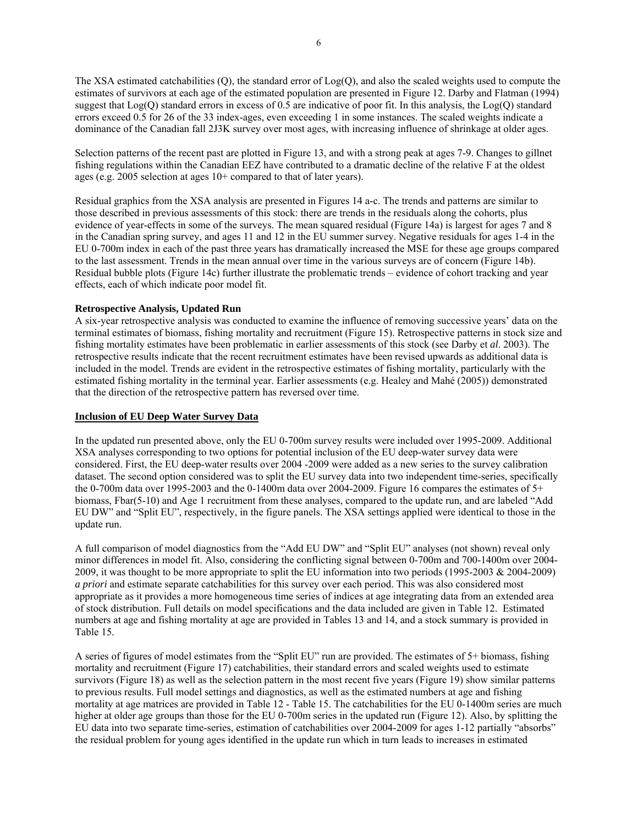The XSA estimated catchabilities (Q), the standard error of Log(Q), and also the scaled weights used to compute the estimates of survivors at each age of the estimated population are presented in Figure 12. Darby and Flatman (1994) suggest that Log(Q) standard errors in excess of 0.5 are indicative of poor fit. In this analysis, the Log(Q) standard errors exceed 0.5 for 26 of the 33 index-ages, even exceeding 1 in some instances. The scaled weights indicate a dominance of the Canadian fall 2J3K survey over most ages, with increasing influence of shrinkage at older ages.

Selection patterns of the recent past are plotted in Figure 13, and with a strong peak at ages 7-9. Changes to gillnet fishing regulations within the Canadian EEZ have contributed to a dramatic decline of the relative F at the oldest ages (e.g. 2005 selection at ages 10+ compared to that of later years).

Residual graphics from the XSA analysis are presented in Figures 14 a-c. The trends and patterns are similar to those described in previous assessments of this stock: there are trends in the residuals along the cohorts, plus evidence of year-effects in some of the surveys. The mean squared residual (Figure 14a) is largest for ages 7 and 8 in the Canadian spring survey, and ages 11 and 12 in the EU summer survey. Negative residuals for ages 1-4 in the EU 0-700m index in each of the past three years has dramatically increased the MSE for these age groups compared to the last assessment. Trends in the mean annual over time in the various surveys are of concern (Figure 14b). Residual bubble plots (Figure 14c) further illustrate the problematic trends – evidence of cohort tracking and year effects, each of which indicate poor model fit.

#### **Retrospective Analysis, Updated Run**

A six-year retrospective analysis was conducted to examine the influence of removing successive years' data on the terminal estimates of biomass, fishing mortality and recruitment (Figure 15). Retrospective patterns in stock size and fishing mortality estimates have been problematic in earlier assessments of this stock (see Darby et *al*. 2003). The retrospective results indicate that the recent recruitment estimates have been revised upwards as additional data is included in the model. Trends are evident in the retrospective estimates of fishing mortality, particularly with the estimated fishing mortality in the terminal year. Earlier assessments (e.g. Healey and Mahé (2005)) demonstrated that the direction of the retrospective pattern has reversed over time.

#### **Inclusion of EU Deep Water Survey Data**

In the updated run presented above, only the EU 0-700m survey results were included over 1995-2009. Additional XSA analyses corresponding to two options for potential inclusion of the EU deep-water survey data were considered. First, the EU deep-water results over 2004 -2009 were added as a new series to the survey calibration dataset. The second option considered was to split the EU survey data into two independent time-series, specifically the 0-700m data over 1995-2003 and the 0-1400m data over 2004-2009. Figure 16 compares the estimates of 5+ biomass, Fbar(5-10) and Age 1 recruitment from these analyses, compared to the update run, and are labeled "Add EU DW" and "Split EU", respectively, in the figure panels. The XSA settings applied were identical to those in the update run.

A full comparison of model diagnostics from the "Add EU DW" and "Split EU" analyses (not shown) reveal only minor differences in model fit. Also, considering the conflicting signal between 0-700m and 700-1400m over 2004- 2009, it was thought to be more appropriate to split the EU information into two periods (1995-2003 & 2004-2009) *a priori* and estimate separate catchabilities for this survey over each period. This was also considered most appropriate as it provides a more homogeneous time series of indices at age integrating data from an extended area of stock distribution. Full details on model specifications and the data included are given in Table 12. Estimated numbers at age and fishing mortality at age are provided in Tables 13 and 14, and a stock summary is provided in Table 15.

A series of figures of model estimates from the "Split EU" run are provided. The estimates of 5+ biomass, fishing mortality and recruitment (Figure 17) catchabilities, their standard errors and scaled weights used to estimate survivors (Figure 18) as well as the selection pattern in the most recent five years (Figure 19) show similar patterns to previous results. Full model settings and diagnostics, as well as the estimated numbers at age and fishing mortality at age matrices are provided in Table 12 - Table 15. The catchabilities for the EU 0-1400m series are much higher at older age groups than those for the EU 0-700m series in the updated run (Figure 12). Also, by splitting the EU data into two separate time-series, estimation of catchabilities over 2004-2009 for ages 1-12 partially "absorbs" the residual problem for young ages identified in the update run which in turn leads to increases in estimated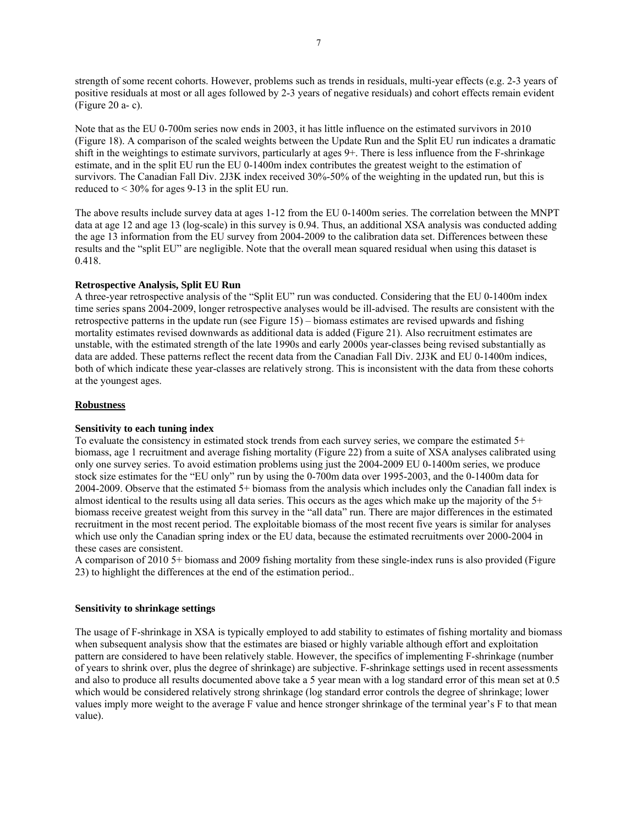strength of some recent cohorts. However, problems such as trends in residuals, multi-year effects (e.g. 2-3 years of positive residuals at most or all ages followed by 2-3 years of negative residuals) and cohort effects remain evident (Figure 20 a- c).

Note that as the EU 0-700m series now ends in 2003, it has little influence on the estimated survivors in 2010 (Figure 18). A comparison of the scaled weights between the Update Run and the Split EU run indicates a dramatic shift in the weightings to estimate survivors, particularly at ages 9+. There is less influence from the F-shrinkage estimate, and in the split EU run the EU 0-1400m index contributes the greatest weight to the estimation of survivors. The Canadian Fall Div. 2J3K index received 30%-50% of the weighting in the updated run, but this is reduced to < 30% for ages 9-13 in the split EU run.

The above results include survey data at ages 1-12 from the EU 0-1400m series. The correlation between the MNPT data at age 12 and age 13 (log-scale) in this survey is 0.94. Thus, an additional XSA analysis was conducted adding the age 13 information from the EU survey from 2004-2009 to the calibration data set. Differences between these results and the "split EU" are negligible. Note that the overall mean squared residual when using this dataset is 0.418.

## **Retrospective Analysis, Split EU Run**

A three-year retrospective analysis of the "Split EU" run was conducted. Considering that the EU 0-1400m index time series spans 2004-2009, longer retrospective analyses would be ill-advised. The results are consistent with the retrospective patterns in the update run (see Figure 15) – biomass estimates are revised upwards and fishing mortality estimates revised downwards as additional data is added (Figure 21). Also recruitment estimates are unstable, with the estimated strength of the late 1990s and early 2000s year-classes being revised substantially as data are added. These patterns reflect the recent data from the Canadian Fall Div. 2J3K and EU 0-1400m indices, both of which indicate these year-classes are relatively strong. This is inconsistent with the data from these cohorts at the youngest ages.

## **Robustness**

#### **Sensitivity to each tuning index**

To evaluate the consistency in estimated stock trends from each survey series, we compare the estimated 5+ biomass, age 1 recruitment and average fishing mortality (Figure 22) from a suite of XSA analyses calibrated using only one survey series. To avoid estimation problems using just the 2004-2009 EU 0-1400m series, we produce stock size estimates for the "EU only" run by using the 0-700m data over 1995-2003, and the 0-1400m data for 2004-2009. Observe that the estimated 5+ biomass from the analysis which includes only the Canadian fall index is almost identical to the results using all data series. This occurs as the ages which make up the majority of the  $5+$ biomass receive greatest weight from this survey in the "all data" run. There are major differences in the estimated recruitment in the most recent period. The exploitable biomass of the most recent five years is similar for analyses which use only the Canadian spring index or the EU data, because the estimated recruitments over 2000-2004 in these cases are consistent.

A comparison of 2010 5+ biomass and 2009 fishing mortality from these single-index runs is also provided (Figure 23) to highlight the differences at the end of the estimation period..

#### **Sensitivity to shrinkage settings**

The usage of F-shrinkage in XSA is typically employed to add stability to estimates of fishing mortality and biomass when subsequent analysis show that the estimates are biased or highly variable although effort and exploitation pattern are considered to have been relatively stable. However, the specifics of implementing F-shrinkage (number of years to shrink over, plus the degree of shrinkage) are subjective. F-shrinkage settings used in recent assessments and also to produce all results documented above take a 5 year mean with a log standard error of this mean set at 0.5 which would be considered relatively strong shrinkage (log standard error controls the degree of shrinkage; lower values imply more weight to the average F value and hence stronger shrinkage of the terminal year's F to that mean value).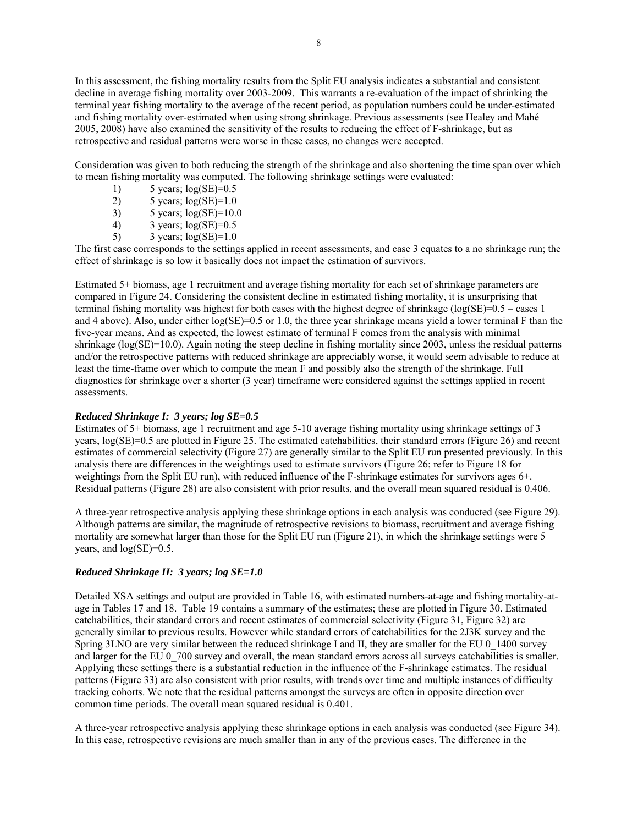In this assessment, the fishing mortality results from the Split EU analysis indicates a substantial and consistent decline in average fishing mortality over 2003-2009. This warrants a re-evaluation of the impact of shrinking the terminal year fishing mortality to the average of the recent period, as population numbers could be under-estimated and fishing mortality over-estimated when using strong shrinkage. Previous assessments (see Healey and Mahé 2005, 2008) have also examined the sensitivity of the results to reducing the effect of F-shrinkage, but as retrospective and residual patterns were worse in these cases, no changes were accepted.

Consideration was given to both reducing the strength of the shrinkage and also shortening the time span over which to mean fishing mortality was computed. The following shrinkage settings were evaluated:

- 1)  $5 \text{ years}; \log(\text{SE})=0.5$
- 2)  $5 \text{ years}$ ;  $\log(\text{SE}) = 1.0$
- 3)  $5 \text{ years}; \log(\text{SE}) = 10.0$
- 4) 3 years;  $log(SE)=0.5$
- 5) 3 years;  $log(SE)=1.0$

The first case corresponds to the settings applied in recent assessments, and case 3 equates to a no shrinkage run; the effect of shrinkage is so low it basically does not impact the estimation of survivors.

Estimated 5+ biomass, age 1 recruitment and average fishing mortality for each set of shrinkage parameters are compared in Figure 24. Considering the consistent decline in estimated fishing mortality, it is unsurprising that terminal fishing mortality was highest for both cases with the highest degree of shrinkage (log(SE)=0.5 – cases 1 and 4 above). Also, under either log(SE)=0.5 or 1.0, the three year shrinkage means yield a lower terminal F than the five-year means. And as expected, the lowest estimate of terminal F comes from the analysis with minimal shrinkage (log(SE)=10.0). Again noting the steep decline in fishing mortality since 2003, unless the residual patterns and/or the retrospective patterns with reduced shrinkage are appreciably worse, it would seem advisable to reduce at least the time-frame over which to compute the mean F and possibly also the strength of the shrinkage. Full diagnostics for shrinkage over a shorter (3 year) timeframe were considered against the settings applied in recent assessments.

### *Reduced Shrinkage I: 3 years; log SE=0.5*

Estimates of 5+ biomass, age 1 recruitment and age 5-10 average fishing mortality using shrinkage settings of 3 years, log(SE)=0.5 are plotted in Figure 25. The estimated catchabilities, their standard errors (Figure 26) and recent estimates of commercial selectivity (Figure 27) are generally similar to the Split EU run presented previously. In this analysis there are differences in the weightings used to estimate survivors (Figure 26; refer to Figure 18 for weightings from the Split EU run), with reduced influence of the F-shrinkage estimates for survivors ages 6+. Residual patterns (Figure 28) are also consistent with prior results, and the overall mean squared residual is 0.406.

A three-year retrospective analysis applying these shrinkage options in each analysis was conducted (see Figure 29). Although patterns are similar, the magnitude of retrospective revisions to biomass, recruitment and average fishing mortality are somewhat larger than those for the Split EU run (Figure 21), in which the shrinkage settings were 5 years, and log(SE)=0.5.

# *Reduced Shrinkage II: 3 years; log SE=1.0*

Detailed XSA settings and output are provided in Table 16, with estimated numbers-at-age and fishing mortality-atage in Tables 17 and 18. Table 19 contains a summary of the estimates; these are plotted in Figure 30. Estimated catchabilities, their standard errors and recent estimates of commercial selectivity (Figure 31, Figure 32) are generally similar to previous results. However while standard errors of catchabilities for the 2J3K survey and the Spring 3LNO are very similar between the reduced shrinkage I and II, they are smaller for the EU 0\_1400 survey and larger for the EU 0–700 survey and overall, the mean standard errors across all surveys catchabilities is smaller. Applying these settings there is a substantial reduction in the influence of the F-shrinkage estimates. The residual patterns (Figure 33) are also consistent with prior results, with trends over time and multiple instances of difficulty tracking cohorts. We note that the residual patterns amongst the surveys are often in opposite direction over common time periods. The overall mean squared residual is 0.401.

A three-year retrospective analysis applying these shrinkage options in each analysis was conducted (see Figure 34). In this case, retrospective revisions are much smaller than in any of the previous cases. The difference in the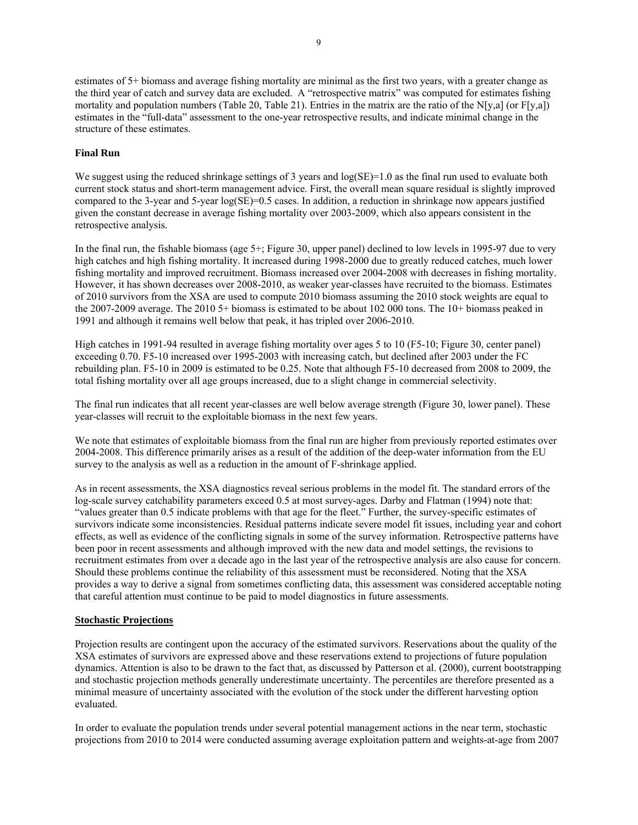estimates of 5+ biomass and average fishing mortality are minimal as the first two years, with a greater change as the third year of catch and survey data are excluded. A "retrospective matrix" was computed for estimates fishing mortality and population numbers (Table 20, Table 21). Entries in the matrix are the ratio of the N[y,a] (or  $F[y,a]$ ) estimates in the "full-data" assessment to the one-year retrospective results, and indicate minimal change in the structure of these estimates.

## **Final Run**

We suggest using the reduced shrinkage settings of 3 years and  $log(SE)=1.0$  as the final run used to evaluate both current stock status and short-term management advice. First, the overall mean square residual is slightly improved compared to the 3-year and 5-year  $log(SE)=0.5$  cases. In addition, a reduction in shrinkage now appears justified given the constant decrease in average fishing mortality over 2003-2009, which also appears consistent in the retrospective analysis.

In the final run, the fishable biomass (age 5+; Figure 30, upper panel) declined to low levels in 1995-97 due to very high catches and high fishing mortality. It increased during 1998-2000 due to greatly reduced catches, much lower fishing mortality and improved recruitment. Biomass increased over 2004-2008 with decreases in fishing mortality. However, it has shown decreases over 2008-2010, as weaker year-classes have recruited to the biomass. Estimates of 2010 survivors from the XSA are used to compute 2010 biomass assuming the 2010 stock weights are equal to the 2007-2009 average. The 2010 5+ biomass is estimated to be about 102 000 tons. The 10+ biomass peaked in 1991 and although it remains well below that peak, it has tripled over 2006-2010.

High catches in 1991-94 resulted in average fishing mortality over ages 5 to 10 (F5-10; Figure 30, center panel) exceeding 0.70. F5-10 increased over 1995-2003 with increasing catch, but declined after 2003 under the FC rebuilding plan. F5-10 in 2009 is estimated to be 0.25. Note that although F5-10 decreased from 2008 to 2009, the total fishing mortality over all age groups increased, due to a slight change in commercial selectivity.

The final run indicates that all recent year-classes are well below average strength (Figure 30, lower panel). These year-classes will recruit to the exploitable biomass in the next few years.

We note that estimates of exploitable biomass from the final run are higher from previously reported estimates over 2004-2008. This difference primarily arises as a result of the addition of the deep-water information from the EU survey to the analysis as well as a reduction in the amount of F-shrinkage applied.

As in recent assessments, the XSA diagnostics reveal serious problems in the model fit. The standard errors of the log-scale survey catchability parameters exceed 0.5 at most survey-ages. Darby and Flatman (1994) note that: "values greater than 0.5 indicate problems with that age for the fleet." Further, the survey-specific estimates of survivors indicate some inconsistencies. Residual patterns indicate severe model fit issues, including year and cohort effects, as well as evidence of the conflicting signals in some of the survey information. Retrospective patterns have been poor in recent assessments and although improved with the new data and model settings, the revisions to recruitment estimates from over a decade ago in the last year of the retrospective analysis are also cause for concern. Should these problems continue the reliability of this assessment must be reconsidered. Noting that the XSA provides a way to derive a signal from sometimes conflicting data, this assessment was considered acceptable noting that careful attention must continue to be paid to model diagnostics in future assessments.

#### **Stochastic Projections**

Projection results are contingent upon the accuracy of the estimated survivors. Reservations about the quality of the XSA estimates of survivors are expressed above and these reservations extend to projections of future population dynamics. Attention is also to be drawn to the fact that, as discussed by Patterson et al. (2000), current bootstrapping and stochastic projection methods generally underestimate uncertainty. The percentiles are therefore presented as a minimal measure of uncertainty associated with the evolution of the stock under the different harvesting option evaluated.

In order to evaluate the population trends under several potential management actions in the near term, stochastic projections from 2010 to 2014 were conducted assuming average exploitation pattern and weights-at-age from 2007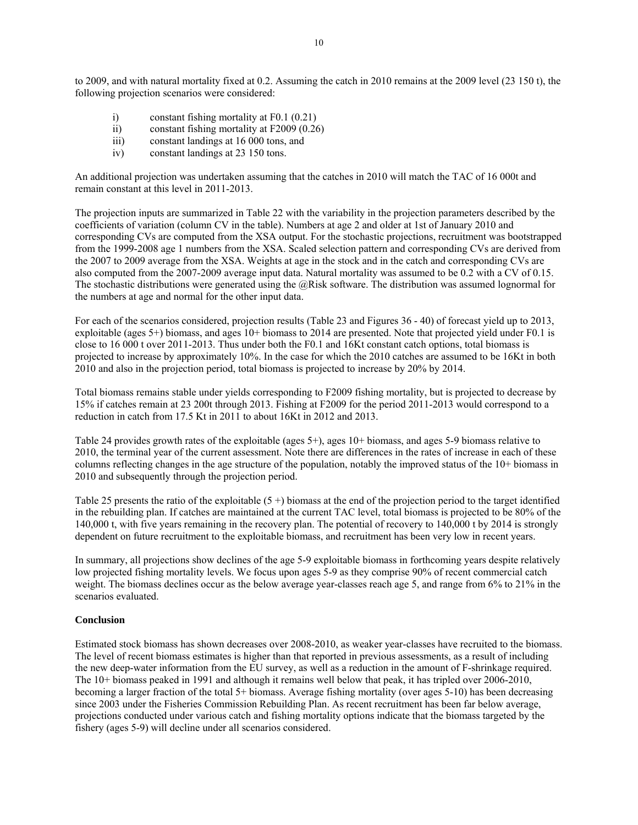to 2009, and with natural mortality fixed at 0.2. Assuming the catch in 2010 remains at the 2009 level (23 150 t), the following projection scenarios were considered:

- i) constant fishing mortality at F0.1 (0.21)
- ii) constant fishing mortality at F2009 (0.26)
- iii) constant landings at 16 000 tons, and
- iv) constant landings at 23 150 tons.

An additional projection was undertaken assuming that the catches in 2010 will match the TAC of 16 000t and remain constant at this level in 2011-2013.

The projection inputs are summarized in Table 22 with the variability in the projection parameters described by the coefficients of variation (column CV in the table). Numbers at age 2 and older at 1st of January 2010 and corresponding CVs are computed from the XSA output. For the stochastic projections, recruitment was bootstrapped from the 1999-2008 age 1 numbers from the XSA. Scaled selection pattern and corresponding CVs are derived from the 2007 to 2009 average from the XSA. Weights at age in the stock and in the catch and corresponding CVs are also computed from the 2007-2009 average input data. Natural mortality was assumed to be 0.2 with a CV of 0.15. The stochastic distributions were generated using the  $@Risk$  software. The distribution was assumed lognormal for the numbers at age and normal for the other input data.

For each of the scenarios considered, projection results (Table 23 and Figures 36 - 40) of forecast yield up to 2013, exploitable (ages 5+) biomass, and ages 10+ biomass to 2014 are presented. Note that projected yield under F0.1 is close to 16 000 t over 2011-2013. Thus under both the F0.1 and 16Kt constant catch options, total biomass is projected to increase by approximately 10%. In the case for which the 2010 catches are assumed to be 16Kt in both 2010 and also in the projection period, total biomass is projected to increase by 20% by 2014.

Total biomass remains stable under yields corresponding to F2009 fishing mortality, but is projected to decrease by 15% if catches remain at 23 200t through 2013. Fishing at F2009 for the period 2011-2013 would correspond to a reduction in catch from 17.5 Kt in 2011 to about 16Kt in 2012 and 2013.

Table 24 provides growth rates of the exploitable (ages 5+), ages 10+ biomass, and ages 5-9 biomass relative to 2010, the terminal year of the current assessment. Note there are differences in the rates of increase in each of these columns reflecting changes in the age structure of the population, notably the improved status of the 10+ biomass in 2010 and subsequently through the projection period.

Table 25 presents the ratio of the exploitable  $(5 +)$  biomass at the end of the projection period to the target identified in the rebuilding plan. If catches are maintained at the current TAC level, total biomass is projected to be 80% of the 140,000 t, with five years remaining in the recovery plan. The potential of recovery to 140,000 t by 2014 is strongly dependent on future recruitment to the exploitable biomass, and recruitment has been very low in recent years.

In summary, all projections show declines of the age 5-9 exploitable biomass in forthcoming years despite relatively low projected fishing mortality levels. We focus upon ages 5-9 as they comprise 90% of recent commercial catch weight. The biomass declines occur as the below average year-classes reach age 5, and range from 6% to 21% in the scenarios evaluated.

### **Conclusion**

Estimated stock biomass has shown decreases over 2008-2010, as weaker year-classes have recruited to the biomass. The level of recent biomass estimates is higher than that reported in previous assessments, as a result of including the new deep-water information from the EU survey, as well as a reduction in the amount of F-shrinkage required. The 10+ biomass peaked in 1991 and although it remains well below that peak, it has tripled over 2006-2010, becoming a larger fraction of the total 5+ biomass. Average fishing mortality (over ages 5-10) has been decreasing since 2003 under the Fisheries Commission Rebuilding Plan. As recent recruitment has been far below average, projections conducted under various catch and fishing mortality options indicate that the biomass targeted by the fishery (ages 5-9) will decline under all scenarios considered.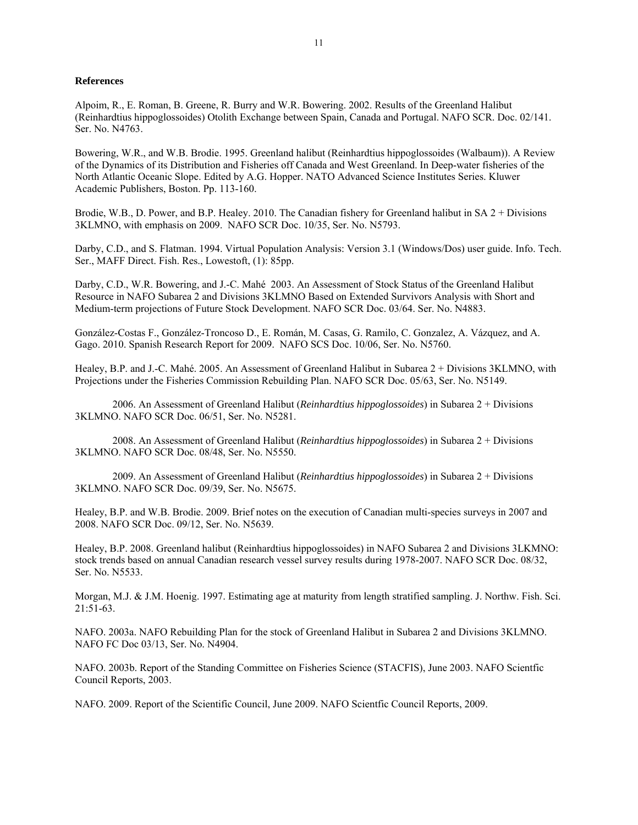#### **References**

Alpoim, R., E. Roman, B. Greene, R. Burry and W.R. Bowering. 2002. Results of the Greenland Halibut (Reinhardtius hippoglossoides) Otolith Exchange between Spain, Canada and Portugal. NAFO SCR. Doc. 02/141. Ser. No. N4763.

Bowering, W.R., and W.B. Brodie. 1995. Greenland halibut (Reinhardtius hippoglossoides (Walbaum)). A Review of the Dynamics of its Distribution and Fisheries off Canada and West Greenland. In Deep-water fisheries of the North Atlantic Oceanic Slope. Edited by A.G. Hopper. NATO Advanced Science Institutes Series. Kluwer Academic Publishers, Boston. Pp. 113-160.

Brodie, W.B., D. Power, and B.P. Healey. 2010. The Canadian fishery for Greenland halibut in SA 2 + Divisions 3KLMNO, with emphasis on 2009. NAFO SCR Doc. 10/35, Ser. No. N5793.

Darby, C.D., and S. Flatman. 1994. Virtual Population Analysis: Version 3.1 (Windows/Dos) user guide. Info. Tech. Ser., MAFF Direct. Fish. Res., Lowestoft, (1): 85pp.

Darby, C.D., W.R. Bowering, and J.-C. Mahé 2003. An Assessment of Stock Status of the Greenland Halibut Resource in NAFO Subarea 2 and Divisions 3KLMNO Based on Extended Survivors Analysis with Short and Medium-term projections of Future Stock Development. NAFO SCR Doc. 03/64. Ser. No. N4883.

González-Costas F., González-Troncoso D., E. Román, M. Casas, G. Ramilo, C. Gonzalez, A. Vázquez, and A. Gago. 2010. Spanish Research Report for 2009. NAFO SCS Doc. 10/06, Ser. No. N5760.

Healey, B.P. and J.-C. Mahé. 2005. An Assessment of Greenland Halibut in Subarea 2 + Divisions 3KLMNO, with Projections under the Fisheries Commission Rebuilding Plan. NAFO SCR Doc. 05/63, Ser. No. N5149.

2006. An Assessment of Greenland Halibut (*Reinhardtius hippoglossoides*) in Subarea 2 + Divisions 3KLMNO. NAFO SCR Doc. 06/51, Ser. No. N5281.

2008. An Assessment of Greenland Halibut (*Reinhardtius hippoglossoides*) in Subarea 2 + Divisions 3KLMNO. NAFO SCR Doc. 08/48, Ser. No. N5550.

2009. An Assessment of Greenland Halibut (*Reinhardtius hippoglossoides*) in Subarea 2 + Divisions 3KLMNO. NAFO SCR Doc. 09/39, Ser. No. N5675.

Healey, B.P. and W.B. Brodie. 2009. Brief notes on the execution of Canadian multi-species surveys in 2007 and 2008. NAFO SCR Doc. 09/12, Ser. No. N5639.

Healey, B.P. 2008. Greenland halibut (Reinhardtius hippoglossoides) in NAFO Subarea 2 and Divisions 3LKMNO: stock trends based on annual Canadian research vessel survey results during 1978-2007. NAFO SCR Doc. 08/32, Ser. No. N5533.

Morgan, M.J. & J.M. Hoenig. 1997. Estimating age at maturity from length stratified sampling. J. Northw. Fish. Sci. 21:51-63.

NAFO. 2003a. NAFO Rebuilding Plan for the stock of Greenland Halibut in Subarea 2 and Divisions 3KLMNO. NAFO FC Doc 03/13, Ser. No. N4904.

NAFO. 2003b. Report of the Standing Committee on Fisheries Science (STACFIS), June 2003. NAFO Scientfic Council Reports, 2003.

NAFO. 2009. Report of the Scientific Council, June 2009. NAFO Scientfic Council Reports, 2009.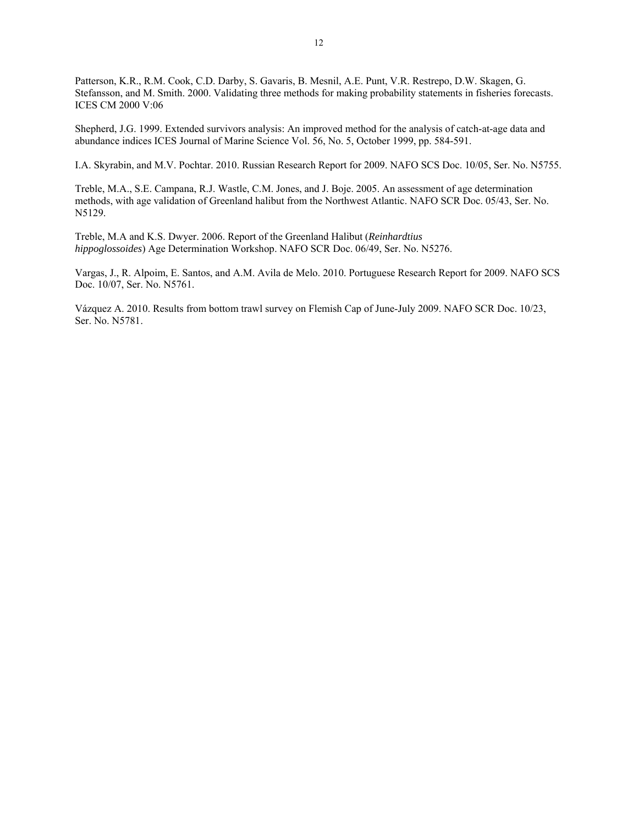Patterson, K.R., R.M. Cook, C.D. Darby, S. Gavaris, B. Mesnil, A.E. Punt, V.R. Restrepo, D.W. Skagen, G. Stefansson, and M. Smith. 2000. Validating three methods for making probability statements in fisheries forecasts. ICES CM 2000 V:06

Shepherd, J.G. 1999. Extended survivors analysis: An improved method for the analysis of catch-at-age data and abundance indices ICES Journal of Marine Science Vol. 56, No. 5, October 1999, pp. 584-591.

I.A. Skyrabin, and M.V. Pochtar. 2010. Russian Research Report for 2009. NAFO SCS Doc. 10/05, Ser. No. N5755.

Treble, M.A., S.E. Campana, R.J. Wastle, C.M. Jones, and J. Boje. 2005. An assessment of age determination methods, with age validation of Greenland halibut from the Northwest Atlantic. NAFO SCR Doc. 05/43, Ser. No. N5129.

Treble, M.A and K.S. Dwyer. 2006. Report of the Greenland Halibut (*Reinhardtius hippoglossoides*) Age Determination Workshop. NAFO SCR Doc. 06/49, Ser. No. N5276.

Vargas, J., R. Alpoim, E. Santos, and A.M. Avila de Melo. 2010. Portuguese Research Report for 2009. NAFO SCS Doc. 10/07, Ser. No. N5761.

Vázquez A. 2010. Results from bottom trawl survey on Flemish Cap of June-July 2009. NAFO SCR Doc. 10/23, Ser. No. N5781.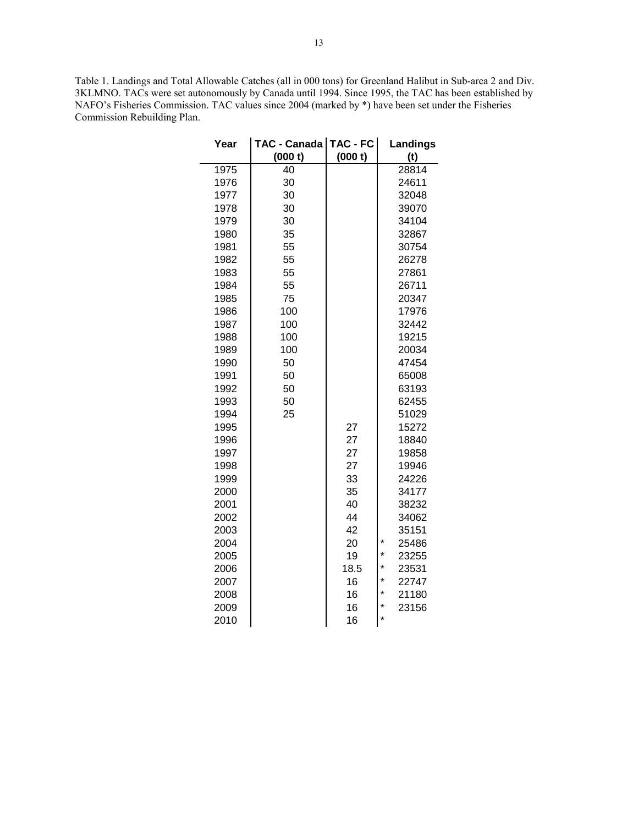Table 1. Landings and Total Allowable Catches (all in 000 tons) for Greenland Halibut in Sub-area 2 and Div. 3KLMNO. TACs were set autonomously by Canada until 1994. Since 1995, the TAC has been established by NAFO's Fisheries Commission. TAC values since 2004 (marked by \*) have been set under the Fisheries Commission Rebuilding Plan.

| Year | TAC - Canada   TAC - FC  <br>(000 t) | (000 t) | Landings<br>(t)  |
|------|--------------------------------------|---------|------------------|
| 1975 | 40                                   |         | 28814            |
| 1976 | 30                                   |         | 24611            |
| 1977 | 30                                   |         | 32048            |
| 1978 | 30                                   |         | 39070            |
| 1979 | 30                                   |         | 34104            |
| 1980 | 35                                   |         | 32867            |
| 1981 | 55                                   |         | 30754            |
| 1982 | 55                                   |         | 26278            |
| 1983 | 55                                   |         | 27861            |
| 1984 | 55                                   |         | 26711            |
| 1985 | 75                                   |         | 20347            |
| 1986 | 100                                  |         | 17976            |
| 1987 | 100                                  |         | 32442            |
| 1988 | 100                                  |         | 19215            |
| 1989 | 100                                  |         | 20034            |
| 1990 | 50                                   |         | 47454            |
| 1991 | 50                                   |         | 65008            |
| 1992 | 50                                   |         | 63193            |
| 1993 | 50                                   |         | 62455            |
| 1994 | 25                                   |         | 51029            |
| 1995 |                                      | 27      | 15272            |
| 1996 |                                      | 27      | 18840            |
| 1997 |                                      | 27      | 19858            |
| 1998 |                                      | 27      | 19946            |
| 1999 |                                      | 33      | 24226            |
| 2000 |                                      | 35      | 34177            |
| 2001 |                                      | 40      | 38232            |
| 2002 |                                      | 44      | 34062            |
| 2003 |                                      | 42      | 35151            |
| 2004 |                                      | 20      | *<br>25486       |
| 2005 |                                      | 19      | $\star$<br>23255 |
| 2006 |                                      | 18.5    | $\star$<br>23531 |
| 2007 |                                      | 16      | $\star$<br>22747 |
| 2008 |                                      | 16      | $\star$<br>21180 |
| 2009 |                                      | 16      | *<br>23156       |
| 2010 |                                      | 16      | *                |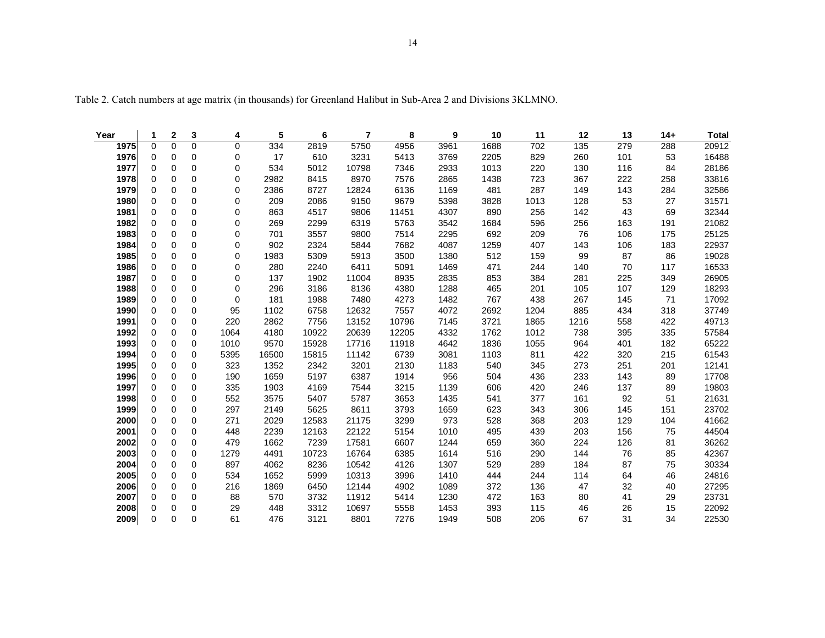| Year | 1           | 2        | 3           | 4           | 5     | 6     | 7     | 8     | 9    | 10   | 11   | 12   | 13  | $14+$ | <b>Total</b> |
|------|-------------|----------|-------------|-------------|-------|-------|-------|-------|------|------|------|------|-----|-------|--------------|
| 1975 | $\Omega$    | 0        | $\mathbf 0$ | 0           | 334   | 2819  | 5750  | 4956  | 3961 | 1688 | 702  | 135  | 279 | 288   | 20912        |
| 1976 | $\mathbf 0$ | 0        | 0           | 0           | 17    | 610   | 3231  | 5413  | 3769 | 2205 | 829  | 260  | 101 | 53    | 16488        |
| 1977 | 0           | 0        | 0           | 0           | 534   | 5012  | 10798 | 7346  | 2933 | 1013 | 220  | 130  | 116 | 84    | 28186        |
| 1978 | 0           | 0        | 0           | 0           | 2982  | 8415  | 8970  | 7576  | 2865 | 1438 | 723  | 367  | 222 | 258   | 33816        |
| 1979 | 0           | 0        | 0           | 0           | 2386  | 8727  | 12824 | 6136  | 1169 | 481  | 287  | 149  | 143 | 284   | 32586        |
| 1980 | 0           | 0        | 0           | 0           | 209   | 2086  | 9150  | 9679  | 5398 | 3828 | 1013 | 128  | 53  | 27    | 31571        |
| 1981 | 0           | 0        | 0           | 0           | 863   | 4517  | 9806  | 11451 | 4307 | 890  | 256  | 142  | 43  | 69    | 32344        |
| 1982 | $\mathbf 0$ | 0        | 0           | 0           | 269   | 2299  | 6319  | 5763  | 3542 | 1684 | 596  | 256  | 163 | 191   | 21082        |
| 1983 | $\Omega$    | 0        | $\Omega$    | 0           | 701   | 3557  | 9800  | 7514  | 2295 | 692  | 209  | 76   | 106 | 175   | 25125        |
| 1984 | 0           | 0        | 0           | 0           | 902   | 2324  | 5844  | 7682  | 4087 | 1259 | 407  | 143  | 106 | 183   | 22937        |
| 1985 | 0           | 0        | $\Omega$    | 0           | 1983  | 5309  | 5913  | 3500  | 1380 | 512  | 159  | 99   | 87  | 86    | 19028        |
| 1986 | $\Omega$    | 0        | $\Omega$    | 0           | 280   | 2240  | 6411  | 5091  | 1469 | 471  | 244  | 140  | 70  | 117   | 16533        |
| 1987 | 0           | 0        | 0           | 0           | 137   | 1902  | 11004 | 8935  | 2835 | 853  | 384  | 281  | 225 | 349   | 26905        |
| 1988 | $\mathbf 0$ | 0        | 0           | $\mathbf 0$ | 296   | 3186  | 8136  | 4380  | 1288 | 465  | 201  | 105  | 107 | 129   | 18293        |
| 1989 | 0           | 0        | 0           | $\mathbf 0$ | 181   | 1988  | 7480  | 4273  | 1482 | 767  | 438  | 267  | 145 | 71    | 17092        |
| 1990 | 0           | 0        | 0           | 95          | 1102  | 6758  | 12632 | 7557  | 4072 | 2692 | 1204 | 885  | 434 | 318   | 37749        |
| 1991 | $\Omega$    | 0        | 0           | 220         | 2862  | 7756  | 13152 | 10796 | 7145 | 3721 | 1865 | 1216 | 558 | 422   | 49713        |
| 1992 | $\Omega$    | 0        | 0           | 1064        | 4180  | 10922 | 20639 | 12205 | 4332 | 1762 | 1012 | 738  | 395 | 335   | 57584        |
| 1993 | $\Omega$    | 0        | 0           | 1010        | 9570  | 15928 | 17716 | 11918 | 4642 | 1836 | 1055 | 964  | 401 | 182   | 65222        |
| 1994 | $\Omega$    | 0        | 0           | 5395        | 16500 | 15815 | 11142 | 6739  | 3081 | 1103 | 811  | 422  | 320 | 215   | 61543        |
| 1995 | 0           | 0        | 0           | 323         | 1352  | 2342  | 3201  | 2130  | 1183 | 540  | 345  | 273  | 251 | 201   | 12141        |
| 1996 | 0           | 0        | 0           | 190         | 1659  | 5197  | 6387  | 1914  | 956  | 504  | 436  | 233  | 143 | 89    | 17708        |
| 1997 | 0           | 0        | 0           | 335         | 1903  | 4169  | 7544  | 3215  | 1139 | 606  | 420  | 246  | 137 | 89    | 19803        |
| 1998 | 0           | 0        | 0           | 552         | 3575  | 5407  | 5787  | 3653  | 1435 | 541  | 377  | 161  | 92  | 51    | 21631        |
| 1999 | 0           | 0        | 0           | 297         | 2149  | 5625  | 8611  | 3793  | 1659 | 623  | 343  | 306  | 145 | 151   | 23702        |
| 2000 | 0           | 0        | 0           | 271         | 2029  | 12583 | 21175 | 3299  | 973  | 528  | 368  | 203  | 129 | 104   | 41662        |
| 2001 | $\Omega$    | 0        | 0           | 448         | 2239  | 12163 | 22122 | 5154  | 1010 | 495  | 439  | 203  | 156 | 75    | 44504        |
| 2002 | 0           | 0        | 0           | 479         | 1662  | 7239  | 17581 | 6607  | 1244 | 659  | 360  | 224  | 126 | 81    | 36262        |
| 2003 | 0           | 0        | $\Omega$    | 1279        | 4491  | 10723 | 16764 | 6385  | 1614 | 516  | 290  | 144  | 76  | 85    | 42367        |
| 2004 | 0           | 0        | 0           | 897         | 4062  | 8236  | 10542 | 4126  | 1307 | 529  | 289  | 184  | 87  | 75    | 30334        |
| 2005 | 0           | 0        | 0           | 534         | 1652  | 5999  | 10313 | 3996  | 1410 | 444  | 244  | 114  | 64  | 46    | 24816        |
| 2006 | 0           | 0        | 0           | 216         | 1869  | 6450  | 12144 | 4902  | 1089 | 372  | 136  | 47   | 32  | 40    | 27295        |
| 2007 | $\mathbf 0$ | 0        | 0           | 88          | 570   | 3732  | 11912 | 5414  | 1230 | 472  | 163  | 80   | 41  | 29    | 23731        |
| 2008 | $\Omega$    | $\Omega$ | 0           | 29          | 448   | 3312  | 10697 | 5558  | 1453 | 393  | 115  | 46   | 26  | 15    | 22092        |

**2009** 0 0 0 61 476 3121 8801 7276 1949 508 206 67 31 34 22530

Table 2. Catch numbers at age matrix (in thousands) for Greenland Halibut in Sub-Area 2 and Divisions 3KLMNO.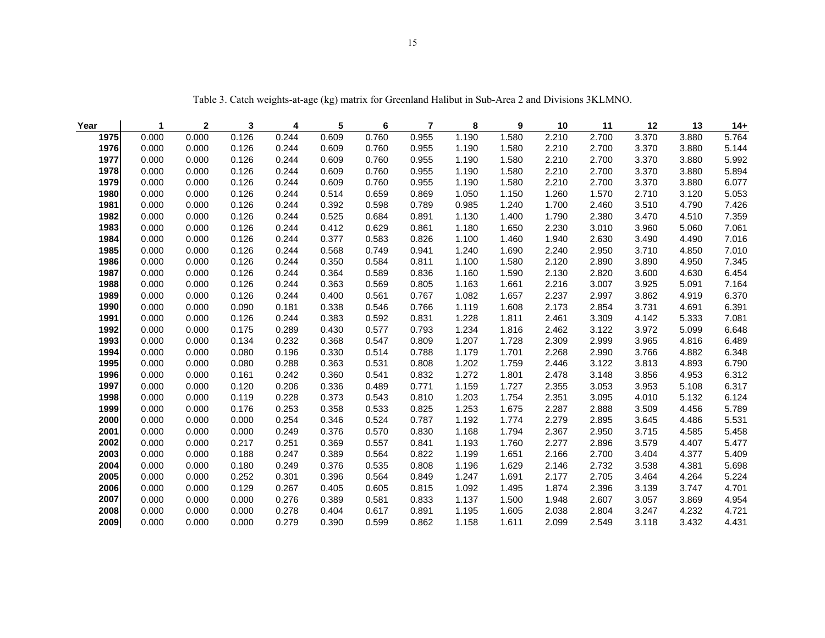| Year | $\mathbf{1}$ | $\mathbf{2}$ | 3     | 4     | 5     | 6     | $\overline{7}$ | 8     | 9     | 10    | 11    | 12    | 13    | $14+$ |
|------|--------------|--------------|-------|-------|-------|-------|----------------|-------|-------|-------|-------|-------|-------|-------|
| 1975 | 0.000        | 0.000        | 0.126 | 0.244 | 0.609 | 0.760 | 0.955          | 1.190 | 1.580 | 2.210 | 2.700 | 3.370 | 3.880 | 5.764 |
| 1976 | 0.000        | 0.000        | 0.126 | 0.244 | 0.609 | 0.760 | 0.955          | 1.190 | 1.580 | 2.210 | 2.700 | 3.370 | 3.880 | 5.144 |
| 1977 | 0.000        | 0.000        | 0.126 | 0.244 | 0.609 | 0.760 | 0.955          | 1.190 | 1.580 | 2.210 | 2.700 | 3.370 | 3.880 | 5.992 |
| 1978 | 0.000        | 0.000        | 0.126 | 0.244 | 0.609 | 0.760 | 0.955          | 1.190 | 1.580 | 2.210 | 2.700 | 3.370 | 3.880 | 5.894 |
| 1979 | 0.000        | 0.000        | 0.126 | 0.244 | 0.609 | 0.760 | 0.955          | 1.190 | 1.580 | 2.210 | 2.700 | 3.370 | 3.880 | 6.077 |
| 1980 | 0.000        | 0.000        | 0.126 | 0.244 | 0.514 | 0.659 | 0.869          | 1.050 | 1.150 | 1.260 | 1.570 | 2.710 | 3.120 | 5.053 |
| 1981 | 0.000        | 0.000        | 0.126 | 0.244 | 0.392 | 0.598 | 0.789          | 0.985 | 1.240 | 1.700 | 2.460 | 3.510 | 4.790 | 7.426 |
| 1982 | 0.000        | 0.000        | 0.126 | 0.244 | 0.525 | 0.684 | 0.891          | 1.130 | 1.400 | 1.790 | 2.380 | 3.470 | 4.510 | 7.359 |
| 1983 | 0.000        | 0.000        | 0.126 | 0.244 | 0.412 | 0.629 | 0.861          | 1.180 | 1.650 | 2.230 | 3.010 | 3.960 | 5.060 | 7.061 |
| 1984 | 0.000        | 0.000        | 0.126 | 0.244 | 0.377 | 0.583 | 0.826          | 1.100 | 1.460 | 1.940 | 2.630 | 3.490 | 4.490 | 7.016 |
| 1985 | 0.000        | 0.000        | 0.126 | 0.244 | 0.568 | 0.749 | 0.941          | 1.240 | 1.690 | 2.240 | 2.950 | 3.710 | 4.850 | 7.010 |
| 1986 | 0.000        | 0.000        | 0.126 | 0.244 | 0.350 | 0.584 | 0.811          | 1.100 | 1.580 | 2.120 | 2.890 | 3.890 | 4.950 | 7.345 |
| 1987 | 0.000        | 0.000        | 0.126 | 0.244 | 0.364 | 0.589 | 0.836          | 1.160 | 1.590 | 2.130 | 2.820 | 3.600 | 4.630 | 6.454 |
| 1988 | 0.000        | 0.000        | 0.126 | 0.244 | 0.363 | 0.569 | 0.805          | 1.163 | 1.661 | 2.216 | 3.007 | 3.925 | 5.091 | 7.164 |
| 1989 | 0.000        | 0.000        | 0.126 | 0.244 | 0.400 | 0.561 | 0.767          | 1.082 | 1.657 | 2.237 | 2.997 | 3.862 | 4.919 | 6.370 |
| 1990 | 0.000        | 0.000        | 0.090 | 0.181 | 0.338 | 0.546 | 0.766          | 1.119 | 1.608 | 2.173 | 2.854 | 3.731 | 4.691 | 6.391 |
| 1991 | 0.000        | 0.000        | 0.126 | 0.244 | 0.383 | 0.592 | 0.831          | 1.228 | 1.811 | 2.461 | 3.309 | 4.142 | 5.333 | 7.081 |
| 1992 | 0.000        | 0.000        | 0.175 | 0.289 | 0.430 | 0.577 | 0.793          | 1.234 | 1.816 | 2.462 | 3.122 | 3.972 | 5.099 | 6.648 |
| 1993 | 0.000        | 0.000        | 0.134 | 0.232 | 0.368 | 0.547 | 0.809          | 1.207 | 1.728 | 2.309 | 2.999 | 3.965 | 4.816 | 6.489 |
| 1994 | 0.000        | 0.000        | 0.080 | 0.196 | 0.330 | 0.514 | 0.788          | 1.179 | 1.701 | 2.268 | 2.990 | 3.766 | 4.882 | 6.348 |
| 1995 | 0.000        | 0.000        | 0.080 | 0.288 | 0.363 | 0.531 | 0.808          | 1.202 | 1.759 | 2.446 | 3.122 | 3.813 | 4.893 | 6.790 |
| 1996 | 0.000        | 0.000        | 0.161 | 0.242 | 0.360 | 0.541 | 0.832          | 1.272 | 1.801 | 2.478 | 3.148 | 3.856 | 4.953 | 6.312 |
| 1997 | 0.000        | 0.000        | 0.120 | 0.206 | 0.336 | 0.489 | 0.771          | 1.159 | 1.727 | 2.355 | 3.053 | 3.953 | 5.108 | 6.317 |
| 1998 | 0.000        | 0.000        | 0.119 | 0.228 | 0.373 | 0.543 | 0.810          | 1.203 | 1.754 | 2.351 | 3.095 | 4.010 | 5.132 | 6.124 |
| 1999 | 0.000        | 0.000        | 0.176 | 0.253 | 0.358 | 0.533 | 0.825          | 1.253 | 1.675 | 2.287 | 2.888 | 3.509 | 4.456 | 5.789 |
| 2000 | 0.000        | 0.000        | 0.000 | 0.254 | 0.346 | 0.524 | 0.787          | 1.192 | 1.774 | 2.279 | 2.895 | 3.645 | 4.486 | 5.531 |
| 2001 | 0.000        | 0.000        | 0.000 | 0.249 | 0.376 | 0.570 | 0.830          | 1.168 | 1.794 | 2.367 | 2.950 | 3.715 | 4.585 | 5.458 |
| 2002 | 0.000        | 0.000        | 0.217 | 0.251 | 0.369 | 0.557 | 0.841          | 1.193 | 1.760 | 2.277 | 2.896 | 3.579 | 4.407 | 5.477 |
| 2003 | 0.000        | 0.000        | 0.188 | 0.247 | 0.389 | 0.564 | 0.822          | 1.199 | 1.651 | 2.166 | 2.700 | 3.404 | 4.377 | 5.409 |
| 2004 | 0.000        | 0.000        | 0.180 | 0.249 | 0.376 | 0.535 | 0.808          | 1.196 | 1.629 | 2.146 | 2.732 | 3.538 | 4.381 | 5.698 |
| 2005 | 0.000        | 0.000        | 0.252 | 0.301 | 0.396 | 0.564 | 0.849          | 1.247 | 1.691 | 2.177 | 2.705 | 3.464 | 4.264 | 5.224 |
| 2006 | 0.000        | 0.000        | 0.129 | 0.267 | 0.405 | 0.605 | 0.815          | 1.092 | 1.495 | 1.874 | 2.396 | 3.139 | 3.747 | 4.701 |
| 2007 | 0.000        | 0.000        | 0.000 | 0.276 | 0.389 | 0.581 | 0.833          | 1.137 | 1.500 | 1.948 | 2.607 | 3.057 | 3.869 | 4.954 |
| 2008 | 0.000        | 0.000        | 0.000 | 0.278 | 0.404 | 0.617 | 0.891          | 1.195 | 1.605 | 2.038 | 2.804 | 3.247 | 4.232 | 4.721 |
| 2009 | 0.000        | 0.000        | 0.000 | 0.279 | 0.390 | 0.599 | 0.862          | 1.158 | 1.611 | 2.099 | 2.549 | 3.118 | 3.432 | 4.431 |

Table 3. Catch weights-at-age (kg) matrix for Greenland Halibut in Sub-Area 2 and Divisions 3KLMNO.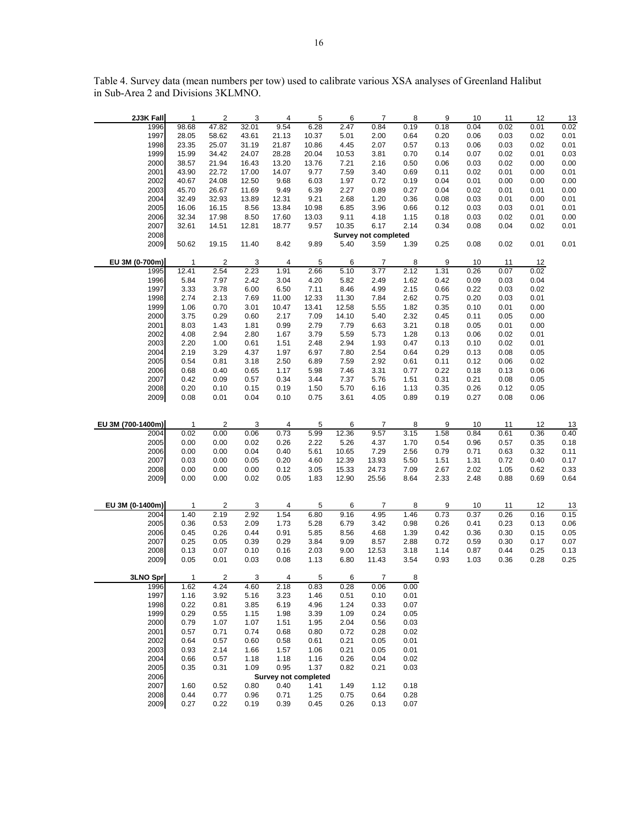| 2J3K Fall         | 1              | 2                       | 3            | 4                    | 5            | 6            | 7                           | 8            | 9    | 10   | 11   | 12   | 13   |
|-------------------|----------------|-------------------------|--------------|----------------------|--------------|--------------|-----------------------------|--------------|------|------|------|------|------|
| 1996              | 98.68          | 47.82                   | 32.01        | 9.54                 | 6.28         | 2.47         | 0.84                        | 0.19         | 0.18 | 0.04 | 0.02 | 0.01 | 0.02 |
| 1997              | 28.05          | 58.62                   | 43.61        | 21.13                | 10.37        | 5.01         | 2.00                        | 0.64         | 0.20 | 0.06 | 0.03 | 0.02 | 0.01 |
| 1998              | 23.35          | 25.07                   | 31.19        | 21.87                | 10.86        | 4.45         | 2.07                        | 0.57         | 0.13 | 0.06 | 0.03 | 0.02 | 0.01 |
| 1999              | 15.99          | 34.42                   | 24.07        | 28.28                | 20.04        | 10.53        | 3.81                        | 0.70         | 0.14 | 0.07 | 0.02 | 0.01 | 0.03 |
| 2000              | 38.57          | 21.94                   | 16.43        | 13.20                | 13.76        |              | 2.16                        | 0.50         | 0.06 | 0.03 | 0.02 | 0.00 | 0.00 |
|                   |                |                         |              |                      |              | 7.21         |                             |              |      |      |      |      |      |
| 2001              | 43.90          | 22.72                   | 17.00        | 14.07                | 9.77         | 7.59         | 3.40                        | 0.69         | 0.11 | 0.02 | 0.01 | 0.00 | 0.01 |
| 2002              | 40.67          | 24.08                   | 12.50        | 9.68                 | 6.03         | 1.97         | 0.72                        | 0.19         | 0.04 | 0.01 | 0.00 | 0.00 | 0.00 |
| 2003              | 45.70          | 26.67                   | 11.69        | 9.49                 | 6.39         | 2.27         | 0.89                        | 0.27         | 0.04 | 0.02 | 0.01 | 0.01 | 0.00 |
| 2004              | 32.49          | 32.93                   | 13.89        | 12.31                | 9.21         | 2.68         | 1.20                        | 0.36         | 0.08 | 0.03 | 0.01 | 0.00 | 0.01 |
| 2005              | 16.06          | 16.15                   | 8.56         | 13.84                | 10.98        | 6.85         | 3.96                        | 0.66         | 0.12 | 0.03 | 0.03 | 0.01 | 0.01 |
| 2006              | 32.34          | 17.98                   | 8.50         | 17.60                | 13.03        | 9.11         | 4.18                        | 1.15         | 0.18 | 0.03 | 0.02 | 0.01 | 0.00 |
| 2007              | 32.61          | 14.51                   | 12.81        | 18.77                | 9.57         | 10.35        | 6.17                        | 2.14         | 0.34 | 0.08 | 0.04 | 0.02 | 0.01 |
| 2008              |                |                         |              |                      |              |              | <b>Survey not completed</b> |              |      |      |      |      |      |
| 2009              | 50.62          | 19.15                   | 11.40        | 8.42                 | 9.89         | 5.40         | 3.59                        | 1.39         | 0.25 | 0.08 | 0.02 | 0.01 | 0.01 |
|                   |                |                         |              |                      |              |              |                             |              |      |      |      |      |      |
| EU 3M (0-700m)    | $\mathbf{1}$   | $\overline{\mathbf{c}}$ | 3            | 4                    | 5            | 6            | 7                           | 8            | 9    | 10   | 11   | 12   |      |
| 1995              | 12.41          | 2.54                    | 2.23         | 1.91                 | 2.66         | 5.10         | 3.77                        | 2.12         | 1.31 | 0.26 | 0.07 | 0.02 |      |
| 1996              | 5.84           | 7.97                    |              | 3.04                 | 4.20         | 5.82         |                             |              |      |      |      | 0.04 |      |
|                   |                |                         | 2.42         |                      |              |              | 2.49                        | 1.62         | 0.42 | 0.09 | 0.03 |      |      |
| 1997              | 3.33           | 3.78                    | 6.00         | 6.50                 | 7.11         | 8.46         | 4.99                        | 2.15         | 0.66 | 0.22 | 0.03 | 0.02 |      |
| 1998              | 2.74           | 2.13                    | 7.69         | 11.00                | 12.33        | 11.30        | 7.84                        | 2.62         | 0.75 | 0.20 | 0.03 | 0.01 |      |
| 1999              | 1.06           | 0.70                    | 3.01         | 10.47                | 13.41        | 12.58        | 5.55                        | 1.82         | 0.35 | 0.10 | 0.01 | 0.00 |      |
| 2000              | 3.75           | 0.29                    | 0.60         | 2.17                 | 7.09         | 14.10        | 5.40                        | 2.32         | 0.45 | 0.11 | 0.05 | 0.00 |      |
| 2001              | 8.03           | 1.43                    | 1.81         | 0.99                 | 2.79         | 7.79         | 6.63                        | 3.21         | 0.18 | 0.05 | 0.01 | 0.00 |      |
| 2002              | 4.08           | 2.94                    | 2.80         | 1.67                 | 3.79         | 5.59         | 5.73                        | 1.28         | 0.13 | 0.06 | 0.02 | 0.01 |      |
| 2003              | 2.20           | 1.00                    | 0.61         | 1.51                 | 2.48         | 2.94         | 1.93                        | 0.47         | 0.13 | 0.10 | 0.02 | 0.01 |      |
| 2004              | 2.19           | 3.29                    | 4.37         | 1.97                 | 6.97         | 7.80         | 2.54                        | 0.64         | 0.29 | 0.13 | 0.08 | 0.05 |      |
| 2005              | 0.54           | 0.81                    | 3.18         | 2.50                 | 6.89         | 7.59         | 2.92                        | 0.61         | 0.11 | 0.12 | 0.06 | 0.02 |      |
| 2006              | 0.68           | 0.40                    | 0.65         | 1.17                 | 5.98         | 7.46         | 3.31                        | 0.77         | 0.22 | 0.18 | 0.13 | 0.06 |      |
| 2007              | 0.42           | 0.09                    |              | 0.34                 | 3.44         | 7.37         | 5.76                        | 1.51         | 0.31 | 0.21 | 0.08 | 0.05 |      |
|                   |                |                         | 0.57         |                      |              |              |                             |              |      |      |      |      |      |
| 2008              | 0.20           | 0.10                    | 0.15         | 0.19                 | 1.50         | 5.70         | 6.16                        | 1.13         | 0.35 | 0.26 | 0.12 | 0.05 |      |
| 2009              | 0.08           | 0.01                    | 0.04         | 0.10                 | 0.75         | 3.61         | 4.05                        | 0.89         | 0.19 | 0.27 | 0.08 | 0.06 |      |
|                   |                |                         |              |                      |              |              |                             |              |      |      |      |      |      |
|                   |                |                         |              |                      |              |              |                             |              |      |      |      |      |      |
|                   |                |                         |              |                      |              |              |                             |              |      |      |      |      |      |
| EU 3M (700-1400m) | $\overline{1}$ | $\overline{2}$          | 3            | 4                    | 5            | 6            | 7                           | 8            | 9    | 10   | 11   | 12   | 13   |
| 2004              | 0.02           | 0.00                    | 0.06         | 0.73                 | 5.99         | 12.36        | 9.57                        | 3.15         | 1.58 | 0.84 | 0.61 | 0.36 | 0.40 |
| 2005              | 0.00           | 0.00                    | 0.02         | 0.26                 | 2.22         | 5.26         | 4.37                        | 1.70         | 0.54 | 0.96 | 0.57 | 0.35 | 0.18 |
| 2006              | 0.00           | 0.00                    | 0.04         | 0.40                 | 5.61         | 10.65        | 7.29                        | 2.56         | 0.79 | 0.71 | 0.63 | 0.32 | 0.11 |
| 2007              | 0.03           | 0.00                    | 0.05         | 0.20                 | 4.60         | 12.39        | 13.93                       | 5.50         | 1.51 | 1.31 | 0.72 | 0.40 | 0.17 |
| 2008              | 0.00           | 0.00                    | 0.00         | 0.12                 | 3.05         | 15.33        | 24.73                       | 7.09         | 2.67 | 2.02 | 1.05 | 0.62 | 0.33 |
| 2009              | 0.00           | 0.00                    | 0.02         | 0.05                 | 1.83         | 12.90        | 25.56                       | 8.64         | 2.33 | 2.48 | 0.88 | 0.69 | 0.64 |
|                   |                |                         |              |                      |              |              |                             |              |      |      |      |      |      |
|                   |                |                         |              |                      |              |              |                             |              |      |      |      |      |      |
| EU 3M (0-1400m)   | $\overline{1}$ | $\overline{\mathbf{c}}$ | 3            | 4                    | 5            | 6            | 7                           | 8            | 9    | 10   | 11   | 12   |      |
|                   |                |                         |              |                      |              |              |                             |              |      |      |      |      | 13   |
| 2004              | 1.40           | 2.19                    | 2.92         | 1.54                 | 6.80         | 9.16         | 4.95                        | 1.46         | 0.73 | 0.37 | 0.26 | 0.16 | 0.15 |
| 2005              | 0.36           | 0.53                    | 2.09         | 1.73                 | 5.28         | 6.79         | 3.42                        | 0.98         | 0.26 | 0.41 | 0.23 | 0.13 | 0.06 |
| 2006              | 0.45           | 0.26                    | 0.44         | 0.91                 | 5.85         | 8.56         | 4.68                        | 1.39         | 0.42 | 0.36 | 0.30 | 0.15 | 0.05 |
| 2007              | 0.25           | 0.05                    | 0.39         | 0.29                 | 3.84         | 9.09         | 8.57                        | 2.88         | 0.72 | 0.59 | 0.30 | 0.17 | 0.07 |
| 2008              | 0.13           | 0.07                    | 0.10         | 0.16                 | 2.03         | 9.00         | 12.53                       | 3.18         | 1.14 | 0.87 | 0.44 | 0.25 | 0.13 |
| 2009              | 0.05           | 0.01                    | 0.03         | 0.08                 | 1.13         | 6.80         | 11.43                       | 3.54         | 0.93 | 1.03 | 0.36 | 0.28 | 0.25 |
|                   |                |                         |              |                      |              |              |                             |              |      |      |      |      |      |
| 3LNO Spr          | $\mathbf{1}$   | 2                       | 3            | 4                    | 5            | 6            | 7                           | 8            |      |      |      |      |      |
| 1996              | 1.62           | 4.24                    | 4.60         | 2.18                 | 0.83         | 0.28         | 0.06                        | 0.00         |      |      |      |      |      |
| 1997              | 1.16           | 3.92                    | 5.16         | 3.23                 | 1.46         | 0.51         | 0.10                        | 0.01         |      |      |      |      |      |
| 1998              | 0.22           | 0.81                    | 3.85         | 6.19                 | 4.96         | 1.24         | 0.33                        | 0.07         |      |      |      |      |      |
| 1999              | 0.29           | 0.55                    | 1.15         | 1.98                 | 3.39         | 1.09         | 0.24                        | 0.05         |      |      |      |      |      |
| 2000              | 0.79           | 1.07                    | 1.07         | 1.51                 | 1.95         | 2.04         | 0.56                        | 0.03         |      |      |      |      |      |
| 2001              | 0.57           | 0.71                    | 0.74         | 0.68                 | 0.80         | 0.72         | 0.28                        | 0.02         |      |      |      |      |      |
| 2002              | 0.64           | 0.57                    | 0.60         | 0.58                 | 0.61         | 0.21         | 0.05                        | 0.01         |      |      |      |      |      |
| 2003              | 0.93           | 2.14                    | 1.66         | 1.57                 | 1.06         | 0.21         | 0.05                        |              |      |      |      |      |      |
|                   |                |                         |              |                      |              |              |                             | 0.01         |      |      |      |      |      |
| 2004              | 0.66           | 0.57                    | 1.18         | 1.18                 | 1.16         | 0.26         | 0.04                        | 0.02         |      |      |      |      |      |
| 2005              | 0.35           | 0.31                    | 1.09         | 0.95                 | 1.37         | 0.82         | 0.21                        | 0.03         |      |      |      |      |      |
| 2006              |                |                         |              | Survey not completed |              |              |                             |              |      |      |      |      |      |
| 2007              | 1.60           | 0.52                    | 0.80         | 0.40                 | 1.41         | 1.49         | 1.12                        | 0.18         |      |      |      |      |      |
| 2008<br>2009      | 0.44<br>0.27   | 0.77<br>0.22            | 0.96<br>0.19 | 0.71<br>0.39         | 1.25<br>0.45 | 0.75<br>0.26 | 0.64<br>0.13                | 0.28<br>0.07 |      |      |      |      |      |

Table 4. Survey data (mean numbers per tow) used to calibrate various XSA analyses of Greenland Halibut in Sub-Area 2 and Divisions 3KLMNO.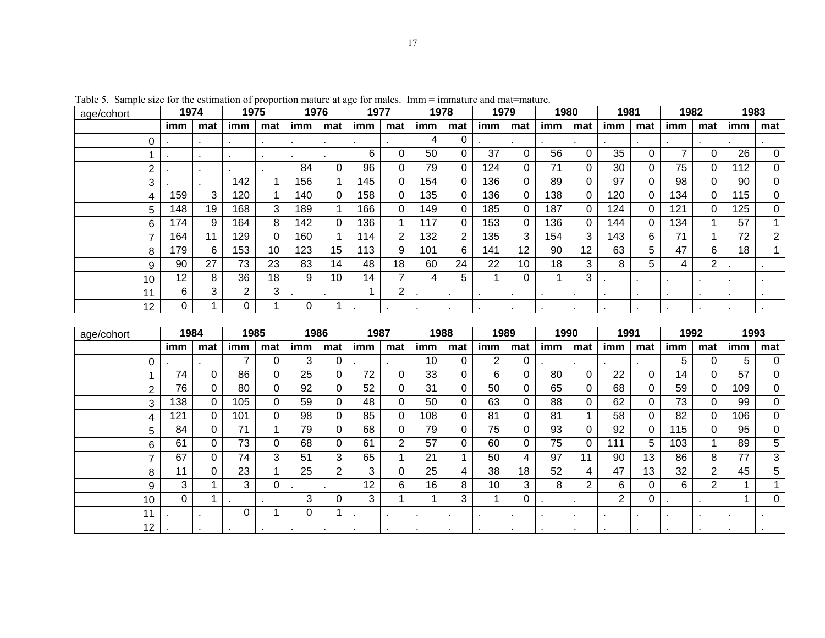| age/cohort | 1974 |                | 1975 |                 | 1976 |     | 1977 |                | 1978 |                | 1979           |                | 1980 |     | 1981 |     | 1982           |     | 1983           |                |
|------------|------|----------------|------|-----------------|------|-----|------|----------------|------|----------------|----------------|----------------|------|-----|------|-----|----------------|-----|----------------|----------------|
|            | imm  | mat            | imm  | mat             | imm  | mat | imm  | mat            | imm  | mat            | imm            | mat            | imm  | mat | imm  | mat | imm            | mat | imm            | mat            |
|            |      | $\blacksquare$ |      |                 |      |     |      |                | 4    | 0              |                | $\blacksquare$ |      |     |      |     |                |     |                |                |
|            |      |                |      |                 |      |     | 6    | 0              | 50   | 0              | 37             | 0              | 56   | 0   | 35   |     | 7              | 0   | 26             | 0              |
| ົ          |      |                |      |                 | 84   |     | 96   | 0              | 79   | 0              | 124            | 0              | 71   | 0   | 30   |     | 75             | 0   | 112            | 0              |
| 3          |      |                | 142  |                 | 156  |     | 145  | $\Omega$       | 154  | 0              | 136            | 0              | 89   | 0   | 97   |     | 98             |     | 90             | 0              |
| 4          | 159  | 3              | 120  |                 | 140  |     | 158  | $\Omega$       | 135  | 0              | 136            | 0              | 138  | 0   | 120  |     | 134            | 0   | 115            | 0              |
| 5          | 148  | 19             | 168  | 3               | 189  |     | 166  | $\Omega$       | 149  | 0              | 185            |                | 187  | 0   | 124  |     | 121            | 0   | 125            | 0              |
| 6          | 174  | 9              | 164  | 8               | 142  |     | 136  |                | 117  | 0              | 153            | 0              | 136  | 0   | 144  |     | 134            |     | 57             | 1              |
|            | 164  | 11             | 129  | 0               | 160  |     | 114  | $\overline{2}$ | 132  | $\overline{2}$ | 135            | 3              | 154  | 3   | 143  | 6   | 71             |     | 72             | $\overline{2}$ |
| 8          | 179  | 6              | 153  | 10 <sup>1</sup> | 123  | 15  | 113  | 9              | 101  | 6              | 141            | 12             | 90   | 12  | 63   | 5.  | 47             | 6   | 18             |                |
| 9          | 90   | 27             | 73   | 23              | 83   | 14  | 48   | 18             | 60   | 24             | 22             | 10             | 18   | 3   | 8    | 5   | 4              | 2   |                |                |
| 10         | 12   | 8              | 36   | 18              | 9    | 10  | 14   | 7              | 4    | 5              |                | 0              |      | 3   |      |     |                |     |                |                |
| 11         | 6    | 3              | 2.   | 3               |      |     |      | 2              |      |                |                | $\blacksquare$ |      |     |      |     | $\blacksquare$ |     |                |                |
| 12         | 0    |                | 0    |                 | 0    |     |      |                |      |                | $\blacksquare$ | $\bullet$      |      |     |      |     | $\blacksquare$ |     | $\blacksquare$ |                |
|            |      |                |      |                 |      |     |      |                |      |                |                |                |      |     |      |     |                |     |                |                |
| age/cohort | 1984 |                | 1985 |                 | 1986 |     | 1987 |                | 1988 |                | 1989           |                | 1990 |     | 1991 |     | 1992           |     | 1993           |                |
|            | imm  | mat            | imm  | mat             | imm  | mat | imm  | mat            | imm  | mat            | imm            | mat            | imm  | mat | imm  | mat | imm            | mat | imm            | mat            |

Table 5. Sample size for the estimation of proportion mature at age for males. Imm = immature and mat=mature.

| age/cohort | 1984 |          | 1985 |     | 1986 |          | 1987            |                | 1988 |     | 1989 |              | 1990           |                | 1991 |     | 1992 |     | 1993 |     |
|------------|------|----------|------|-----|------|----------|-----------------|----------------|------|-----|------|--------------|----------------|----------------|------|-----|------|-----|------|-----|
|            | imm  | mat      | imm  | mat | imm  | mat      | imm             | mat            | imm  | mat | imm  | mat          | imm            | mat            | imm  | mat | imm  | mat | imm  | mat |
|            |      |          |      |     | 3    | 0        |                 |                | 10   |     | 2    | 0            |                |                |      |     | 5    | 0   | 5    | 0   |
|            | 74   | 0        | 86   |     | 25   | 0        | 72              | 0              | 33   |     | 6    | 0            | 80             | 0              | 22   | 0   | 14   | 0   | 57   | 0   |
|            | 76   | 0        | 80   |     | 92   | 0        | 52              | 0              | 31   |     | 50   | 0            | 65             | 0              | 68   | 0   | 59   | 0   | 109  | 0   |
|            | 138  | $\Omega$ | 105  | 0   | 59   | 0        | 48              | 0              | 50   |     | 63   | 0            | 88             | 0              | 62   | 0   | 73   | 0   | 99   | 0   |
|            | 121  | $\Omega$ | 101  | 0   | 98   | 0        | 85              | 0              | 108  |     | 81   | 0            | 81             |                | 58   | 0   | 82   | 0   | 106  | 0   |
| 5.         | 84   | 0        | 71   |     | 79   | 0        | 68              | 0              | 79   | 0   | 75   | 0            | 93             | 0              | 92   | 0   | 115  | 0   | 95   | 0   |
| 6          | 61   | $\Omega$ | 73   | 0   | 68   | 0        | 61              | $\overline{2}$ | 57   | 0   | 60   | 0            | 75             | 0              | 111  | 5   | 103  |     | 89   | 5   |
|            | 67   | 0        | 74   | 3   | 51   | 3        | 65              |                | 21   |     | 50   | 4            | 97             | 11             | 90   | 13  | 86   | 8   | 77   | 3   |
| 8          | 11   | $\Omega$ | 23   |     | 25   | 2        | 3               | $\Omega$       | 25   | 4   | 38   | 18           | 52             | 4              | 47   | 13  | 32   | 2   | 45   | 5   |
| 9          | 3    |          | 3    | 0   |      | ٠        | 12 <sup>2</sup> | 6              | 16   | 8   | 10   | 3            | 8              | $\overline{2}$ | 6    | 0   | 6    | 2   |      |     |
| 10         | 0    |          |      |     | 3    | $\Omega$ | 3               |                |      | 3   |      | 0            |                |                | 2    | 0   |      |     |      | 0   |
| 11         |      |          |      |     | 0    |          |                 |                |      |     |      | $\mathbf{r}$ | $\blacksquare$ |                |      | ٠   |      |     |      |     |
| 12         |      |          |      |     |      |          |                 |                |      |     |      |              |                |                |      |     |      |     |      |     |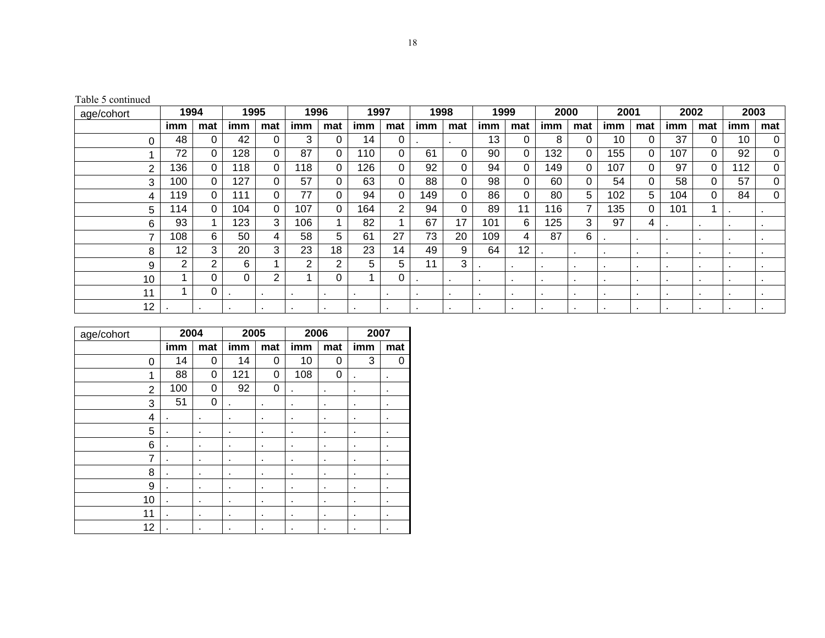Table 5 continued

| age/cohort      | 1994 |             | 1995 |          | 1996           |     | 1997 |                | 1998 |                | 1999           |          | 2000 |                | 2001 |                | 2002         |          | 2003 |                |
|-----------------|------|-------------|------|----------|----------------|-----|------|----------------|------|----------------|----------------|----------|------|----------------|------|----------------|--------------|----------|------|----------------|
|                 | imm  | mat         | imm  | mat      | imm            | mat | imm  | mat            | imm  | mat            | imm            | mat      | imm  | mat            | imm  | mat            | imm          | mat      | imm  | mat            |
|                 | 48   | 0           | 42   | 0        | 3              |     | 14   | 0              |      |                | 13             |          | 8    | 0              | 10   | 0              | 37           |          | 10   | 0              |
|                 | 72   | 0           | 128  | 0        | 87             |     | 110  | 0              | 61   |                | 90             | 0        | 132  | 0              | 155  | 0              | 107          |          | 92   | 0              |
| 2               | 136  | $\Omega$    | 118  | $\Omega$ | 118            |     | 126  | 0              | 92   |                | 94             | 0        | 149  | 0              | 107  | $\Omega$       | 97           | $\Omega$ | 112  | 0              |
| 3               | 100  | $\mathbf 0$ | 127  | 0        | 57             |     | 63   | 0              | 88   |                | 98             | 0        | 60   | 0              | 54   | $\Omega$       | 58           |          | 57   | 0              |
| 4               | 19   | $\mathbf 0$ | 111  | $\Omega$ | 77             |     | 94   | 0              | 149  |                | 86             | $\Omega$ | 80   | 5              | 102  | 5              | 104          | 0        | 84   | $\Omega$       |
| 5               | 14   | 0           | 104  | 0        | 107            |     | 164  | $\overline{2}$ | 94   |                | 89             | 11       | 116  | 7              | 135  | $\Omega$       | 101          |          |      |                |
| 6               | 93   |             | 123  | 3        | 106            |     | 82   |                | 67   | 17             | 101            | 6        | 125  | 3              | 97   | 4              |              |          |      | $\blacksquare$ |
| ⇁               | 108  | 6           | 50   | 4        | 58             | 5.  | 61   | 27             | 73   | 20             | 109            | 4        | 87   | 6              |      |                | $\bullet$    |          |      | $\cdot$        |
| 8               | 12   | 3           | 20   | 3        | 23             | 18  | 23   | 14             | 49   | 9              | 64             | 12       |      | $\blacksquare$ |      |                |              |          |      |                |
| 9               | 2    | 2           | 6    |          | $\overline{2}$ | ົ   | 5    | 5              | 11   | 3              |                |          | ٠    | $\blacksquare$ |      | $\blacksquare$ | $\mathbf{r}$ |          |      |                |
| 10              |      | 0           | 0    | 2        |                |     |      | 0              |      | $\mathbf{r}$   | $\blacksquare$ |          | ٠    | ٠              |      | $\blacksquare$ |              |          |      |                |
| 11              |      | 0           |      |          |                |     |      |                |      | $\blacksquare$ | $\blacksquare$ |          |      | ٠              |      | $\blacksquare$ |              |          |      |                |
| 12 <sup>2</sup> |      |             |      |          |                |     |      |                |      |                | $\blacksquare$ |          |      |                |      |                |              |          |      |                |

| age/cohort     | 2004 |          | 2005 |          | 2006 |     | 2007 |     |
|----------------|------|----------|------|----------|------|-----|------|-----|
|                | imm  | mat      | imm  | mat      | imm  | mat | imm  | mat |
| 0              | 14   | $\Omega$ | 14   | 0        | 10   | 0   | 3    | 0   |
| 1              | 88   | 0        | 121  | 0        | 108  | 0   |      | ٠   |
| $\overline{2}$ | 100  | 0        | 92   | $\Omega$ | ۰    | ٠   | ٠    | ٠   |
| 3              | 51   | 0        |      | ٠        | ٠    | ٠   | ٠    | ٠   |
| 4              |      | ٠        | ٠    | ٠        | ٠    | ٠   | ٠    | ٠   |
| 5              | ٠    | ٠        | ٠    | ٠        | ٠    | ٠   | ٠    | ٠   |
| 6              | ٠    | ٠        | ٠    | ٠        | ٠    | ٠   | ٠    | ٠   |
| 7              | ٠    | ٠        | ٠    | ٠        | ٠    | ٠   | ٠    | ٠   |
| 8              | ٠    | ٠        | ٠    | ٠        | ٠    | ٠   | ٠    | ٠   |
| 9              | ٠    | ٠        | ٠    | ٠        | ٠    | ٠   | ٠    | ٠   |
| 10             | ٠    | ٠        | ٠    | ٠        | ٠    | ٠   | ٠    | ٠   |
| 11             | ٠    | ٠        | ٠    | ٠        | ٠    | ٠   | ٠    | ٠   |
| 12             |      | ٠        | ٠    | ٠        | ٠    | ٠   |      | ٠   |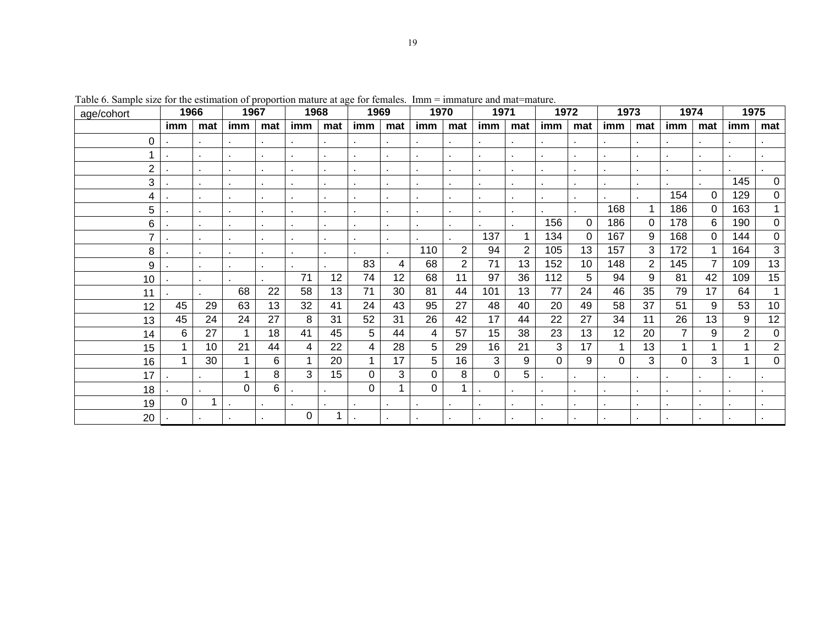| ٧       |
|---------|
|         |
| ۰,<br>٦ |

| age/cohort     | 1966     |                 | 1967         |     | 1968 |                | 1969 |             | 1970     |                | 1971     |                | 1972     |          | 1973     |                | 1974           |                | 1975           |                |
|----------------|----------|-----------------|--------------|-----|------|----------------|------|-------------|----------|----------------|----------|----------------|----------|----------|----------|----------------|----------------|----------------|----------------|----------------|
|                | imm      | mat             | imm          | mat | imm  | mat            | imm  | mat         | imm      | mat            | imm      | mat            | imm      | mat      | imm      | mat            | imm            | mat            | imm            | mat            |
| 0              |          |                 |              |     |      |                |      |             |          |                |          |                |          |          |          |                |                |                |                |                |
|                |          |                 |              |     |      |                |      |             |          |                |          |                |          |          |          |                |                |                |                |                |
| $\overline{2}$ |          |                 |              |     |      |                |      |             |          |                |          |                |          |          |          |                | $\blacksquare$ |                |                |                |
| 3              |          |                 |              |     |      |                |      |             |          |                |          |                |          |          |          |                |                |                | 145            | $\Omega$       |
| 4              |          |                 |              |     |      |                |      |             |          |                |          |                |          |          |          |                | 154            | $\Omega$       | 129            | $\Omega$       |
| 5              |          |                 |              |     |      |                |      |             |          |                |          |                |          |          | 168      | 1              | 186            | 0              | 163            |                |
| 6              |          |                 |              |     |      |                |      |             |          |                |          |                | 156      | $\Omega$ | 186      | $\Omega$       | 178            | 6              | 190            | $\Omega$       |
| 7              |          | $\blacksquare$  | $\mathbf{r}$ |     |      | $\blacksquare$ |      |             |          |                | 137      | 1              | 134      | $\Omega$ | 167      | 9              | 168            | 0              | 144            | 0              |
| 8              |          |                 |              |     |      |                |      |             | 110      | $\overline{2}$ | 94       | $\overline{2}$ | 105      | 13       | 157      | 3              | 172            |                | 164            | 3              |
| 9              |          |                 |              |     |      |                | 83   | 4           | 68       | $\overline{2}$ | 71       | 13             | 152      | 10       | 148      | $\overline{2}$ | 145            | $\overline{7}$ | 109            | 13             |
| 10             |          |                 |              |     | 71   | 12             | 74   | 12          | 68       | 11             | 97       | 36             | 112      | 5        | 94       | 9              | 81             | 42             | 109            | 15             |
| 11             |          |                 | 68           | 22  | 58   | 13             | 71   | 30          | 81       | 44             | 101      | 13             | 77       | 24       | 46       | 35             | 79             | 17             | 64             |                |
| 12             | 45       | 29              | 63           | 13  | 32   | 41             | 24   | 43          | 95       | 27             | 48       | 40             | 20       | 49       | 58       | 37             | 51             | 9              | 53             | 10             |
| 13             | 45       | 24              | 24           | 27  | 8    | 31             | 52   | 31          | 26       | 42             | 17       | 44             | 22       | 27       | 34       | 11             | 26             | 13             | 9              | 12             |
| 14             | 6        | 27              |              | 18  | 41   | 45             | 5    | 44          | 4        | 57             | 15       | 38             | 23       | 13       | 12       | 20             | 7              | 9              | $\overline{2}$ | $\Omega$       |
| 15             |          | 10 <sup>1</sup> | 21           | 44  | 4    | 22             | 4    | 28          | 5        | 29             | 16       | 21             | 3        | 17       |          | 13             |                |                |                | $\overline{2}$ |
| 16             |          | 30              |              | 6   | 1    | 20             | 1    | 17          | 5        | 16             | 3        | 9              | $\Omega$ | 9        | $\Omega$ | 3              | 0              | 3              |                | $\Omega$       |
| 17             |          |                 |              | 8   | 3    | 15             | 0    | 3           | $\Omega$ | 8              | $\Omega$ | 5              |          |          |          |                | ٠              |                |                |                |
| 18             |          |                 | 0            | 6   |      |                | 0    | $\mathbf 1$ | $\Omega$ |                |          |                |          |          |          |                |                |                |                |                |
| 19             | $\Omega$ | 1               |              |     |      |                |      |             |          |                |          |                |          |          |          |                |                |                |                |                |
| 20             |          |                 |              |     | 0    |                |      |             |          |                |          |                |          |          |          |                |                |                |                |                |

Table 6. Sample size for the estimation of proportion mature at age for females. Imm = immature and mat=mature.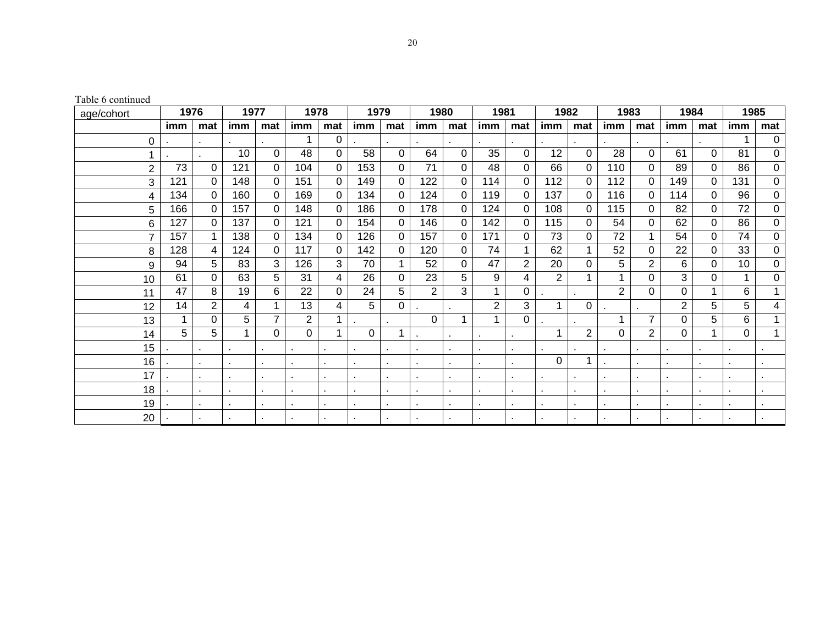Table 6 continued

| age/cohort | 1976 |                | 1977 |                | 1978           |          | 1979 |             | 1980     |          | 1981           |                | 1982     |     | 1983           |                | 1984           |          | 1985 |          |
|------------|------|----------------|------|----------------|----------------|----------|------|-------------|----------|----------|----------------|----------------|----------|-----|----------------|----------------|----------------|----------|------|----------|
|            | imm  | mat            | imm  | mat            | imm            | mat      | imm  | mat         | imm      | mat      | imm            | mat            | imm      | mat | imm            | mat            | imm            | mat      | imm  | mat      |
| 0          |      |                |      |                |                | 0        |      |             |          |          |                |                |          |     |                |                |                |          |      | 0        |
|            |      |                | 10   | 0              | 48             | 0        | 58   | $\Omega$    | 64       | $\Omega$ | 35             | 0              | 12       | 0   | 28             | 0              | 61             | $\Omega$ | 81   | 0        |
| 2          | 73   | 0              | 121  | 0              | 104            | $\Omega$ | 153  | $\Omega$    | 71       | 0        | 48             | $\Omega$       | 66       | 0   | 110            | 0              | 89             | 0        | 86   | 0        |
| 3          | 121  | $\Omega$       | 148  | 0              | 151            | $\Omega$ | 149  | $\mathbf 0$ | 122      | 0        | 114            | 0              | 112      | 0   | 112            | $\Omega$       | 149            | $\Omega$ | 131  | 0        |
| 4          | 134  | 0              | 160  | 0              | 169            | 0        | 134  | 0           | 124      | $\Omega$ | 119            | 0              | 137      | 0   | 116            | 0              | 114            | $\Omega$ | 96   | 0        |
| 5          | 166  | $\Omega$       | 157  | 0              | 148            | $\Omega$ | 186  | $\Omega$    | 178      | $\Omega$ | 124            | $\Omega$       | 108      | 0   | 115            | 0              | 82             | $\Omega$ | 72   | 0        |
| 6          | 127  | 0              | 137  | 0              | 121            | 0        | 154  | $\Omega$    | 146      | 0        | 142            | 0              | 115      | 0   | 54             | 0              | 62             | $\Omega$ | 86   | 0        |
| 7          | 157  | $\mathbf{1}$   | 138  | $\Omega$       | 134            | $\Omega$ | 126  | $\mathbf 0$ | 157      | $\Omega$ | 171            | 0              | 73       | 0   | 72             | 1              | 54             | $\Omega$ | 74   | $\Omega$ |
| 8          | 128  | 4              | 124  | 0              | 117            | $\Omega$ | 142  | $\Omega$    | 120      | 0        | 74             |                | 62       |     | 52             | $\Omega$       | 22             | 0        | 33   | $\Omega$ |
| 9          | 94   | 5              | 83   | 3              | 126            | 3        | 70   |             | 52       | $\Omega$ | 47             | $\overline{2}$ | 20       | 0   | 5              | $\overline{2}$ | 6              | 0        | 10   | 0        |
| 10         | 61   | 0              | 63   | 5              | 31             | 4        | 26   | $\Omega$    | 23       | 5        | 9              | 4              | 2        |     |                | 0              | 3              | 0        |      | $\Omega$ |
| 11         | 47   | 8              | 19   | 6              | 22             | $\Omega$ | 24   | 5           | 2        | 3        | 1              | 0              |          |     | $\overline{2}$ | 0              | 0              |          | 6    | 1        |
| 12         | 14   | $\overline{2}$ | 4    | 1              | 13             | 4        | 5    | $\Omega$    |          |          | $\overline{2}$ | 3              |          | 0   |                |                | $\overline{2}$ | 5        | 5    | 4        |
| 13         |      | 0              | 5    | $\overline{7}$ | $\overline{2}$ |          |      |             | $\Omega$ |          | 1              | 0              |          |     |                | $\overline{7}$ | 0              | 5        | 6    |          |
| 14         | 5    | 5              |      | 0              | 0              |          | 0    |             |          |          |                |                |          | 2   | 0              | $\overline{2}$ | 0              |          | 0    | 1        |
| 15         |      |                |      |                |                |          |      |             |          |          |                |                |          |     |                |                |                |          |      |          |
| 16         |      |                |      |                |                |          |      |             |          |          |                |                | $\Omega$ | 1   |                |                |                |          |      |          |
| 17         |      |                |      |                |                |          |      |             |          |          |                |                |          |     |                |                |                |          |      |          |
| 18         |      |                |      | ٠              |                |          |      |             |          |          |                |                |          |     |                | ٠              |                |          |      |          |
| 19         |      |                |      |                |                |          |      |             |          |          |                |                |          |     |                |                |                |          |      |          |
| 20         |      |                |      |                |                |          |      |             |          |          |                |                |          |     |                |                |                |          |      |          |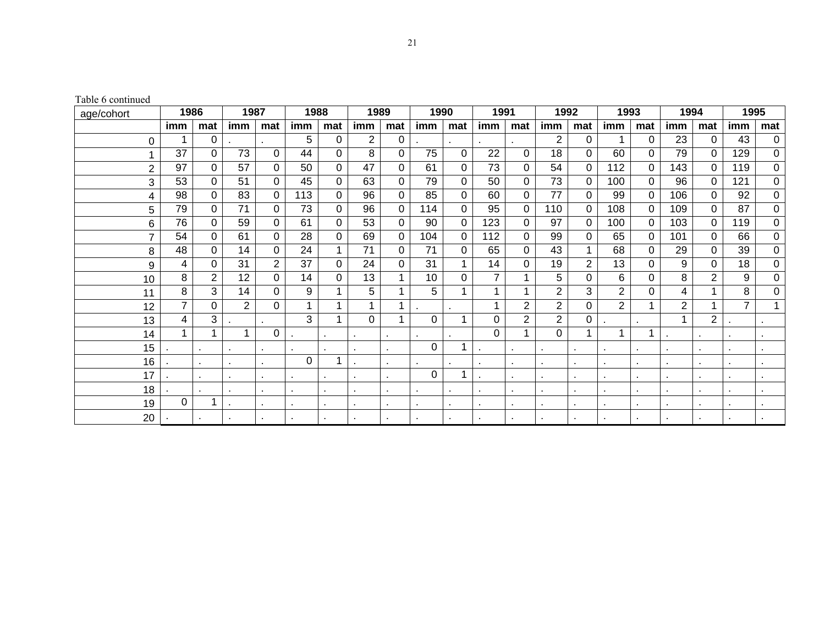Table 6 continued

| age/cohort | 1986           |                | 1987           |                | 1988 |          | 1989         |             | 1990     |          | 1991 |                | 1992           |                | 1993           |          | 1994 |                | 1995           |          |
|------------|----------------|----------------|----------------|----------------|------|----------|--------------|-------------|----------|----------|------|----------------|----------------|----------------|----------------|----------|------|----------------|----------------|----------|
|            | imm            | mat            | imm            | mat            | imm  | mat      | imm          | mat         | imm      | mat      | imm  | mat            | imm            | mat            | imm            | mat      | imm  | mat            | imm            | mat      |
| 0          |                | 0              |                |                | 5    | 0        | 2            | 0           |          |          |      |                | 2              | 0              |                | 0        | 23   | 0              | 43             | 0        |
|            | 37             | 0              | 73             | 0              | 44   | 0        | 8            | 0           | 75       | $\Omega$ | 22   | 0              | 18             | 0              | 60             | 0        | 79   | 0              | 129            | 0        |
| 2          | 97             | 0              | 57             | 0              | 50   | $\Omega$ | 47           | $\Omega$    | 61       | 0        | 73   | 0              | 54             | 0              | 112            | 0        | 143  | 0              | 119            | 0        |
| 3          | 53             | $\Omega$       | 51             | 0              | 45   | $\Omega$ | 63           | $\mathbf 0$ | 79       | 0        | 50   | 0              | 73             | 0              | 100            | $\Omega$ | 96   | 0              | 121            | 0        |
| 4          | 98             | 0              | 83             | 0              | 113  | 0        | 96           | $\Omega$    | 85       | 0        | 60   | 0              | 77             | 0              | 99             | 0        | 106  | 0              | 92             | 0        |
| 5          | 79             | 0              | 71             | 0              | 73   | 0        | 96           | $\Omega$    | 114      | 0        | 95   | $\Omega$       | 110            | 0              | 108            | 0        | 109  | 0              | 87             | 0        |
| 6          | 76             | 0              | 59             | 0              | 61   | 0        | 53           | 0           | 90       | 0        | 123  | 0              | 97             | 0              | 100            | 0        | 103  | 0              | 119            | 0        |
| 7          | 54             | $\mathbf 0$    | 61             | 0              | 28   | $\Omega$ | 69           | $\mathbf 0$ | 104      | $\Omega$ | 112  | 0              | 99             | 0              | 65             | 0        | 101  | $\Omega$       | 66             | $\Omega$ |
| 8          | 48             | $\Omega$       | 14             | 0              | 24   |          | 71           | $\Omega$    | 71       | 0        | 65   | 0              | 43             |                | 68             | 0        | 29   | 0              | 39             | $\Omega$ |
| 9          | 4              | 0              | 31             | $\overline{2}$ | 37   | $\Omega$ | 24           | $\Omega$    | 31       |          | 14   | 0              | 19             | $\overline{2}$ | 13             | 0        | 9    | 0              | 18             | 0        |
| 10         | 8              | $\overline{2}$ | 12             | 0              | 14   | 0        | 13           | 1           | 10       | 0        | 7    |                | 5              | 0              | 6              | 0        | 8    | 2              | 9              | 0        |
| 11         | 8              | 3              | 14             | 0              | 9    |          | 5            | 1           | 5        |          | 1    |                | $\overline{2}$ | 3              | 2              | 0        | 4    |                | 8              | 0        |
| 12         | $\overline{7}$ | 0              | $\overline{2}$ | 0              | 1    |          | $\mathbf{1}$ | 1           |          |          | 1    | $\overline{2}$ | $\overline{2}$ | 0              | $\overline{2}$ | 1        | 2    |                | $\overline{7}$ | 1        |
| 13         | 4              | 3              |                |                | 3    |          | 0            | 1           | $\Omega$ |          | 0    | $\overline{2}$ | 2              | 0              |                |          |      | $\overline{2}$ |                |          |
| 14         |                | 1              |                | 0              |      |          |              |             |          |          | 0    |                | 0              |                |                |          |      |                |                |          |
| 15         |                |                |                |                |      |          |              |             | $\Omega$ |          |      |                |                |                |                |          |      |                |                |          |
| 16         |                |                |                |                | 0    |          |              |             |          |          |      |                |                |                |                |          |      |                |                |          |
| 17         |                |                |                |                |      |          |              |             | $\Omega$ |          |      |                |                |                |                |          |      |                |                |          |
| 18         |                |                |                |                |      |          |              |             |          |          |      |                |                |                |                | ٠        |      |                |                |          |
| 19         | 0              | 1              |                |                |      |          |              |             |          |          |      |                |                |                |                |          |      |                |                |          |
| 20         |                |                |                |                |      |          |              |             |          |          |      |                |                |                |                |          |      |                |                |          |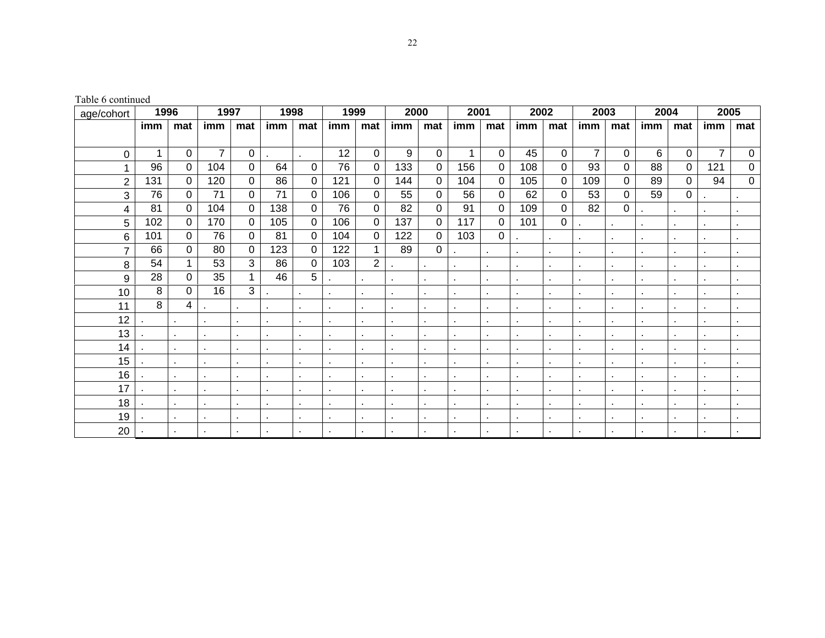Table 6 continued

| age/cohort     | 1996 |             | 1997            |             | 1998            |                | 1999 |                | 2000 |                | 2001           |                  | 2002                     |          | 2003           |     | 2004 |          | 2005           |                |
|----------------|------|-------------|-----------------|-------------|-----------------|----------------|------|----------------|------|----------------|----------------|------------------|--------------------------|----------|----------------|-----|------|----------|----------------|----------------|
|                | imm  | mat         | imm             | mat         | imm             | mat            | imm  | mat            | imm  | mat            | imm            | mat              | imm                      | mat      | imm            | mat | imm  | mat      | imm            | mat            |
|                |      |             |                 |             |                 |                |      |                |      |                |                |                  |                          |          |                |     |      |          |                |                |
| 0              | 1    | 0           | $\overline{7}$  | $\mathbf 0$ |                 |                | 12   | 0              | 9    | 0              | $\mathbf 1$    | 0                | 45                       | $\Omega$ | $\overline{7}$ | 0   | 6    | $\Omega$ | $\overline{7}$ | $\mathbf 0$    |
|                | 96   | $\Omega$    | 104             | $\Omega$    | 64              | 0              | 76   | $\Omega$       | 133  | $\Omega$       | 156            | $\mathbf 0$      | 108                      | $\Omega$ | 93             | 0   | 88   | $\Omega$ | 121            | 0              |
| $\overline{2}$ | 131  | $\mathbf 0$ | 120             | $\mathbf 0$ | 86              | 0              | 121  | 0              | 144  | 0              | 104            | $\boldsymbol{0}$ | 105                      | $\Omega$ | 109            | 0   | 89   | $\Omega$ | 94             | $\mathbf 0$    |
| 3              | 76   | $\mathbf 0$ | $\overline{71}$ | $\mathbf 0$ | $\overline{71}$ | 0              | 106  | 0              | 55   | 0              | 56             | $\mathbf 0$      | 62                       | $\Omega$ | 53             | 0   | 59   | 0        |                |                |
| 4              | 81   | $\mathbf 0$ | 104             | $\mathbf 0$ | 138             | 0              | 76   | $\mathbf 0$    | 82   | $\Omega$       | 91             | $\mathbf 0$      | 109                      | $\Omega$ | 82             | 0   |      |          |                |                |
| 5              | 102  | 0           | 170             | 0           | 105             | 0              | 106  | 0              | 137  | 0              | 117            | 0                | 101                      | $\Omega$ |                |     |      |          |                |                |
| 6              | 101  | 0           | 76              | $\Omega$    | 81              | 0              | 104  | 0              | 122  | 0              | 103            | 0                |                          |          |                |     |      |          |                | $\blacksquare$ |
| $\overline{7}$ | 66   | 0           | 80              | $\Omega$    | 123             | 0              | 122  | 1              | 89   | 0              |                |                  |                          |          |                |     |      |          |                |                |
| 8              | 54   |             | 53              | 3           | 86              | 0              | 103  | $\overline{2}$ |      | ٠              |                |                  |                          |          |                |     |      |          |                |                |
| 9              | 28   | 0           | 35              | 1           | 46              | 5              |      |                |      | ٠              |                |                  |                          |          |                |     |      |          |                |                |
| 10             | 8    | 0           | 16              | 3           |                 |                |      |                |      | ٠              |                |                  |                          |          |                |     |      |          | ٠              | $\bullet$      |
| 11             | 8    | 4           |                 |             |                 |                |      |                |      | $\bullet$      |                |                  |                          |          |                |     |      |          |                | $\mathbf{r}$   |
| 12             |      |             | $\bullet$       |             |                 |                |      |                |      | $\blacksquare$ |                |                  | $\mathbf{r}$             |          |                |     |      |          |                | $\blacksquare$ |
| 13             |      |             | $\blacksquare$  |             |                 |                |      |                |      | $\blacksquare$ |                |                  |                          |          |                |     |      |          |                | $\mathbf{r}$   |
| 14             |      |             | $\blacksquare$  |             |                 |                |      |                |      | $\blacksquare$ |                |                  |                          |          |                |     |      |          |                | $\bullet$      |
| 15             |      |             |                 |             |                 |                |      |                |      |                |                |                  |                          |          |                |     |      |          |                | $\blacksquare$ |
| 16             |      |             | $\bullet$       |             |                 |                |      |                |      | $\blacksquare$ |                |                  | $\overline{\phantom{a}}$ |          |                |     |      |          |                | $\blacksquare$ |
| 17             |      |             | $\bullet$       |             |                 |                |      |                |      | $\blacksquare$ |                |                  | $\blacksquare$           |          |                |     |      |          |                | $\mathbf{r}$   |
| 18             |      |             | $\bullet$       |             |                 |                |      |                |      | $\blacksquare$ |                |                  | $\blacksquare$           |          |                |     |      |          |                | $\mathbf{r}$   |
| 19             |      |             | $\mathbf{r}$    |             |                 | $\blacksquare$ |      |                |      | $\blacksquare$ | $\blacksquare$ |                  | $\blacksquare$           |          |                |     |      |          |                | $\blacksquare$ |
| 20             |      |             | $\bullet$       |             |                 |                |      |                |      | $\blacksquare$ |                |                  |                          |          |                |     |      |          |                | $\mathbf{r}$   |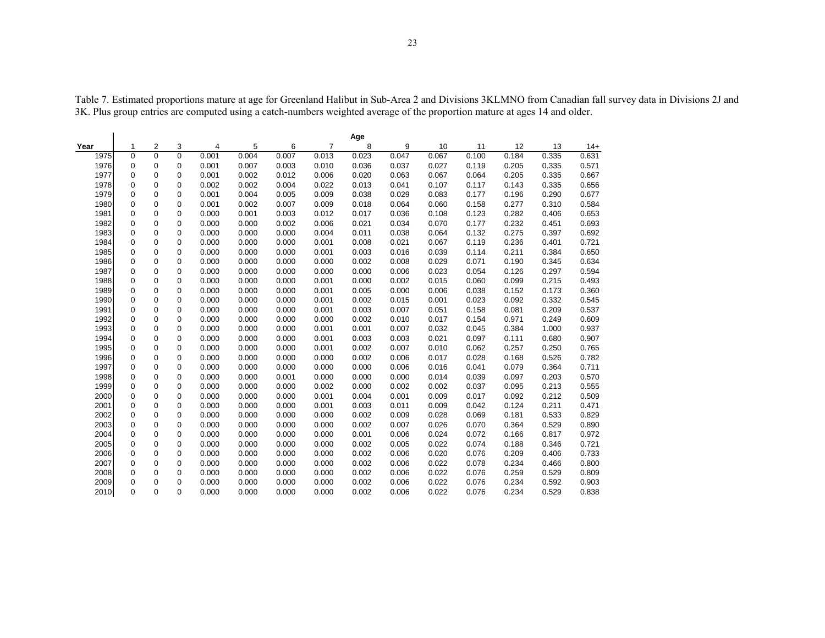|      |             |          |             |       |       |       |                | Age   |       |       |       |       |       |       |
|------|-------------|----------|-------------|-------|-------|-------|----------------|-------|-------|-------|-------|-------|-------|-------|
| Year | 1           | 2        | 3           | 4     | 5     | 6     | $\overline{7}$ | 8     | 9     | 10    | 11    | 12    | 13    | $14+$ |
| 1975 | $\mathbf 0$ | $\Omega$ | $\mathbf 0$ | 0.001 | 0.004 | 0.007 | 0.013          | 0.023 | 0.047 | 0.067 | 0.100 | 0.184 | 0.335 | 0.631 |
| 1976 | 0           | 0        | 0           | 0.001 | 0.007 | 0.003 | 0.010          | 0.036 | 0.037 | 0.027 | 0.119 | 0.205 | 0.335 | 0.571 |
| 1977 | 0           | 0        | 0           | 0.001 | 0.002 | 0.012 | 0.006          | 0.020 | 0.063 | 0.067 | 0.064 | 0.205 | 0.335 | 0.667 |
| 1978 | 0           | 0        | 0           | 0.002 | 0.002 | 0.004 | 0.022          | 0.013 | 0.041 | 0.107 | 0.117 | 0.143 | 0.335 | 0.656 |
| 1979 | 0           | 0        | 0           | 0.001 | 0.004 | 0.005 | 0.009          | 0.038 | 0.029 | 0.083 | 0.177 | 0.196 | 0.290 | 0.677 |
| 1980 | 0           | 0        | 0           | 0.001 | 0.002 | 0.007 | 0.009          | 0.018 | 0.064 | 0.060 | 0.158 | 0.277 | 0.310 | 0.584 |
| 1981 | 0           | 0        | 0           | 0.000 | 0.001 | 0.003 | 0.012          | 0.017 | 0.036 | 0.108 | 0.123 | 0.282 | 0.406 | 0.653 |
| 1982 | 0           | 0        | 0           | 0.000 | 0.000 | 0.002 | 0.006          | 0.021 | 0.034 | 0.070 | 0.177 | 0.232 | 0.451 | 0.693 |
| 1983 | 0           | 0        | 0           | 0.000 | 0.000 | 0.000 | 0.004          | 0.011 | 0.038 | 0.064 | 0.132 | 0.275 | 0.397 | 0.692 |
| 1984 | 0           | 0        | 0           | 0.000 | 0.000 | 0.000 | 0.001          | 0.008 | 0.021 | 0.067 | 0.119 | 0.236 | 0.401 | 0.721 |
| 1985 | 0           | $\Omega$ | 0           | 0.000 | 0.000 | 0.000 | 0.001          | 0.003 | 0.016 | 0.039 | 0.114 | 0.211 | 0.384 | 0.650 |
| 1986 | 0           | 0        | 0           | 0.000 | 0.000 | 0.000 | 0.000          | 0.002 | 0.008 | 0.029 | 0.071 | 0.190 | 0.345 | 0.634 |
| 1987 | 0           | 0        | 0           | 0.000 | 0.000 | 0.000 | 0.000          | 0.000 | 0.006 | 0.023 | 0.054 | 0.126 | 0.297 | 0.594 |
| 1988 | 0           | 0        | 0           | 0.000 | 0.000 | 0.000 | 0.001          | 0.000 | 0.002 | 0.015 | 0.060 | 0.099 | 0.215 | 0.493 |
| 1989 | 0           | $\Omega$ | 0           | 0.000 | 0.000 | 0.000 | 0.001          | 0.005 | 0.000 | 0.006 | 0.038 | 0.152 | 0.173 | 0.360 |
| 1990 | 0           | 0        | 0           | 0.000 | 0.000 | 0.000 | 0.001          | 0.002 | 0.015 | 0.001 | 0.023 | 0.092 | 0.332 | 0.545 |
| 1991 | 0           | 0        | 0           | 0.000 | 0.000 | 0.000 | 0.001          | 0.003 | 0.007 | 0.051 | 0.158 | 0.081 | 0.209 | 0.537 |
| 1992 | 0           | 0        | 0           | 0.000 | 0.000 | 0.000 | 0.000          | 0.002 | 0.010 | 0.017 | 0.154 | 0.971 | 0.249 | 0.609 |
| 1993 | 0           | 0        | 0           | 0.000 | 0.000 | 0.000 | 0.001          | 0.001 | 0.007 | 0.032 | 0.045 | 0.384 | 1.000 | 0.937 |
| 1994 | 0           | $\Omega$ | 0           | 0.000 | 0.000 | 0.000 | 0.001          | 0.003 | 0.003 | 0.021 | 0.097 | 0.111 | 0.680 | 0.907 |
| 1995 | 0           | $\Omega$ | 0           | 0.000 | 0.000 | 0.000 | 0.001          | 0.002 | 0.007 | 0.010 | 0.062 | 0.257 | 0.250 | 0.765 |
| 1996 | 0           | $\Omega$ | 0           | 0.000 | 0.000 | 0.000 | 0.000          | 0.002 | 0.006 | 0.017 | 0.028 | 0.168 | 0.526 | 0.782 |
| 1997 | $\mathbf 0$ | $\Omega$ | 0           | 0.000 | 0.000 | 0.000 | 0.000          | 0.000 | 0.006 | 0.016 | 0.041 | 0.079 | 0.364 | 0.711 |
| 1998 | $\mathbf 0$ | $\Omega$ | 0           | 0.000 | 0.000 | 0.001 | 0.000          | 0.000 | 0.000 | 0.014 | 0.039 | 0.097 | 0.203 | 0.570 |
| 1999 | $\Omega$    | $\Omega$ | $\Omega$    | 0.000 | 0.000 | 0.000 | 0.002          | 0.000 | 0.002 | 0.002 | 0.037 | 0.095 | 0.213 | 0.555 |
| 2000 | 0           | 0        | $\Omega$    | 0.000 | 0.000 | 0.000 | 0.001          | 0.004 | 0.001 | 0.009 | 0.017 | 0.092 | 0.212 | 0.509 |
| 2001 | 0           | 0        | 0           | 0.000 | 0.000 | 0.000 | 0.001          | 0.003 | 0.011 | 0.009 | 0.042 | 0.124 | 0.211 | 0.471 |
| 2002 | 0           | 0        | 0           | 0.000 | 0.000 | 0.000 | 0.000          | 0.002 | 0.009 | 0.028 | 0.069 | 0.181 | 0.533 | 0.829 |
| 2003 | 0           | 0        | 0           | 0.000 | 0.000 | 0.000 | 0.000          | 0.002 | 0.007 | 0.026 | 0.070 | 0.364 | 0.529 | 0.890 |
| 2004 | 0           | 0        | 0           | 0.000 | 0.000 | 0.000 | 0.000          | 0.001 | 0.006 | 0.024 | 0.072 | 0.166 | 0.817 | 0.972 |
| 2005 | 0           | 0        | 0           | 0.000 | 0.000 | 0.000 | 0.000          | 0.002 | 0.005 | 0.022 | 0.074 | 0.188 | 0.346 | 0.721 |
| 2006 | 0           | 0        | 0           | 0.000 | 0.000 | 0.000 | 0.000          | 0.002 | 0.006 | 0.020 | 0.076 | 0.209 | 0.406 | 0.733 |
| 2007 | 0           | 0        | 0           | 0.000 | 0.000 | 0.000 | 0.000          | 0.002 | 0.006 | 0.022 | 0.078 | 0.234 | 0.466 | 0.800 |
| 2008 | 0           | 0        | 0           | 0.000 | 0.000 | 0.000 | 0.000          | 0.002 | 0.006 | 0.022 | 0.076 | 0.259 | 0.529 | 0.809 |
| 2009 | 0           | 0        | 0           | 0.000 | 0.000 | 0.000 | 0.000          | 0.002 | 0.006 | 0.022 | 0.076 | 0.234 | 0.592 | 0.903 |
| 2010 | 0           | $\Omega$ | $\Omega$    | 0.000 | 0.000 | 0.000 | 0.000          | 0.002 | 0.006 | 0.022 | 0.076 | 0.234 | 0.529 | 0.838 |

Table 7. Estimated proportions mature at age for Greenland Halibut in Sub-Area 2 and Divisions 3KLMNO from Canadian fall survey data in Divisions 2J and 3K. Plus group entries are computed using a catch-numbers weighted average of the proportion mature at ages 14 and older.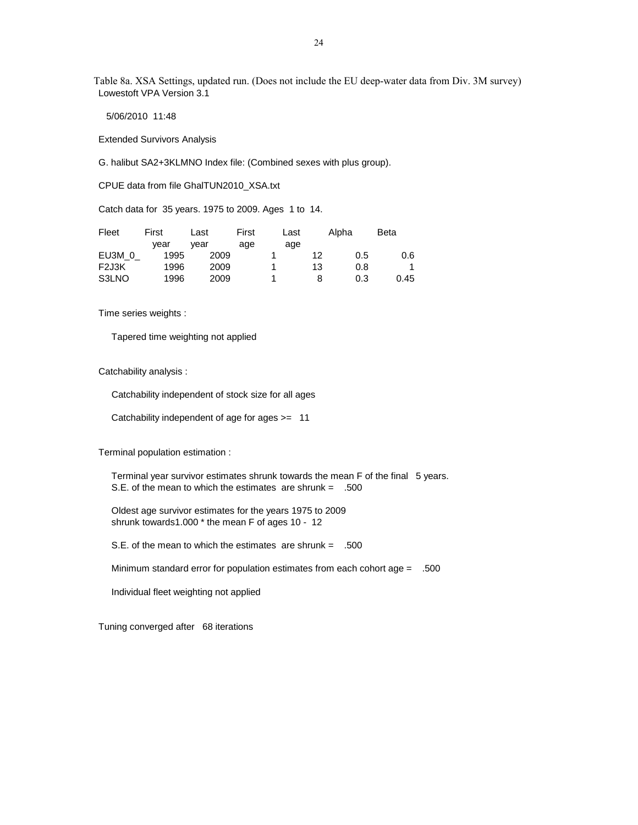Table 8a. XSA Settings, updated run. (Does not include the EU deep-water data from Div. 3M survey) Lowestoft VPA Version 3.1

5/06/2010 11:48

Extended Survivors Analysis

G. halibut SA2+3KLMNO Index file: (Combined sexes with plus group).

CPUE data from file GhalTUN2010\_XSA.txt

Catch data for 35 years. 1975 to 2009. Ages 1 to 14.

| Fleet             | First | Last | First | Last |    | Alpha | <b>Beta</b> |
|-------------------|-------|------|-------|------|----|-------|-------------|
|                   | vear  | vear | age   | age  |    |       |             |
| EU3M 0            | 1995  | 2009 |       |      | 12 | 0.5   | 0.6         |
| F <sub>2J3K</sub> | 1996  | 2009 |       |      | 13 | 0.8   |             |
| S3LNO             | 1996  | 2009 |       |      | 8  | 0.3   | 0.45        |

Time series weights :

Tapered time weighting not applied

Catchability analysis :

Catchability independent of stock size for all ages

Catchability independent of age for ages >= 11

Terminal population estimation :

 Terminal year survivor estimates shrunk towards the mean F of the final 5 years. S.E. of the mean to which the estimates are shrunk = .500

 Oldest age survivor estimates for the years 1975 to 2009 shrunk towards1.000 \* the mean F of ages 10 - 12

S.E. of the mean to which the estimates are shrunk = .500

Minimum standard error for population estimates from each cohort age = .500

Individual fleet weighting not applied

Tuning converged after 68 iterations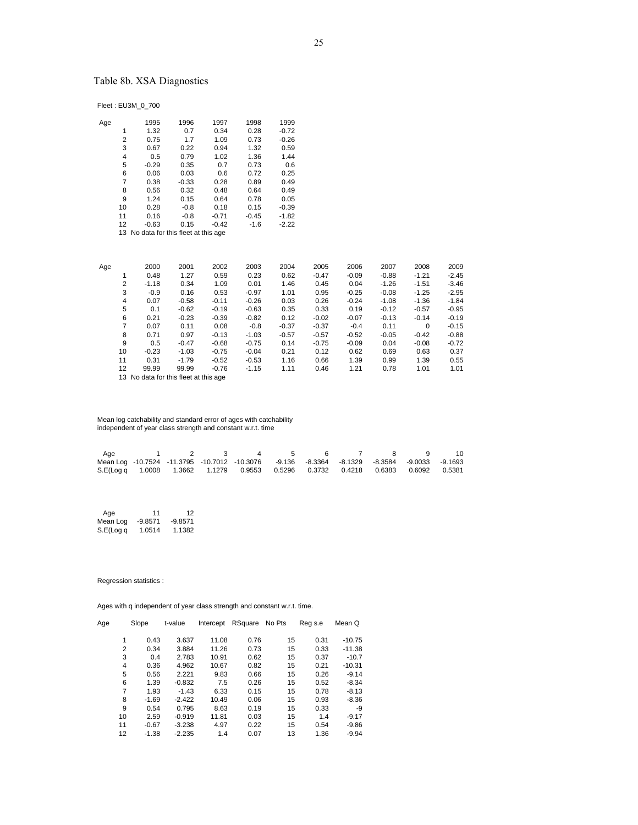# Table 8b. XSA Diagnostics

Fleet : EU3M\_0\_700

| Age |    | 1995                                  | 1996    | 1997    | 1998    | 1999    |
|-----|----|---------------------------------------|---------|---------|---------|---------|
|     | 1  | 1.32                                  | 0.7     | 0.34    | 0.28    | $-0.72$ |
|     | 2  | 0.75                                  | 1.7     | 1.09    | 0.73    | $-0.26$ |
|     | 3  | 0.67                                  | 0.22    | 0.94    | 1.32    | 0.59    |
|     | 4  | 0.5                                   | 0.79    | 1.02    | 1.36    | 1.44    |
|     | 5  | $-0.29$                               | 0.35    | 0.7     | 0.73    | 0.6     |
|     | 6  | 0.06                                  | 0.03    | 0.6     | 0.72    | 0.25    |
|     | 7  | 0.38                                  | $-0.33$ | 0.28    | 0.89    | 0.49    |
|     | 8  | 0.56                                  | 0.32    | 0.48    | 0.64    | 0.49    |
|     | 9  | 1.24                                  | 0.15    | 0.64    | 0.78    | 0.05    |
|     | 10 | 0.28                                  | $-0.8$  | 0.18    | 0.15    | $-0.39$ |
|     | 11 | 0.16                                  | $-0.8$  | $-0.71$ | $-0.45$ | $-1.82$ |
|     | 12 | $-0.63$                               | 0.15    | $-0.42$ | $-1.6$  | $-2.22$ |
|     |    | 13 No data for this fleet at this age |         |         |         |         |
|     |    |                                       |         |         |         |         |

 Age 2000 2001 2002 2003 2004 2005 2006 2007 2008 2009 1 0.48 1.27 0.59 0.23 0.62 -0.47 -0.09 -0.88 -1.21 -2.45 2 -1.18 0.34 1.09 0.01 1.46 0.45 0.04 -1.26 -1.51 -3.46 3 -0.9 0.16 0.53 -0.97 1.01 0.95 -0.25 -0.08 -1.25 -2.95 4 0.07 -0.58 -0.11 -0.26 0.03 0.26 -0.24 -1.08 -1.36 -1.84 5 0.1 -0.62 -0.19 -0.63 0.35 0.33 0.19 -0.12 -0.57 -0.95 6 0.21 -0.23 -0.39 -0.82 0.12 -0.02 -0.07 -0.13 -0.14 -0.19 7 0.07 0.11 0.08 -0.8 -0.37 -0.37 -0.4 0.11 0 -0.15 8 0.71 0.97 -0.13 -1.03 -0.57 -0.57 -0.52 -0.05 -0.42 -0.88 9 0.5 -0.47 -0.68 -0.75 0.14 -0.75 -0.09 0.04 -0.08 -0.72 10 -0.23 -1.03 -0.75 -0.04 0.21 0.12 0.62 0.69 0.63 0.37 11 0.31 -1.79 -0.52 -0.53 1.16 0.66 1.39 0.99 1.39 0.55 12 99.99 99.99 -0.76 -1.15 1.11 0.46 1.21 0.78 1.01 1.01

13 No data for this fleet at this age

 Mean log catchability and standard error of ages with catchability independent of year class strength and constant w.r.t. time

| Age                                                                                         |  | $\overline{4}$ |  |  | - 9 |  |
|---------------------------------------------------------------------------------------------|--|----------------|--|--|-----|--|
| Mean Log -10.7524 -11.3795 -10.7012 -10.3076 -9.136 -8.3364 -8.1329 -8.3584 -9.0033 -9.1693 |  |                |  |  |     |  |
| S.E(Log q 1.0008 1.3662 1.1279 0.9553 0.5296 0.3732 0.4218 0.6383 0.6092 0.5381             |  |                |  |  |     |  |

Age 11 12<br>Mean Log -9.8571 -9.8571 Mean Log -9.8571 S.E(Log q 1.0514 1.1382

Regression statistics :

| Age | Slope   | t-value  | Intercept | RSquare | No Pts | Reg s.e | Mean Q   |
|-----|---------|----------|-----------|---------|--------|---------|----------|
| 1   | 0.43    | 3.637    | 11.08     | 0.76    | 15     | 0.31    | $-10.75$ |
| 2   | 0.34    | 3.884    | 11.26     | 0.73    | 15     | 0.33    | $-11.38$ |
| 3   | 0.4     | 2.783    | 10.91     | 0.62    | 15     | 0.37    | $-10.7$  |
| 4   | 0.36    | 4.962    | 10.67     | 0.82    | 15     | 0.21    | $-10.31$ |
| 5   | 0.56    | 2.221    | 9.83      | 0.66    | 15     | 0.26    | $-9.14$  |
| 6   | 1.39    | $-0.832$ | 7.5       | 0.26    | 15     | 0.52    | $-8.34$  |
| 7   | 1.93    | $-1.43$  | 6.33      | 0.15    | 15     | 0.78    | $-8.13$  |
| 8   | $-1.69$ | $-2.422$ | 10.49     | 0.06    | 15     | 0.93    | $-8.36$  |
| 9   | 0.54    | 0.795    | 8.63      | 0.19    | 15     | 0.33    | -9       |
| 10  | 2.59    | $-0.919$ | 11.81     | 0.03    | 15     | 1.4     | $-9.17$  |
| 11  | $-0.67$ | $-3.238$ | 4.97      | 0.22    | 15     | 0.54    | $-9.86$  |
| 12  | $-1.38$ | $-2.235$ | 1.4       | 0.07    | 13     | 1.36    | $-9.94$  |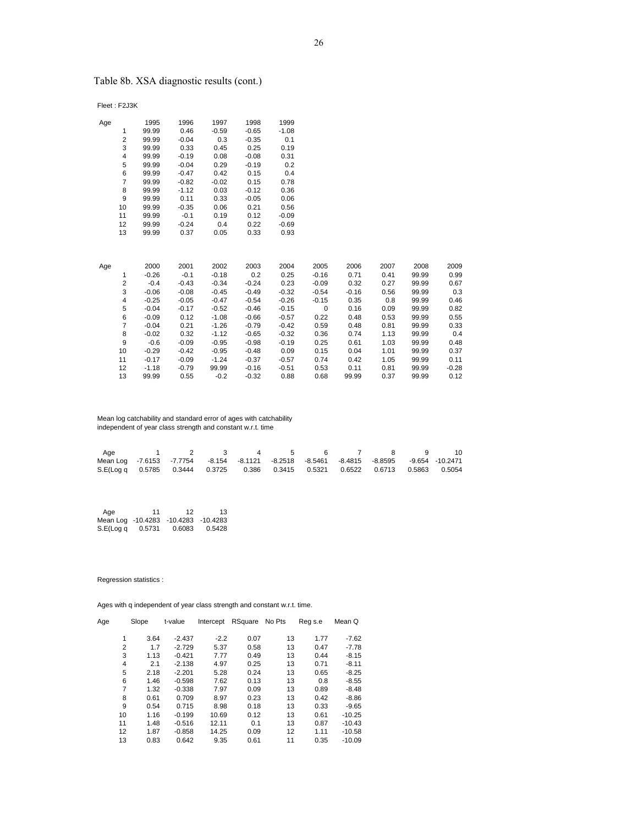# Table 8b. XSA diagnostic results (cont.)

Fleet : F2J3K

| Age |                | 1995    | 1996    | 1997    | 1998    | 1999    |             |         |      |       |         |
|-----|----------------|---------|---------|---------|---------|---------|-------------|---------|------|-------|---------|
|     | 1              | 99.99   | 0.46    | $-0.59$ | $-0.65$ | $-1.08$ |             |         |      |       |         |
|     | $\overline{2}$ | 99.99   | $-0.04$ | 0.3     | $-0.35$ | 0.1     |             |         |      |       |         |
|     | 3              | 99.99   | 0.33    | 0.45    | 0.25    | 0.19    |             |         |      |       |         |
|     | 4              | 99.99   | $-0.19$ | 0.08    | $-0.08$ | 0.31    |             |         |      |       |         |
|     | 5              | 99.99   | $-0.04$ | 0.29    | $-0.19$ | 0.2     |             |         |      |       |         |
|     | 6              | 99.99   | $-0.47$ | 0.42    | 0.15    | 0.4     |             |         |      |       |         |
|     | $\overline{7}$ | 99.99   | $-0.82$ | $-0.02$ | 0.15    | 0.78    |             |         |      |       |         |
|     | 8              | 99.99   | $-1.12$ | 0.03    | $-0.12$ | 0.36    |             |         |      |       |         |
|     | 9              | 99.99   | 0.11    | 0.33    | $-0.05$ | 0.06    |             |         |      |       |         |
|     | 10             | 99.99   | $-0.35$ | 0.06    | 0.21    | 0.56    |             |         |      |       |         |
|     | 11             | 99.99   | $-0.1$  | 0.19    | 0.12    | $-0.09$ |             |         |      |       |         |
|     | 12             | 99.99   | $-0.24$ | 0.4     | 0.22    | $-0.69$ |             |         |      |       |         |
|     | 13             | 99.99   | 0.37    | 0.05    | 0.33    | 0.93    |             |         |      |       |         |
|     |                |         |         |         |         |         |             |         |      |       |         |
|     |                |         |         |         |         |         |             |         |      |       |         |
| Age |                | 2000    | 2001    | 2002    | 2003    | 2004    | 2005        | 2006    | 2007 | 2008  | 2009    |
|     | 1              | $-0.26$ | $-0.1$  | $-0.18$ | 0.2     | 0.25    | $-0.16$     | 0.71    | 0.41 | 99.99 | 0.99    |
|     | $\overline{2}$ | $-0.4$  | $-0.43$ | $-0.34$ | $-0.24$ | 0.23    | $-0.09$     | 0.32    | 0.27 | 99.99 | 0.67    |
|     | 3              | $-0.06$ | $-0.08$ | $-0.45$ | $-0.49$ | $-0.32$ | $-0.54$     | $-0.16$ | 0.56 | 99.99 | 0.3     |
|     | 4              | $-0.25$ | $-0.05$ | $-0.47$ | $-0.54$ | $-0.26$ | $-0.15$     | 0.35    | 0.8  | 99.99 | 0.46    |
|     | 5              | $-0.04$ | $-0.17$ | $-0.52$ | $-0.46$ | $-0.15$ | $\mathbf 0$ | 0.16    | 0.09 | 99.99 | 0.82    |
|     | 6              | $-0.09$ | 0.12    | $-1.08$ | $-0.66$ | $-0.57$ | 0.22        | 0.48    | 0.53 | 99.99 | 0.55    |
|     | $\overline{7}$ | $-0.04$ | 0.21    | $-1.26$ | $-0.79$ | $-0.42$ | 0.59        | 0.48    | 0.81 | 99.99 | 0.33    |
|     | 8              | $-0.02$ | 0.32    | $-1.12$ | $-0.65$ | $-0.32$ | 0.36        | 0.74    | 1.13 | 99.99 | 0.4     |
|     | 9              | $-0.6$  | $-0.09$ | $-0.95$ | $-0.98$ | $-0.19$ | 0.25        | 0.61    | 1.03 | 99.99 | 0.48    |
|     | 10             | $-0.29$ | $-0.42$ | $-0.95$ | $-0.48$ | 0.09    | 0.15        | 0.04    | 1.01 | 99.99 | 0.37    |
|     | 11             | $-0.17$ | $-0.09$ | $-1.24$ | $-0.37$ | $-0.57$ | 0.74        | 0.42    | 1.05 | 99.99 | 0.11    |
|     | 12             | $-1.18$ | $-0.79$ | 99.99   | $-0.16$ | $-0.51$ | 0.53        | 0.11    | 0.81 | 99.99 | $-0.28$ |
|     | 13             | 99.99   | 0.55    | $-0.2$  | $-0.32$ | 0.88    | 0.68        | 99.99   | 0.37 | 99.99 | 0.12    |

 Mean log catchability and standard error of ages with catchability independent of year class strength and constant w.r.t. time

| Age                                                                                     | 1 2 3 4 5 6 7 8 9 |  |  |  | - 10 |
|-----------------------------------------------------------------------------------------|-------------------|--|--|--|------|
| Mean Log -7.6153 -7.7754 -8.154 -8.1121 -8.2518 -8.5461 -8.4815 -8.8595 -9.654 -10.2471 |                   |  |  |  |      |
| S.E(Log q 0.5785 0.3444 0.3725 0.386 0.3415 0.5321 0.6522 0.6713 0.5863 0.5054          |                   |  |  |  |      |

| Aae                                 | 11     | 12     | 13     |
|-------------------------------------|--------|--------|--------|
| Mean Log -10.4283 -10.4283 -10.4283 |        |        |        |
| S.E(Log q                           | 0.5731 | 0.6083 | 0.5428 |

Regression statistics :

| Age | Slope | t-value  | Intercept | RSquare | No Pts | Reg s.e | Mean Q   |
|-----|-------|----------|-----------|---------|--------|---------|----------|
| 1   | 3.64  | $-2.437$ | $-2.2$    | 0.07    | 13     | 1.77    | $-7.62$  |
|     |       |          |           |         |        |         |          |
| 2   | 1.7   | $-2.729$ | 5.37      | 0.58    | 13     | 0.47    | $-7.78$  |
| 3   | 1.13  | $-0.421$ | 7.77      | 0.49    | 13     | 0.44    | $-8.15$  |
| 4   | 2.1   | $-2.138$ | 4.97      | 0.25    | 13     | 0.71    | $-8.11$  |
| 5   | 2.18  | $-2.201$ | 5.28      | 0.24    | 13     | 0.65    | $-8.25$  |
| 6   | 1.46  | $-0.598$ | 7.62      | 0.13    | 13     | 0.8     | $-8.55$  |
| 7   | 1.32  | $-0.338$ | 7.97      | 0.09    | 13     | 0.89    | $-8.48$  |
| 8   | 0.61  | 0.709    | 8.97      | 0.23    | 13     | 0.42    | $-8.86$  |
| 9   | 0.54  | 0.715    | 8.98      | 0.18    | 13     | 0.33    | $-9.65$  |
| 10  | 1.16  | $-0.199$ | 10.69     | 0.12    | 13     | 0.61    | $-10.25$ |
| 11  | 1.48  | $-0.516$ | 12.11     | 0.1     | 13     | 0.87    | $-10.43$ |
| 12  | 1.87  | $-0.858$ | 14.25     | 0.09    | 12     | 1.11    | $-10.58$ |
| 13  | 0.83  | 0.642    | 9.35      | 0.61    | 11     | 0.35    | $-10.09$ |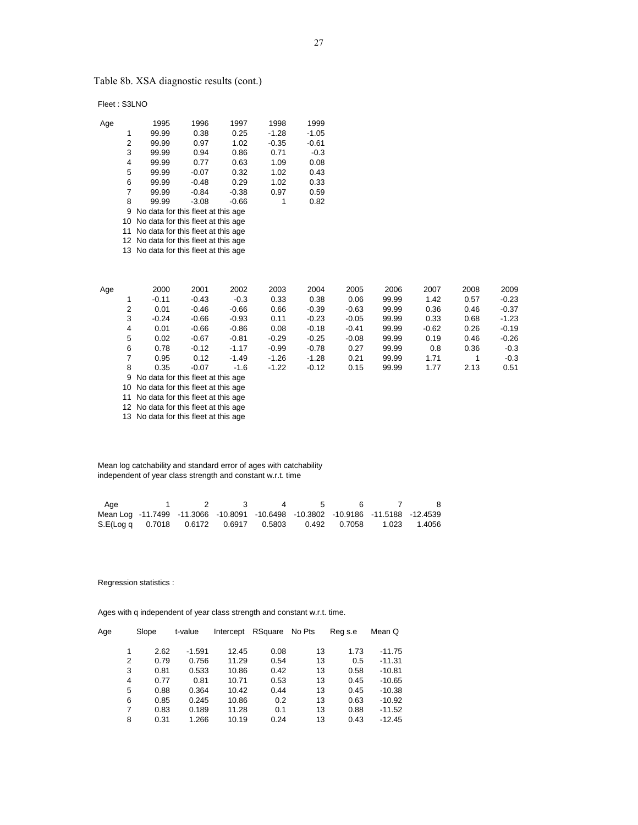Table 8b. XSA diagnostic results (cont.)

Fleet : S3LNO

| Age |                | 1995                                  | 1996    | 1997    | 1998    | 1999    |         |       |         |      |         |
|-----|----------------|---------------------------------------|---------|---------|---------|---------|---------|-------|---------|------|---------|
|     | 1              | 99.99                                 | 0.38    | 0.25    | $-1.28$ | $-1.05$ |         |       |         |      |         |
|     | $\overline{2}$ | 99.99                                 | 0.97    | 1.02    | $-0.35$ | $-0.61$ |         |       |         |      |         |
|     | 3              | 99.99                                 | 0.94    | 0.86    | 0.71    | $-0.3$  |         |       |         |      |         |
|     | 4              | 99.99                                 | 0.77    | 0.63    | 1.09    | 0.08    |         |       |         |      |         |
|     | 5              | 99.99                                 | $-0.07$ | 0.32    | 1.02    | 0.43    |         |       |         |      |         |
|     | 6              | 99.99                                 | $-0.48$ | 0.29    | 1.02    | 0.33    |         |       |         |      |         |
|     | 7              | 99.99                                 | $-0.84$ | $-0.38$ | 0.97    | 0.59    |         |       |         |      |         |
|     | 8              | 99.99                                 | $-3.08$ | $-0.66$ | 1       | 0.82    |         |       |         |      |         |
|     | 9              | No data for this fleet at this age    |         |         |         |         |         |       |         |      |         |
|     | 10             | No data for this fleet at this age    |         |         |         |         |         |       |         |      |         |
|     | 11             | No data for this fleet at this age    |         |         |         |         |         |       |         |      |         |
|     |                | 12 No data for this fleet at this age |         |         |         |         |         |       |         |      |         |
|     |                | 13 No data for this fleet at this age |         |         |         |         |         |       |         |      |         |
|     |                |                                       |         |         |         |         |         |       |         |      |         |
| Age |                | 2000                                  | 2001    | 2002    | 2003    | 2004    | 2005    | 2006  | 2007    | 2008 | 2009    |
|     |                | $-0.11$                               | $-0.43$ | $-0.3$  | 0.33    | 0.38    | 0.06    | 99.99 | 1.42    | 0.57 | $-0.23$ |
|     | $\overline{2}$ | 0.01                                  | $-0.46$ | $-0.66$ | 0.66    | $-0.39$ | $-0.63$ | 99.99 | 0.36    | 0.46 | $-0.37$ |
|     | 3              | $-0.24$                               | $-0.66$ | $-0.93$ | 0.11    | $-0.23$ | $-0.05$ | 99.99 | 0.33    | 0.68 | $-1.23$ |
|     | 4              | 0.01                                  | $-0.66$ | $-0.86$ | 0.08    | $-0.18$ | $-0.41$ | 99.99 | $-0.62$ | 0.26 | $-0.19$ |
|     | 5              | 0.02                                  | $-0.67$ | $-0.81$ | $-0.29$ | $-0.25$ | $-0.08$ | 99.99 | 0.19    | 0.46 | $-0.26$ |
|     | 6              | 0.78                                  | $-0.12$ | $-1.17$ | $-0.99$ | $-0.78$ | 0.27    | 99.99 | 0.8     | 0.36 | $-0.3$  |
|     | 7              | 0.95                                  | 0.12    | $-1.49$ | $-1.26$ | $-1.28$ | 0.21    | 99.99 | 1.71    | 1    | $-0.3$  |
|     | 8              | 0.35                                  | $-0.07$ | $-1.6$  | $-1.22$ | $-0.12$ | 0.15    | 99.99 | 1.77    | 2.13 | 0.51    |
|     | 9              | No data for this fleet at this age    |         |         |         |         |         |       |         |      |         |
|     |                |                                       |         |         |         |         |         |       |         |      |         |

10 No data for this fleet at this age

11 No data for this fleet at this age

12 No data for this fleet at this age

13 No data for this fleet at this age

 Mean log catchability and standard error of ages with catchability independent of year class strength and constant w.r.t. time

| Age                                                                              |  |  |  |  |
|----------------------------------------------------------------------------------|--|--|--|--|
| Mean Log -11.7499 -11.3066 -10.8091 -10.6498 -10.3802 -10.9186 -11.5188 -12.4539 |  |  |  |  |
| S.E(Log q 0.7018 0.6172 0.6917 0.5803 0.492 0.7058 1.023 1.4056                  |  |  |  |  |

Regression statistics :

| Age | Slope | t-value  | Intercept | RSquare | No Pts | Reg s.e | Mean Q   |
|-----|-------|----------|-----------|---------|--------|---------|----------|
|     |       |          |           |         |        |         |          |
| 1   | 2.62  | $-1.591$ | 12.45     | 0.08    | 13     | 1.73    | $-11.75$ |
| 2   | 0.79  | 0.756    | 11.29     | 0.54    | 13     | 0.5     | $-11.31$ |
| 3   | 0.81  | 0.533    | 10.86     | 0.42    | 13     | 0.58    | $-10.81$ |
| 4   | 0.77  | 0.81     | 10.71     | 0.53    | 13     | 0.45    | $-10.65$ |
| 5   | 0.88  | 0.364    | 10.42     | 0.44    | 13     | 0.45    | $-10.38$ |
| 6   | 0.85  | 0.245    | 10.86     | 0.2     | 13     | 0.63    | $-10.92$ |
| 7   | 0.83  | 0.189    | 11.28     | 0.1     | 13     | 0.88    | $-11.52$ |
| 8   | 0.31  | 1.266    | 10.19     | 0.24    | 13     | 0.43    | $-12.45$ |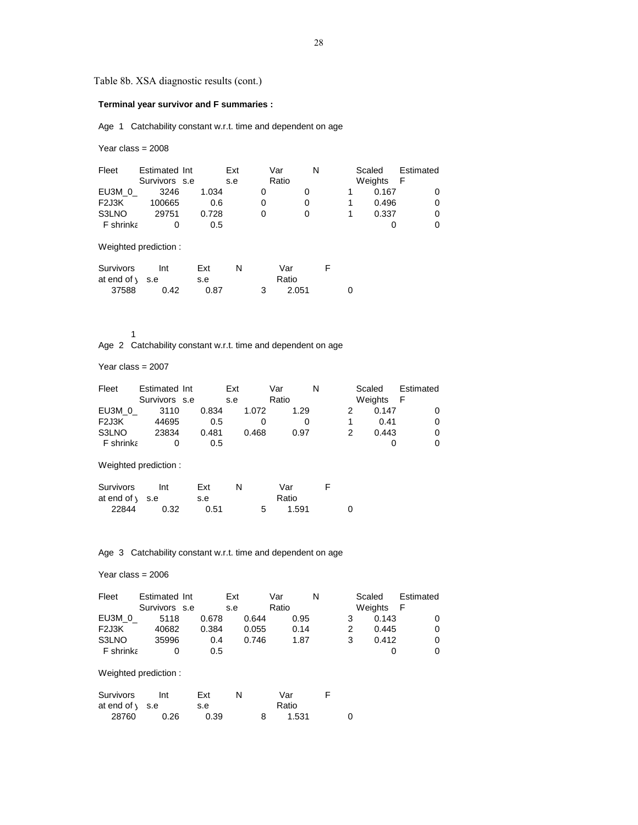Table 8b. XSA diagnostic results (cont.)

## **Terminal year survivor and F summaries :**

Age 1 Catchability constant w.r.t. time and dependent on age

Year class = 2008

| Fleet                                    | Estimated Int<br>Survivors s.e |            | Ext<br>s.e |   | Var<br>Ratio | N |   | Scaled | Weights | Estimated<br>F |
|------------------------------------------|--------------------------------|------------|------------|---|--------------|---|---|--------|---------|----------------|
| EU3M 0                                   | 3246                           | 1.034      |            | 0 |              | 0 | 1 |        | 0.167   | 0              |
| F <sub>2</sub> J <sub>3</sub> K          | 100665                         | 0.6        |            | 0 |              | 0 | 1 |        | 0.496   | 0              |
| S3LNO                                    | 29751                          | 0.728      |            | 0 |              | 0 | 1 |        | 0.337   | 0              |
| F shrinka                                | 0                              | 0.5        |            |   |              |   |   |        | 0       | 0              |
|                                          | Weighted prediction:           |            |            |   |              |   |   |        |         |                |
| <b>Survivors</b><br>at end of $\sqrt{ }$ | Int<br>s.e                     | Ext<br>s.e | N          |   | Var<br>Ratio |   | F |        |         |                |

1

Age 2 Catchability constant w.r.t. time and dependent on age

37588 0.42 0.87 3 2.051 0

Year class = 2007

| Fleet             | Estimated Int |       | Ext   | Var   | N | Scaled  | Estimated |
|-------------------|---------------|-------|-------|-------|---|---------|-----------|
|                   | Survivors s.e |       | s.e   | Ratio |   | Weights | - F       |
| EU3M 0            | 3110          | 0.834 | 1.072 | 1.29  |   | 0.147   |           |
| F <sub>2J3K</sub> | 44695         | 0.5   |       |       |   | 0.41    |           |
| S3LNO             | 23834         | 0.481 | 0.468 | 0.97  |   | 0.443   |           |
| <b>F</b> shrinka  |               | 0.5   |       |       |   |         |           |
|                   |               |       |       |       |   |         |           |

Weighted prediction :

| Survivors                | Int  | Ext  |   | Var   |  |
|--------------------------|------|------|---|-------|--|
| at end of $\sqrt{ }$ s.e |      | s.e  |   | Ratio |  |
| 22844                    | 0.32 | 0.51 | 5 | 1.591 |  |

Age 3 Catchability constant w.r.t. time and dependent on age

#### Year class = 2006

| Fleet                           | Estimated Int        |       | Ext |       | Var   |      | N |   | Scaled  | Estimated |
|---------------------------------|----------------------|-------|-----|-------|-------|------|---|---|---------|-----------|
|                                 | Survivors s.e        |       | s.e |       | Ratio |      |   |   | Weights | -F        |
| EU3M 0                          | 5118                 | 0.678 |     | 0.644 |       | 0.95 |   | 3 | 0.143   |           |
| F <sub>2</sub> J <sub>3</sub> K | 40682                | 0.384 |     | 0.055 |       | 0.14 |   | 2 | 0.445   |           |
| S3LNO                           | 35996                | 0.4   |     | 0.746 |       | 1.87 |   | 3 | 0.412   |           |
| F shrinka                       | 0                    | 0.5   |     |       |       |      |   |   |         |           |
|                                 |                      |       |     |       |       |      |   |   |         |           |
|                                 | Weighted prediction: |       |     |       |       |      |   |   |         |           |

| Survivors                | Int  | Ext  |  | Var   |  |
|--------------------------|------|------|--|-------|--|
| at end of $\sqrt{ }$ s.e |      | s.e  |  | Ratio |  |
| 28760                    | 0.26 | 0.39 |  | 1.531 |  |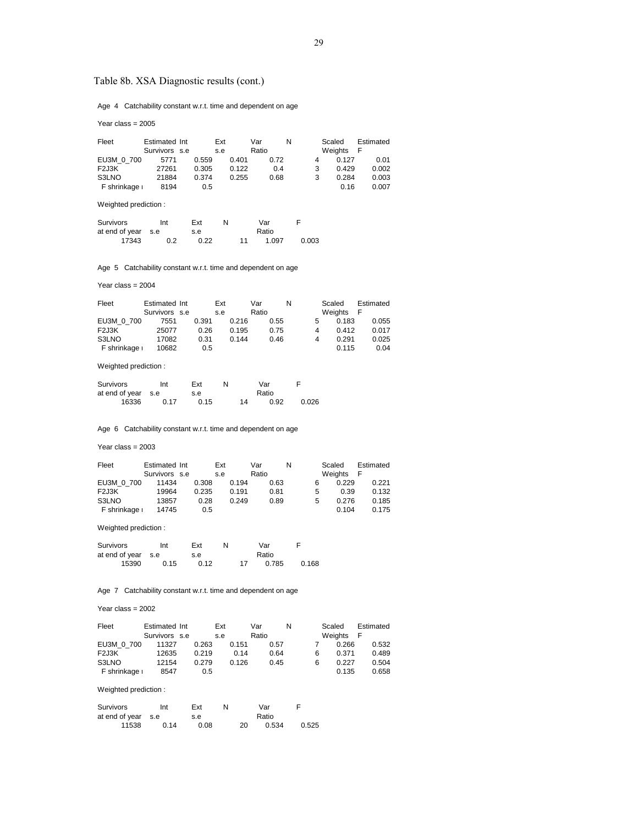# Table 8b. XSA Diagnostic results (cont.)

Age 4 Catchability constant w.r.t. time and dependent on age

Year class = 2005

| Fleet             | Estimated Int | Ext   |       | Var   | N    |   | Scaled  | Estimated |
|-------------------|---------------|-------|-------|-------|------|---|---------|-----------|
|                   | Survivors s.e | s.e   |       | Ratio |      |   | Weights | - F       |
| EU3M 0 700        | 5771          | 0.559 | 0.401 |       | 0.72 | 4 | 0.127   | 0.01      |
| F <sub>2J3K</sub> | 27261         | 0.305 | 0.122 |       | 0.4  | 3 | 0.429   | 0.002     |
| S3LNO             | 21884         | 0.374 | 0.255 |       | 0.68 | 3 | 0.284   | 0.003     |
| F shrinkage i     | 8194          | 0.5   |       |       |      |   | 0.16    | 0.007     |

Weighted prediction :

| Survivors          | Int | Ext  | N |    | Var   |       |
|--------------------|-----|------|---|----|-------|-------|
| at end of year s.e |     | s.e  |   |    | Ratio |       |
| 17343              | 0.2 | 0.22 |   | 11 | 1.097 | 0.003 |

Age 5 Catchability constant w.r.t. time and dependent on age

Year class = 2004

| Fleet             | Estimated Int |       | Ext |       | Var   |      | N |   | Scaled  | Estimated |
|-------------------|---------------|-------|-----|-------|-------|------|---|---|---------|-----------|
|                   | Survivors s.e |       | s.e |       | Ratio |      |   |   | Weights | F         |
| EU3M 0 700        | 7551          | 0.391 |     | 0.216 |       | 0.55 |   | 5 | 0.183   | 0.055     |
| F <sub>2J3K</sub> | 25077         | 0.26  |     | 0.195 |       | 0.75 |   | 4 | 0.412   | 0.017     |
| S3LNO             | 17082         | 0.31  |     | 0.144 |       | 0.46 |   | 4 | 0.291   | 0.025     |
| F shrinkage i     | 10682         | 0.5   |     |       |       |      |   |   | 0.115   | 0.04      |

Weighted prediction :

| Survivors          | Int  | Ext  |  |    | Var  |       |
|--------------------|------|------|--|----|------|-------|
| at end of year s.e |      | s.e  |  |    |      |       |
| 16336              | በ 17 | 0.15 |  | 14 | 0.92 | 0.026 |

Age 6 Catchability constant w.r.t. time and dependent on age

Year class = 2003

| Fleet             | Estimated Int |       | Ext   | Var   | N | Scaled  |       | Estimated |
|-------------------|---------------|-------|-------|-------|---|---------|-------|-----------|
|                   | Survivors s.e |       | s.e   | Ratio |   | Weights | F     |           |
| EU3M 0 700        | 11434         | 0.308 | 0.194 | 0.63  |   |         | 0.229 | 0.221     |
| F <sub>2J3K</sub> | 19964         | 0.235 | 0.191 | 0.81  |   | 5       | 0.39  | 0.132     |
| S3LNO             | 13857         | 0.28  | 0.249 | 0.89  |   | 5       | 0.276 | 0.185     |
| F shrinkage i     | 14745         | 0.5   |       |       |   |         | 0.104 | 0.175     |

Weighted prediction :

| Survivors          | Int  | Ext  | N |    | Var   | F     |
|--------------------|------|------|---|----|-------|-------|
| at end of year s.e |      | s.e  |   |    | Ratio |       |
| 15390              | 0.15 | 0.12 |   | 17 | 0.785 | 0.168 |

Age 7 Catchability constant w.r.t. time and dependent on age

Year class = 2002

| Fleet             | Estimated Int | Ext   |       | Var   | N | Scaled     | Estimated |
|-------------------|---------------|-------|-------|-------|---|------------|-----------|
|                   | Survivors s.e | s.e   |       | Ratio |   | Weights    | F         |
| EU3M 0 700        | 11327         | 0.263 | 0.151 | 0.57  |   | 0.266      | 0.532     |
| F <sub>2J3K</sub> | 12635         | 0.219 | 0.14  | 0.64  |   | 0.371<br>6 | 0.489     |
| S3LNO             | 12154         | 0.279 | 0.126 | 0.45  |   | 0.227<br>6 | 0.504     |
| F shrinkage i     | 8547          | 0.5   |       |       |   | 0.135      | 0.658     |

Weighted prediction :

| Survivors          | Int  | Ext  |    | Var   |       |
|--------------------|------|------|----|-------|-------|
| at end of year s.e |      | s.e  |    | Ratio |       |
| 11538              | 0.14 | 0.08 | 20 | 0.534 | 0.525 |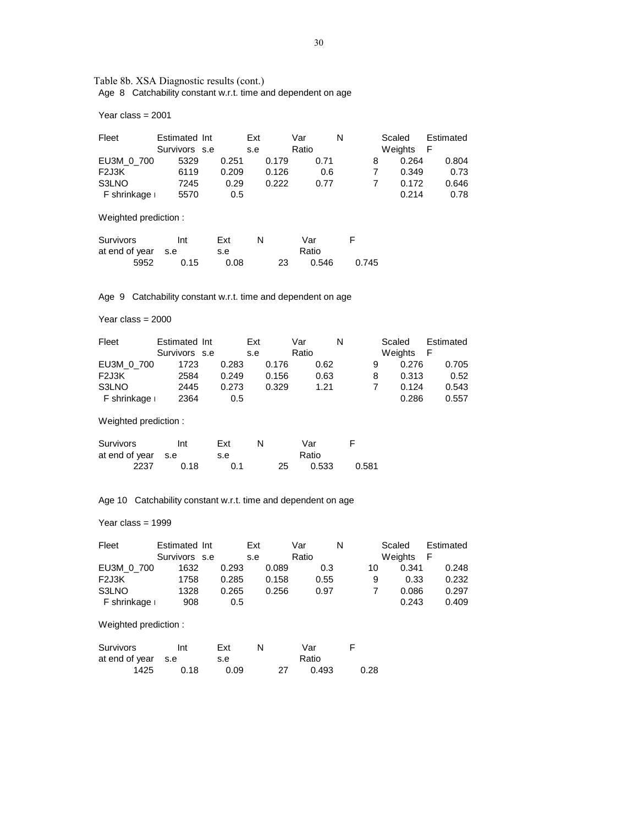Table 8b. XSA Diagnostic results (cont.) Age 8 Catchability constant w.r.t. time and dependent on age

Year class = 2001

| Fleet         | Estimated Int |       | Ext   | Var   | N | Scaled  | Estimated |
|---------------|---------------|-------|-------|-------|---|---------|-----------|
|               | Survivors s.e |       | s.e   | Ratio |   | Weights | F         |
| EU3M 0 700    | 5329          | 0.251 | 0.179 | 0.71  |   | 0.264   | 0.804     |
| F2J3K         | 6119          | 0.209 | 0.126 | 0.6   |   | 0.349   | 0.73      |
| S3LNO         | 7245          | 0.29  | 0.222 | 0.77  |   | 0.172   | 0.646     |
| F shrinkage i | 5570          | 0.5   |       |       |   | 0.214   | 0.78      |

Weighted prediction :

| Survivors          | Int  | Ext  | N |    | Var   | F     |
|--------------------|------|------|---|----|-------|-------|
| at end of year s.e |      | s.e  |   |    | Ratio |       |
| 5952               | 0.15 | 0.08 |   | 23 | 0.546 | 0.745 |

Age 9 Catchability constant w.r.t. time and dependent on age

Year class = 2000

| Fleet         | Estimated Int |       | Ext   | Var   | N | Scaled     | Estimated |
|---------------|---------------|-------|-------|-------|---|------------|-----------|
|               | Survivors s.e |       | s.e   | Ratio |   | Weights    | F         |
| EU3M 0 700    | 1723          | 0.283 | 0.176 | 0.62  |   | 0.276<br>9 | 0.705     |
| F2J3K         | 2584          | 0.249 | 0.156 | 0.63  |   | 0.313<br>8 | 0.52      |
| S3LNO         | 2445          | 0.273 | 0.329 | 1.21  |   | 0.124      | 0.543     |
| F shrinkage i | 2364          | 0.5   |       |       |   | 0.286      | 0.557     |

Weighted prediction :

| Survivors          | Int  | Ext |    | Var   |       |
|--------------------|------|-----|----|-------|-------|
| at end of year s.e |      | s.e |    | Ratio |       |
| 2237               | 0.18 | 0.1 | 25 | 0.533 | 0.581 |

Age 10 Catchability constant w.r.t. time and dependent on age

Year class = 1999

| Fleet         | Estimated Int | Ext           |       | Var   |      | N  | Scaled  |       | Estimated |
|---------------|---------------|---------------|-------|-------|------|----|---------|-------|-----------|
|               | Survivors s.e | s.e           |       | Ratio |      |    | Weights |       | F         |
| EU3M 0 700    | 1632          | 0.293         | 0.089 |       | 0.3  | 10 |         | 0.341 | 0.248     |
| F2J3K         | 1758          | 0.285         | 0.158 |       | 0.55 |    | 9       | 0.33  | 0.232     |
| S3LNO         | 1328          | 0.265         | 0.256 |       | 0.97 |    |         | 0.086 | 0.297     |
| F shrinkage i | 908           | $0.5^{\circ}$ |       |       |      |    |         | 0.243 | 0.409     |

Weighted prediction :

| Survivors          | Int  | Ext  |    | Var   |      |
|--------------------|------|------|----|-------|------|
| at end of year s.e |      | s.e  |    | Ratio |      |
| 1425               | 0.18 | 0.09 | 27 | 0.493 | 0.28 |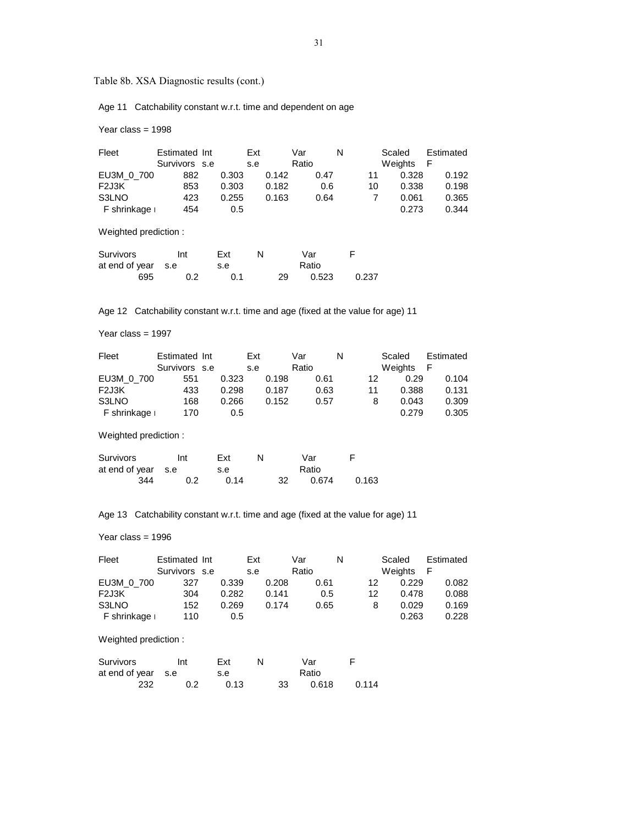Table 8b. XSA Diagnostic results (cont.)

Age 11 Catchability constant w.r.t. time and dependent on age

Year class = 1998

|               |                             | Ext                            | Var  | N                                                       | Scaled | Estimated<br>F                                      |
|---------------|-----------------------------|--------------------------------|------|---------------------------------------------------------|--------|-----------------------------------------------------|
|               |                             |                                |      |                                                         |        |                                                     |
| 882           | 0.303                       |                                | 0.47 |                                                         |        | 0.192                                               |
| 853           | 0.303                       |                                |      |                                                         |        | 0.198                                               |
| 423           | 0.255                       |                                | 0.64 |                                                         | 0.061  | 0.365                                               |
| 454           | 0.5                         |                                |      |                                                         |        | 0.344                                               |
|               |                             |                                |      |                                                         |        |                                                     |
| Int           | Ext                         | N                              | Var  | F                                                       |        |                                                     |
| F shrinkage i | Weighted prediction:<br>s.e | Estimated Int<br>Survivors s.e | s.e  | Ratio<br>0.142<br>0.182<br>0.6<br>0.163<br>Ratio<br>s.e |        | Weights<br>0.328<br>11<br>10<br>0.338<br>7<br>0.273 |

Age 12 Catchability constant w.r.t. time and age (fixed at the value for age) 11

695 0.2 0.1 29 0.523 0.237

Year class = 1997

| Fleet         | Estimated Int | Ext   |       | Var   | N | Scaled  |       | Estimated |
|---------------|---------------|-------|-------|-------|---|---------|-------|-----------|
|               | Survivors s.e | s.e   |       | Ratio |   | Weights | - F   |           |
| EU3M 0 700    | 551           | 0.323 | 0.198 | 0.61  |   | 12      | 0.29  | 0.104     |
| F2J3K         | 433           | 0.298 | 0.187 | 0.63  |   | 11      | 0.388 | 0.131     |
| S3LNO         | 168           | 0.266 | 0.152 | 0.57  |   | 8       | 0.043 | 0.309     |
| F shrinkage i | 170           | 0.5   |       |       |   |         | 0.279 | 0.305     |

Weighted prediction :

| Survivors          | Int | Ext  |    | Var   |       |
|--------------------|-----|------|----|-------|-------|
| at end of year s.e |     | s.e  |    | Ratio |       |
| 344                | 0.2 | በ 14 | 32 | 0.674 | 0.163 |

Age 13 Catchability constant w.r.t. time and age (fixed at the value for age) 11

Year class = 1996

| Fleet         | Estimated Int | Ext   |       | Var   | N |    | Scaled  | Estimated |
|---------------|---------------|-------|-------|-------|---|----|---------|-----------|
|               | Survivors s.e | s.e   |       | Ratio |   |    | Weights | F         |
| EU3M 0 700    | 327           | 0.339 | 0.208 | 0.61  |   | 12 | 0.229   | 0.082     |
| F2J3K         | 304           | 0.282 | 0.141 | 0.5   |   | 12 | 0.478   | 0.088     |
| S3LNO         | 152           | 0.269 | 0.174 | 0.65  |   | 8  | 0.029   | 0.169     |
| F shrinkage i | 110           | 0.5   |       |       |   |    | 0.263   | 0.228     |

Weighted prediction :

| Survivors          | Int | Ext  | N     | Var |       |       |
|--------------------|-----|------|-------|-----|-------|-------|
| at end of year s.e |     | s.e  | Ratio |     |       |       |
| 232                | 0.2 | 0.13 |       | 33  | 0.618 | 0.114 |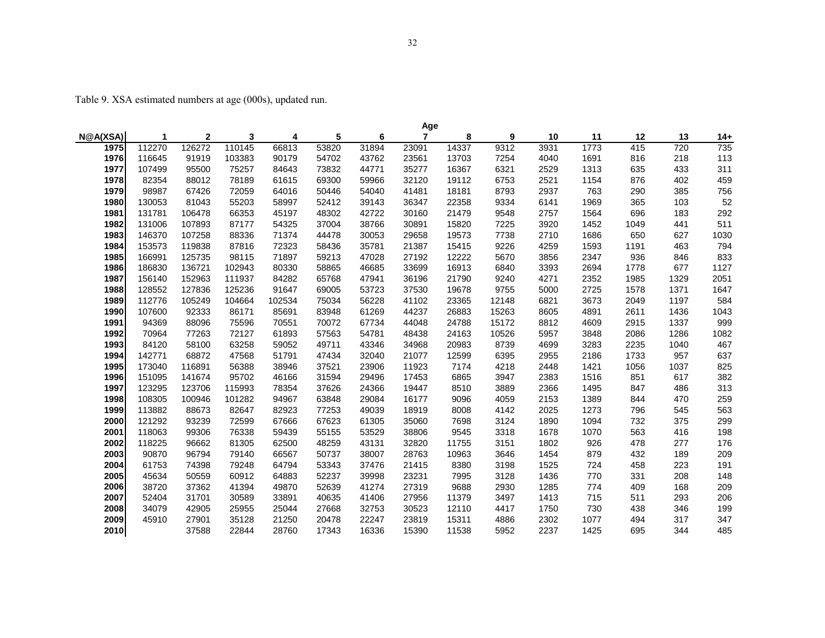Table 9. XSA estimated numbers at age (000s), updated run.

|          | Age    |              |        |        |       |       |                |       |       |      |      |      |      |      |
|----------|--------|--------------|--------|--------|-------|-------|----------------|-------|-------|------|------|------|------|------|
| N@A(XSA) | -1     | $\mathbf{2}$ | 3      | 4      | 5     | 6     | $\overline{7}$ | 8     | 9     | 10   | 11   | 12   | 13   | 14+  |
| 1975     | 112270 | 126272       | 110145 | 66813  | 53820 | 31894 | 23091          | 14337 | 9312  | 3931 | 1773 | 415  | 720  | 735  |
| 1976     | 116645 | 91919        | 103383 | 90179  | 54702 | 43762 | 23561          | 13703 | 7254  | 4040 | 1691 | 816  | 218  | 113  |
| 1977     | 107499 | 95500        | 75257  | 84643  | 73832 | 44771 | 35277          | 16367 | 6321  | 2529 | 1313 | 635  | 433  | 311  |
| 1978     | 82354  | 88012        | 78189  | 61615  | 69300 | 59966 | 32120          | 19112 | 6753  | 2521 | 1154 | 876  | 402  | 459  |
| 1979     | 98987  | 67426        | 72059  | 64016  | 50446 | 54040 | 41481          | 18181 | 8793  | 2937 | 763  | 290  | 385  | 756  |
| 1980     | 130053 | 81043        | 55203  | 58997  | 52412 | 39143 | 36347          | 22358 | 9334  | 6141 | 1969 | 365  | 103  | 52   |
| 1981     | 131781 | 106478       | 66353  | 45197  | 48302 | 42722 | 30160          | 21479 | 9548  | 2757 | 1564 | 696  | 183  | 292  |
| 1982     | 131006 | 107893       | 87177  | 54325  | 37004 | 38766 | 30891          | 15820 | 7225  | 3920 | 1452 | 1049 | 441  | 511  |
| 1983     | 146370 | 107258       | 88336  | 71374  | 44478 | 30053 | 29658          | 19573 | 7738  | 2710 | 1686 | 650  | 627  | 1030 |
| 1984     | 153573 | 119838       | 87816  | 72323  | 58436 | 35781 | 21387          | 15415 | 9226  | 4259 | 1593 | 1191 | 463  | 794  |
| 1985     | 166991 | 125735       | 98115  | 71897  | 59213 | 47028 | 27192          | 12222 | 5670  | 3856 | 2347 | 936  | 846  | 833  |
| 1986     | 186830 | 136721       | 102943 | 80330  | 58865 | 46685 | 33699          | 16913 | 6840  | 3393 | 2694 | 1778 | 677  | 1127 |
| 1987     | 156140 | 152963       | 111937 | 84282  | 65768 | 47941 | 36196          | 21790 | 9240  | 4271 | 2352 | 1985 | 1329 | 2051 |
| 1988     | 128552 | 127836       | 125236 | 91647  | 69005 | 53723 | 37530          | 19678 | 9755  | 5000 | 2725 | 1578 | 1371 | 1647 |
| 1989     | 112776 | 105249       | 104664 | 102534 | 75034 | 56228 | 41102          | 23365 | 12148 | 6821 | 3673 | 2049 | 1197 | 584  |
| 1990     | 107600 | 92333        | 86171  | 85691  | 83948 | 61269 | 44237          | 26883 | 15263 | 8605 | 4891 | 2611 | 1436 | 1043 |
| 1991     | 94369  | 88096        | 75596  | 70551  | 70072 | 67734 | 44048          | 24788 | 15172 | 8812 | 4609 | 2915 | 1337 | 999  |
| 1992     | 70964  | 77263        | 72127  | 61893  | 57563 | 54781 | 48438          | 24163 | 10526 | 5957 | 3848 | 2086 | 1286 | 1082 |
| 1993     | 84120  | 58100        | 63258  | 59052  | 49711 | 43346 | 34968          | 20983 | 8739  | 4699 | 3283 | 2235 | 1040 | 467  |
| 1994     | 142771 | 68872        | 47568  | 51791  | 47434 | 32040 | 21077          | 12599 | 6395  | 2955 | 2186 | 1733 | 957  | 637  |
| 1995     | 173040 | 116891       | 56388  | 38946  | 37521 | 23906 | 11923          | 7174  | 4218  | 2448 | 1421 | 1056 | 1037 | 825  |
| 1996     | 151095 | 141674       | 95702  | 46166  | 31594 | 29496 | 17453          | 6865  | 3947  | 2383 | 1516 | 851  | 617  | 382  |
| 1997     | 123295 | 123706       | 115993 | 78354  | 37626 | 24366 | 19447          | 8510  | 3889  | 2366 | 1495 | 847  | 486  | 313  |
| 1998     | 108305 | 100946       | 101282 | 94967  | 63848 | 29084 | 16177          | 9096  | 4059  | 2153 | 1389 | 844  | 470  | 259  |
| 1999     | 113882 | 88673        | 82647  | 82923  | 77253 | 49039 | 18919          | 8008  | 4142  | 2025 | 1273 | 796  | 545  | 563  |
| 2000     | 121292 | 93239        | 72599  | 67666  | 67623 | 61305 | 35060          | 7698  | 3124  | 1890 | 1094 | 732  | 375  | 299  |
| 2001     | 118063 | 99306        | 76338  | 59439  | 55155 | 53529 | 38806          | 9545  | 3318  | 1678 | 1070 | 563  | 416  | 198  |
| 2002     | 118225 | 96662        | 81305  | 62500  | 48259 | 43131 | 32820          | 11755 | 3151  | 1802 | 926  | 478  | 277  | 176  |
| 2003     | 90870  | 96794        | 79140  | 66567  | 50737 | 38007 | 28763          | 10963 | 3646  | 1454 | 879  | 432  | 189  | 209  |
| 2004     | 61753  | 74398        | 79248  | 64794  | 53343 | 37476 | 21415          | 8380  | 3198  | 1525 | 724  | 458  | 223  | 191  |
| 2005     | 45634  | 50559        | 60912  | 64883  | 52237 | 39998 | 23231          | 7995  | 3128  | 1436 | 770  | 331  | 208  | 148  |
| 2006     | 38720  | 37362        | 41394  | 49870  | 52639 | 41274 | 27319          | 9688  | 2930  | 1285 | 774  | 409  | 168  | 209  |
| 2007     | 52404  | 31701        | 30589  | 33891  | 40635 | 41406 | 27956          | 11379 | 3497  | 1413 | 715  | 511  | 293  | 206  |
| 2008     | 34079  | 42905        | 25955  | 25044  | 27668 | 32753 | 30523          | 12110 | 4417  | 1750 | 730  | 438  | 346  | 199  |
| 2009     | 45910  | 27901        | 35128  | 21250  | 20478 | 22247 | 23819          | 15311 | 4886  | 2302 | 1077 | 494  | 317  | 347  |
| 2010     |        | 37588        | 22844  | 28760  | 17343 | 16336 | 15390          | 11538 | 5952  | 2237 | 1425 | 695  | 344  | 485  |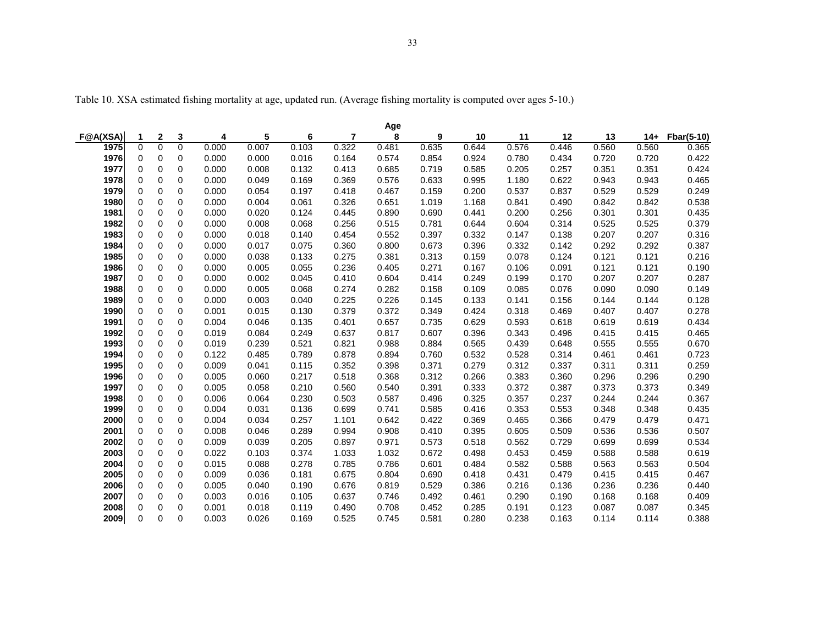Table 10. XSA estimated fishing mortality at age, updated run. (Average fishing mortality is computed over ages 5-10.)

| Age      |             |                |          |       |       |       |       |       |       |       |       |       |       |       |            |
|----------|-------------|----------------|----------|-------|-------|-------|-------|-------|-------|-------|-------|-------|-------|-------|------------|
| F@A(XSA) | 1           | $\mathbf{2}$   | 3        | 4     | 5     | 6     | 7     | 8     | 9     | 10    | 11    | 12    | 13    | $14+$ | Fbar(5-10) |
| 1975     | $\Omega$    | $\overline{0}$ | $\Omega$ | 0.000 | 0.007 | 0.103 | 0.322 | 0.481 | 0.635 | 0.644 | 0.576 | 0.446 | 0.560 | 0.560 | 0.365      |
| 1976     | $\mathbf 0$ | $\mathbf 0$    | 0        | 0.000 | 0.000 | 0.016 | 0.164 | 0.574 | 0.854 | 0.924 | 0.780 | 0.434 | 0.720 | 0.720 | 0.422      |
| 1977     | $\mathbf 0$ | 0              | 0        | 0.000 | 0.008 | 0.132 | 0.413 | 0.685 | 0.719 | 0.585 | 0.205 | 0.257 | 0.351 | 0.351 | 0.424      |
| 1978     | $\mathbf 0$ | 0              | 0        | 0.000 | 0.049 | 0.169 | 0.369 | 0.576 | 0.633 | 0.995 | 1.180 | 0.622 | 0.943 | 0.943 | 0.465      |
| 1979     | $\mathbf 0$ | 0              | 0        | 0.000 | 0.054 | 0.197 | 0.418 | 0.467 | 0.159 | 0.200 | 0.537 | 0.837 | 0.529 | 0.529 | 0.249      |
| 1980     | $\mathbf 0$ | 0              | 0        | 0.000 | 0.004 | 0.061 | 0.326 | 0.651 | 1.019 | 1.168 | 0.841 | 0.490 | 0.842 | 0.842 | 0.538      |
| 1981     | $\mathbf 0$ | 0              | 0        | 0.000 | 0.020 | 0.124 | 0.445 | 0.890 | 0.690 | 0.441 | 0.200 | 0.256 | 0.301 | 0.301 | 0.435      |
| 1982     | $\mathbf 0$ | 0              | 0        | 0.000 | 0.008 | 0.068 | 0.256 | 0.515 | 0.781 | 0.644 | 0.604 | 0.314 | 0.525 | 0.525 | 0.379      |
| 1983     | $\mathbf 0$ | 0              | 0        | 0.000 | 0.018 | 0.140 | 0.454 | 0.552 | 0.397 | 0.332 | 0.147 | 0.138 | 0.207 | 0.207 | 0.316      |
| 1984     | $\mathbf 0$ | 0              | 0        | 0.000 | 0.017 | 0.075 | 0.360 | 0.800 | 0.673 | 0.396 | 0.332 | 0.142 | 0.292 | 0.292 | 0.387      |
| 1985     | $\mathbf 0$ | 0              | 0        | 0.000 | 0.038 | 0.133 | 0.275 | 0.381 | 0.313 | 0.159 | 0.078 | 0.124 | 0.121 | 0.121 | 0.216      |
| 1986     | $\mathbf 0$ | 0              | 0        | 0.000 | 0.005 | 0.055 | 0.236 | 0.405 | 0.271 | 0.167 | 0.106 | 0.091 | 0.121 | 0.121 | 0.190      |
| 1987     | $\mathbf 0$ | $\overline{0}$ | 0        | 0.000 | 0.002 | 0.045 | 0.410 | 0.604 | 0.414 | 0.249 | 0.199 | 0.170 | 0.207 | 0.207 | 0.287      |
| 1988     | $\mathbf 0$ | 0              | 0        | 0.000 | 0.005 | 0.068 | 0.274 | 0.282 | 0.158 | 0.109 | 0.085 | 0.076 | 0.090 | 0.090 | 0.149      |
| 1989     | $\mathbf 0$ | $\overline{0}$ | $\Omega$ | 0.000 | 0.003 | 0.040 | 0.225 | 0.226 | 0.145 | 0.133 | 0.141 | 0.156 | 0.144 | 0.144 | 0.128      |
| 1990     | $\mathbf 0$ | 0              | 0        | 0.001 | 0.015 | 0.130 | 0.379 | 0.372 | 0.349 | 0.424 | 0.318 | 0.469 | 0.407 | 0.407 | 0.278      |
| 1991     | $\Omega$    | $\overline{0}$ | $\Omega$ | 0.004 | 0.046 | 0.135 | 0.401 | 0.657 | 0.735 | 0.629 | 0.593 | 0.618 | 0.619 | 0.619 | 0.434      |
| 1992     | $\mathbf 0$ | 0              | 0        | 0.019 | 0.084 | 0.249 | 0.637 | 0.817 | 0.607 | 0.396 | 0.343 | 0.496 | 0.415 | 0.415 | 0.465      |
| 1993     | $\mathbf 0$ | 0              | $\Omega$ | 0.019 | 0.239 | 0.521 | 0.821 | 0.988 | 0.884 | 0.565 | 0.439 | 0.648 | 0.555 | 0.555 | 0.670      |
| 1994     | $\mathbf 0$ | 0              | $\Omega$ | 0.122 | 0.485 | 0.789 | 0.878 | 0.894 | 0.760 | 0.532 | 0.528 | 0.314 | 0.461 | 0.461 | 0.723      |
| 1995     | 0           | 0              | 0        | 0.009 | 0.041 | 0.115 | 0.352 | 0.398 | 0.371 | 0.279 | 0.312 | 0.337 | 0.311 | 0.311 | 0.259      |
| 1996     | 0           | 0              | $\Omega$ | 0.005 | 0.060 | 0.217 | 0.518 | 0.368 | 0.312 | 0.266 | 0.383 | 0.360 | 0.296 | 0.296 | 0.290      |
| 1997     | $\mathbf 0$ | 0              | 0        | 0.005 | 0.058 | 0.210 | 0.560 | 0.540 | 0.391 | 0.333 | 0.372 | 0.387 | 0.373 | 0.373 | 0.349      |
| 1998     | $\mathbf 0$ | 0              | 0        | 0.006 | 0.064 | 0.230 | 0.503 | 0.587 | 0.496 | 0.325 | 0.357 | 0.237 | 0.244 | 0.244 | 0.367      |
| 1999     | $\mathbf 0$ | 0              | 0        | 0.004 | 0.031 | 0.136 | 0.699 | 0.741 | 0.585 | 0.416 | 0.353 | 0.553 | 0.348 | 0.348 | 0.435      |
| 2000     | $\mathbf 0$ | 0              | 0        | 0.004 | 0.034 | 0.257 | 1.101 | 0.642 | 0.422 | 0.369 | 0.465 | 0.366 | 0.479 | 0.479 | 0.471      |
| 2001     | $\mathbf 0$ | 0              | 0        | 0.008 | 0.046 | 0.289 | 0.994 | 0.908 | 0.410 | 0.395 | 0.605 | 0.509 | 0.536 | 0.536 | 0.507      |
| 2002     | $\mathbf 0$ | 0              | 0        | 0.009 | 0.039 | 0.205 | 0.897 | 0.971 | 0.573 | 0.518 | 0.562 | 0.729 | 0.699 | 0.699 | 0.534      |
| 2003     | $\mathbf 0$ | 0              | 0        | 0.022 | 0.103 | 0.374 | 1.033 | 1.032 | 0.672 | 0.498 | 0.453 | 0.459 | 0.588 | 0.588 | 0.619      |
| 2004     | $\mathbf 0$ | 0              | 0        | 0.015 | 0.088 | 0.278 | 0.785 | 0.786 | 0.601 | 0.484 | 0.582 | 0.588 | 0.563 | 0.563 | 0.504      |
| 2005     | $\mathbf 0$ | 0              | 0        | 0.009 | 0.036 | 0.181 | 0.675 | 0.804 | 0.690 | 0.418 | 0.431 | 0.479 | 0.415 | 0.415 | 0.467      |
| 2006     | $\mathbf 0$ | 0              | $\Omega$ | 0.005 | 0.040 | 0.190 | 0.676 | 0.819 | 0.529 | 0.386 | 0.216 | 0.136 | 0.236 | 0.236 | 0.440      |
| 2007     | 0           | 0              | 0        | 0.003 | 0.016 | 0.105 | 0.637 | 0.746 | 0.492 | 0.461 | 0.290 | 0.190 | 0.168 | 0.168 | 0.409      |
| 2008     | $\Omega$    | 0              | $\Omega$ | 0.001 | 0.018 | 0.119 | 0.490 | 0.708 | 0.452 | 0.285 | 0.191 | 0.123 | 0.087 | 0.087 | 0.345      |
| 2009     | $\Omega$    | $\overline{0}$ | $\Omega$ | 0.003 | 0.026 | 0.169 | 0.525 | 0.745 | 0.581 | 0.280 | 0.238 | 0.163 | 0.114 | 0.114 | 0.388      |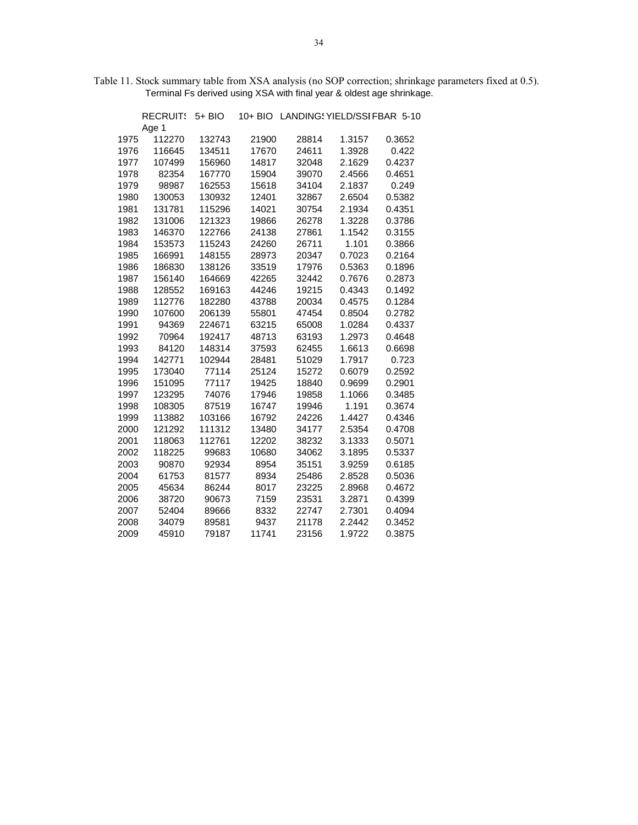| Table 11. Stock summary table from XSA analysis (no SOP correction; shrinkage parameters fixed at 0.5). |  |
|---------------------------------------------------------------------------------------------------------|--|
| Terminal Fs derived using XSA with final year & oldest age shrinkage.                                   |  |

|      | <b>RECRUITS</b> | $5+$ BIO |       | 10+ BIO LANDING YIELD/SSI FBAR 5-10 |        |        |
|------|-----------------|----------|-------|-------------------------------------|--------|--------|
|      | Age 1           |          |       |                                     |        |        |
| 1975 | 112270          | 132743   | 21900 | 28814                               | 1.3157 | 0.3652 |
| 1976 | 116645          | 134511   | 17670 | 24611                               | 1.3928 | 0.422  |
| 1977 | 107499          | 156960   | 14817 | 32048                               | 2.1629 | 0.4237 |
| 1978 | 82354           | 167770   | 15904 | 39070                               | 2.4566 | 0.4651 |
| 1979 | 98987           | 162553   | 15618 | 34104                               | 2.1837 | 0.249  |
| 1980 | 130053          | 130932   | 12401 | 32867                               | 2.6504 | 0.5382 |
| 1981 | 131781          | 115296   | 14021 | 30754                               | 2.1934 | 0.4351 |
| 1982 | 131006          | 121323   | 19866 | 26278                               | 1.3228 | 0.3786 |
| 1983 | 146370          | 122766   | 24138 | 27861                               | 1.1542 | 0.3155 |
| 1984 | 153573          | 115243   | 24260 | 26711                               | 1.101  | 0.3866 |
| 1985 | 166991          | 148155   | 28973 | 20347                               | 0.7023 | 0.2164 |
| 1986 | 186830          | 138126   | 33519 | 17976                               | 0.5363 | 0.1896 |
| 1987 | 156140          | 164669   | 42265 | 32442                               | 0.7676 | 0.2873 |
| 1988 | 128552          | 169163   | 44246 | 19215                               | 0.4343 | 0.1492 |
| 1989 | 112776          | 182280   | 43788 | 20034                               | 0.4575 | 0.1284 |
| 1990 | 107600          | 206139   | 55801 | 47454                               | 0.8504 | 0.2782 |
| 1991 | 94369           | 224671   | 63215 | 65008                               | 1.0284 | 0.4337 |
| 1992 | 70964           | 192417   | 48713 | 63193                               | 1.2973 | 0.4648 |
| 1993 | 84120           | 148314   | 37593 | 62455                               | 1.6613 | 0.6698 |
| 1994 | 142771          | 102944   | 28481 | 51029                               | 1.7917 | 0.723  |
| 1995 | 173040          | 77114    | 25124 | 15272                               | 0.6079 | 0.2592 |
| 1996 | 151095          | 77117    | 19425 | 18840                               | 0.9699 | 0.2901 |
| 1997 | 123295          | 74076    | 17946 | 19858                               | 1.1066 | 0.3485 |
| 1998 | 108305          | 87519    | 16747 | 19946                               | 1.191  | 0.3674 |
| 1999 | 113882          | 103166   | 16792 | 24226                               | 1.4427 | 0.4346 |
| 2000 | 121292          | 111312   | 13480 | 34177                               | 2.5354 | 0.4708 |
| 2001 | 118063          | 112761   | 12202 | 38232                               | 3.1333 | 0.5071 |
| 2002 | 118225          | 99683    | 10680 | 34062                               | 3.1895 | 0.5337 |
| 2003 | 90870           | 92934    | 8954  | 35151                               | 3.9259 | 0.6185 |
| 2004 | 61753           | 81577    | 8934  | 25486                               | 2.8528 | 0.5036 |
| 2005 | 45634           | 86244    | 8017  | 23225                               | 2.8968 | 0.4672 |
| 2006 | 38720           | 90673    | 7159  | 23531                               | 3.2871 | 0.4399 |
| 2007 | 52404           | 89666    | 8332  | 22747                               | 2.7301 | 0.4094 |
| 2008 | 34079           | 89581    | 9437  | 21178                               | 2.2442 | 0.3452 |
| 2009 | 45910           | 79187    | 11741 | 23156                               | 1.9722 | 0.3875 |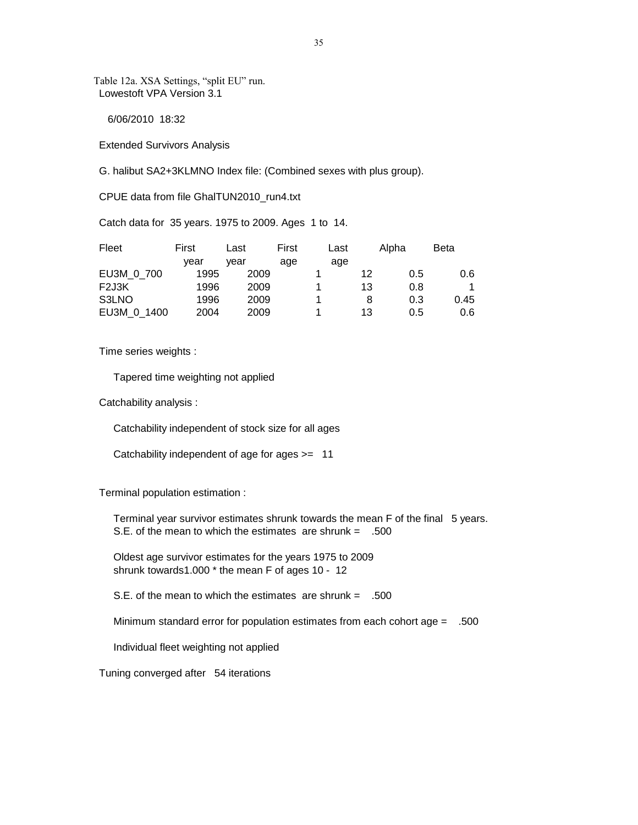Table 12a. XSA Settings, "split EU" run. Lowestoft VPA Version 3.1

6/06/2010 18:32

Extended Survivors Analysis

G. halibut SA2+3KLMNO Index file: (Combined sexes with plus group).

CPUE data from file GhalTUN2010\_run4.txt

Catch data for 35 years. 1975 to 2009. Ages 1 to 14.

| Fleet       | First | Last | First | Last |         | Alpha | Beta |
|-------------|-------|------|-------|------|---------|-------|------|
|             | vear  | vear | age   | age  |         |       |      |
| EU3M 0 700  | 1995  | 2009 |       |      | $12 \,$ | 0.5   | 0.6  |
| F2J3K       | 1996  | 2009 |       |      | 13      | 0.8   |      |
| S3LNO       | 1996  | 2009 |       |      | 8       | 0.3   | 0.45 |
| EU3M 0 1400 | 2004  | 2009 |       |      | 13      | 0.5   | 0.6  |

Time series weights :

Tapered time weighting not applied

Catchability analysis :

Catchability independent of stock size for all ages

Catchability independent of age for ages >= 11

Terminal population estimation :

 Terminal year survivor estimates shrunk towards the mean F of the final 5 years. S.E. of the mean to which the estimates are shrunk  $=$  .500

 Oldest age survivor estimates for the years 1975 to 2009 shrunk towards1.000 \* the mean F of ages 10 - 12

S.E. of the mean to which the estimates are shrunk  $=$  .500

Minimum standard error for population estimates from each cohort age = .500

Individual fleet weighting not applied

Tuning converged after 54 iterations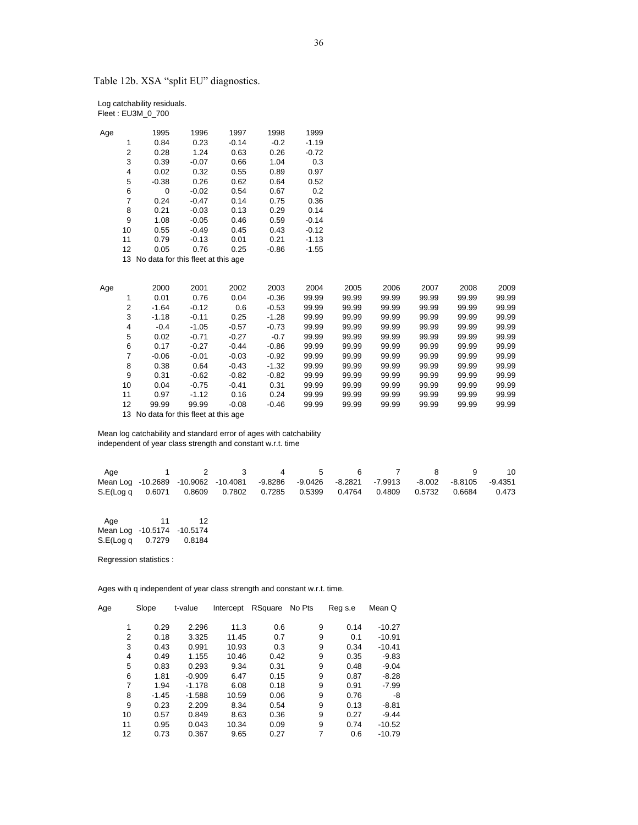Table 12b. XSA "split EU" diagnostics.

| Log catchability residuals. |
|-----------------------------|
| Fleet: EU3M_0_700           |

| Age |                | 1995                                  | 1996    | 1997    | 1998    | 1999    |       |       |       |       |       |
|-----|----------------|---------------------------------------|---------|---------|---------|---------|-------|-------|-------|-------|-------|
|     | 1              | 0.84                                  | 0.23    | $-0.14$ | $-0.2$  | $-1.19$ |       |       |       |       |       |
|     | 2              | 0.28                                  | 1.24    | 0.63    | 0.26    | $-0.72$ |       |       |       |       |       |
|     | 3              | 0.39                                  | $-0.07$ | 0.66    | 1.04    | 0.3     |       |       |       |       |       |
|     | 4              | 0.02                                  | 0.32    | 0.55    | 0.89    | 0.97    |       |       |       |       |       |
|     | 5              | $-0.38$                               | 0.26    | 0.62    | 0.64    | 0.52    |       |       |       |       |       |
|     | 6              | 0                                     | $-0.02$ | 0.54    | 0.67    | 0.2     |       |       |       |       |       |
|     | $\overline{7}$ | 0.24                                  | $-0.47$ | 0.14    | 0.75    | 0.36    |       |       |       |       |       |
|     | 8              | 0.21                                  | $-0.03$ | 0.13    | 0.29    | 0.14    |       |       |       |       |       |
|     | 9              | 1.08                                  | $-0.05$ | 0.46    | 0.59    | $-0.14$ |       |       |       |       |       |
|     | 10             | 0.55                                  | $-0.49$ | 0.45    | 0.43    | $-0.12$ |       |       |       |       |       |
|     | 11             | 0.79                                  | $-0.13$ | 0.01    | 0.21    | $-1.13$ |       |       |       |       |       |
|     | 12             | 0.05                                  | 0.76    | 0.25    | $-0.86$ | $-1.55$ |       |       |       |       |       |
|     | 13             | No data for this fleet at this age    |         |         |         |         |       |       |       |       |       |
|     |                |                                       |         |         |         |         |       |       |       |       |       |
|     |                |                                       |         |         |         |         |       |       |       |       |       |
| Age |                | 2000                                  | 2001    | 2002    | 2003    | 2004    | 2005  | 2006  | 2007  | 2008  | 2009  |
|     | 1              | 0.01                                  | 0.76    | 0.04    | $-0.36$ | 99.99   | 99.99 | 99.99 | 99.99 | 99.99 | 99.99 |
|     | $\overline{2}$ | $-1.64$                               | $-0.12$ | 0.6     | $-0.53$ | 99.99   | 99.99 | 99.99 | 99.99 | 99.99 | 99.99 |
|     | 3              | $-1.18$                               | $-0.11$ | 0.25    | $-1.28$ | 99.99   | 99.99 | 99.99 | 99.99 | 99.99 | 99.99 |
|     | 4              | $-0.4$                                | $-1.05$ | $-0.57$ | $-0.73$ | 99.99   | 99.99 | 99.99 | 99.99 | 99.99 | 99.99 |
|     | 5              | 0.02                                  | $-0.71$ | $-0.27$ | $-0.7$  | 99.99   | 99.99 | 99.99 | 99.99 | 99.99 | 99.99 |
|     | 6              | 0.17                                  | $-0.27$ | $-0.44$ | $-0.86$ | 99.99   | 99.99 | 99.99 | 99.99 | 99.99 | 99.99 |
|     | $\overline{7}$ | $-0.06$                               | $-0.01$ | $-0.03$ | $-0.92$ | 99.99   | 99.99 | 99.99 | 99.99 | 99.99 | 99.99 |
|     | 8              | 0.38                                  | 0.64    | $-0.43$ | $-1.32$ | 99.99   | 99.99 | 99.99 | 99.99 | 99.99 | 99.99 |
|     | 9              | 0.31                                  | $-0.62$ | $-0.82$ | $-0.82$ | 99.99   | 99.99 | 99.99 | 99.99 | 99.99 | 99.99 |
|     | 10             | 0.04                                  | $-0.75$ | $-0.41$ | 0.31    | 99.99   | 99.99 | 99.99 | 99.99 | 99.99 | 99.99 |
|     | 11             | 0.97                                  | $-1.12$ | 0.16    | 0.24    | 99.99   | 99.99 | 99.99 | 99.99 | 99.99 | 99.99 |
|     | 12             | 99.99                                 | 99.99   | $-0.08$ | $-0.46$ | 99.99   | 99.99 | 99.99 | 99.99 | 99.99 | 99.99 |
|     |                | 13 No data for this fleet at this age |         |         |         |         |       |       |       |       |       |
|     |                |                                       |         |         |         |         |       |       |       |       |       |

 Mean log catchability and standard error of ages with catchability independent of year class strength and constant w.r.t. time

| Age |  | 1 2 3                                                                                      | 4 5 | 6 7 | 8 9 10 |  |
|-----|--|--------------------------------------------------------------------------------------------|-----|-----|--------|--|
|     |  | Mean Log -10.2689 -10.9062 -10.4081 -9.8286 -9.0426 -8.2821 -7.9913 -8.002 -8.8105 -9.4351 |     |     |        |  |
|     |  | S.E(Log q 0.6071 0.8609 0.7802 0.7285 0.5399 0.4764 0.4809 0.5732 0.6684 0.473             |     |     |        |  |

| Age               | 11     | 12         |
|-------------------|--------|------------|
| Mean Log -10.5174 |        | $-10.5174$ |
| S.E(Log q         | 0.7279 | 0.8184     |

Regression statistics :

| Age | Slope        | t-value  | Intercept | RSquare | No Pts | Reg s.e | Mean Q   |
|-----|--------------|----------|-----------|---------|--------|---------|----------|
|     |              |          |           |         |        |         |          |
|     | 0.29<br>1    | 2.296    | 11.3      | 0.6     | 9      | 0.14    | $-10.27$ |
|     | 2<br>0.18    | 3.325    | 11.45     | 0.7     | 9      | 0.1     | $-10.91$ |
|     | 3<br>0.43    | 0.991    | 10.93     | 0.3     | 9      | 0.34    | $-10.41$ |
|     | 4<br>0.49    | 1.155    | 10.46     | 0.42    | 9      | 0.35    | $-9.83$  |
|     | 5<br>0.83    | 0.293    | 9.34      | 0.31    | 9      | 0.48    | $-9.04$  |
|     | 6<br>1.81    | $-0.909$ | 6.47      | 0.15    | 9      | 0.87    | $-8.28$  |
|     | 7<br>1.94    | $-1.178$ | 6.08      | 0.18    | 9      | 0.91    | $-7.99$  |
|     | 8<br>$-1.45$ | $-1.588$ | 10.59     | 0.06    | 9      | 0.76    | -8       |
|     | 9<br>0.23    | 2.209    | 8.34      | 0.54    | 9      | 0.13    | $-8.81$  |
| 10  | 0.57         | 0.849    | 8.63      | 0.36    | 9      | 0.27    | $-9.44$  |
| 11  | 0.95         | 0.043    | 10.34     | 0.09    | 9      | 0.74    | $-10.52$ |
| 12  | 0.73         | 0.367    | 9.65      | 0.27    | 7      | 0.6     | $-10.79$ |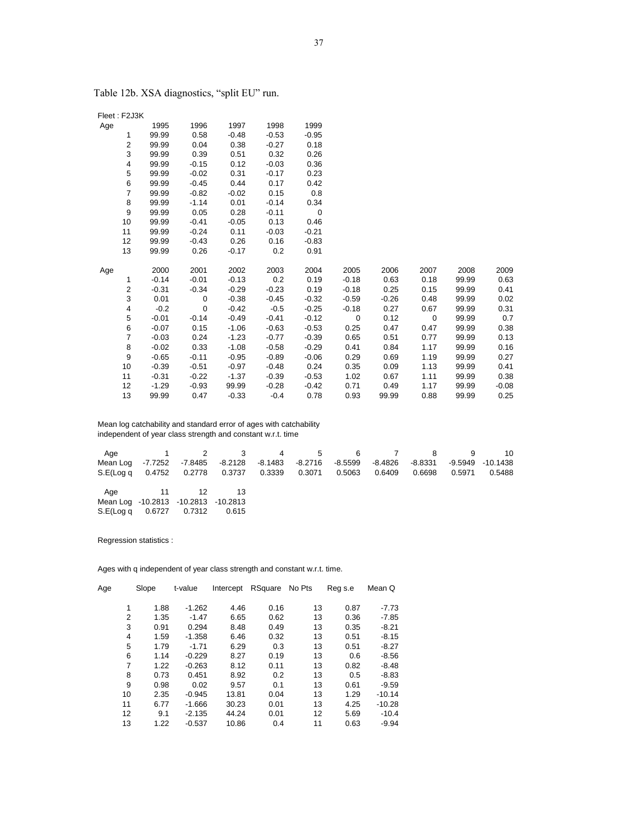| Age |                | 1995    | 1996        | 1997    | 1998    | 1999        |         |         |             |       |         |
|-----|----------------|---------|-------------|---------|---------|-------------|---------|---------|-------------|-------|---------|
|     | 1              | 99.99   | 0.58        | $-0.48$ | $-0.53$ | $-0.95$     |         |         |             |       |         |
|     | 2              | 99.99   | 0.04        | 0.38    | $-0.27$ | 0.18        |         |         |             |       |         |
|     | 3              | 99.99   | 0.39        | 0.51    | 0.32    | 0.26        |         |         |             |       |         |
|     | 4              | 99.99   | $-0.15$     | 0.12    | $-0.03$ | 0.36        |         |         |             |       |         |
|     | 5              | 99.99   | $-0.02$     | 0.31    | $-0.17$ | 0.23        |         |         |             |       |         |
|     | 6              | 99.99   | $-0.45$     | 0.44    | 0.17    | 0.42        |         |         |             |       |         |
|     | $\overline{7}$ | 99.99   | $-0.82$     | $-0.02$ | 0.15    | 0.8         |         |         |             |       |         |
|     | 8              | 99.99   | $-1.14$     | 0.01    | $-0.14$ | 0.34        |         |         |             |       |         |
|     | 9              | 99.99   | 0.05        | 0.28    | $-0.11$ | $\mathbf 0$ |         |         |             |       |         |
|     | 10             | 99.99   | $-0.41$     | $-0.05$ | 0.13    | 0.46        |         |         |             |       |         |
|     | 11             | 99.99   | $-0.24$     | 0.11    | $-0.03$ | $-0.21$     |         |         |             |       |         |
|     | 12             | 99.99   | $-0.43$     | 0.26    | 0.16    | $-0.83$     |         |         |             |       |         |
|     | 13             | 99.99   | 0.26        | $-0.17$ | 0.2     | 0.91        |         |         |             |       |         |
|     |                |         |             |         |         |             |         |         |             |       |         |
| Age |                | 2000    | 2001        | 2002    | 2003    | 2004        | 2005    | 2006    | 2007        | 2008  | 2009    |
|     | 1              | $-0.14$ | $-0.01$     | $-0.13$ | 0.2     | 0.19        | $-0.18$ | 0.63    | 0.18        | 99.99 | 0.63    |
|     | $\overline{2}$ | $-0.31$ | $-0.34$     | $-0.29$ | $-0.23$ | 0.19        | $-0.18$ | 0.25    | 0.15        | 99.99 | 0.41    |
|     | 3              | 0.01    | $\mathbf 0$ | $-0.38$ | $-0.45$ | $-0.32$     | $-0.59$ | $-0.26$ | 0.48        | 99.99 | 0.02    |
|     | 4              | $-0.2$  | $\mathbf 0$ | $-0.42$ | $-0.5$  | $-0.25$     | $-0.18$ | 0.27    | 0.67        | 99.99 | 0.31    |
|     | 5              | $-0.01$ | $-0.14$     | $-0.49$ | $-0.41$ | $-0.12$     | 0       | 0.12    | $\mathbf 0$ | 99.99 | 0.7     |
|     | 6              | $-0.07$ | 0.15        | $-1.06$ | $-0.63$ | $-0.53$     | 0.25    | 0.47    | 0.47        | 99.99 | 0.38    |
|     | $\overline{7}$ | $-0.03$ | 0.24        | $-1.23$ | $-0.77$ | $-0.39$     | 0.65    | 0.51    | 0.77        | 99.99 | 0.13    |
|     | 8              | $-0.02$ | 0.33        | $-1.08$ | $-0.58$ | $-0.29$     | 0.41    | 0.84    | 1.17        | 99.99 | 0.16    |
|     | 9              | $-0.65$ | $-0.11$     | $-0.95$ | $-0.89$ | $-0.06$     | 0.29    | 0.69    | 1.19        | 99.99 | 0.27    |
|     | 10             | $-0.39$ | $-0.51$     | $-0.97$ | $-0.48$ | 0.24        | 0.35    | 0.09    | 1.13        | 99.99 | 0.41    |
|     | 11             | $-0.31$ | $-0.22$     | $-1.37$ | $-0.39$ | $-0.53$     | 1.02    | 0.67    | 1.11        | 99.99 | 0.38    |
|     | 12             | $-1.29$ | $-0.93$     | 99.99   | $-0.28$ | $-0.42$     | 0.71    | 0.49    | 1.17        | 99.99 | $-0.08$ |
|     | 13             | 99.99   | 0.47        | $-0.33$ | $-0.4$  | 0.78        | 0.93    | 99.99   | 0.88        | 99.99 | 0.25    |

Table 12b. XSA diagnostics, "split EU" run.

Fleet : F2J3K

 Mean log catchability and standard error of ages with catchability independent of year class strength and constant w.r.t. time

| Age                                          |                         | 1 2 3 4 |         | 5       |           | 6 7     |         |        |                     |
|----------------------------------------------|-------------------------|---------|---------|---------|-----------|---------|---------|--------|---------------------|
| Mean Log                                     | -7.7252 -7.8485 -8.2128 |         | -8.1483 | -8.2716 | $-8.5599$ | -8.4826 | -8.8331 |        | $-9.5949 - 10.1438$ |
| S.E(Log q 0.4752 0.2778 0.3737 0.3339 0.3071 |                         |         |         |         | 0.5063    | 0.6409  | 0.6698  | 0.5971 | 0.5488              |
|                                              |                         |         |         |         |           |         |         |        |                     |
|                                              | Age 11 12               |         |         |         |           |         |         |        |                     |
| Mean Log -10.2813 -10.2813 -10.2813          |                         |         |         |         |           |         |         |        |                     |
| S.E(Log q                                    | 0.6727   0.7312         | 0.615   |         |         |           |         |         |        |                     |

Regression statistics :

| Age | Slope | t-value  | Intercept | RSquare | No Pts | Reg s.e | Mean Q   |
|-----|-------|----------|-----------|---------|--------|---------|----------|
|     |       |          |           |         |        |         |          |
| 1   | 1.88  | $-1.262$ | 4.46      | 0.16    | 13     | 0.87    | $-7.73$  |
| 2   | 1.35  | $-1.47$  | 6.65      | 0.62    | 13     | 0.36    | $-7.85$  |
| 3   | 0.91  | 0.294    | 8.48      | 0.49    | 13     | 0.35    | $-8.21$  |
| 4   | 1.59  | $-1.358$ | 6.46      | 0.32    | 13     | 0.51    | $-8.15$  |
| 5   | 1.79  | $-1.71$  | 6.29      | 0.3     | 13     | 0.51    | $-8.27$  |
| 6   | 1.14  | $-0.229$ | 8.27      | 0.19    | 13     | 0.6     | $-8.56$  |
| 7   | 1.22  | $-0.263$ | 8.12      | 0.11    | 13     | 0.82    | $-8.48$  |
| 8   | 0.73  | 0.451    | 8.92      | 0.2     | 13     | 0.5     | $-8.83$  |
| 9   | 0.98  | 0.02     | 9.57      | 0.1     | 13     | 0.61    | $-9.59$  |
| 10  | 2.35  | $-0.945$ | 13.81     | 0.04    | 13     | 1.29    | $-10.14$ |
| 11  | 6.77  | $-1.666$ | 30.23     | 0.01    | 13     | 4.25    | $-10.28$ |
| 12  | 9.1   | $-2.135$ | 44.24     | 0.01    | 12     | 5.69    | $-10.4$  |
| 13  | 1.22  | $-0.537$ | 10.86     | 0.4     | 11     | 0.63    | $-9.94$  |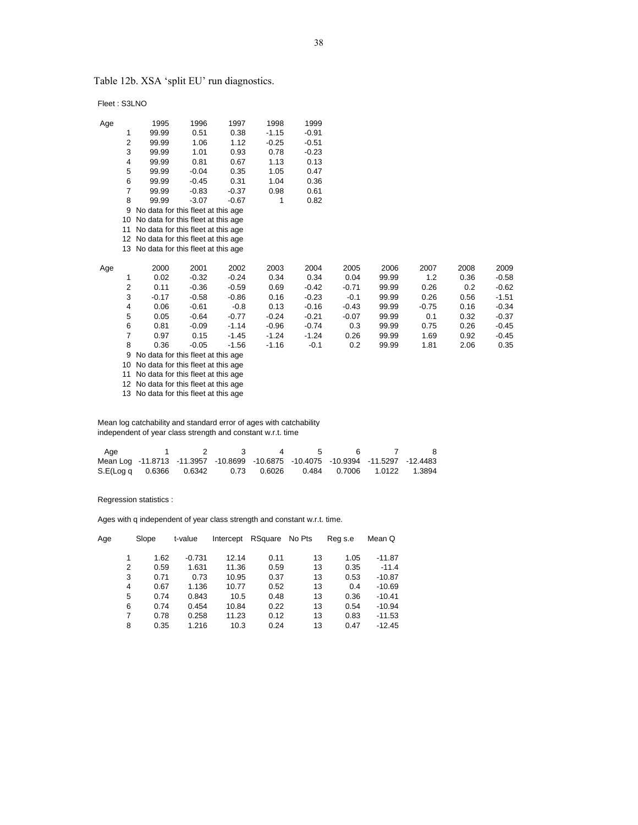Table 12b. XSA 'split EU' run diagnostics.

Fleet : S3LNO

| Age |                | 1995                                     | 1996    | 1997    | 1998    | 1999    |         |       |         |      |         |
|-----|----------------|------------------------------------------|---------|---------|---------|---------|---------|-------|---------|------|---------|
|     | 1              | 99.99                                    | 0.51    | 0.38    | $-1.15$ | $-0.91$ |         |       |         |      |         |
|     | 2              | 99.99                                    | 1.06    | 1.12    | $-0.25$ | $-0.51$ |         |       |         |      |         |
|     | 3              | 99.99                                    | 1.01    | 0.93    | 0.78    | $-0.23$ |         |       |         |      |         |
|     | 4              | 99.99                                    | 0.81    | 0.67    | 1.13    | 0.13    |         |       |         |      |         |
|     | 5              | 99.99                                    | $-0.04$ | 0.35    | 1.05    | 0.47    |         |       |         |      |         |
|     | 6              | 99.99                                    | $-0.45$ | 0.31    | 1.04    | 0.36    |         |       |         |      |         |
|     | $\overline{7}$ | 99.99                                    | $-0.83$ | $-0.37$ | 0.98    | 0.61    |         |       |         |      |         |
|     | 8              | 99.99                                    | $-3.07$ | $-0.67$ | 1       | 0.82    |         |       |         |      |         |
|     | 9              | No data for this fleet at this age       |         |         |         |         |         |       |         |      |         |
|     | 10             | No data for this fleet at this age       |         |         |         |         |         |       |         |      |         |
|     | 11             | No data for this fleet at this age       |         |         |         |         |         |       |         |      |         |
|     |                | 12 No data for this fleet at this age    |         |         |         |         |         |       |         |      |         |
|     |                | 13 No data for this fleet at this age    |         |         |         |         |         |       |         |      |         |
| Age |                | 2000                                     | 2001    | 2002    | 2003    | 2004    | 2005    | 2006  | 2007    | 2008 | 2009    |
|     | 1              | 0.02                                     | $-0.32$ | $-0.24$ | 0.34    | 0.34    | 0.04    | 99.99 | 1.2     | 0.36 | $-0.58$ |
|     | 2              | 0.11                                     | $-0.36$ | $-0.59$ | 0.69    | $-0.42$ | $-0.71$ | 99.99 | 0.26    | 0.2  | $-0.62$ |
|     | 3              | $-0.17$                                  | $-0.58$ | $-0.86$ | 0.16    | $-0.23$ | $-0.1$  | 99.99 | 0.26    | 0.56 | $-1.51$ |
|     | 4              | 0.06                                     | $-0.61$ | $-0.8$  | 0.13    | -0.16   | $-0.43$ | 99.99 | $-0.75$ | 0.16 | $-0.34$ |
|     | 5              | 0.05                                     | $-0.64$ | $-0.77$ | $-0.24$ | $-0.21$ | $-0.07$ | 99.99 | 0.1     | 0.32 | $-0.37$ |
|     | 6              | 0.81                                     | $-0.09$ | $-1.14$ | $-0.96$ | $-0.74$ | 0.3     | 99.99 | 0.75    | 0.26 | $-0.45$ |
|     | 7              | 0.97                                     | 0.15    | $-1.45$ | $-1.24$ | $-1.24$ | 0.26    | 99.99 | 1.69    | 0.92 | $-0.45$ |
|     | 8              | 0.36                                     | $-0.05$ | $-1.56$ | $-1.16$ | $-0.1$  | 0.2     | 99.99 | 1.81    | 2.06 | 0.35    |
|     | 9              | No data for this fleet at this age       |         |         |         |         |         |       |         |      |         |
|     |                | $10.$ No dota for this float at this ago |         |         |         |         |         |       |         |      |         |

10 No data for this fleet at this age

11 No data for this fleet at this age

12 No data for this fleet at this age

13 No data for this fleet at this age

 Mean log catchability and standard error of ages with catchability independent of year class strength and constant w.r.t. time

| Aae                                                                              |  | 4 |  |  |
|----------------------------------------------------------------------------------|--|---|--|--|
| Mean Log -11.8713 -11.3957 -10.8699 -10.6875 -10.4075 -10.9394 -11.5297 -12.4483 |  |   |  |  |
| S.E(Log q 0.6366 0.6342 0.73 0.6026 0.484 0.7006 1.0122 1.3894                   |  |   |  |  |

Regression statistics :

| Age | Slope     |      | t-value  | Intercept | RSquare | No Pts | Reg s.e | Mean Q   |  |
|-----|-----------|------|----------|-----------|---------|--------|---------|----------|--|
|     | 1         | 1.62 | $-0.731$ | 12.14     | 0.11    | 13     | 1.05    | $-11.87$ |  |
|     | 2         | 0.59 | 1.631    | 11.36     | 0.59    | 13     | 0.35    | $-11.4$  |  |
|     | 3         | 0.71 | 0.73     | 10.95     | 0.37    | 13     | 0.53    | $-10.87$ |  |
|     | 4         | 0.67 | 1.136    | 10.77     | 0.52    | 13     | 0.4     | $-10.69$ |  |
|     | 5         | 0.74 | 0.843    | 10.5      | 0.48    | 13     | 0.36    | $-10.41$ |  |
|     | 6         | 0.74 | 0.454    | 10.84     | 0.22    | 13     | 0.54    | $-10.94$ |  |
|     | 7         | 0.78 | 0.258    | 11.23     | 0.12    | 13     | 0.83    | $-11.53$ |  |
|     | 8<br>0.35 |      | 1.216    | 10.3      | 0.24    | 13     | 0.47    | $-12.45$ |  |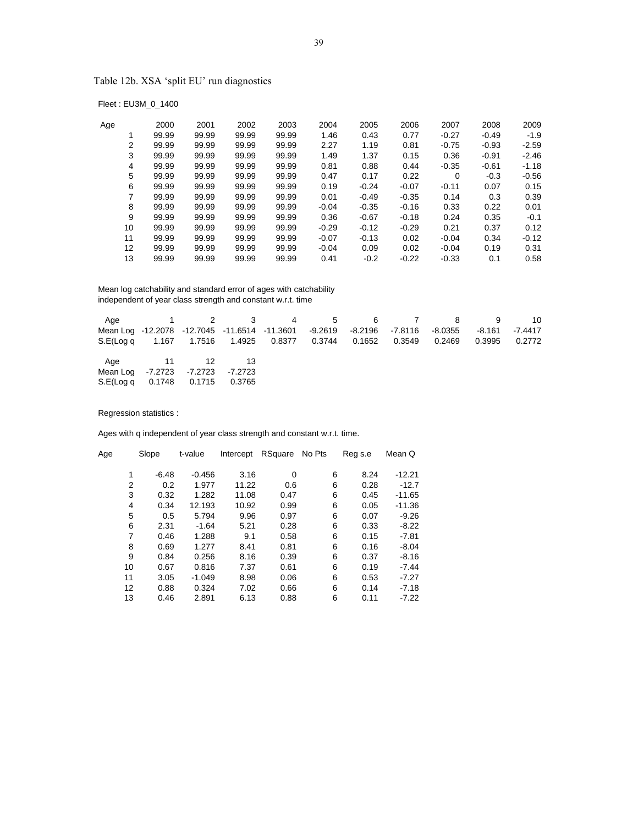Table 12b. XSA 'split EU' run diagnostics

Fleet : EU3M\_0\_1400

| Age |    | 2000  | 2001  | 2002  | 2003  | 2004    | 2005    | 2006    | 2007    | 2008    | 2009    |
|-----|----|-------|-------|-------|-------|---------|---------|---------|---------|---------|---------|
|     |    | 99.99 | 99.99 | 99.99 | 99.99 | 1.46    | 0.43    | 0.77    | $-0.27$ | $-0.49$ | $-1.9$  |
|     | 2  | 99.99 | 99.99 | 99.99 | 99.99 | 2.27    | 1.19    | 0.81    | $-0.75$ | $-0.93$ | $-2.59$ |
|     | 3  | 99.99 | 99.99 | 99.99 | 99.99 | 1.49    | 1.37    | 0.15    | 0.36    | $-0.91$ | $-2.46$ |
|     | 4  | 99.99 | 99.99 | 99.99 | 99.99 | 0.81    | 0.88    | 0.44    | $-0.35$ | $-0.61$ | $-1.18$ |
|     | 5  | 99.99 | 99.99 | 99.99 | 99.99 | 0.47    | 0.17    | 0.22    | 0       | $-0.3$  | $-0.56$ |
|     | 6  | 99.99 | 99.99 | 99.99 | 99.99 | 0.19    | $-0.24$ | $-0.07$ | $-0.11$ | 0.07    | 0.15    |
|     | 7  | 99.99 | 99.99 | 99.99 | 99.99 | 0.01    | $-0.49$ | $-0.35$ | 0.14    | 0.3     | 0.39    |
|     | 8  | 99.99 | 99.99 | 99.99 | 99.99 | $-0.04$ | $-0.35$ | $-0.16$ | 0.33    | 0.22    | 0.01    |
|     | 9  | 99.99 | 99.99 | 99.99 | 99.99 | 0.36    | $-0.67$ | $-0.18$ | 0.24    | 0.35    | $-0.1$  |
|     | 10 | 99.99 | 99.99 | 99.99 | 99.99 | $-0.29$ | $-0.12$ | $-0.29$ | 0.21    | 0.37    | 0.12    |
|     | 11 | 99.99 | 99.99 | 99.99 | 99.99 | $-0.07$ | $-0.13$ | 0.02    | $-0.04$ | 0.34    | $-0.12$ |
|     | 12 | 99.99 | 99.99 | 99.99 | 99.99 | $-0.04$ | 0.09    | 0.02    | $-0.04$ | 0.19    | 0.31    |
|     | 13 | 99.99 | 99.99 | 99.99 | 99.99 | 0.41    | $-0.2$  | $-0.22$ | $-0.33$ | 0.1     | 0.58    |
|     |    |       |       |       |       |         |         |         |         |         |         |

 Mean log catchability and standard error of ages with catchability independent of year class strength and constant w.r.t. time

|                                                           |           |        | Age 1 2 3 4 5 6 7 8 |  |                 |         | -9     | 10      |
|-----------------------------------------------------------|-----------|--------|---------------------|--|-----------------|---------|--------|---------|
| Mean Log -12.2078 -12.7045 -11.6514 -11.3601 -9.2619      |           |        |                     |  | -8.2196 -7.8116 | -8.0355 | -8.161 | -7.4417 |
| S.E(Log q 1.167 1.7516 1.4925 0.8377 0.3744 0.1652 0.3549 |           |        |                     |  |                 | 0.2469  | 0.3995 | 0.2772  |
|                                                           | Age 11 12 | - 13   |                     |  |                 |         |        |         |
| Mean Log -7.2723 -7.2723 -7.2723                          |           |        |                     |  |                 |         |        |         |
| S.E(Log q 0.1748 0.1715                                   |           | 0.3765 |                     |  |                 |         |        |         |

Regression statistics :

| Age | Slope   | t-value  | Intercept | RSquare | No Pts | Reg s.e | Mean Q   |
|-----|---------|----------|-----------|---------|--------|---------|----------|
|     |         |          |           |         |        |         |          |
|     | $-6.48$ | $-0.456$ | 3.16      | 0       | 6      | 8.24    | $-12.21$ |
| 2   | 0.2     | 1.977    | 11.22     | 0.6     | 6      | 0.28    | $-12.7$  |
| 3   | 0.32    | 1.282    | 11.08     | 0.47    | 6      | 0.45    | $-11.65$ |
| 4   | 0.34    | 12.193   | 10.92     | 0.99    | 6      | 0.05    | $-11.36$ |
| 5   | 0.5     | 5.794    | 9.96      | 0.97    | 6      | 0.07    | $-9.26$  |
| 6   | 2.31    | $-1.64$  | 5.21      | 0.28    | 6      | 0.33    | $-8.22$  |
| 7   | 0.46    | 1.288    | 9.1       | 0.58    | 6      | 0.15    | $-7.81$  |
| 8   | 0.69    | 1.277    | 8.41      | 0.81    | 6      | 0.16    | $-8.04$  |
| 9   | 0.84    | 0.256    | 8.16      | 0.39    | 6      | 0.37    | $-8.16$  |
| 10  | 0.67    | 0.816    | 7.37      | 0.61    | 6      | 0.19    | $-7.44$  |
| 11  | 3.05    | $-1.049$ | 8.98      | 0.06    | 6      | 0.53    | $-7.27$  |
| 12  | 0.88    | 0.324    | 7.02      | 0.66    | 6      | 0.14    | $-7.18$  |
| 13  | 0.46    | 2.891    | 6.13      | 0.88    | 6      | 0.11    | $-7.22$  |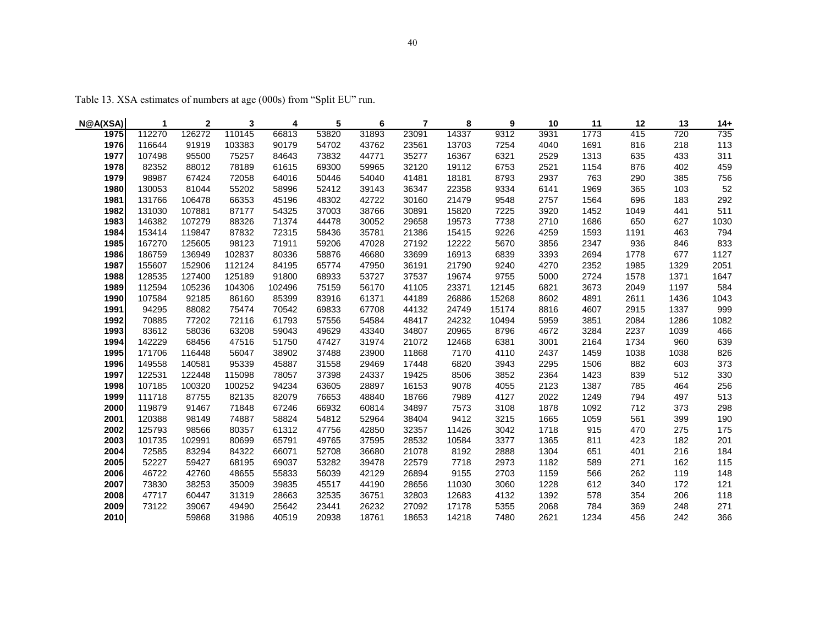Table 13. XSA estimates of numbers at age (000s) from "Split EU" run.

| N@A(XSA) | 1      | $\mathbf{2}$ | 3      | 4      | 5     | 6     | 7     | 8     | 9     | 10   | 11   | 12   | 13   | $14+$ |
|----------|--------|--------------|--------|--------|-------|-------|-------|-------|-------|------|------|------|------|-------|
| 1975     | 112270 | 126272       | 110145 | 66813  | 53820 | 31893 | 23091 | 14337 | 9312  | 3931 | 1773 | 415  | 720  | 735   |
| 1976     | 116644 | 91919        | 103383 | 90179  | 54702 | 43762 | 23561 | 13703 | 7254  | 4040 | 1691 | 816  | 218  | 113   |
| 1977     | 107498 | 95500        | 75257  | 84643  | 73832 | 44771 | 35277 | 16367 | 6321  | 2529 | 1313 | 635  | 433  | 311   |
| 1978     | 82352  | 88012        | 78189  | 61615  | 69300 | 59965 | 32120 | 19112 | 6753  | 2521 | 1154 | 876  | 402  | 459   |
| 1979     | 98987  | 67424        | 72058  | 64016  | 50446 | 54040 | 41481 | 18181 | 8793  | 2937 | 763  | 290  | 385  | 756   |
| 1980     | 130053 | 81044        | 55202  | 58996  | 52412 | 39143 | 36347 | 22358 | 9334  | 6141 | 1969 | 365  | 103  | 52    |
| 1981     | 131766 | 106478       | 66353  | 45196  | 48302 | 42722 | 30160 | 21479 | 9548  | 2757 | 1564 | 696  | 183  | 292   |
| 1982     | 131030 | 107881       | 87177  | 54325  | 37003 | 38766 | 30891 | 15820 | 7225  | 3920 | 1452 | 1049 | 441  | 511   |
| 1983     | 146382 | 107279       | 88326  | 71374  | 44478 | 30052 | 29658 | 19573 | 7738  | 2710 | 1686 | 650  | 627  | 1030  |
| 1984     | 153414 | 119847       | 87832  | 72315  | 58436 | 35781 | 21386 | 15415 | 9226  | 4259 | 1593 | 1191 | 463  | 794   |
| 1985     | 167270 | 125605       | 98123  | 71911  | 59206 | 47028 | 27192 | 12222 | 5670  | 3856 | 2347 | 936  | 846  | 833   |
| 1986     | 186759 | 136949       | 102837 | 80336  | 58876 | 46680 | 33699 | 16913 | 6839  | 3393 | 2694 | 1778 | 677  | 1127  |
| 1987     | 155607 | 152906       | 112124 | 84195  | 65774 | 47950 | 36191 | 21790 | 9240  | 4270 | 2352 | 1985 | 1329 | 2051  |
| 1988     | 128535 | 127400       | 125189 | 91800  | 68933 | 53727 | 37537 | 19674 | 9755  | 5000 | 2724 | 1578 | 1371 | 1647  |
| 1989     | 112594 | 105236       | 104306 | 102496 | 75159 | 56170 | 41105 | 23371 | 12145 | 6821 | 3673 | 2049 | 1197 | 584   |
| 1990     | 107584 | 92185        | 86160  | 85399  | 83916 | 61371 | 44189 | 26886 | 15268 | 8602 | 4891 | 2611 | 1436 | 1043  |
| 1991     | 94295  | 88082        | 75474  | 70542  | 69833 | 67708 | 44132 | 24749 | 15174 | 8816 | 4607 | 2915 | 1337 | 999   |
| 1992     | 70885  | 77202        | 72116  | 61793  | 57556 | 54584 | 48417 | 24232 | 10494 | 5959 | 3851 | 2084 | 1286 | 1082  |
| 1993     | 83612  | 58036        | 63208  | 59043  | 49629 | 43340 | 34807 | 20965 | 8796  | 4672 | 3284 | 2237 | 1039 | 466   |
| 1994     | 142229 | 68456        | 47516  | 51750  | 47427 | 31974 | 21072 | 12468 | 6381  | 3001 | 2164 | 1734 | 960  | 639   |
| 1995     | 171706 | 116448       | 56047  | 38902  | 37488 | 23900 | 11868 | 7170  | 4110  | 2437 | 1459 | 1038 | 1038 | 826   |
| 1996     | 149558 | 140581       | 95339  | 45887  | 31558 | 29469 | 17448 | 6820  | 3943  | 2295 | 1506 | 882  | 603  | 373   |
| 1997     | 122531 | 122448       | 115098 | 78057  | 37398 | 24337 | 19425 | 8506  | 3852  | 2364 | 1423 | 839  | 512  | 330   |
| 1998     | 107185 | 100320       | 100252 | 94234  | 63605 | 28897 | 16153 | 9078  | 4055  | 2123 | 1387 | 785  | 464  | 256   |
| 1999     | 111718 | 87755        | 82135  | 82079  | 76653 | 48840 | 18766 | 7989  | 4127  | 2022 | 1249 | 794  | 497  | 513   |
| 2000     | 119879 | 91467        | 71848  | 67246  | 66932 | 60814 | 34897 | 7573  | 3108  | 1878 | 1092 | 712  | 373  | 298   |
| 2001     | 120388 | 98149        | 74887  | 58824  | 54812 | 52964 | 38404 | 9412  | 3215  | 1665 | 1059 | 561  | 399  | 190   |
| 2002     | 125793 | 98566        | 80357  | 61312  | 47756 | 42850 | 32357 | 11426 | 3042  | 1718 | 915  | 470  | 275  | 175   |
| 2003     | 101735 | 102991       | 80699  | 65791  | 49765 | 37595 | 28532 | 10584 | 3377  | 1365 | 811  | 423  | 182  | 201   |
| 2004     | 72585  | 83294        | 84322  | 66071  | 52708 | 36680 | 21078 | 8192  | 2888  | 1304 | 651  | 401  | 216  | 184   |
| 2005     | 52227  | 59427        | 68195  | 69037  | 53282 | 39478 | 22579 | 7718  | 2973  | 1182 | 589  | 271  | 162  | 115   |
| 2006     | 46722  | 42760        | 48655  | 55833  | 56039 | 42129 | 26894 | 9155  | 2703  | 1159 | 566  | 262  | 119  | 148   |
| 2007     | 73830  | 38253        | 35009  | 39835  | 45517 | 44190 | 28656 | 11030 | 3060  | 1228 | 612  | 340  | 172  | 121   |
| 2008     | 47717  | 60447        | 31319  | 28663  | 32535 | 36751 | 32803 | 12683 | 4132  | 1392 | 578  | 354  | 206  | 118   |
| 2009     | 73122  | 39067        | 49490  | 25642  | 23441 | 26232 | 27092 | 17178 | 5355  | 2068 | 784  | 369  | 248  | 271   |
| 2010     |        | 59868        | 31986  | 40519  | 20938 | 18761 | 18653 | 14218 | 7480  | 2621 | 1234 | 456  | 242  | 366   |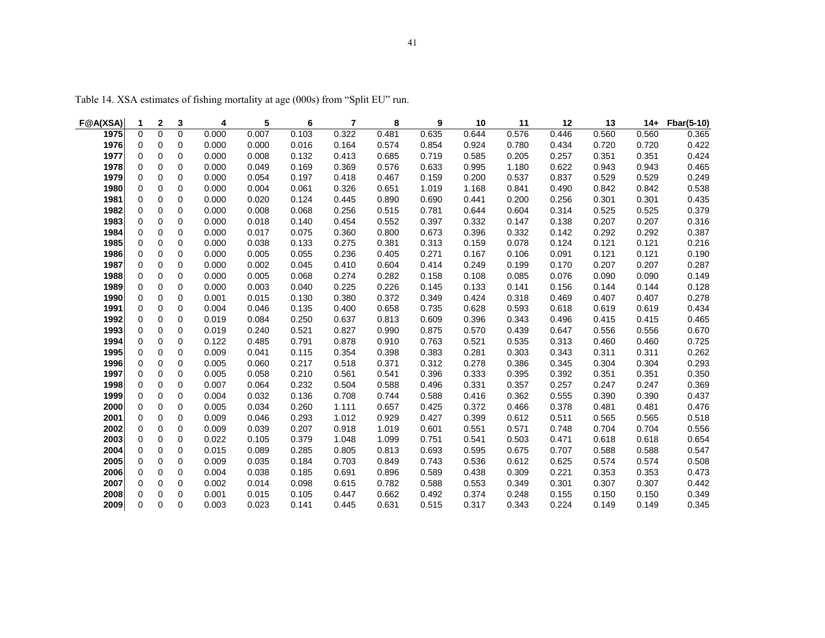| F@A(XSA)     | 1                        | 2                | 3                 | 4              | 5              | 6              | $\overline{7}$ | 8              | 9              | 10             | 11             | 12             | 13             | $14+$          | Fbar(5-10)     |
|--------------|--------------------------|------------------|-------------------|----------------|----------------|----------------|----------------|----------------|----------------|----------------|----------------|----------------|----------------|----------------|----------------|
| 1975         | $\Omega$                 | $\Omega$         | $\Omega$          | 0.000          | 0.007          | 0.103          | 0.322          | 0.481          | 0.635          | 0.644          | 0.576          | 0.446          | 0.560          | 0.560          | 0.365          |
| 1976         | 0                        | 0                | 0                 | 0.000          | 0.000          | 0.016          | 0.164          | 0.574          | 0.854          | 0.924          | 0.780          | 0.434          | 0.720          | 0.720          | 0.422          |
| 1977         | $\mathbf 0$              | $\mathbf 0$      | 0                 | 0.000          | 0.008          | 0.132          | 0.413          | 0.685          | 0.719          | 0.585          | 0.205          | 0.257          | 0.351          | 0.351          | 0.424          |
| 1978         | 0                        | 0                | 0                 | 0.000          | 0.049          | 0.169          | 0.369          | 0.576          | 0.633          | 0.995          | 1.180          | 0.622          | 0.943          | 0.943          | 0.465          |
| 1979         | $\mathbf 0$              | 0                | 0                 | 0.000          | 0.054          | 0.197          | 0.418          | 0.467          | 0.159          | 0.200          | 0.537          | 0.837          | 0.529          | 0.529          | 0.249          |
| 1980         | $\mathbf 0$              | $\Omega$         | 0                 | 0.000          | 0.004          | 0.061          | 0.326          | 0.651          | 1.019          | 1.168          | 0.841          | 0.490          | 0.842          | 0.842          | 0.538          |
| 1981         | $\mathbf 0$              | 0                | 0                 | 0.000          | 0.020          | 0.124          | 0.445          | 0.890          | 0.690          | 0.441          | 0.200          | 0.256          | 0.301          | 0.301          | 0.435          |
| 1982         | 0                        | 0                | 0                 | 0.000          | 0.008          | 0.068          | 0.256          | 0.515          | 0.781          | 0.644          | 0.604          | 0.314          | 0.525          | 0.525          | 0.379          |
| 1983         | 0                        | 0                | 0                 | 0.000          | 0.018          | 0.140          | 0.454          | 0.552          | 0.397          | 0.332          | 0.147          | 0.138          | 0.207          | 0.207          | 0.316          |
| 1984         | 0                        | 0                | 0                 | 0.000          | 0.017          | 0.075          | 0.360          | 0.800          | 0.673          | 0.396          | 0.332          | 0.142          | 0.292          | 0.292          | 0.387          |
| 1985         | 0                        | 0                | 0                 | 0.000          | 0.038          | 0.133          | 0.275          | 0.381          | 0.313          | 0.159          | 0.078          | 0.124          | 0.121          | 0.121          | 0.216          |
| 1986         | $\mathbf 0$              | 0                | 0                 | 0.000          | 0.005          | 0.055          | 0.236          | 0.405          | 0.271          | 0.167          | 0.106          | 0.091          | 0.121          | 0.121          | 0.190          |
| 1987         | $\mathbf 0$              | 0                | 0                 | 0.000          | 0.002          | 0.045          | 0.410          | 0.604          | 0.414          | 0.249          | 0.199          | 0.170          | 0.207          | 0.207          | 0.287          |
| 1988         | 0                        | 0                | 0                 | 0.000          | 0.005          | 0.068          | 0.274          | 0.282          | 0.158          | 0.108          | 0.085          | 0.076          | 0.090          | 0.090          | 0.149          |
| 1989         | $\mathbf 0$              | 0                | 0                 | 0.000          | 0.003          | 0.040          | 0.225          | 0.226          | 0.145          | 0.133          | 0.141          | 0.156          | 0.144          | 0.144          | 0.128          |
| 1990         | $\mathbf 0$              | 0                | 0                 | 0.001          | 0.015          | 0.130          | 0.380          | 0.372          | 0.349          | 0.424          | 0.318          | 0.469          | 0.407          | 0.407          | 0.278          |
| 1991         | 0                        | 0                | 0                 | 0.004          | 0.046          | 0.135          | 0.400          | 0.658          | 0.735          | 0.628          | 0.593          | 0.618          | 0.619          | 0.619          | 0.434          |
| 1992         | 0                        | $\mathbf 0$      | 0                 | 0.019          | 0.084          | 0.250          | 0.637          | 0.813          | 0.609          | 0.396          | 0.343          | 0.496          | 0.415          | 0.415          | 0.465          |
| 1993         | 0                        | $\mathbf 0$      | 0                 | 0.019          | 0.240          | 0.521          | 0.827          | 0.990          | 0.875          | 0.570          | 0.439          | 0.647          | 0.556          | 0.556          | 0.670          |
| 1994         | 0                        | $\mathbf 0$      | 0                 | 0.122          | 0.485          | 0.791          | 0.878          | 0.910          | 0.763          | 0.521          | 0.535          | 0.313          | 0.460          | 0.460          | 0.725          |
| 1995         | $\mathbf 0$              | 0                | 0                 | 0.009          | 0.041          | 0.115          | 0.354          | 0.398          | 0.383          | 0.281          | 0.303          | 0.343          | 0.311          | 0.311          | 0.262          |
| 1996         | $\mathbf 0$              | 0                | 0                 | 0.005          | 0.060          | 0.217          | 0.518          | 0.371          | 0.312          | 0.278          | 0.386          | 0.345          | 0.304          | 0.304          | 0.293          |
| 1997         | 0                        | 0                | 0                 | 0.005          | 0.058          | 0.210          | 0.561          | 0.541          | 0.396          | 0.333          | 0.395          | 0.392          | 0.351          | 0.351          | 0.350          |
| 1998         | $\mathbf 0$              | 0                | 0                 | 0.007          | 0.064          | 0.232          | 0.504          | 0.588          | 0.496          | 0.331          | 0.357          | 0.257          | 0.247          | 0.247          | 0.369          |
| 1999         | 0                        | 0                | 0                 | 0.004          | 0.032          | 0.136          | 0.708          | 0.744          | 0.588          | 0.416          | 0.362          | 0.555          | 0.390          | 0.390          | 0.437          |
| 2000         | 0                        | 0                | 0                 | 0.005          | 0.034          | 0.260          | 1.111          | 0.657          | 0.425          | 0.372          | 0.466          | 0.378          | 0.481          | 0.481          | 0.476          |
| 2001         | $\mathbf 0$              | 0                | 0                 | 0.009          | 0.046          | 0.293          | 1.012          | 0.929          | 0.427          | 0.399          | 0.612          | 0.511          | 0.565          | 0.565          | 0.518          |
| 2002         | $\mathbf 0$              | 0                | 0                 | 0.009<br>0.022 | 0.039          | 0.207          | 0.918          | 1.019          | 0.601<br>0.751 | 0.551          | 0.571          | 0.748<br>0.471 | 0.704          | 0.704          | 0.556          |
| 2003<br>2004 | $\pmb{0}$<br>$\mathbf 0$ | 0                | 0<br>0            | 0.015          | 0.105<br>0.089 | 0.379<br>0.285 | 1.048<br>0.805 | 1.099<br>0.813 | 0.693          | 0.541<br>0.595 | 0.503<br>0.675 | 0.707          | 0.618<br>0.588 | 0.618<br>0.588 | 0.654<br>0.547 |
| 2005         | $\pmb{0}$                | 0                | 0                 | 0.009          | 0.035          | 0.184          | 0.703          | 0.849          | 0.743          | 0.536          | 0.612          | 0.625          | 0.574          | 0.574          | 0.508          |
| 2006         | $\mathbf 0$              | 0                |                   | 0.004          |                |                | 0.691          | 0.896          | 0.589          | 0.438          | 0.309          |                |                |                |                |
| 2007         | $\Omega$                 | 0<br>$\mathbf 0$ | 0<br>$\mathbf{0}$ | 0.002          | 0.038<br>0.014 | 0.185<br>0.098 | 0.615          | 0.782          | 0.588          | 0.553          | 0.349          | 0.221<br>0.301 | 0.353<br>0.307 | 0.353<br>0.307 | 0.473<br>0.442 |
| 2008         | $\Omega$                 | $\Omega$         | $\Omega$          | 0.001          | 0.015          | 0.105          | 0.447          | 0.662          | 0.492          | 0.374          | 0.248          | 0.155          | 0.150          | 0.150          | 0.349          |
|              | $\Omega$                 | $\Omega$         | $\mathbf{0}$      |                |                |                | 0.445          |                |                |                |                |                |                |                |                |
| 2009         |                          |                  |                   | 0.003          | 0.023          | 0.141          |                | 0.631          | 0.515          | 0.317          | 0.343          | 0.224          | 0.149          | 0.149          | 0.345          |

Table 14. XSA estimates of fishing mortality at age (000s) from "Split EU" run.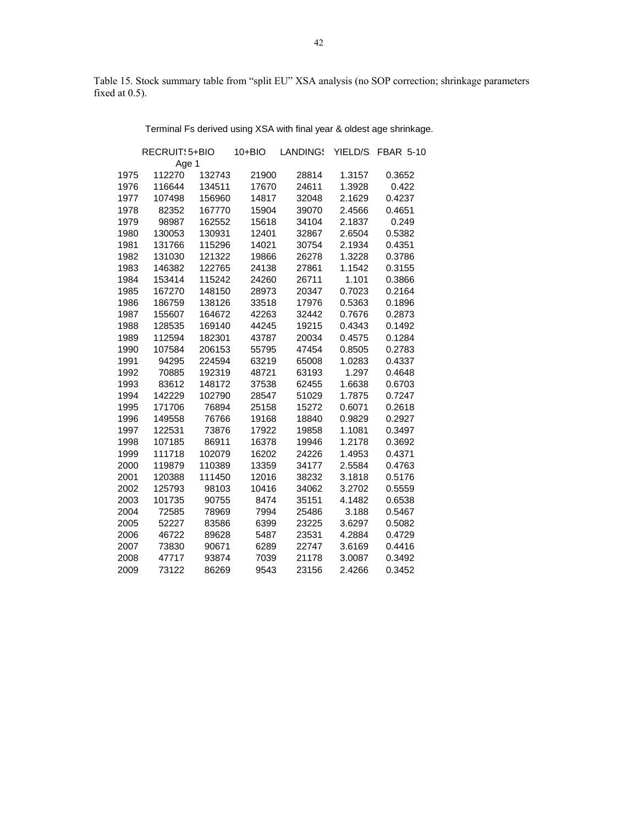Table 15. Stock summary table from "split EU" XSA analysis (no SOP correction; shrinkage parameters fixed at 0.5).

Terminal Fs derived using XSA with final year & oldest age shrinkage.

|      | RECRUIT: 5+BIO |        | 10+BIO | LANDINGS | YIELD/S | <b>FBAR 5-10</b> |
|------|----------------|--------|--------|----------|---------|------------------|
|      | Age 1          |        |        |          |         |                  |
| 1975 | 112270         | 132743 | 21900  | 28814    | 1.3157  | 0.3652           |
| 1976 | 116644         | 134511 | 17670  | 24611    | 1.3928  | 0.422            |
| 1977 | 107498         | 156960 | 14817  | 32048    | 2.1629  | 0.4237           |
| 1978 | 82352          | 167770 | 15904  | 39070    | 2.4566  | 0.4651           |
| 1979 | 98987          | 162552 | 15618  | 34104    | 2.1837  | 0.249            |
| 1980 | 130053         | 130931 | 12401  | 32867    | 2.6504  | 0.5382           |
| 1981 | 131766         | 115296 | 14021  | 30754    | 2.1934  | 0.4351           |
| 1982 | 131030         | 121322 | 19866  | 26278    | 1.3228  | 0.3786           |
| 1983 | 146382         | 122765 | 24138  | 27861    | 1.1542  | 0.3155           |
| 1984 | 153414         | 115242 | 24260  | 26711    | 1.101   | 0.3866           |
| 1985 | 167270         | 148150 | 28973  | 20347    | 0.7023  | 0.2164           |
| 1986 | 186759         | 138126 | 33518  | 17976    | 0.5363  | 0.1896           |
| 1987 | 155607         | 164672 | 42263  | 32442    | 0.7676  | 0.2873           |
| 1988 | 128535         | 169140 | 44245  | 19215    | 0.4343  | 0.1492           |
| 1989 | 112594         | 182301 | 43787  | 20034    | 0.4575  | 0.1284           |
| 1990 | 107584         | 206153 | 55795  | 47454    | 0.8505  | 0.2783           |
| 1991 | 94295          | 224594 | 63219  | 65008    | 1.0283  | 0.4337           |
| 1992 | 70885          | 192319 | 48721  | 63193    | 1.297   | 0.4648           |
| 1993 | 83612          | 148172 | 37538  | 62455    | 1.6638  | 0.6703           |
| 1994 | 142229         | 102790 | 28547  | 51029    | 1.7875  | 0.7247           |
| 1995 | 171706         | 76894  | 25158  | 15272    | 0.6071  | 0.2618           |
| 1996 | 149558         | 76766  | 19168  | 18840    | 0.9829  | 0.2927           |
| 1997 | 122531         | 73876  | 17922  | 19858    | 1.1081  | 0.3497           |
| 1998 | 107185         | 86911  | 16378  | 19946    | 1.2178  | 0.3692           |
| 1999 | 111718         | 102079 | 16202  | 24226    | 1.4953  | 0.4371           |
| 2000 | 119879         | 110389 | 13359  | 34177    | 2.5584  | 0.4763           |
| 2001 | 120388         | 111450 | 12016  | 38232    | 3.1818  | 0.5176           |
| 2002 | 125793         | 98103  | 10416  | 34062    | 3.2702  | 0.5559           |
| 2003 | 101735         | 90755  | 8474   | 35151    | 4.1482  | 0.6538           |
| 2004 | 72585          | 78969  | 7994   | 25486    | 3.188   | 0.5467           |
| 2005 | 52227          | 83586  | 6399   | 23225    | 3.6297  | 0.5082           |
| 2006 | 46722          | 89628  | 5487   | 23531    | 4.2884  | 0.4729           |
| 2007 | 73830          | 90671  | 6289   | 22747    | 3.6169  | 0.4416           |
| 2008 | 47717          | 93874  | 7039   | 21178    | 3.0087  | 0.3492           |
| 2009 | 73122          | 86269  | 9543   | 23156    | 2.4266  | 0.3452           |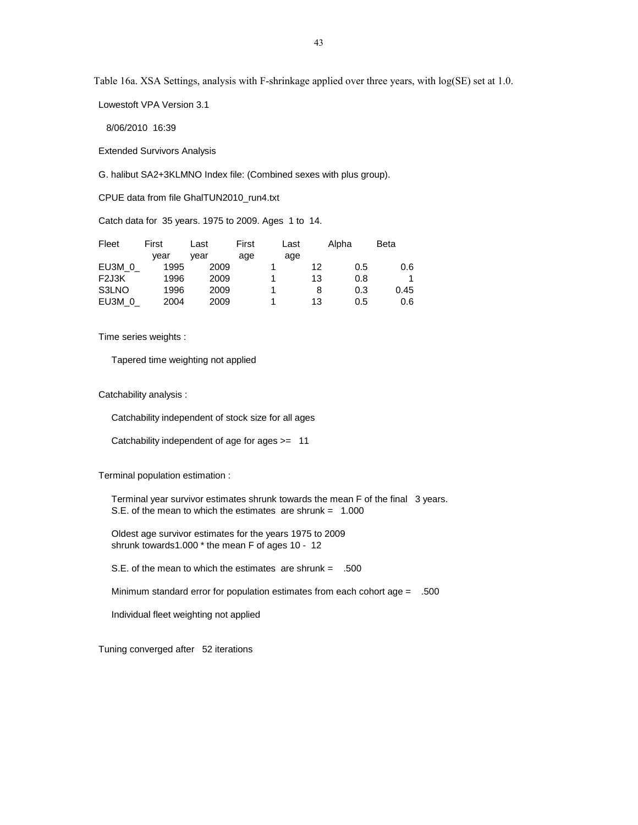Lowestoft VPA Version 3.1

8/06/2010 16:39

Extended Survivors Analysis

G. halibut SA2+3KLMNO Index file: (Combined sexes with plus group).

CPUE data from file GhalTUN2010\_run4.txt

Catch data for 35 years. 1975 to 2009. Ages 1 to 14.

| Fleet             | First | Last | First | Last |    | Alpha | <b>Beta</b> |
|-------------------|-------|------|-------|------|----|-------|-------------|
|                   | vear  | vear | age   | age  |    |       |             |
| EU3M 0            | 1995  | 2009 |       |      | 12 | 0.5   | 0.6         |
| F <sub>2J3K</sub> | 1996  | 2009 |       |      | 13 | 0.8   |             |
| S3LNO             | 1996  | 2009 |       |      | 8  | 0.3   | 0.45        |
| EU3M 0            | 2004  | 2009 |       |      | 13 | 0.5   | 0.6         |

Time series weights :

Tapered time weighting not applied

Catchability analysis :

Catchability independent of stock size for all ages

Catchability independent of age for ages >= 11

Terminal population estimation :

 Terminal year survivor estimates shrunk towards the mean F of the final 3 years. S.E. of the mean to which the estimates are shrunk = 1.000

 Oldest age survivor estimates for the years 1975 to 2009 shrunk towards1.000 \* the mean F of ages 10 - 12

S.E. of the mean to which the estimates are shrunk = .500

Minimum standard error for population estimates from each cohort age = .500

Individual fleet weighting not applied

Tuning converged after 52 iterations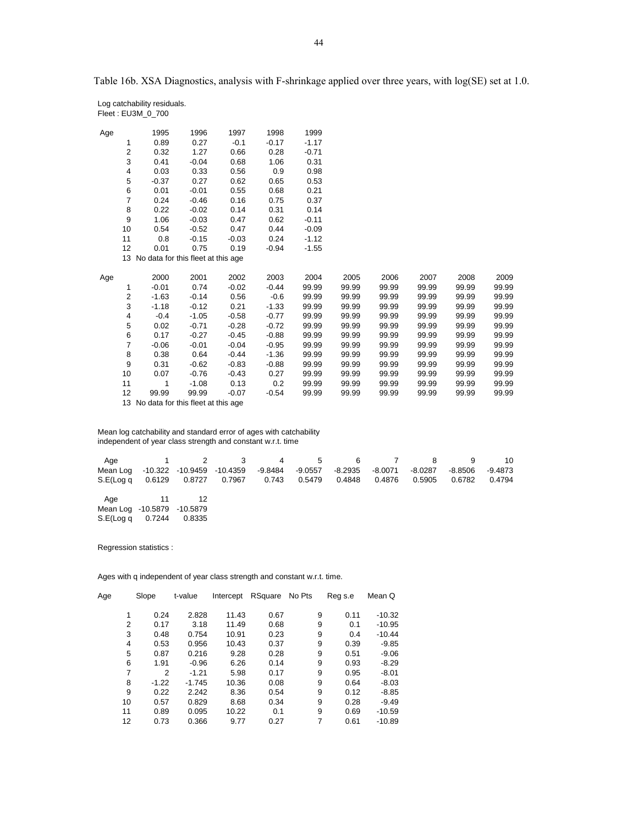| Age |                | 1995                                  | 1996    | 1997    | 1998    | 1999    |       |       |       |       |       |
|-----|----------------|---------------------------------------|---------|---------|---------|---------|-------|-------|-------|-------|-------|
|     | 1              | 0.89                                  | 0.27    | $-0.1$  | $-0.17$ | $-1.17$ |       |       |       |       |       |
|     | $\overline{2}$ | 0.32                                  | 1.27    | 0.66    | 0.28    | $-0.71$ |       |       |       |       |       |
|     | 3              | 0.41                                  | $-0.04$ | 0.68    | 1.06    | 0.31    |       |       |       |       |       |
|     | 4              | 0.03                                  | 0.33    | 0.56    | 0.9     | 0.98    |       |       |       |       |       |
|     | 5              | $-0.37$                               | 0.27    | 0.62    | 0.65    | 0.53    |       |       |       |       |       |
|     | 6              | 0.01                                  | $-0.01$ | 0.55    | 0.68    | 0.21    |       |       |       |       |       |
|     | $\overline{7}$ | 0.24                                  | $-0.46$ | 0.16    | 0.75    | 0.37    |       |       |       |       |       |
|     | 8              | 0.22                                  | $-0.02$ | 0.14    | 0.31    | 0.14    |       |       |       |       |       |
|     | 9              | 1.06                                  | $-0.03$ | 0.47    | 0.62    | $-0.11$ |       |       |       |       |       |
|     | 10             | 0.54                                  | $-0.52$ | 0.47    | 0.44    | $-0.09$ |       |       |       |       |       |
|     | 11             | 0.8                                   | $-0.15$ | $-0.03$ | 0.24    | $-1.12$ |       |       |       |       |       |
|     | 12             | 0.01                                  | 0.75    | 0.19    | $-0.94$ | $-1.55$ |       |       |       |       |       |
|     |                | 13 No data for this fleet at this age |         |         |         |         |       |       |       |       |       |
|     |                |                                       |         |         |         |         |       |       |       |       |       |
| Age |                | 2000                                  | 2001    | 2002    | 2003    | 2004    | 2005  | 2006  | 2007  | 2008  | 2009  |
|     | 1              | $-0.01$                               | 0.74    | $-0.02$ | $-0.44$ | 99.99   | 99.99 | 99.99 | 99.99 | 99.99 | 99.99 |
|     | $\overline{2}$ | $-1.63$                               | $-0.14$ | 0.56    | $-0.6$  | 99.99   | 99.99 | 99.99 | 99.99 | 99.99 | 99.99 |
|     | 3              | $-1.18$                               | $-0.12$ | 0.21    | $-1.33$ | 99.99   | 99.99 | 99.99 | 99.99 | 99.99 | 99.99 |
|     | 4              | $-0.4$                                | $-1.05$ | $-0.58$ | $-0.77$ | 99.99   | 99.99 | 99.99 | 99.99 | 99.99 | 99.99 |
|     | 5              | 0.02                                  | $-0.71$ | $-0.28$ | $-0.72$ | 99.99   | 99.99 | 99.99 | 99.99 | 99.99 | 99.99 |
|     | 6              | 0.17                                  | $-0.27$ | $-0.45$ | $-0.88$ | 99.99   | 99.99 | 99.99 | 99.99 | 99.99 | 99.99 |
|     | $\overline{7}$ | $-0.06$                               | $-0.01$ | $-0.04$ | $-0.95$ | 99.99   | 99.99 | 99.99 | 99.99 | 99.99 | 99.99 |
|     | 8              | 0.38                                  | 0.64    | $-0.44$ | $-1.36$ | 99.99   | 99.99 | 99.99 | 99.99 | 99.99 | 99.99 |
|     | 9              | 0.31                                  | $-0.62$ | $-0.83$ | $-0.88$ | 99.99   | 99.99 | 99.99 | 99.99 | 99.99 | 99.99 |
|     | 10             | 0.07                                  | $-0.76$ | $-0.43$ | 0.27    | 99.99   | 99.99 | 99.99 | 99.99 | 99.99 | 99.99 |
|     | 11             | 1                                     | $-1.08$ | 0.13    | 0.2     | 99.99   | 99.99 | 99.99 | 99.99 | 99.99 | 99.99 |
|     | 12             | 99.99                                 | 99.99   | $-0.07$ | $-0.54$ | 99.99   | 99.99 | 99.99 | 99.99 | 99.99 | 99.99 |
|     |                | 13 No data for this fleet at this age |         |         |         |         |       |       |       |       |       |

 Mean log catchability and standard error of ages with catchability independent of year class strength and constant w.r.t. time

|                                                                                            |  | Age 1 2 3 4 5 6 7 8 9 10 |  |  |  |  |
|--------------------------------------------------------------------------------------------|--|--------------------------|--|--|--|--|
| Mean Log -10.322 -10.9459 -10.4359 -9.8484 -9.0557 -8.2935 -8.0071 -8.0287 -8.8506 -9.4873 |  |                          |  |  |  |  |
| S.E(Log q 0.6129 0.8727 0.7967 0.743 0.5479 0.4848 0.4876 0.5905 0.6782 0.4794             |  |                          |  |  |  |  |
|                                                                                            |  |                          |  |  |  |  |

Age 11 12 Mean Log -10.5879 -10.5879 S.E(Log q 0.7244 0.8335

 Log catchability residuals. Fleet : EU3M\_0\_700

Regression statistics :

| Age | Slope        | t-value  | Intercept | RSquare | No Pts | Reg s.e | Mean Q   |
|-----|--------------|----------|-----------|---------|--------|---------|----------|
|     |              |          |           |         |        |         |          |
|     | 0.24         | 2.828    | 11.43     | 0.67    | 9      | 0.11    | $-10.32$ |
|     | 2<br>0.17    | 3.18     | 11.49     | 0.68    | 9      | 0.1     | $-10.95$ |
|     | 3<br>0.48    | 0.754    | 10.91     | 0.23    | 9      | 0.4     | $-10.44$ |
|     | 4<br>0.53    | 0.956    | 10.43     | 0.37    | 9      | 0.39    | $-9.85$  |
|     | 5<br>0.87    | 0.216    | 9.28      | 0.28    | 9      | 0.51    | $-9.06$  |
|     | 6<br>1.91    | $-0.96$  | 6.26      | 0.14    | 9      | 0.93    | $-8.29$  |
|     | 7<br>2       | $-1.21$  | 5.98      | 0.17    | 9      | 0.95    | $-8.01$  |
|     | 8<br>$-1.22$ | $-1.745$ | 10.36     | 0.08    | 9      | 0.64    | $-8.03$  |
|     | 9<br>0.22    | 2.242    | 8.36      | 0.54    | 9      | 0.12    | $-8.85$  |
| 10  | 0.57         | 0.829    | 8.68      | 0.34    | 9      | 0.28    | $-9.49$  |
| 11  | 0.89         | 0.095    | 10.22     | 0.1     | 9      | 0.69    | $-10.59$ |
| 12  | 0.73         | 0.366    | 9.77      | 0.27    | 7      | 0.61    | $-10.89$ |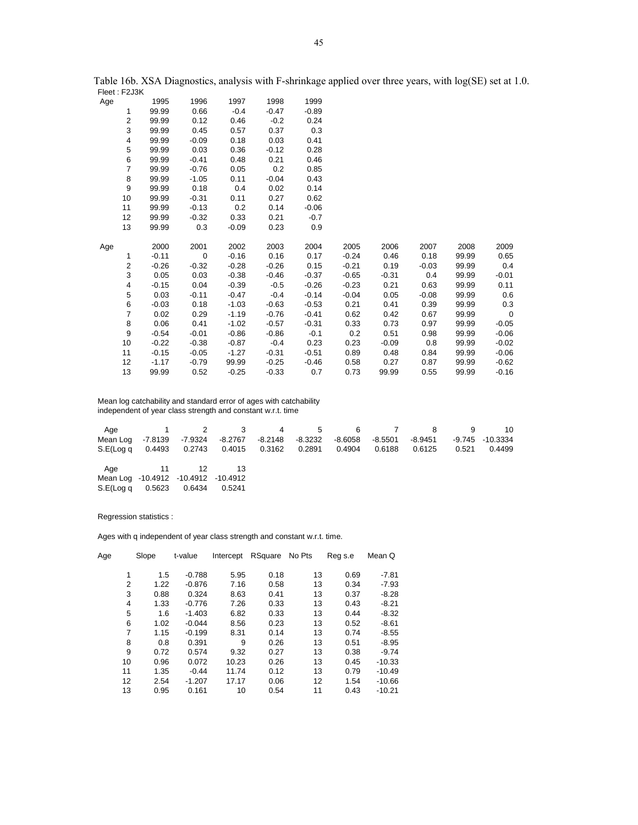|     | <b>FIGGE: FZJ3N</b> |         |             |         |         |         |         |         |         |       |             |
|-----|---------------------|---------|-------------|---------|---------|---------|---------|---------|---------|-------|-------------|
| Age |                     | 1995    | 1996        | 1997    | 1998    | 1999    |         |         |         |       |             |
|     | 1                   | 99.99   | 0.66        | $-0.4$  | $-0.47$ | $-0.89$ |         |         |         |       |             |
|     | 2                   | 99.99   | 0.12        | 0.46    | $-0.2$  | 0.24    |         |         |         |       |             |
|     | 3                   | 99.99   | 0.45        | 0.57    | 0.37    | 0.3     |         |         |         |       |             |
|     | 4                   | 99.99   | $-0.09$     | 0.18    | 0.03    | 0.41    |         |         |         |       |             |
|     | 5                   | 99.99   | 0.03        | 0.36    | $-0.12$ | 0.28    |         |         |         |       |             |
|     | 6                   | 99.99   | $-0.41$     | 0.48    | 0.21    | 0.46    |         |         |         |       |             |
|     | $\overline{7}$      | 99.99   | $-0.76$     | 0.05    | 0.2     | 0.85    |         |         |         |       |             |
|     | 8                   | 99.99   | $-1.05$     | 0.11    | $-0.04$ | 0.43    |         |         |         |       |             |
|     | 9                   | 99.99   | 0.18        | 0.4     | 0.02    | 0.14    |         |         |         |       |             |
|     | 10                  | 99.99   | $-0.31$     | 0.11    | 0.27    | 0.62    |         |         |         |       |             |
|     | 11                  | 99.99   | $-0.13$     | 0.2     | 0.14    | $-0.06$ |         |         |         |       |             |
|     | 12                  | 99.99   | $-0.32$     | 0.33    | 0.21    | $-0.7$  |         |         |         |       |             |
|     | 13                  | 99.99   | 0.3         | $-0.09$ | 0.23    | 0.9     |         |         |         |       |             |
|     |                     |         |             |         |         |         |         |         |         |       |             |
| Age |                     | 2000    | 2001        | 2002    | 2003    | 2004    | 2005    | 2006    | 2007    | 2008  | 2009        |
|     | 1                   | $-0.11$ | $\mathbf 0$ | $-0.16$ | 0.16    | 0.17    | $-0.24$ | 0.46    | 0.18    | 99.99 | 0.65        |
|     | 2                   | $-0.26$ | $-0.32$     | $-0.28$ | $-0.26$ | 0.15    | $-0.21$ | 0.19    | $-0.03$ | 99.99 | 0.4         |
|     | 3                   | 0.05    | 0.03        | $-0.38$ | $-0.46$ | $-0.37$ | $-0.65$ | $-0.31$ | 0.4     | 99.99 | $-0.01$     |
|     | 4                   | $-0.15$ | 0.04        | $-0.39$ | $-0.5$  | $-0.26$ | $-0.23$ | 0.21    | 0.63    | 99.99 | 0.11        |
|     | 5                   | 0.03    | $-0.11$     | $-0.47$ | $-0.4$  | $-0.14$ | $-0.04$ | 0.05    | $-0.08$ | 99.99 | 0.6         |
|     | 6                   | $-0.03$ | 0.18        | $-1.03$ | $-0.63$ | $-0.53$ | 0.21    | 0.41    | 0.39    | 99.99 | 0.3         |
|     | $\overline{7}$      | 0.02    | 0.29        | $-1.19$ | $-0.76$ | $-0.41$ | 0.62    | 0.42    | 0.67    | 99.99 | $\mathbf 0$ |
|     | 8                   | 0.06    | 0.41        | $-1.02$ | $-0.57$ | $-0.31$ | 0.33    | 0.73    | 0.97    | 99.99 | $-0.05$     |
|     | 9                   | $-0.54$ | $-0.01$     | $-0.86$ | $-0.86$ | $-0.1$  | 0.2     | 0.51    | 0.98    | 99.99 | $-0.06$     |
|     | 10                  | $-0.22$ | $-0.38$     | $-0.87$ | $-0.4$  | 0.23    | 0.23    | $-0.09$ | 0.8     | 99.99 | $-0.02$     |
|     | 11                  | $-0.15$ | $-0.05$     | $-1.27$ | $-0.31$ | $-0.51$ | 0.89    | 0.48    | 0.84    | 99.99 | $-0.06$     |
|     | 12                  | $-1.17$ | $-0.79$     | 99.99   | $-0.25$ | $-0.46$ | 0.58    | 0.27    | 0.87    | 99.99 | $-0.62$     |
|     | 13                  | 99.99   | 0.52        | $-0.25$ | $-0.33$ | 0.7     | 0.73    | 99.99   | 0.55    | 99.99 | $-0.16$     |

 Mean log catchability and standard error of ages with catchability independent of year class strength and constant w.r.t. time

|                                                                                          |           |    |  |  | Age 1 2 3 4 5 6 7 8 | $9 - 9$ | 10     |
|------------------------------------------------------------------------------------------|-----------|----|--|--|---------------------|---------|--------|
| Mean Log -7.8139 -7.9324 -8.2767 -8.2148 -8.3232 -8.6058 -8.5501 -8.9451 -9.745 -10.3334 |           |    |  |  |                     |         |        |
| S.E(Log q 0.4493 0.2743 0.4015 0.3162 0.2891 0.4904 0.6188 0.6125                        |           |    |  |  |                     | 0.521   | 0.4499 |
|                                                                                          |           |    |  |  |                     |         |        |
| Age                                                                                      | $\sim$ 11 | 12 |  |  |                     |         |        |

| Mean Log -10.4912 -10.4912 -10.4912 |        |        |        |
|-------------------------------------|--------|--------|--------|
| S.E(Log q                           | 0.5623 | 0.6434 | 0.5241 |

Regression statistics :

| Age | Slope<br>t-value       |          | Intercept | RSquare | No Pts | Reg s.e | Mean Q   |
|-----|------------------------|----------|-----------|---------|--------|---------|----------|
|     | 1<br>1.5               | $-0.788$ | 5.95      | 0.18    | 13     | 0.69    | $-7.81$  |
|     | $\overline{2}$<br>1.22 | $-0.876$ | 7.16      | 0.58    | 13     | 0.34    | $-7.93$  |
|     | 3<br>0.88              | 0.324    | 8.63      | 0.41    | 13     | 0.37    | $-8.28$  |
|     | $\overline{4}$<br>1.33 | $-0.776$ | 7.26      | 0.33    | 13     | 0.43    | $-8.21$  |
|     | 5<br>1.6               | $-1.403$ | 6.82      | 0.33    | 13     | 0.44    | $-8.32$  |
|     | 6<br>1.02              | $-0.044$ | 8.56      | 0.23    | 13     | 0.52    | $-8.61$  |
|     | 7<br>1.15              | $-0.199$ | 8.31      | 0.14    | 13     | 0.74    | $-8.55$  |
|     | 8<br>0.8               | 0.391    | 9         | 0.26    | 13     | 0.51    | $-8.95$  |
|     | 9<br>0.72              | 0.574    | 9.32      | 0.27    | 13     | 0.38    | $-9.74$  |
| 10  | 0.96                   | 0.072    | 10.23     | 0.26    | 13     | 0.45    | $-10.33$ |
| 11  | 1.35                   | $-0.44$  | 11.74     | 0.12    | 13     | 0.79    | $-10.49$ |
| 12  | 2.54                   | $-1.207$ | 17.17     | 0.06    | 12     | 1.54    | $-10.66$ |
| 13  | 0.95                   | 0.161    | 10        | 0.54    | 11     | 0.43    | $-10.21$ |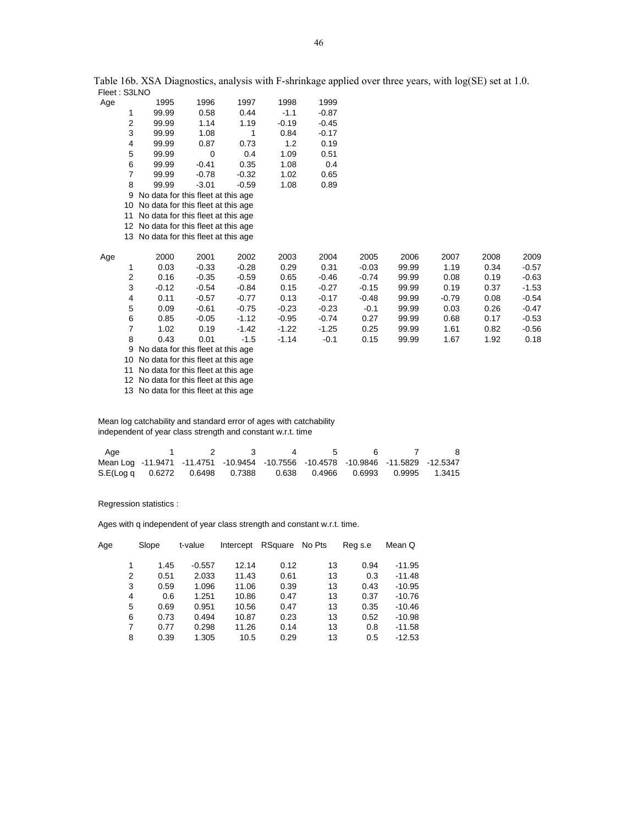| Age |                | 1995                                  | 1996    | 1997    | 1998    | 1999    |         |       |         |      |         |
|-----|----------------|---------------------------------------|---------|---------|---------|---------|---------|-------|---------|------|---------|
|     | 1              | 99.99                                 | 0.58    | 0.44    | $-1.1$  | $-0.87$ |         |       |         |      |         |
|     | 2              | 99.99                                 | 1.14    | 1.19    | $-0.19$ | $-0.45$ |         |       |         |      |         |
|     | 3              | 99.99                                 | 1.08    | 1       | 0.84    | $-0.17$ |         |       |         |      |         |
|     | 4              | 99.99                                 | 0.87    | 0.73    | 1.2     | 0.19    |         |       |         |      |         |
|     | 5              | 99.99                                 | 0       | 0.4     | 1.09    | 0.51    |         |       |         |      |         |
|     | 6              | 99.99                                 | $-0.41$ | 0.35    | 1.08    | 0.4     |         |       |         |      |         |
|     | 7              | 99.99                                 | $-0.78$ | $-0.32$ | 1.02    | 0.65    |         |       |         |      |         |
|     | 8              | 99.99                                 | $-3.01$ | $-0.59$ | 1.08    | 0.89    |         |       |         |      |         |
|     | 9              | No data for this fleet at this age    |         |         |         |         |         |       |         |      |         |
|     |                | 10 No data for this fleet at this age |         |         |         |         |         |       |         |      |         |
|     | 11             | No data for this fleet at this age    |         |         |         |         |         |       |         |      |         |
|     |                | 12 No data for this fleet at this age |         |         |         |         |         |       |         |      |         |
|     |                | 13 No data for this fleet at this age |         |         |         |         |         |       |         |      |         |
|     |                |                                       |         |         |         |         |         |       |         |      |         |
| Age |                | 2000                                  | 2001    | 2002    | 2003    | 2004    | 2005    | 2006  | 2007    | 2008 | 2009    |
|     | 1              | 0.03                                  | $-0.33$ | $-0.28$ | 0.29    | 0.31    | $-0.03$ | 99.99 | 1.19    | 0.34 | $-0.57$ |
|     | 2              | 0.16                                  | $-0.35$ | $-0.59$ | 0.65    | $-0.46$ | $-0.74$ | 99.99 | 0.08    | 0.19 | $-0.63$ |
|     | 3              | $-0.12$                               | $-0.54$ | $-0.84$ | 0.15    | $-0.27$ | $-0.15$ | 99.99 | 0.19    | 0.37 | $-1.53$ |
|     | 4              | 0.11                                  | $-0.57$ | $-0.77$ | 0.13    | $-0.17$ | $-0.48$ | 99.99 | $-0.79$ | 0.08 | $-0.54$ |
|     | 5              | 0.09                                  | $-0.61$ | $-0.75$ | $-0.23$ | $-0.23$ | $-0.1$  | 99.99 | 0.03    | 0.26 | $-0.47$ |
|     | 6              | 0.85                                  | $-0.05$ | $-1.12$ | $-0.95$ | $-0.74$ | 0.27    | 99.99 | 0.68    | 0.17 | $-0.53$ |
|     | $\overline{7}$ | 1.02                                  | 0.19    | $-1.42$ | $-1.22$ | $-1.25$ | 0.25    | 99.99 | 1.61    | 0.82 | $-0.56$ |
|     | 8              | 0.43                                  | 0.01    | $-1.5$  | $-1.14$ | $-0.1$  | 0.15    | 99.99 | 1.67    | 1.92 | 0.18    |
|     | 9              | No data for this fleet at this age    |         |         |         |         |         |       |         |      |         |
|     |                |                                       |         |         |         |         |         |       |         |      |         |

10 No data for this fleet at this age

11 No data for this fleet at this age

12 No data for this fleet at this age

13 No data for this fleet at this age

 Mean log catchability and standard error of ages with catchability independent of year class strength and constant w.r.t. time

| Aae                                                                              |  |  |  |  |
|----------------------------------------------------------------------------------|--|--|--|--|
| Mean Log -11.9471 -11.4751 -10.9454 -10.7556 -10.4578 -10.9846 -11.5829 -12.5347 |  |  |  |  |
| S.E(Log q 0.6272 0.6498 0.7388 0.638 0.4966 0.6993 0.9995 1.3415                 |  |  |  |  |

Regression statistics :

| Age | Slope |      | t-value  | Intercept | RSquare | No Pts | Reg s.e | Mean Q   |
|-----|-------|------|----------|-----------|---------|--------|---------|----------|
|     |       | 1.45 | $-0.557$ | 12.14     | 0.12    | 13     | 0.94    | $-11.95$ |
|     | 2     | 0.51 | 2.033    | 11.43     | 0.61    | 13     | 0.3     | $-11.48$ |
|     | 3     | 0.59 | 1.096    | 11.06     | 0.39    | 13     | 0.43    | $-10.95$ |
|     | 4     | 0.6  | 1.251    | 10.86     | 0.47    | 13     | 0.37    | $-10.76$ |
|     | 5     | 0.69 | 0.951    | 10.56     | 0.47    | 13     | 0.35    | $-10.46$ |
|     | 6     | 0.73 | 0.494    | 10.87     | 0.23    | 13     | 0.52    | $-10.98$ |
|     | 7     | 0.77 | 0.298    | 11.26     | 0.14    | 13     | 0.8     | $-11.58$ |
|     | 8     | 0.39 | 1.305    | 10.5      | 0.29    | 13     | 0.5     | $-12.53$ |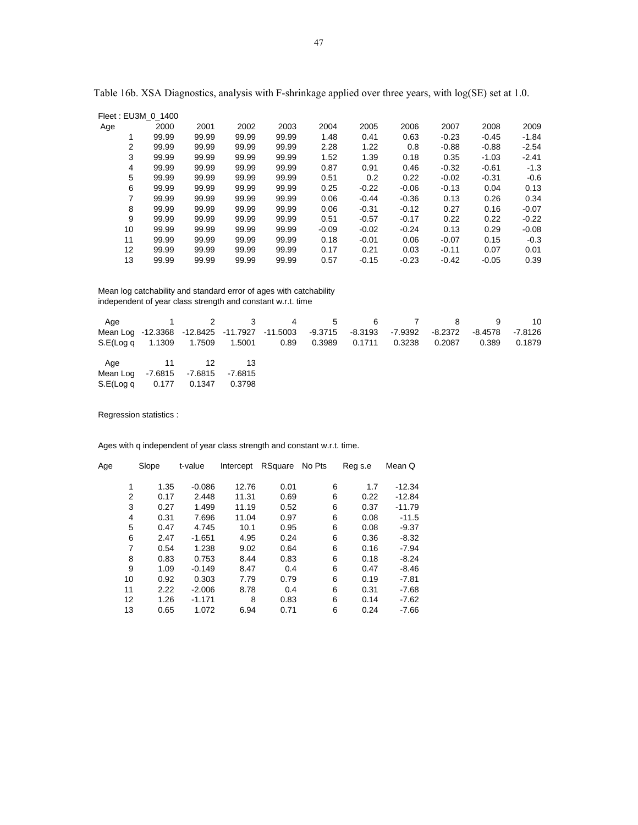|                   | Fleet: EU3M 0 1400 |       |       |       |         |         |         |         |         |         |
|-------------------|--------------------|-------|-------|-------|---------|---------|---------|---------|---------|---------|
| Age               | 2000               | 2001  | 2002  | 2003  | 2004    | 2005    | 2006    | 2007    | 2008    | 2009    |
|                   | 99.99              | 99.99 | 99.99 | 99.99 | 1.48    | 0.41    | 0.63    | $-0.23$ | $-0.45$ | $-1.84$ |
| 2                 | 99.99              | 99.99 | 99.99 | 99.99 | 2.28    | 1.22    | 0.8     | $-0.88$ | $-0.88$ | $-2.54$ |
| 3                 | 99.99              | 99.99 | 99.99 | 99.99 | 1.52    | 1.39    | 0.18    | 0.35    | $-1.03$ | $-2.41$ |
| 4                 | 99.99              | 99.99 | 99.99 | 99.99 | 0.87    | 0.91    | 0.46    | $-0.32$ | $-0.61$ | $-1.3$  |
| 5                 | 99.99              | 99.99 | 99.99 | 99.99 | 0.51    | 0.2     | 0.22    | $-0.02$ | $-0.31$ | $-0.6$  |
| 6                 | 99.99              | 99.99 | 99.99 | 99.99 | 0.25    | $-0.22$ | $-0.06$ | $-0.13$ | 0.04    | 0.13    |
| 7                 | 99.99              | 99.99 | 99.99 | 99.99 | 0.06    | $-0.44$ | $-0.36$ | 0.13    | 0.26    | 0.34    |
| 8                 | 99.99              | 99.99 | 99.99 | 99.99 | 0.06    | $-0.31$ | $-0.12$ | 0.27    | 0.16    | $-0.07$ |
| 9                 | 99.99              | 99.99 | 99.99 | 99.99 | 0.51    | $-0.57$ | $-0.17$ | 0.22    | 0.22    | $-0.22$ |
| 10                | 99.99              | 99.99 | 99.99 | 99.99 | $-0.09$ | $-0.02$ | $-0.24$ | 0.13    | 0.29    | $-0.08$ |
| 11                | 99.99              | 99.99 | 99.99 | 99.99 | 0.18    | $-0.01$ | 0.06    | $-0.07$ | 0.15    | $-0.3$  |
| $12 \overline{ }$ | 99.99              | 99.99 | 99.99 | 99.99 | 0.17    | 0.21    | 0.03    | $-0.11$ | 0.07    | 0.01    |
| 13                | 99.99              | 99.99 | 99.99 | 99.99 | 0.57    | $-0.15$ | $-0.23$ | $-0.42$ | $-0.05$ | 0.39    |

 Mean log catchability and standard error of ages with catchability independent of year class strength and constant w.r.t. time

|                                                                 |           |        | Age 1 2 3 4 5 6 7 8 |  |         |         | -9      | 10      |
|-----------------------------------------------------------------|-----------|--------|---------------------|--|---------|---------|---------|---------|
| Mean Log -12.3368 -12.8425 -11.7927 -11.5003 -9.3715 -8.3193    |           |        |                     |  | -7.9392 | -8.2372 | -8.4578 | -7.8126 |
| S.E(Log q 1.1309 1.7509 1.5001 0.89 0.3989 0.1711 0.3238 0.2087 |           |        |                     |  |         |         | 0.389   | 0.1879  |
|                                                                 | Age 11 12 |        |                     |  |         |         |         |         |
| Mean Log - 7.6815 - 7.6815 - 7.6815                             |           |        |                     |  |         |         |         |         |
| S.E(Log q 0.177 0.1347                                          |           | 0.3798 |                     |  |         |         |         |         |

Regression statistics :

| Age | Slope | t-value  | Intercept | RSquare No Pts |   | Reg s.e | Mean Q   |
|-----|-------|----------|-----------|----------------|---|---------|----------|
|     |       |          |           |                |   |         |          |
|     | 1.35  | $-0.086$ | 12.76     | 0.01           | 6 | 1.7     | $-12.34$ |
| 2   | 0.17  | 2.448    | 11.31     | 0.69           | 6 | 0.22    | $-12.84$ |
| 3   | 0.27  | 1.499    | 11.19     | 0.52           | 6 | 0.37    | $-11.79$ |
| 4   | 0.31  | 7.696    | 11.04     | 0.97           | 6 | 0.08    | $-11.5$  |
| 5   | 0.47  | 4.745    | 10.1      | 0.95           | 6 | 0.08    | $-9.37$  |
| 6   | 2.47  | $-1.651$ | 4.95      | 0.24           | 6 | 0.36    | $-8.32$  |
| 7   | 0.54  | 1.238    | 9.02      | 0.64           | 6 | 0.16    | $-7.94$  |
| 8   | 0.83  | 0.753    | 8.44      | 0.83           | 6 | 0.18    | $-8.24$  |
| 9   | 1.09  | $-0.149$ | 8.47      | 0.4            | 6 | 0.47    | $-8.46$  |
| 10  | 0.92  | 0.303    | 7.79      | 0.79           | 6 | 0.19    | $-7.81$  |
| 11  | 2.22  | $-2.006$ | 8.78      | 0.4            | 6 | 0.31    | $-7.68$  |
| 12  | 1.26  | $-1.171$ | 8         | 0.83           | 6 | 0.14    | $-7.62$  |
| 13  | 0.65  | 1.072    | 6.94      | 0.71           | 6 | 0.24    | $-7.66$  |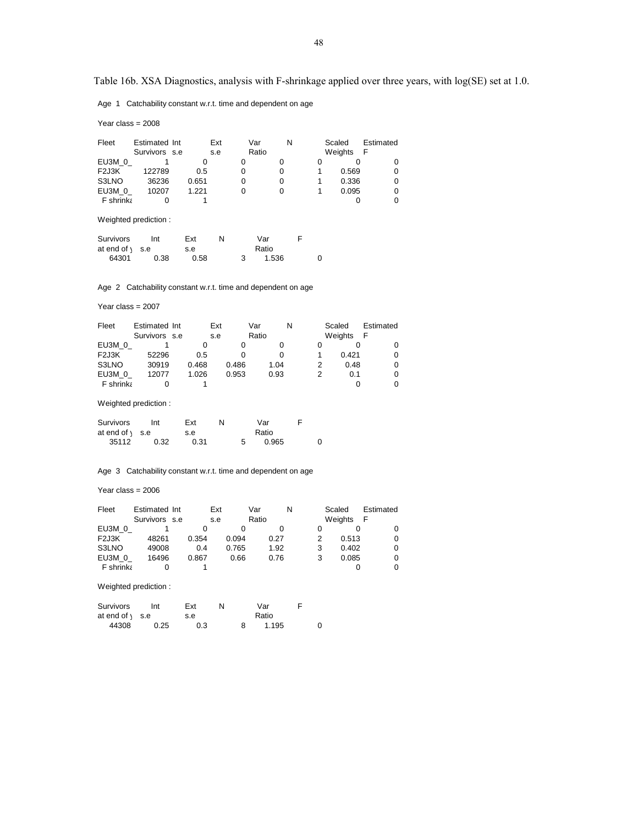Age 1 Catchability constant w.r.t. time and dependent on age

Year class = 2008

| Fleet             | Estimated Int<br>Survivors s.e |       | Ext<br>s.e | Var<br>Ratio | N | Scaled<br>Weights | Estimated<br>F |
|-------------------|--------------------------------|-------|------------|--------------|---|-------------------|----------------|
| EU3M 0            |                                |       |            |              |   |                   |                |
| F <sub>2J3K</sub> | 122789                         | 0.5   | 0          |              |   | 0.569             |                |
| S3LNO             | 36236                          | 0.651 |            |              |   | 0.336             |                |
| EU3M 0            | 10207                          | 1.221 |            |              |   | 0.095             |                |
| F shrinka         |                                |       |            |              |   |                   |                |

Weighted prediction :

| Survivors                 | Int  | Ext  | N | Var   |  |
|---------------------------|------|------|---|-------|--|
| at end of $\setminus$ s.e |      | s.e  |   | Ratio |  |
| 64301                     | 0.38 | 0.58 |   | 1.536 |  |

Age 2 Catchability constant w.r.t. time and dependent on age

Year class = 2007

| Fleet             | Estimated Int |       | Ext   | Var   | N | Scaled  | Estimated |
|-------------------|---------------|-------|-------|-------|---|---------|-----------|
|                   | Survivors s.e |       | s.e   | Ratio |   | Weights |           |
| EU3M 0            |               |       |       |       |   |         |           |
| F <sub>2J3K</sub> | 52296         | 0.5   |       |       |   | 0.421   |           |
| S3LNO             | 30919         | 0.468 | 0.486 | 1.04  |   | 0.48    |           |
| EU3M 0            | 12077         | 1.026 | 0.953 | 0.93  |   | 0.1     |           |
| F shrinka         |               |       |       |       |   |         |           |

Weighted prediction :

| Survivors                 | Int  | Ext  |  | Var   |   |
|---------------------------|------|------|--|-------|---|
| at end of $\setminus$ s.e |      | s.e  |  | Ratio |   |
| 35112                     | 0.32 | 0.31 |  | 0.965 | 0 |

Age 3 Catchability constant w.r.t. time and dependent on age

Year class = 2006

| Fleet             | Estimated Int |       | Ext |       | Var   |      | N | Scaled  | Estimated |
|-------------------|---------------|-------|-----|-------|-------|------|---|---------|-----------|
|                   | Survivors s.e |       | s.e |       | Ratio |      |   | Weights | F         |
| EU3M 0            |               |       |     |       |       |      |   |         |           |
| F <sub>2J3K</sub> | 48261         | 0.354 |     | 0.094 |       | 0.27 |   | 0.513   | 0         |
| S3LNO             | 49008         | 0.4   |     | 0.765 |       | 1.92 |   | 0.402   | 0         |
| EU3M 0            | 16496         | 0.867 |     | 0.66  |       | 0.76 |   | 0.085   | 0         |
| <b>F</b> shrinka  |               |       |     |       |       |      |   |         | 0         |

| Survivors                 | Int  | Ext | N | Var   |  |
|---------------------------|------|-----|---|-------|--|
| at end of $\setminus$ s.e |      | s.e |   | Ratio |  |
| 44308                     | 0.25 | 0.3 |   | 1.195 |  |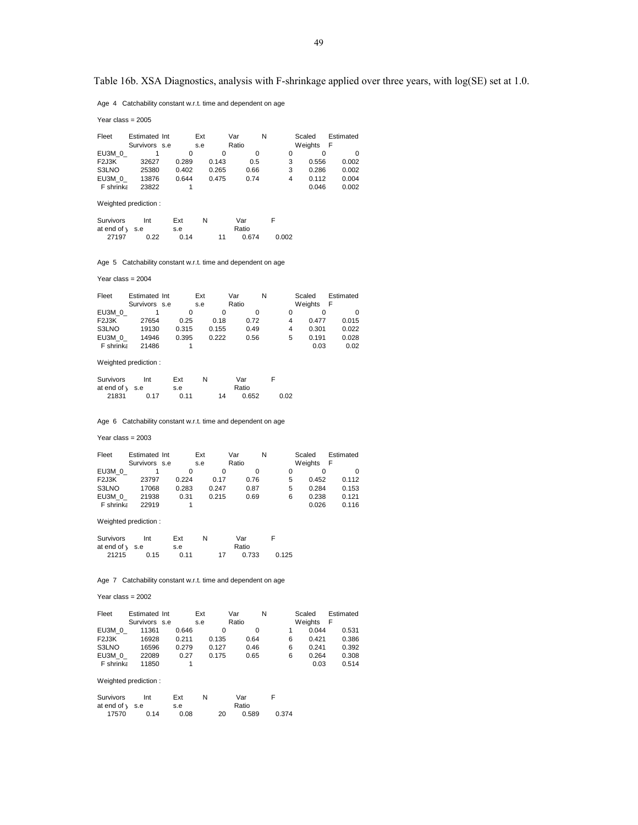Age 4 Catchability constant w.r.t. time and dependent on age

Year class = 2005

| Fleet             | Estimated Int |       | Ext   | Var   | N | Scaled  |       | Estimated |
|-------------------|---------------|-------|-------|-------|---|---------|-------|-----------|
|                   | Survivors s.e |       | s.e   | Ratio |   | Weights |       | F         |
| EU3M 0            |               |       |       |       |   |         |       |           |
| F <sub>2J3K</sub> | 32627         | 0.289 | 0.143 | 0.5   |   | 3       | 0.556 | 0.002     |
| S3LNO             | 25380         | 0.402 | 0.265 | 0.66  |   | 3       | 0.286 | 0.002     |
| EU3M 0            | 13876         | 0.644 | 0.475 | 0.74  |   | 4       | 0.112 | 0.004     |
| F shrinka         | 23822         |       |       |       |   |         | 0.046 | 0.002     |

### Weighted prediction :

| Survivors                 | Int  | Ext  | N |    | Var   |       |
|---------------------------|------|------|---|----|-------|-------|
| at end of $\setminus$ s.e |      | s.e  |   |    | Ratio |       |
| 27197                     | 0.22 | 0.14 |   | 11 | 0.674 | 0.002 |

Age 5 Catchability constant w.r.t. time and dependent on age

## Year class = 2004

| Fleet             | Estimated Int |       | Ext   | Var      | N | Scaled  | Estimated |
|-------------------|---------------|-------|-------|----------|---|---------|-----------|
|                   | Survivors s.e |       | s.e   | Ratio    |   | Weights | F         |
| EU3M 0            |               | 0     |       | $\Omega$ |   |         |           |
| F <sub>2J3K</sub> | 27654         | 0.25  | 0.18  | 0.72     | 4 | 0.477   | 0.015     |
| S3LNO             | 19130         | 0.315 | 0.155 | 0.49     | 4 | 0.301   | 0.022     |
| EU3M 0            | 14946         | 0.395 | 0.222 | 0.56     | 5 | 0.191   | 0.028     |
| <b>F</b> shrinka  | 21486         |       |       |          |   | 0.03    | 0.02      |

### Weighted prediction :

| Survivors                 | Int  | Ext  | N |    | Var   | F |      |
|---------------------------|------|------|---|----|-------|---|------|
| at end of $\setminus$ s.e |      | s.e  |   |    | Ratio |   |      |
| 21831                     | 0 17 | 0.11 |   | 14 | 0.652 |   | 0.02 |

Age 6 Catchability constant w.r.t. time and dependent on age

## Year class = 2003

| Fleet             | Estimated Int | Ext   |       | Var   | N | Scaled  | Estimated |
|-------------------|---------------|-------|-------|-------|---|---------|-----------|
|                   | Survivors s.e | s.e   |       | Ratio |   | Weights | F         |
| EU3M 0            |               | O     |       | 0     |   |         | O         |
| F <sub>2J3K</sub> | 23797         | 0.224 | 0.17  | 0.76  | 5 | 0.452   | 0.112     |
| S3LNO             | 17068         | 0.283 | 0.247 | 0.87  | 5 | 0.284   | 0.153     |
| EU3M 0            | 21938         | 0.31  | 0.215 | 0.69  | 6 | 0.238   | 0.121     |
| <b>F</b> shrinka  | 22919         |       |       |       |   | 0.026   | 0.116     |

## Weighted prediction :

| <b>Survivors</b>          | Int  | Ext  |    | Var   |       |
|---------------------------|------|------|----|-------|-------|
| at end of $\setminus$ s.e |      | s.e  |    | Ratio |       |
| 21215                     | 0.15 | 0.11 | 17 | 0.733 | 0.125 |

## Age 7 Catchability constant w.r.t. time and dependent on age

## Year class = 2002

| Fleet             | Estimated Int | Ext   |       | Var   | N | Scaled  | Estimated |
|-------------------|---------------|-------|-------|-------|---|---------|-----------|
|                   | Survivors s.e | s.e   |       | Ratio |   | Weights |           |
| EU3M 0            | 11361         | 0.646 |       |       |   | 0.044   | 0.531     |
| F <sub>2J3K</sub> | 16928         | 0.211 | 0.135 | 0.64  | 6 | 0.421   | 0.386     |
| S3LNO             | 16596         | 0.279 | 0.127 | 0.46  | 6 | 0.241   | 0.392     |
| EU3M 0            | 22089         | 0.27  | 0.175 | 0.65  | 6 | 0.264   | 0.308     |
| F shrinka         | 11850         |       |       |       |   | 0.03    | 0.514     |

| Survivors                | Int  | Ext  | N |    | Var   |       |
|--------------------------|------|------|---|----|-------|-------|
| at end of $\sqrt{ }$ s.e |      | s.e  |   |    | Ratio |       |
| 17570                    | 0.14 | 0.08 |   | 20 | 0.589 | 0.374 |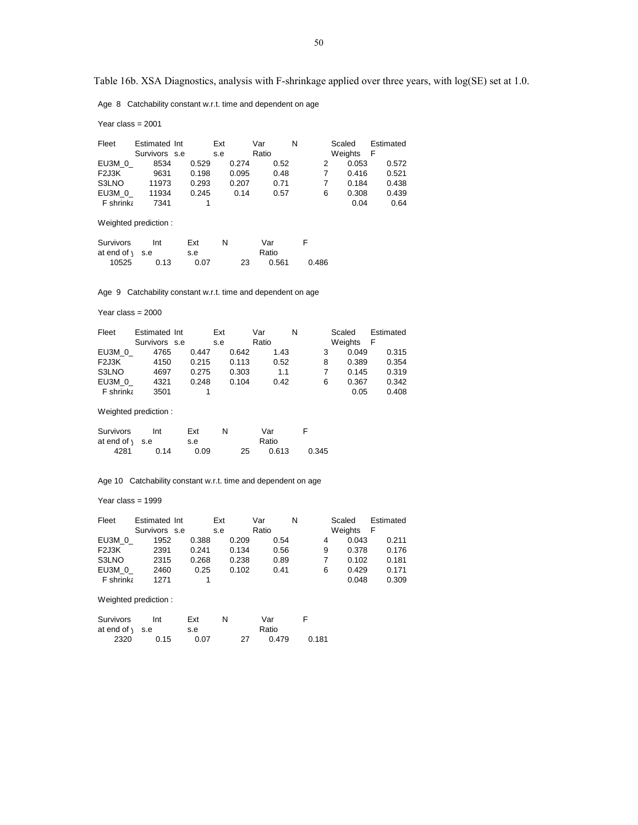Age 8 Catchability constant w.r.t. time and dependent on age

Year class = 2001

| Fleet                           | Estimated Int<br>Survivors s.e |       | Ext<br>s.e |       | Var<br>Ratio |      | N |   | Scaled<br>Weights<br>- F | Estimated |
|---------------------------------|--------------------------------|-------|------------|-------|--------------|------|---|---|--------------------------|-----------|
| EU3M 0                          | 8534                           | 0.529 |            | 0.274 |              | 0.52 |   |   | 0.053                    | 0.572     |
| F <sub>2</sub> J <sub>3</sub> K | 9631                           | 0.198 |            | 0.095 |              | 0.48 |   |   | 0.416                    | 0.521     |
| S3LNO                           | 11973                          | 0.293 |            | 0.207 |              | 0.71 |   |   | 0.184                    | 0.438     |
| EU3M 0                          | 11934                          | 0.245 |            | 0.14  |              | 0.57 |   | 6 | 0.308                    | 0.439     |
| <b>F</b> shrinka                | 7341                           |       |            |       |              |      |   |   | 0.04                     | 0.64      |
|                                 |                                |       |            |       |              |      |   |   |                          |           |

Weighted prediction :

| Survivors                 | Int  | Ext  | N |    | Var   |       |  |
|---------------------------|------|------|---|----|-------|-------|--|
| at end of $\setminus$ s.e |      | s.e  |   |    | Ratio |       |  |
| 10525                     | 0.13 | 0.07 |   | 23 | 0.561 | 0.486 |  |

Age 9 Catchability constant w.r.t. time and dependent on age

Year class = 2000

| Fleet                           | Estimated Int | Ext   |       | Var   | N | Scaled  | Estimated |
|---------------------------------|---------------|-------|-------|-------|---|---------|-----------|
|                                 | Survivors s.e | s.e   |       | Ratio |   | Weights | F         |
| EU3M 0                          | 4765          | 0.447 | 0.642 | 1.43  |   | 0.049   | 0.315     |
| F <sub>2</sub> J <sub>3</sub> K | 4150          | 0.215 | 0.113 | 0.52  | 8 | 0.389   | 0.354     |
| S3LNO                           | 4697          | 0.275 | 0.303 | 1.1   |   | 0.145   | 0.319     |
| EU3M 0                          | 4321          | 0.248 | 0.104 | 0.42  | 6 | 0.367   | 0.342     |
| <b>F</b> shrinka                | 3501          |       |       |       |   | 0.05    | 0.408     |

Weighted prediction :

| Survivors                 | Int  | Ext  |    | Var   |       |
|---------------------------|------|------|----|-------|-------|
| at end of $\setminus$ s.e |      | s.e  |    | Ratio |       |
| 4281                      | 0.14 | 0.09 | 25 | 0.613 | 0.345 |

Age 10 Catchability constant w.r.t. time and dependent on age

Year class = 1999

| Fleet                           | Estimated Int |       | Ext |       | Var   |      | N |   | Scaled  | Estimated |
|---------------------------------|---------------|-------|-----|-------|-------|------|---|---|---------|-----------|
|                                 | Survivors s.e |       | s.e |       | Ratio |      |   |   | Weights | F         |
| EU3M 0                          | 1952          | 0.388 |     | 0.209 |       | 0.54 |   | 4 | 0.043   | 0.211     |
| F <sub>2</sub> J <sub>3</sub> K | 2391          | 0.241 |     | 0.134 |       | 0.56 |   | 9 | 0.378   | 0.176     |
| S3LNO                           | 2315          | 0.268 |     | 0.238 |       | 0.89 |   |   | 0.102   | 0.181     |
| EU3M 0                          | 2460          | 0.25  |     | 0.102 |       | 0.41 |   | 6 | 0.429   | 0.171     |
| <b>F</b> shrinka                | 1271          |       |     |       |       |      |   |   | 0.048   | 0.309     |

| Survivors                 | Int  | Ext  | N |    | Var   |       |
|---------------------------|------|------|---|----|-------|-------|
| at end of $\setminus$ s.e |      | s.e  |   |    | Ratio |       |
| 2320                      | 0.15 | 0.07 |   | 27 | 0.479 | 0.181 |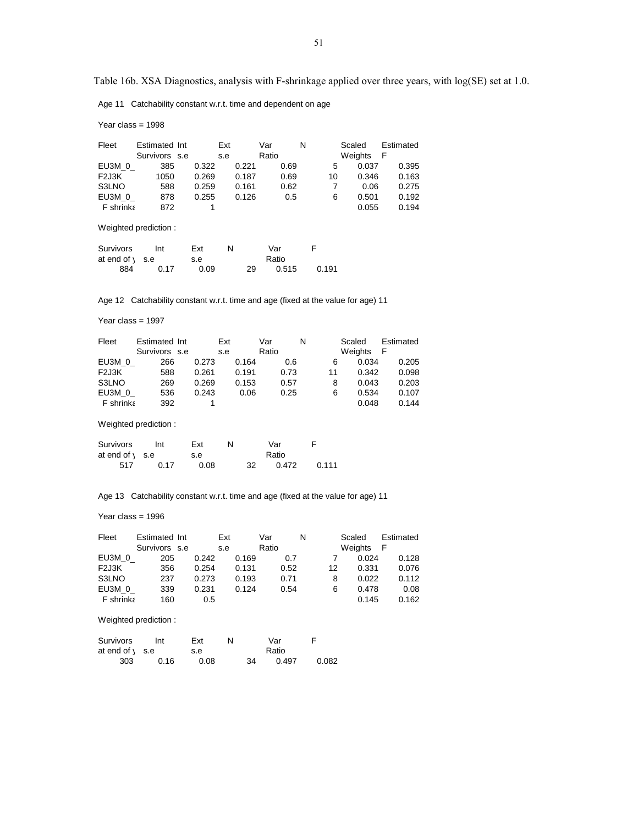Age 11 Catchability constant w.r.t. time and dependent on age

Year class = 1998

| Fleet                | Estimated Int<br>Survivors s.e |       | Ext<br>s.e | Var<br>Ratio | N     | Scaled<br>Weights | Estimated<br>F |
|----------------------|--------------------------------|-------|------------|--------------|-------|-------------------|----------------|
| EU3M 0               | 385                            | 0.322 | 0.221      | 0.69         | 5     | 0.037             | 0.395          |
| F <sub>2J3K</sub>    | 1050                           | 0.269 | 0.187      | 0.69         | 10    | 0.346             | 0.163          |
| S3LNO                | 588                            | 0.259 | 0.161      | 0.62         | 7     | 0.06              | 0.275          |
| EU3M 0               | 878                            | 0.255 | 0.126      | 0.5          | 6     | 0.501             | 0.192          |
| F shrinka            | 872                            | 1     |            |              |       | 0.055             | 0.194          |
|                      | Weighted prediction:           |       |            |              |       |                   |                |
| Survivors            | Int                            | Ext   | N          | Var          | F     |                   |                |
| at end of $\sqrt{ }$ | s.e                            | s.e   |            | Ratio        |       |                   |                |
| 884                  | 0.17                           | 0.09  | 29         | 0.515        | 0.191 |                   |                |

Age 12 Catchability constant w.r.t. time and age (fixed at the value for age) 11

Year class = 1997

| Fleet             | Estimated Int |       | Ext   | Var   | N  | Scaled  | Estimated |
|-------------------|---------------|-------|-------|-------|----|---------|-----------|
|                   | Survivors s.e |       | s.e   | Ratio |    | Weights | F         |
| EU3M 0            | 266           | 0.273 | 0.164 | 0.6   | 6  | 0.034   | 0.205     |
| F <sub>2J3K</sub> | 588           | 0.261 | 0.191 | 0.73  | 11 | 0.342   | 0.098     |
| S3LNO             | 269           | 0.269 | 0.153 | 0.57  | 8  | 0.043   | 0.203     |
| EU3M 0            | 536           | 0.243 | 0.06  | 0.25  | 6  | 0.534   | 0.107     |
| F shrinka         | 392           |       |       |       |    | 0.048   | 0.144     |

Weighted prediction :

| Survivors                 | Int  | Ext  |    | Var   |       |
|---------------------------|------|------|----|-------|-------|
| at end of $\setminus$ s.e |      | s.e  |    | Ratio |       |
| 517                       | 0.17 | 0.08 | 32 | 0.472 | 0.111 |

Age 13 Catchability constant w.r.t. time and age (fixed at the value for age) 11

Year class = 1996

| Fleet             | Estimated Int | Ext   |       | Var   | N  | Scaled  | Estimated |
|-------------------|---------------|-------|-------|-------|----|---------|-----------|
|                   | Survivors s.e | s.e   |       | Ratio |    | Weights | - F       |
| EU3M 0            | 205           | 0.242 | 0.169 | 0.7   |    | 0.024   | 0.128     |
| F <sub>2J3K</sub> | 356           | 0.254 | 0.131 | 0.52  | 12 | 0.331   | 0.076     |
| S3LNO             | 237           | 0.273 | 0.193 | 0.71  | 8  | 0.022   | 0.112     |
| EU3M 0            | 339           | 0.231 | 0.124 | 0.54  | 6  | 0.478   | 0.08      |
| <b>F</b> shrinka  | 160           | 0.5   |       |       |    | 0.145   | 0.162     |

| Survivors                 | Int  | Ext  |    | Var   |       |
|---------------------------|------|------|----|-------|-------|
| at end of $\setminus$ s.e |      | s.e  |    | Ratio |       |
| 303                       | 0.16 | 0.08 | 34 | 0.497 | 0.082 |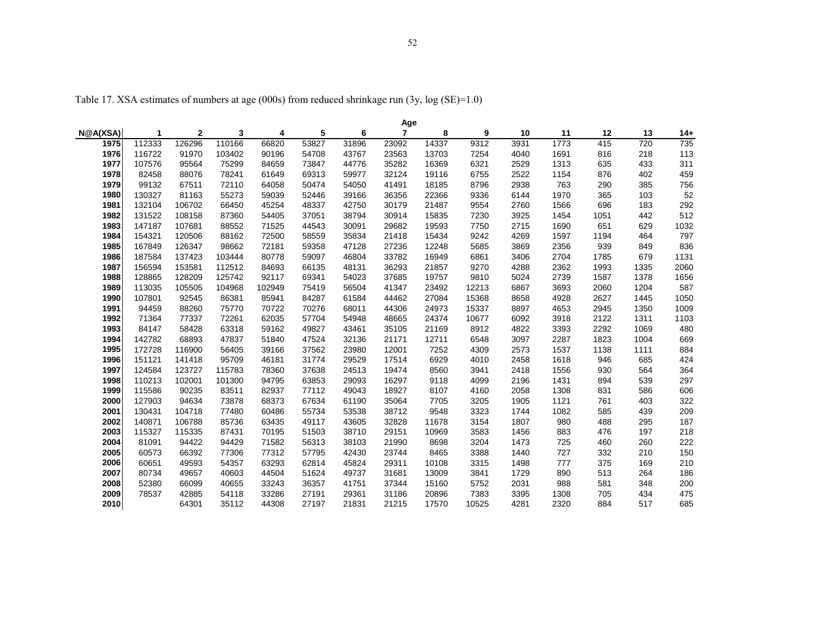Table 17. XSA estimates of numbers at age (000s) from reduced shrinkage run (3y, log (SE)=1.0)

|          |        |              |        |        |       |       | Age   |       |       |      |      |      |      |      |
|----------|--------|--------------|--------|--------|-------|-------|-------|-------|-------|------|------|------|------|------|
| N@A(XSA) | 1      | $\mathbf{2}$ | 3      | 4      | 5     | 6     | 7     | 8     | 9     | 10   | 11   | 12   | 13   | 14+  |
| 1975     | 112333 | 126296       | 110166 | 66820  | 53827 | 31896 | 23092 | 14337 | 9312  | 3931 | 1773 | 415  | 720  | 735  |
| 1976     | 116722 | 91970        | 103402 | 90196  | 54708 | 43767 | 23563 | 13703 | 7254  | 4040 | 1691 | 816  | 218  | 113  |
| 1977     | 107576 | 95564        | 75299  | 84659  | 73847 | 44776 | 35282 | 16369 | 6321  | 2529 | 1313 | 635  | 433  | 311  |
| 1978     | 82458  | 88076        | 78241  | 61649  | 69313 | 59977 | 32124 | 19116 | 6755  | 2522 | 1154 | 876  | 402  | 459  |
| 1979     | 99132  | 67511        | 72110  | 64058  | 50474 | 54050 | 41491 | 18185 | 8796  | 2938 | 763  | 290  | 385  | 756  |
| 1980     | 130327 | 81163        | 55273  | 59039  | 52446 | 39166 | 36356 | 22366 | 9336  | 6144 | 1970 | 365  | 103  | 52   |
| 1981     | 132104 | 106702       | 66450  | 45254  | 48337 | 42750 | 30179 | 21487 | 9554  | 2760 | 1566 | 696  | 183  | 292  |
| 1982     | 131522 | 108158       | 87360  | 54405  | 37051 | 38794 | 30914 | 15835 | 7230  | 3925 | 1454 | 1051 | 442  | 512  |
| 1983     | 147187 | 107681       | 88552  | 71525  | 44543 | 30091 | 29682 | 19593 | 7750  | 2715 | 1690 | 651  | 629  | 1032 |
| 1984     | 154321 | 120506       | 88162  | 72500  | 58559 | 35834 | 21418 | 15434 | 9242  | 4269 | 1597 | 1194 | 464  | 797  |
| 1985     | 167849 | 126347       | 98662  | 72181  | 59358 | 47128 | 27236 | 12248 | 5685  | 3869 | 2356 | 939  | 849  | 836  |
| 1986     | 187584 | 137423       | 103444 | 80778  | 59097 | 46804 | 33782 | 16949 | 6861  | 3406 | 2704 | 1785 | 679  | 1131 |
| 1987     | 156594 | 153581       | 112512 | 84693  | 66135 | 48131 | 36293 | 21857 | 9270  | 4288 | 2362 | 1993 | 1335 | 2060 |
| 1988     | 128865 | 128209       | 125742 | 92117  | 69341 | 54023 | 37685 | 19757 | 9810  | 5024 | 2739 | 1587 | 1378 | 1656 |
| 1989     | 113035 | 105505       | 104968 | 102949 | 75419 | 56504 | 41347 | 23492 | 12213 | 6867 | 3693 | 2060 | 1204 | 587  |
| 1990     | 107801 | 92545        | 86381  | 85941  | 84287 | 61584 | 44462 | 27084 | 15368 | 8658 | 4928 | 2627 | 1445 | 1050 |
| 1991     | 94459  | 88260        | 75770  | 70722  | 70276 | 68011 | 44306 | 24973 | 15337 | 8897 | 4653 | 2945 | 1350 | 1009 |
| 1992     | 71364  | 77337        | 72261  | 62035  | 57704 | 54948 | 48665 | 24374 | 10677 | 6092 | 3918 | 2122 | 1311 | 1103 |
| 1993     | 84147  | 58428        | 63318  | 59162  | 49827 | 43461 | 35105 | 21169 | 8912  | 4822 | 3393 | 2292 | 1069 | 480  |
| 1994     | 142782 | 68893        | 47837  | 51840  | 47524 | 32136 | 21171 | 12711 | 6548  | 3097 | 2287 | 1823 | 1004 | 669  |
| 1995     | 172728 | 116900       | 56405  | 39166  | 37562 | 23980 | 12001 | 7252  | 4309  | 2573 | 1537 | 1138 | 1111 | 884  |
| 1996     | 151121 | 141418       | 95709  | 46181  | 31774 | 29529 | 17514 | 6929  | 4010  | 2458 | 1618 | 946  | 685  | 424  |
| 1997     | 124584 | 123727       | 115783 | 78360  | 37638 | 24513 | 19474 | 8560  | 3941  | 2418 | 1556 | 930  | 564  | 364  |
| 1998     | 110213 | 102001       | 101300 | 94795  | 63853 | 29093 | 16297 | 9118  | 4099  | 2196 | 1431 | 894  | 539  | 297  |
| 1999     | 115586 | 90235        | 83511  | 82937  | 77112 | 49043 | 18927 | 8107  | 4160  | 2058 | 1308 | 831  | 586  | 606  |
| 2000     | 127903 | 94634        | 73878  | 68373  | 67634 | 61190 | 35064 | 7705  | 3205  | 1905 | 1121 | 761  | 403  | 322  |
| 2001     | 130431 | 104718       | 77480  | 60486  | 55734 | 53538 | 38712 | 9548  | 3323  | 1744 | 1082 | 585  | 439  | 209  |
| 2002     | 140871 | 106788       | 85736  | 63435  | 49117 | 43605 | 32828 | 11678 | 3154  | 1807 | 980  | 488  | 295  | 187  |
| 2003     | 115327 | 115335       | 87431  | 70195  | 51503 | 38710 | 29151 | 10969 | 3583  | 1456 | 883  | 476  | 197  | 218  |
| 2004     | 81091  | 94422        | 94429  | 71582  | 56313 | 38103 | 21990 | 8698  | 3204  | 1473 | 725  | 460  | 260  | 222  |
| 2005     | 60573  | 66392        | 77306  | 77312  | 57795 | 42430 | 23744 | 8465  | 3388  | 1440 | 727  | 332  | 210  | 150  |
| 2006     | 60651  | 49593        | 54357  | 63293  | 62814 | 45824 | 29311 | 10108 | 3315  | 1498 | 777  | 375  | 169  | 210  |
| 2007     | 80734  | 49657        | 40603  | 44504  | 51624 | 49737 | 31681 | 13009 | 3841  | 1729 | 890  | 513  | 264  | 186  |
| 2008     | 52380  | 66099        | 40655  | 33243  | 36357 | 41751 | 37344 | 15160 | 5752  | 2031 | 988  | 581  | 348  | 200  |
| 2009     | 78537  | 42885        | 54118  | 33286  | 27191 | 29361 | 31186 | 20896 | 7383  | 3395 | 1308 | 705  | 434  | 475  |
| 2010     |        | 64301        | 35112  | 44308  | 27197 | 21831 | 21215 | 17570 | 10525 | 4281 | 2320 | 884  | 517  | 685  |
|          |        |              |        |        |       |       |       |       |       |      |      |      |      |      |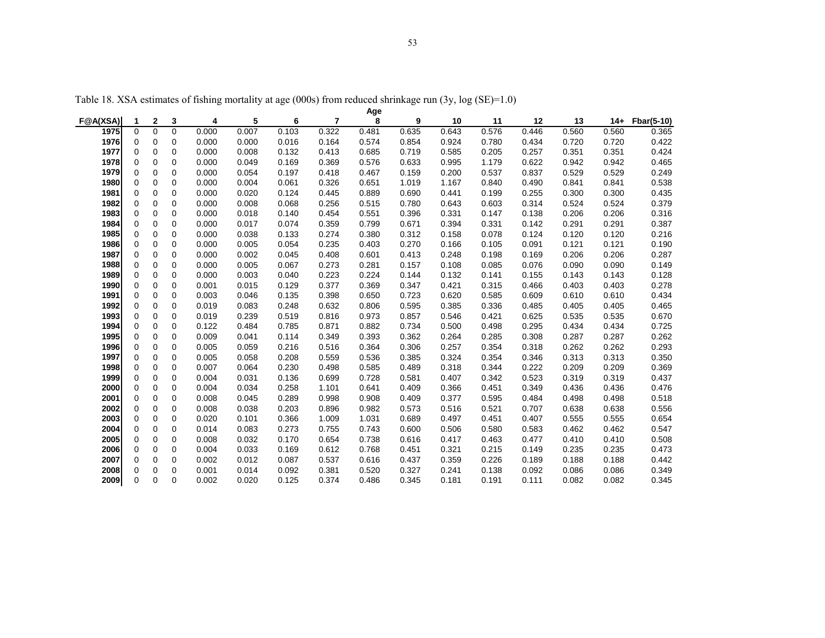| Age<br>8<br>3<br>5<br>$\overline{7}$<br><b>F@A(XSA)</b><br>$\mathbf{2}$<br>6<br>9<br>11<br>12<br>13<br>4<br>10<br>$14+$<br>1 |          |             |             |       |       |       |       |       |       |       |       |       |       |       |            |
|------------------------------------------------------------------------------------------------------------------------------|----------|-------------|-------------|-------|-------|-------|-------|-------|-------|-------|-------|-------|-------|-------|------------|
|                                                                                                                              |          |             |             |       |       |       |       |       |       |       |       |       |       |       | Fbar(5-10) |
| 1975                                                                                                                         | $\Omega$ | $\Omega$    | $\Omega$    | 0.000 | 0.007 | 0.103 | 0.322 | 0.481 | 0.635 | 0.643 | 0.576 | 0.446 | 0.560 | 0.560 | 0.365      |
| 1976                                                                                                                         | 0        | 0           | 0           | 0.000 | 0.000 | 0.016 | 0.164 | 0.574 | 0.854 | 0.924 | 0.780 | 0.434 | 0.720 | 0.720 | 0.422      |
| 1977                                                                                                                         | $\Omega$ | 0           | $\mathbf 0$ | 0.000 | 0.008 | 0.132 | 0.413 | 0.685 | 0.719 | 0.585 | 0.205 | 0.257 | 0.351 | 0.351 | 0.424      |
| 1978                                                                                                                         | 0        | 0           | $\mathbf 0$ | 0.000 | 0.049 | 0.169 | 0.369 | 0.576 | 0.633 | 0.995 | 1.179 | 0.622 | 0.942 | 0.942 | 0.465      |
| 1979                                                                                                                         | 0        | 0           | 0           | 0.000 | 0.054 | 0.197 | 0.418 | 0.467 | 0.159 | 0.200 | 0.537 | 0.837 | 0.529 | 0.529 | 0.249      |
| 1980                                                                                                                         | 0        | 0           | $\mathbf 0$ | 0.000 | 0.004 | 0.061 | 0.326 | 0.651 | 1.019 | 1.167 | 0.840 | 0.490 | 0.841 | 0.841 | 0.538      |
| 1981                                                                                                                         | 0        | 0           | $\mathbf 0$ | 0.000 | 0.020 | 0.124 | 0.445 | 0.889 | 0.690 | 0.441 | 0.199 | 0.255 | 0.300 | 0.300 | 0.435      |
| 1982                                                                                                                         | 0        | 0           | $\mathbf 0$ | 0.000 | 0.008 | 0.068 | 0.256 | 0.515 | 0.780 | 0.643 | 0.603 | 0.314 | 0.524 | 0.524 | 0.379      |
| 1983                                                                                                                         | 0        | 0           | $\mathbf 0$ | 0.000 | 0.018 | 0.140 | 0.454 | 0.551 | 0.396 | 0.331 | 0.147 | 0.138 | 0.206 | 0.206 | 0.316      |
| 1984                                                                                                                         | 0        | $\mathbf 0$ | $\mathbf 0$ | 0.000 | 0.017 | 0.074 | 0.359 | 0.799 | 0.671 | 0.394 | 0.331 | 0.142 | 0.291 | 0.291 | 0.387      |
| 1985                                                                                                                         | 0        | $\mathbf 0$ | $\mathbf 0$ | 0.000 | 0.038 | 0.133 | 0.274 | 0.380 | 0.312 | 0.158 | 0.078 | 0.124 | 0.120 | 0.120 | 0.216      |
| 1986                                                                                                                         | 0        | $\mathbf 0$ | $\mathbf 0$ | 0.000 | 0.005 | 0.054 | 0.235 | 0.403 | 0.270 | 0.166 | 0.105 | 0.091 | 0.121 | 0.121 | 0.190      |
| 1987                                                                                                                         | 0        | $\mathbf 0$ | $\mathbf 0$ | 0.000 | 0.002 | 0.045 | 0.408 | 0.601 | 0.413 | 0.248 | 0.198 | 0.169 | 0.206 | 0.206 | 0.287      |
| 1988                                                                                                                         | 0        | 0           | $\mathbf 0$ | 0.000 | 0.005 | 0.067 | 0.273 | 0.281 | 0.157 | 0.108 | 0.085 | 0.076 | 0.090 | 0.090 | 0.149      |
| 1989                                                                                                                         | $\Omega$ | $\mathbf 0$ | $\Omega$    | 0.000 | 0.003 | 0.040 | 0.223 | 0.224 | 0.144 | 0.132 | 0.141 | 0.155 | 0.143 | 0.143 | 0.128      |
| 1990                                                                                                                         | $\Omega$ | $\mathbf 0$ | $\mathbf 0$ | 0.001 | 0.015 | 0.129 | 0.377 | 0.369 | 0.347 | 0.421 | 0.315 | 0.466 | 0.403 | 0.403 | 0.278      |
| 1991                                                                                                                         | $\Omega$ | 0           | $\mathbf 0$ | 0.003 | 0.046 | 0.135 | 0.398 | 0.650 | 0.723 | 0.620 | 0.585 | 0.609 | 0.610 | 0.610 | 0.434      |
| 1992                                                                                                                         | $\Omega$ | 0           | $\mathbf 0$ | 0.019 | 0.083 | 0.248 | 0.632 | 0.806 | 0.595 | 0.385 | 0.336 | 0.485 | 0.405 | 0.405 | 0.465      |
| 1993                                                                                                                         | $\Omega$ | 0           | $\mathbf 0$ | 0.019 | 0.239 | 0.519 | 0.816 | 0.973 | 0.857 | 0.546 | 0.421 | 0.625 | 0.535 | 0.535 | 0.670      |
| 1994                                                                                                                         | $\Omega$ | 0           | $\mathbf 0$ | 0.122 | 0.484 | 0.785 | 0.871 | 0.882 | 0.734 | 0.500 | 0.498 | 0.295 | 0.434 | 0.434 | 0.725      |
| 1995                                                                                                                         | $\Omega$ | 0           | $\mathbf 0$ | 0.009 | 0.041 | 0.114 | 0.349 | 0.393 | 0.362 | 0.264 | 0.285 | 0.308 | 0.287 | 0.287 | 0.262      |
| 1996                                                                                                                         | $\Omega$ | 0           | $\mathbf 0$ | 0.005 | 0.059 | 0.216 | 0.516 | 0.364 | 0.306 | 0.257 | 0.354 | 0.318 | 0.262 | 0.262 | 0.293      |
| 1997                                                                                                                         | 0        | 0           | $\mathbf 0$ | 0.005 | 0.058 | 0.208 | 0.559 | 0.536 | 0.385 | 0.324 | 0.354 | 0.346 | 0.313 | 0.313 | 0.350      |
| 1998                                                                                                                         | 0        | 0           | $\mathbf 0$ | 0.007 | 0.064 | 0.230 | 0.498 | 0.585 | 0.489 | 0.318 | 0.344 | 0.222 | 0.209 | 0.209 | 0.369      |
| 1999                                                                                                                         | 0        | 0           | $\mathbf 0$ | 0.004 | 0.031 | 0.136 | 0.699 | 0.728 | 0.581 | 0.407 | 0.342 | 0.523 | 0.319 | 0.319 | 0.437      |
| 2000                                                                                                                         | 0        | 0           | $\mathbf 0$ | 0.004 | 0.034 | 0.258 | 1.101 | 0.641 | 0.409 | 0.366 | 0.451 | 0.349 | 0.436 | 0.436 | 0.476      |
| 2001                                                                                                                         | 0        | 0           | $\mathbf 0$ | 0.008 | 0.045 | 0.289 | 0.998 | 0.908 | 0.409 | 0.377 | 0.595 | 0.484 | 0.498 | 0.498 | 0.518      |
| 2002                                                                                                                         | 0        | 0           | $\mathbf 0$ | 0.008 | 0.038 | 0.203 | 0.896 | 0.982 | 0.573 | 0.516 | 0.521 | 0.707 | 0.638 | 0.638 | 0.556      |
| 2003                                                                                                                         | 0        | 0           | 0           | 0.020 | 0.101 | 0.366 | 1.009 | 1.031 | 0.689 | 0.497 | 0.451 | 0.407 | 0.555 | 0.555 | 0.654      |
| 2004                                                                                                                         | 0        | 0           | $\mathbf 0$ | 0.014 | 0.083 | 0.273 | 0.755 | 0.743 | 0.600 | 0.506 | 0.580 | 0.583 | 0.462 | 0.462 | 0.547      |
| 2005                                                                                                                         | 0        | 0           | $\mathbf 0$ | 0.008 | 0.032 | 0.170 | 0.654 | 0.738 | 0.616 | 0.417 | 0.463 | 0.477 | 0.410 | 0.410 | 0.508      |
| 2006                                                                                                                         | 0        | 0           | $\mathbf 0$ | 0.004 | 0.033 | 0.169 | 0.612 | 0.768 | 0.451 | 0.321 | 0.215 | 0.149 | 0.235 | 0.235 | 0.473      |
| 2007                                                                                                                         | $\Omega$ | 0           | $\mathbf 0$ | 0.002 | 0.012 | 0.087 | 0.537 | 0.616 | 0.437 | 0.359 | 0.226 | 0.189 | 0.188 | 0.188 | 0.442      |
| 2008                                                                                                                         | $\Omega$ | $\mathbf 0$ | $\mathbf 0$ | 0.001 | 0.014 | 0.092 | 0.381 | 0.520 | 0.327 | 0.241 | 0.138 | 0.092 | 0.086 | 0.086 | 0.349      |
| 2009                                                                                                                         | $\Omega$ | $\Omega$    | $\Omega$    | 0.002 | 0.020 | 0.125 | 0.374 | 0.486 | 0.345 | 0.181 | 0.191 | 0.111 | 0.082 | 0.082 | 0.345      |

Table 18. XSA estimates of fishing mortality at age (000s) from reduced shrinkage run (3y, log (SE)=1.0)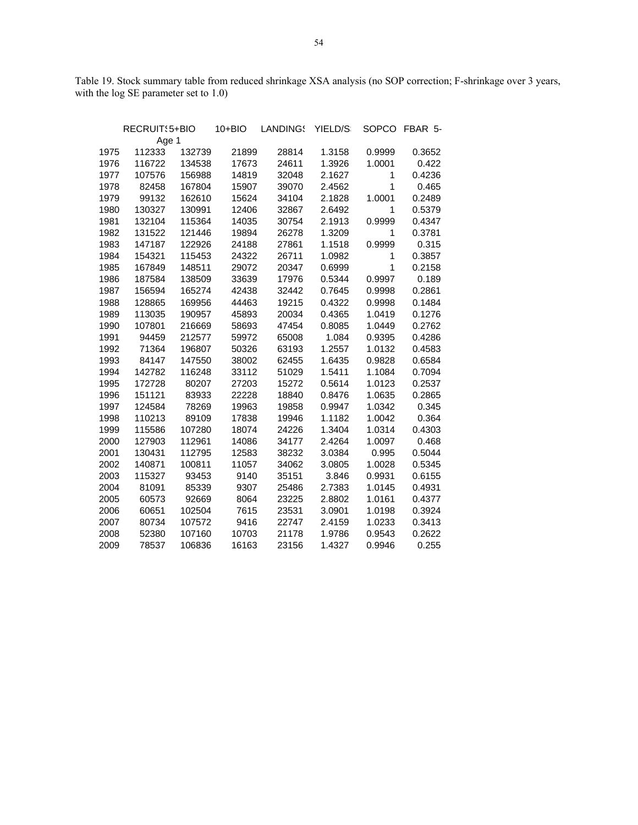Table 19. Stock summary table from reduced shrinkage XSA analysis (no SOP correction; F-shrinkage over 3 years, with the log SE parameter set to 1.0)

|      | RECRUIT: 5+BIO |        | $10 + BIO$ | LANDINGS | YIELD/S |              | SOPCO FBAR 5- |
|------|----------------|--------|------------|----------|---------|--------------|---------------|
|      | Age 1          |        |            |          |         |              |               |
| 1975 | 112333         | 132739 | 21899      | 28814    | 1.3158  | 0.9999       | 0.3652        |
| 1976 | 116722         | 134538 | 17673      | 24611    | 1.3926  | 1.0001       | 0.422         |
| 1977 | 107576         | 156988 | 14819      | 32048    | 2.1627  | 1            | 0.4236        |
| 1978 | 82458          | 167804 | 15907      | 39070    | 2.4562  | $\mathbf{1}$ | 0.465         |
| 1979 | 99132          | 162610 | 15624      | 34104    | 2.1828  | 1.0001       | 0.2489        |
| 1980 | 130327         | 130991 | 12406      | 32867    | 2.6492  | $\mathbf{1}$ | 0.5379        |
| 1981 | 132104         | 115364 | 14035      | 30754    | 2.1913  | 0.9999       | 0.4347        |
| 1982 | 131522         | 121446 | 19894      | 26278    | 1.3209  | $\mathbf{1}$ | 0.3781        |
| 1983 | 147187         | 122926 | 24188      | 27861    | 1.1518  | 0.9999       | 0.315         |
| 1984 | 154321         | 115453 | 24322      | 26711    | 1.0982  | 1            | 0.3857        |
| 1985 | 167849         | 148511 | 29072      | 20347    | 0.6999  | $\mathbf{1}$ | 0.2158        |
| 1986 | 187584         | 138509 | 33639      | 17976    | 0.5344  | 0.9997       | 0.189         |
| 1987 | 156594         | 165274 | 42438      | 32442    | 0.7645  | 0.9998       | 0.2861        |
| 1988 | 128865         | 169956 | 44463      | 19215    | 0.4322  | 0.9998       | 0.1484        |
| 1989 | 113035         | 190957 | 45893      | 20034    | 0.4365  | 1.0419       | 0.1276        |
| 1990 | 107801         | 216669 | 58693      | 47454    | 0.8085  | 1.0449       | 0.2762        |
| 1991 | 94459          | 212577 | 59972      | 65008    | 1.084   | 0.9395       | 0.4286        |
| 1992 | 71364          | 196807 | 50326      | 63193    | 1.2557  | 1.0132       | 0.4583        |
| 1993 | 84147          | 147550 | 38002      | 62455    | 1.6435  | 0.9828       | 0.6584        |
| 1994 | 142782         | 116248 | 33112      | 51029    | 1.5411  | 1.1084       | 0.7094        |
| 1995 | 172728         | 80207  | 27203      | 15272    | 0.5614  | 1.0123       | 0.2537        |
| 1996 | 151121         | 83933  | 22228      | 18840    | 0.8476  | 1.0635       | 0.2865        |
| 1997 | 124584         | 78269  | 19963      | 19858    | 0.9947  | 1.0342       | 0.345         |
| 1998 | 110213         | 89109  | 17838      | 19946    | 1.1182  | 1.0042       | 0.364         |
| 1999 | 115586         | 107280 | 18074      | 24226    | 1.3404  | 1.0314       | 0.4303        |
| 2000 | 127903         | 112961 | 14086      | 34177    | 2.4264  | 1.0097       | 0.468         |
| 2001 | 130431         | 112795 | 12583      | 38232    | 3.0384  | 0.995        | 0.5044        |
| 2002 | 140871         | 100811 | 11057      | 34062    | 3.0805  | 1.0028       | 0.5345        |
| 2003 | 115327         | 93453  | 9140       | 35151    | 3.846   | 0.9931       | 0.6155        |
| 2004 | 81091          | 85339  | 9307       | 25486    | 2.7383  | 1.0145       | 0.4931        |
| 2005 | 60573          | 92669  | 8064       | 23225    | 2.8802  | 1.0161       | 0.4377        |
| 2006 | 60651          | 102504 | 7615       | 23531    | 3.0901  | 1.0198       | 0.3924        |
| 2007 | 80734          | 107572 | 9416       | 22747    | 2.4159  | 1.0233       | 0.3413        |
| 2008 | 52380          | 107160 | 10703      | 21178    | 1.9786  | 0.9543       | 0.2622        |
| 2009 | 78537          | 106836 | 16163      | 23156    | 1.4327  | 0.9946       | 0.255         |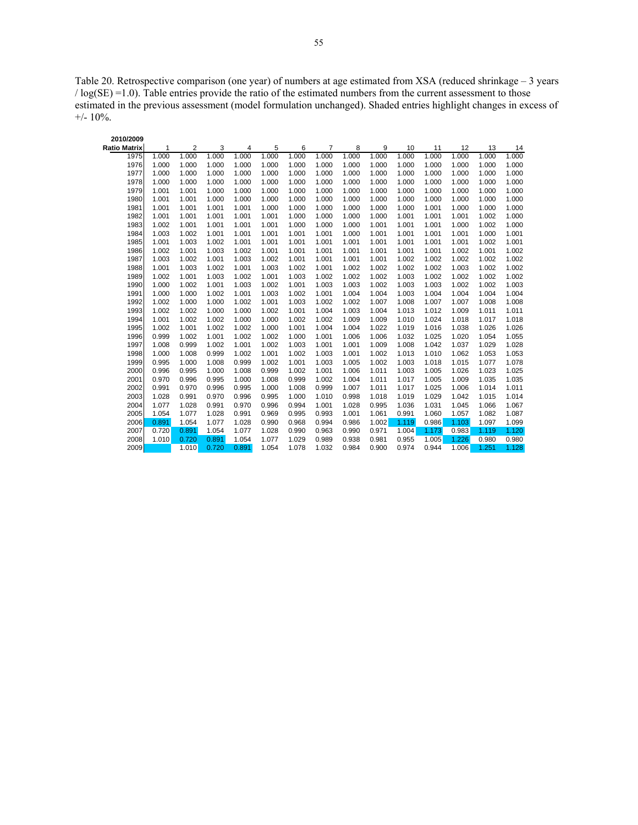Table 20. Retrospective comparison (one year) of numbers at age estimated from XSA (reduced shrinkage – 3 years / log(SE) =1.0). Table entries provide the ratio of the estimated numbers from the current assessment to those estimated in the previous assessment (model formulation unchanged). Shaded entries highlight changes in excess of  $+/- 10\%$ .

| 2010/2009           |       |       |       |       |       |       |       |       |       |       |       |       |       |       |
|---------------------|-------|-------|-------|-------|-------|-------|-------|-------|-------|-------|-------|-------|-------|-------|
| <b>Ratio Matrix</b> | 1     | 2     | 3     | 4     | 5     | 6     | 7     | 8     | 9     | 10    | 11    | 12    | 13    | 14    |
| 1975                | 1.000 | 1.000 | 1.000 | 1.000 | 1.000 | 1.000 | 1.000 | 1.000 | 1.000 | 1.000 | 1.000 | 1.000 | 1.000 | 1.000 |
| 1976                | 1.000 | 1.000 | 1.000 | 1.000 | 1.000 | 1.000 | 1.000 | 1.000 | 1.000 | 1.000 | 1.000 | 1.000 | 1.000 | 1.000 |
| 1977                | 1.000 | 1.000 | 1.000 | 1.000 | 1.000 | 1.000 | 1.000 | 1.000 | 1.000 | 1.000 | 1.000 | 1.000 | 1.000 | 1.000 |
| 1978                | 1.000 | 1.000 | 1.000 | 1.000 | 1.000 | 1.000 | 1.000 | 1.000 | 1.000 | 1.000 | 1.000 | 1.000 | 1.000 | 1.000 |
| 1979                | 1.001 | 1.001 | 1.000 | 1.000 | 1.000 | 1.000 | 1.000 | 1.000 | 1.000 | 1.000 | 1.000 | 1.000 | 1.000 | 1.000 |
| 1980                | 1.001 | 1.001 | 1.000 | 1.000 | 1.000 | 1.000 | 1.000 | 1.000 | 1.000 | 1.000 | 1.000 | 1.000 | 1.000 | 1.000 |
| 1981                | 1.001 | 1.001 | 1.001 | 1.001 | 1.000 | 1.000 | 1.000 | 1.000 | 1.000 | 1.000 | 1.001 | 1.000 | 1.000 | 1.000 |
| 1982                | 1.001 | 1.001 | 1.001 | 1.001 | 1.001 | 1.000 | 1.000 | 1.000 | 1.000 | 1.001 | 1.001 | 1.001 | 1.002 | 1.000 |
| 1983                | 1.002 | 1.001 | 1.001 | 1.001 | 1.001 | 1.000 | 1.000 | 1.000 | 1.001 | 1.001 | 1.001 | 1.000 | 1.002 | 1.000 |
| 1984                | 1.003 | 1.002 | 1.001 | 1.001 | 1.001 | 1.001 | 1.001 | 1.000 | 1.001 | 1.001 | 1.001 | 1.001 | 1.000 | 1.001 |
| 1985                | 1.001 | 1.003 | 1.002 | 1.001 | 1.001 | 1.001 | 1.001 | 1.001 | 1.001 | 1.001 | 1.001 | 1.001 | 1.002 | 1.001 |
| 1986                | 1.002 | 1.001 | 1.003 | 1.002 | 1.001 | 1.001 | 1.001 | 1.001 | 1.001 | 1.001 | 1.001 | 1.002 | 1.001 | 1.002 |
| 1987                | 1.003 | 1.002 | 1.001 | 1.003 | 1.002 | 1.001 | 1.001 | 1.001 | 1.001 | 1.002 | 1.002 | 1.002 | 1.002 | 1.002 |
| 1988                | 1.001 | 1.003 | 1.002 | 1.001 | 1.003 | 1.002 | 1.001 | 1.002 | 1.002 | 1.002 | 1.002 | 1.003 | 1.002 | 1.002 |
| 1989                | 1.002 | 1.001 | 1.003 | 1.002 | 1.001 | 1.003 | 1.002 | 1.002 | 1.002 | 1.003 | 1.002 | 1.002 | 1.002 | 1.002 |
| 1990                | 1.000 | 1.002 | 1.001 | 1.003 | 1.002 | 1.001 | 1.003 | 1.003 | 1.002 | 1.003 | 1.003 | 1.002 | 1.002 | 1.003 |
| 1991                | 1.000 | 1.000 | 1.002 | 1.001 | 1.003 | 1.002 | 1.001 | 1.004 | 1.004 | 1.003 | 1.004 | 1.004 | 1.004 | 1.004 |
| 1992                | 1.002 | 1.000 | 1.000 | 1.002 | 1.001 | 1.003 | 1.002 | 1.002 | 1.007 | 1.008 | 1.007 | 1.007 | 1.008 | 1.008 |
| 1993                | 1.002 | 1.002 | 1.000 | 1.000 | 1.002 | 1.001 | 1.004 | 1.003 | 1.004 | 1.013 | 1.012 | 1.009 | 1.011 | 1.011 |
| 1994                | 1.001 | 1.002 | 1.002 | 1.000 | 1.000 | 1.002 | 1.002 | 1.009 | 1.009 | 1.010 | 1.024 | 1.018 | 1.017 | 1.018 |
| 1995                | 1.002 | 1.001 | 1.002 | 1.002 | 1.000 | 1.001 | 1.004 | 1.004 | 1.022 | 1.019 | 1.016 | 1.038 | 1.026 | 1.026 |
| 1996                | 0.999 | 1.002 | 1.001 | 1.002 | 1.002 | 1.000 | 1.001 | 1.006 | 1.006 | 1.032 | 1.025 | 1.020 | 1.054 | 1.055 |
| 1997                | 1.008 | 0.999 | 1.002 | 1.001 | 1.002 | 1.003 | 1.001 | 1.001 | 1.009 | 1.008 | 1.042 | 1.037 | 1.029 | 1.028 |
| 1998                | 1.000 | 1.008 | 0.999 | 1.002 | 1.001 | 1.002 | 1.003 | 1.001 | 1.002 | 1.013 | 1.010 | 1.062 | 1.053 | 1.053 |
| 1999                | 0.995 | 1.000 | 1.008 | 0.999 | 1.002 | 1.001 | 1.003 | 1.005 | 1.002 | 1.003 | 1.018 | 1.015 | 1.077 | 1.078 |
| 2000                | 0.996 | 0.995 | 1.000 | 1.008 | 0.999 | 1.002 | 1.001 | 1.006 | 1.011 | 1.003 | 1.005 | 1.026 | 1.023 | 1.025 |
| 2001                | 0.970 | 0.996 | 0.995 | 1.000 | 1.008 | 0.999 | 1.002 | 1.004 | 1.011 | 1.017 | 1.005 | 1.009 | 1.035 | 1.035 |
| 2002                | 0.991 | 0.970 | 0.996 | 0.995 | 1.000 | 1.008 | 0.999 | 1.007 | 1.011 | 1.017 | 1.025 | 1.006 | 1.014 | 1.011 |
| 2003                | 1.028 | 0.991 | 0.970 | 0.996 | 0.995 | 1.000 | 1.010 | 0.998 | 1.018 | 1.019 | 1.029 | 1.042 | 1.015 | 1.014 |
| 2004                | 1.077 | 1.028 | 0.991 | 0.970 | 0.996 | 0.994 | 1.001 | 1.028 | 0.995 | 1.036 | 1.031 | 1.045 | 1.066 | 1.067 |
| 2005                | 1.054 | 1.077 | 1.028 | 0.991 | 0.969 | 0.995 | 0.993 | 1.001 | 1.061 | 0.991 | 1.060 | 1.057 | 1.082 | 1.087 |
| 2006                | 0.891 | 1.054 | 1.077 | 1.028 | 0.990 | 0.968 | 0.994 | 0.986 | 1.002 | 1.119 | 0.986 | 1.103 | 1.097 | 1.099 |
| 2007                | 0.720 | 0.891 | 1.054 | 1.077 | 1.028 | 0.990 | 0.963 | 0.990 | 0.971 | 1.004 | 1.173 | 0.983 | 1.119 | 1.120 |
| 2008                | 1.010 | 0.720 | 0.891 | 1.054 | 1.077 | 1.029 | 0.989 | 0.938 | 0.981 | 0.955 | 1.005 | 1.226 | 0.980 | 0.980 |
| 2009                |       | 1.010 | 0.720 | 0.891 | 1.054 | 1.078 | 1.032 | 0.984 | 0.900 | 0.974 | 0.944 | 1.006 | 1.251 | 1.128 |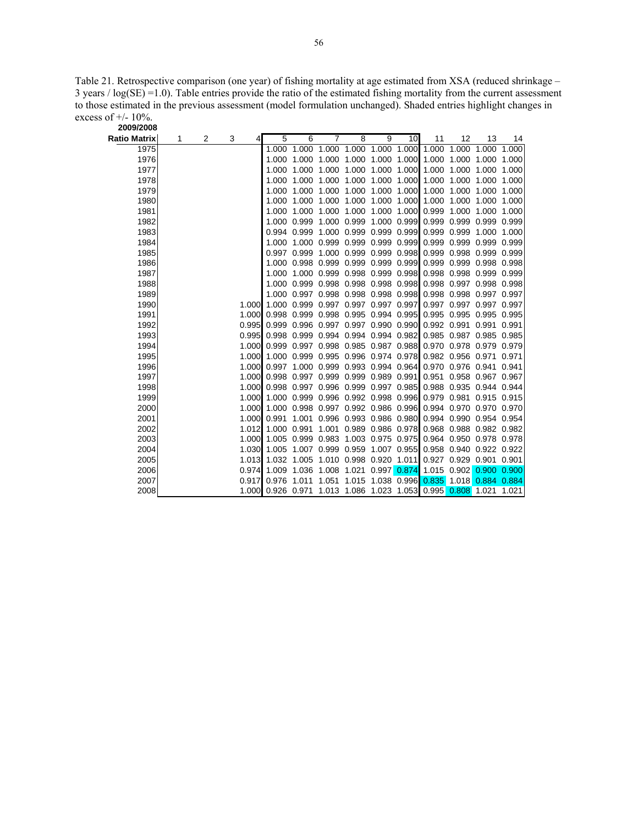Table 21. Retrospective comparison (one year) of fishing mortality at age estimated from XSA (reduced shrinkage – 3 years / log(SE) =1.0). Table entries provide the ratio of the estimated fishing mortality from the current assessment to those estimated in the previous assessment (model formulation unchanged). Shaded entries highlight changes in excess of  $+/- 10\%$ .

| 2009/2008           |   |   |             |             |                                     |                   |       |                               |       |                                           |                                                               |             |       |
|---------------------|---|---|-------------|-------------|-------------------------------------|-------------------|-------|-------------------------------|-------|-------------------------------------------|---------------------------------------------------------------|-------------|-------|
| <b>Ratio Matrix</b> | 1 | 2 | 3<br>4      | 5           | 6                                   | 7                 | 8     | 9                             | 10    | 11                                        | 12                                                            | 13          | 14    |
| 1975                |   |   |             | 1.000       | 1.000                               | 1.000             |       | 1.000 1.000 1.000             |       | 1.000                                     | 1.000                                                         | 1.000 1.000 |       |
| 1976                |   |   |             | 1.000       |                                     | 1.000 1.000       |       | 1.000 1.000 1.000             |       |                                           | 1.000 1.000 1.000                                             |             | 1.000 |
| 1977                |   |   |             | 1.000       |                                     | 1.000 1.000       | 1.000 | 1.000 1.000                   |       |                                           | 1.000 1.000                                                   | 1.000       | 1.000 |
| 1978                |   |   |             | 1.000       |                                     | 1.000 1.000       | 1.000 | 1.000                         | 1.000 |                                           | 1.000 1.000                                                   | 1.000       | 1.000 |
| 1979                |   |   |             | 1.000       | 1.000 1.000                         |                   | 1.000 | 1.000 1.000                   |       |                                           | 1.000 1.000                                                   | 1.000       | 1.000 |
| 1980                |   |   |             | 1.000       |                                     | 1.000 1.000       | 1.000 | 1.000 1.000                   |       | 1.000                                     | 1.000                                                         | 1.000       | 1.000 |
| 1981                |   |   |             | 1.000       |                                     | 1.000 1.000       | 1.000 | 1.000 1.000 0.999             |       |                                           | 1.000                                                         | 1.000       | 1.000 |
| 1982                |   |   |             | 1.000       |                                     | 0.999 1.000 0.999 |       |                               |       |                                           | 1.000 0.999 0.999 0.999                                       | 0.999       | 0.999 |
| 1983                |   |   |             | 0.994       |                                     |                   |       |                               |       | 0.999 1.000 0.999 0.999 0.999 0.999 0.999 |                                                               | 1.000       | 1.000 |
| 1984                |   |   |             | 1.000       |                                     |                   |       |                               |       |                                           | 1.000 0.999 0.999 0.999 0.999 0.999 0.999 0.999 0.999 0.999   |             |       |
| 1985                |   |   |             | 0.997       |                                     |                   |       |                               |       |                                           | 0.999 1.000 0.999 0.999 0.998 0.999 0.998 0.999 0.999         |             |       |
| 1986                |   |   |             | 1.000       |                                     |                   |       |                               |       |                                           | 0.998 0.999 0.999 0.999 0.999 0.999 0.999 0.998 0.998         |             |       |
| 1987                |   |   |             | 1.000       |                                     |                   |       | 1.000 0.999 0.998 0.999 0.998 |       |                                           | 0.998 0.998 0.999 0.999                                       |             |       |
| 1988                |   |   |             | 1.000       |                                     |                   |       | 0.999 0.998 0.998 0.998 0.998 |       |                                           | 0.998 0.997 0.998 0.998                                       |             |       |
| 1989                |   |   |             | 1.000       | 0.997 0.998 0.998 0.998 0.998       |                   |       |                               |       |                                           | 0.998 0.998 0.997 0.997                                       |             |       |
| 1990                |   |   | 1.000       |             | 1.000 0.999 0.997 0.997 0.997 0.997 |                   |       |                               |       |                                           | 0.997 0.997 0.997 0.997                                       |             |       |
| 1991                |   |   | 1.000       |             | 0.998 0.999 0.998 0.995 0.994 0.995 |                   |       |                               |       |                                           | 0.995 0.995 0.995 0.995                                       |             |       |
| 1992                |   |   | 0.995       |             |                                     |                   |       |                               |       |                                           | 0.999 0.996 0.997 0.997 0.990 0.990 0.992 0.991               | 0.991       | 0.991 |
| 1993                |   |   | 0.995       |             |                                     |                   |       |                               |       |                                           | 0.998 0.999 0.994 0.994 0.994 0.982 0.985 0.987 0.985 0.985   |             |       |
| 1994                |   |   | 1.000       |             |                                     |                   |       |                               |       |                                           | 0.999 0.997 0.998 0.985 0.987 0.988 0.970 0.978 0.979 0.979   |             |       |
| 1995                |   |   | 1.000       |             |                                     |                   |       |                               |       |                                           | 1.000 0.999 0.995 0.996 0.974 0.978 0.982 0.956 0.971         |             | 0.971 |
| 1996                |   |   | 1.000       |             |                                     |                   |       |                               |       |                                           | 0.997 1.000 0.999 0.993 0.994 0.964 0.970 0.976 0.941 0.941   |             |       |
| 1997                |   |   | 1.000       |             |                                     |                   |       |                               |       |                                           | 0.998 0.997 0.999 0.999 0.989 0.991 0.951 0.958 0.967 0.967   |             |       |
| 1998                |   |   | 1.000       |             |                                     |                   |       |                               |       |                                           | 0.998 0.997 0.996 0.999 0.997 0.985 0.988 0.935 0.944 0.944   |             |       |
| 1999                |   |   | 1.000       |             |                                     |                   |       |                               |       |                                           | 1.000 0.999 0.996 0.992 0.998 0.996 0.979 0.981 0.915 0.915   |             |       |
| 2000                |   |   | 1.000       | 1.000       |                                     |                   |       |                               |       |                                           | 0.998 0.997 0.992 0.986 0.996 0.994 0.970 0.970 0.970         |             |       |
| 2001                |   |   | 1.000       | 0.991       |                                     |                   |       | 1.001 0.996 0.993 0.986 0.980 |       |                                           | 0.994 0.990 0.954 0.954                                       |             |       |
| 2002                |   |   | 1.012       | 1.000 0.991 |                                     | 1.001             |       | 0.989 0.986 0.978             |       |                                           | 0.968 0.988 0.982 0.982                                       |             |       |
| 2003                |   |   | 1.000       |             | 1.005 0.999 0.983                   |                   |       | 1.003 0.975 0.975             |       |                                           | 0.964 0.950 0.978 0.978                                       |             |       |
| 2004                |   |   | 1.030       | 1.005       |                                     |                   |       |                               |       |                                           | 1.007 0.999 0.959 1.007 0.955 0.958 0.940 0.922 0.922         |             |       |
| 2005                |   |   | 1.013       | 1.032       | 1.005 1.010 0.998 0.920 1.011       |                   |       |                               |       |                                           | 0.927 0.929 0.901 0.901                                       |             |       |
| 2006                |   |   | 0.974 1.009 |             |                                     |                   |       |                               |       | 1.036 1.008 1.021 0.997 0.874 1.015 0.902 |                                                               | 0.900       | 0.900 |
| 2007                |   |   | 0.917       | 0.976       |                                     |                   |       |                               |       |                                           | 1.011  1.051  1.015  1.038  0.996  0.835  1.018  0.884  0.884 |             |       |
| 2008                |   |   |             |             |                                     |                   |       |                               |       |                                           | 1.000 0.926 0.971 1.013 1.086 1.023 1.053 0.995 0.808 1.021   |             | 1.021 |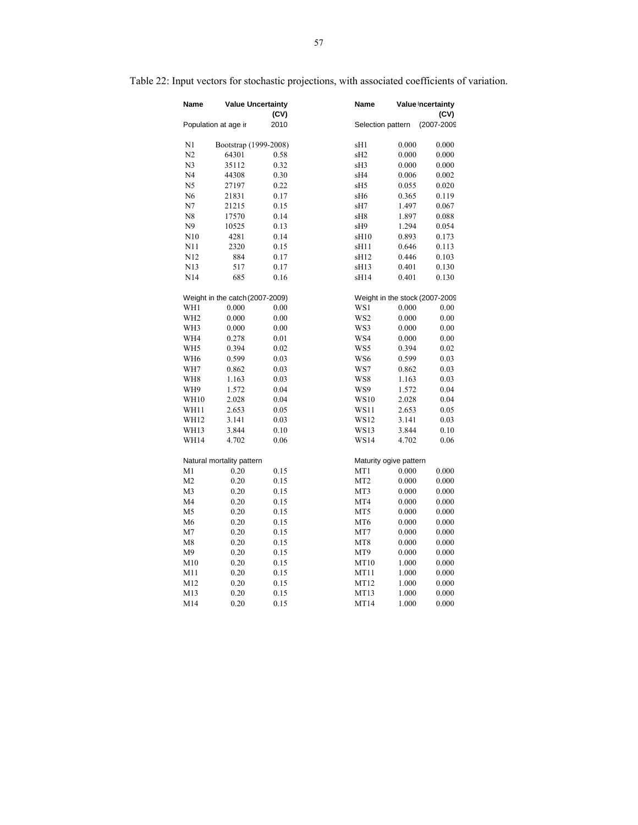| Name            |                                 | <b>Value Uncertainty</b><br>(CV) | Name             |                        | Value Incertainty<br>(CV)      |
|-----------------|---------------------------------|----------------------------------|------------------|------------------------|--------------------------------|
|                 | Population at age in            | 2010                             |                  | Selection pattern      | (2007-2009                     |
| N1              | Bootstrap (1999-2008)           |                                  | sH1              | 0.000                  | 0.000                          |
| N2              | 64301                           | 0.58                             | sH <sub>2</sub>  | 0.000                  | 0.000                          |
| N <sub>3</sub>  | 35112                           | 0.32                             | sH3              | 0.000                  | 0.000                          |
| N4              | 44308                           | 0.30                             | sH4              | 0.006                  | 0.002                          |
| N5              | 27197                           | 0.22                             | sH5              | 0.055                  | 0.020                          |
| N <sub>6</sub>  | 21831                           | 0.17                             | sH6              | 0.365                  | 0.119                          |
| N7              | 21215                           | 0.15                             | sH7              | 1.497                  | 0.067                          |
| N8              | 17570                           | 0.14                             | sH8              | 1.897                  | 0.088                          |
| N9              | 10525                           | 0.13                             | sH9              | 1.294                  | 0.054                          |
| N10             | 4281                            | 0.14                             | sH <sub>10</sub> | 0.893                  | 0.173                          |
| N11             | 2320                            | 0.15                             | sH11             | 0.646                  | 0.113                          |
| N <sub>12</sub> | 884                             | 0.17                             | sH12             | 0.446                  | 0.103                          |
| N13             | 517                             | 0.17                             | sH <sub>13</sub> | 0.401                  | 0.130                          |
| N14             | 685                             | 0.16                             | sH14             | 0.401                  | 0.130                          |
|                 | Weight in the catch (2007-2009) |                                  |                  |                        | Weight in the stock (2007-2009 |
| WH1             | 0.000                           | 0.00                             | WS1              | 0.000                  | 0.00                           |
| WH <sub>2</sub> | 0.000                           | 0.00                             | WS <sub>2</sub>  | 0.000                  | 0.00                           |
| WH3             | 0.000                           | $0.00\,$                         | WS3              | 0.000                  | 0.00                           |
| WH4             | 0.278                           | 0.01                             | WS4              | 0.000                  | 0.00                           |
| WH5             | 0.394                           | 0.02                             | WS5              | 0.394                  | 0.02                           |
| WH <sub>6</sub> | 0.599                           | 0.03                             | WS6              | 0.599                  | 0.03                           |
| WH7             | 0.862                           | 0.03                             | WS7              | 0.862                  | 0.03                           |
| WH8             | 1.163                           | 0.03                             | WS8              | 1.163                  | 0.03                           |
| WH9             | 1.572                           | 0.04                             | WS9              | 1.572                  | 0.04                           |
| <b>WH10</b>     | 2.028                           | 0.04                             | WS10             | 2.028                  | 0.04                           |
| WH11            | 2.653                           | 0.05                             | WS11             | 2.653                  | 0.05                           |
| WH12            | 3.141                           | 0.03                             | WS12             | 3.141                  | 0.03                           |
| WH13            | 3.844                           | 0.10                             | WS13             | 3.844                  | 0.10                           |
| WH14            | 4.702                           | 0.06                             | WS14             | 4.702                  | 0.06                           |
|                 | Natural mortality pattern       |                                  |                  | Maturity ogive pattern |                                |
| M1              | 0.20                            | 0.15                             | MT1              | 0.000                  | 0.000                          |
| M <sub>2</sub>  | 0.20                            | 0.15                             | MT <sub>2</sub>  | 0.000                  | 0.000                          |
| M3              | 0.20                            | 0.15                             | MT3              | 0.000                  | 0.000                          |
| M4              | 0.20                            | 0.15                             | MT4              | 0.000                  | 0.000                          |
| M5              | 0.20                            | 0.15                             | MT5              | 0.000                  | 0.000                          |
| M6              | 0.20                            | 0.15                             | MT <sub>6</sub>  | 0.000                  | 0.000                          |
| M7              | 0.20                            | 0.15                             | MT7              | 0.000                  | 0.000                          |
| M8              | 0.20                            | 0.15                             | MT8              | 0.000                  | 0.000                          |
| M9              | 0.20                            | 0.15                             | MT9              | 0.000                  | 0.000                          |
| M10             | 0.20                            | 0.15                             | MT10             | 1.000                  | 0.000                          |
| M11             | 0.20                            | 0.15                             | MT11             | 1.000                  | 0.000                          |
| M12             | 0.20                            | 0.15                             | MT12             | 1.000                  | 0.000                          |
| M13             | 0.20                            | 0.15                             | MT13             | 1.000                  | 0.000                          |
| M14             | 0.20                            | 0.15                             | MT14             | 1.000                  | 0.000                          |

# Table 22: Input vectors for stochastic projections, with associated coefficients of variation.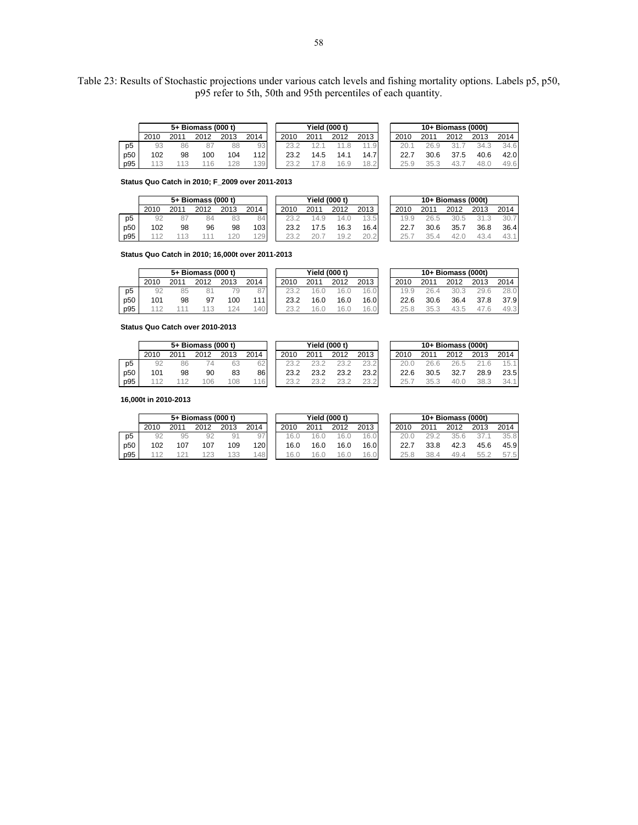Table 23: Results of Stochastic projections under various catch levels and fishing mortality options. Labels p5, p50, p95 refer to 5th, 50th and 95th percentiles of each quantity.

|                |      |     | 5+ Biomass (000 t) |      |           |      | Yield (000 t) |      |      |      |      | 10+ Biomass (000t) |      |      |
|----------------|------|-----|--------------------|------|-----------|------|---------------|------|------|------|------|--------------------|------|------|
|                | 2010 | 201 |                    | 2013 | 2014      | 2010 | 2011          | 2012 | 2013 | 2010 | 2011 | 2012               | 2013 | 2014 |
| D <sub>5</sub> | 93   | 86  |                    | 88   | 93        |      |               |      |      | 20.1 |      |                    | 34.3 | 34.6 |
| p50            | 102  | 98  | 100                | 104  | 12        | 23.2 | 14.5          | 14.1 | 14.7 | 22.7 | 30.6 | 37.5               | 40.6 | 42.0 |
| p95            |      |     |                    |      | 139<br>UJ | つつ   |               | 6.9  | 18.2 | 25.9 | つに   |                    | 48.C | 49.6 |

**Status Quo Catch in 2010; F\_2009 over 2011-2013**

|                 |      |      | 5+ Biomass (000 t) |      |      |      | Yield (000 t) |      |      |      |      | $10+$ Biomass (000t) |      |      |
|-----------------|------|------|--------------------|------|------|------|---------------|------|------|------|------|----------------------|------|------|
|                 | 2010 | 2011 | 2012               | 2013 | 2014 | 2010 | 2011          | 2012 | 2013 | 2010 | 2011 | 2012                 | 2013 | 2014 |
| p <sub>5</sub>  | 92   |      |                    | 83   | 84   |      | 4.9           | 14.U | 13.5 | 19.9 | 26.5 | 30.5                 | 31.3 | 30.7 |
| p <sub>50</sub> | 102  | 98   | 96                 | 98   | 1031 | 23.2 | 7.5           | 16.3 | 16.4 | 22.7 | 30.6 | 35.7                 | 36.8 | 36.4 |
| p95             |      |      |                    | 120  | 129  |      |               | 19.2 | 20.2 | 25.7 | 35.4 |                      | 43.4 | 43.1 |

**Status Quo Catch in 2010; 16,000t over 2011-2013**

|                | 5+ Biomass (000 t) |      |      |      |        | Yield (000 t) |      |      |      | $10+$ Biomass (000t) |      |      |      |      |  |
|----------------|--------------------|------|------|------|--------|---------------|------|------|------|----------------------|------|------|------|------|--|
|                | 2010               | 2011 | 2012 | 2013 | 2014   | 2010          | 2011 | 2012 | 2013 | 2010                 | 2011 | 2012 | 2013 | 2014 |  |
| p <sub>5</sub> | 92                 | 85   |      |      | $\sim$ | 23.2          |      | 16.L | 16.0 | 19.9                 |      | 30.3 | 29.6 | 28.0 |  |
| p50            | 101                | 98   | -97  | 100  | 111    | 23.2          | 16.0 | 16.0 | 16.0 | 22.6                 | 30.6 | 36.4 | 37.8 | 37.9 |  |
| p95            |                    |      |      |      | 40     |               | 6.1  | 16.0 | 16.0 | 25.8                 | つに   | 43.5 | 47.6 | 49.3 |  |

**Status Quo Catch over 2010-2013**

|                 | 5+ Biomass (000 t) |     |      |      |      | <b>Yield (000 t)</b> |      |      |      | $10+$ Biomass (000t) |      |      |      |      |  |
|-----------------|--------------------|-----|------|------|------|----------------------|------|------|------|----------------------|------|------|------|------|--|
|                 | 2010               | 201 | 2012 | 2013 | 2014 | 2010                 | 201' | 2012 | 2013 | 2010                 | 201' | 2012 | 2013 | 2014 |  |
| p <sub>5</sub>  | 92                 | 86  |      | 63   | 62   |                      |      |      | nn   | 20.0                 |      |      |      |      |  |
| p <sub>50</sub> | 101                | 98  | 90   | 83   | 86   | 23.2                 | 23.2 | 23.2 | 23.2 | 22.6                 | 30.5 | 32.7 | 28.9 | 23.5 |  |
| p95             |                    |     | '06  | 08   | 16   |                      |      |      | つつ   | 25.                  | 35.3 | 40.C | 38.3 | 34.1 |  |

**16,000t in 2010-2013**

|                | 5+ Biomass (000 t) |      |      |      |        | <b>Yield (000 t)</b> |      |      |      | 10+ Biomass (000t) |      |      |      |      |  |  |
|----------------|--------------------|------|------|------|--------|----------------------|------|------|------|--------------------|------|------|------|------|--|--|
|                | 2010               | 2011 | 2012 | 2013 | 2014   | 2010                 | 2011 | 2012 | 2013 | 2010               | 2011 | 2012 | 2013 | 2014 |  |  |
| p <sub>5</sub> | 92                 | 95   | 92   |      | 97     | 16.1                 |      | 16.6 | 16.0 | 20.0               | 7G.  |      | 37.  | 35.8 |  |  |
| p50            | 102                | 107  | 107  | 109  | l 20 l | 16.0                 | 16.0 | 16.0 | 16.0 | 22.7               | 33.8 | 42.3 | 45.6 | 45.9 |  |  |
| p95            | 440                |      |      | 33   | 48     | 16.                  | '6.l | 16.0 | 16.0 | 25.8               | 38.4 | 49.4 | 55.2 | 57.5 |  |  |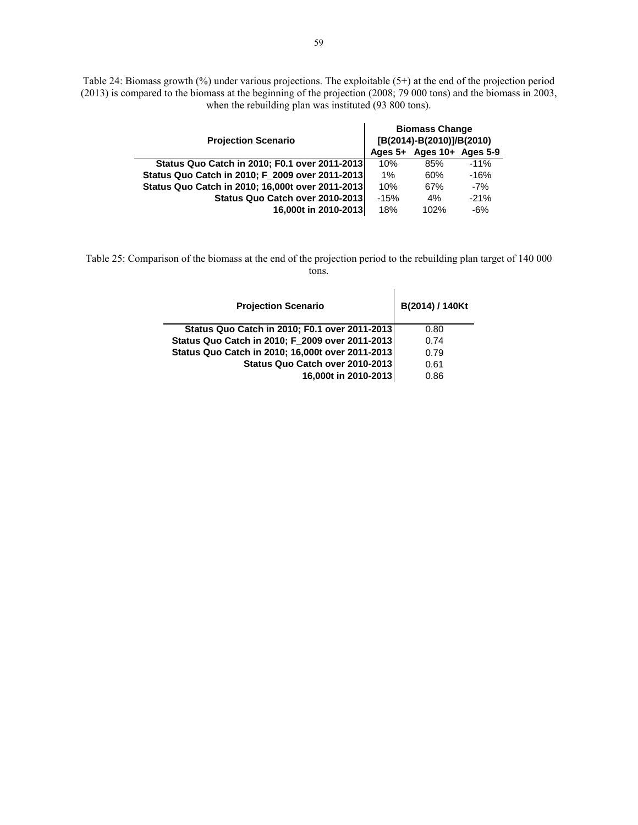Table 24: Biomass growth (%) under various projections. The exploitable (5+) at the end of the projection period (2013) is compared to the biomass at the beginning of the projection (2008; 79 000 tons) and the biomass in 2003, when the rebuilding plan was instituted (93 800 tons).

| <b>Projection Scenario</b>                       | <b>Biomass Change</b><br>[B(2014)-B(2010)]/B(2010) |                   |        |  |  |  |  |
|--------------------------------------------------|----------------------------------------------------|-------------------|--------|--|--|--|--|
|                                                  | Ages $5+$                                          | Ages 10+ Ages 5-9 |        |  |  |  |  |
| Status Quo Catch in 2010; F0.1 over 2011-2013    | 10%                                                | 85%               | $-11%$ |  |  |  |  |
| Status Quo Catch in 2010; F_2009 over 2011-2013  | $1\%$                                              | 60%               | $-16%$ |  |  |  |  |
| Status Quo Catch in 2010; 16,000t over 2011-2013 | 10%                                                | 67%               | $-7%$  |  |  |  |  |
| Status Quo Catch over 2010-2013                  | $-15%$                                             | 4%                | $-21%$ |  |  |  |  |
| 16,000t in 2010-2013                             | 18%                                                | 102%              | $-6%$  |  |  |  |  |

Table 25: Comparison of the biomass at the end of the projection period to the rebuilding plan target of 140 000 tons.

| <b>Projection Scenario</b>                       | B(2014) / 140Kt |
|--------------------------------------------------|-----------------|
| Status Quo Catch in 2010; F0.1 over 2011-2013    | 0.80            |
| Status Quo Catch in 2010; F_2009 over 2011-2013  | 0.74            |
| Status Quo Catch in 2010; 16,000t over 2011-2013 | 0.79            |
| Status Quo Catch over 2010-2013                  | 0.61            |
| 16,000t in 2010-2013                             | 0.86            |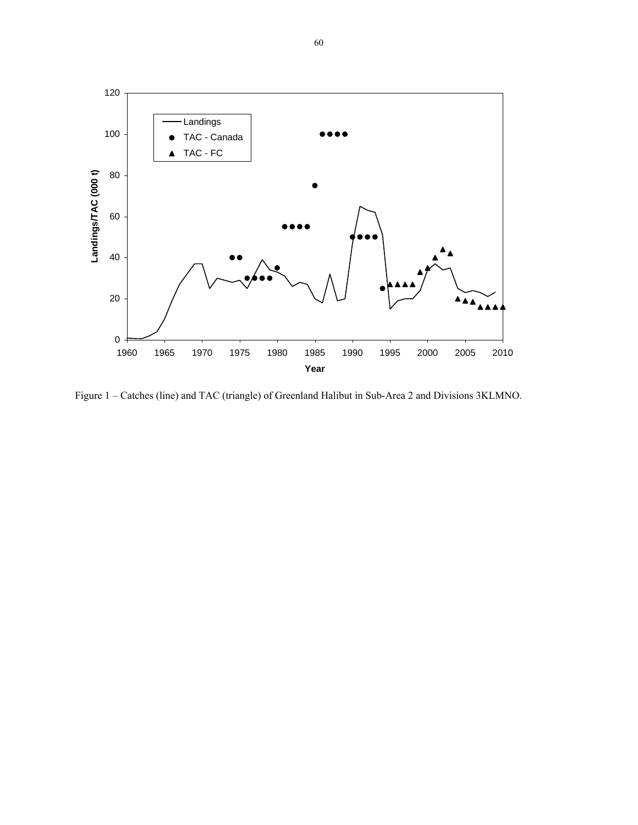

Figure 1 – Catches (line) and TAC (triangle) of Greenland Halibut in Sub-Area 2 and Divisions 3KLMNO.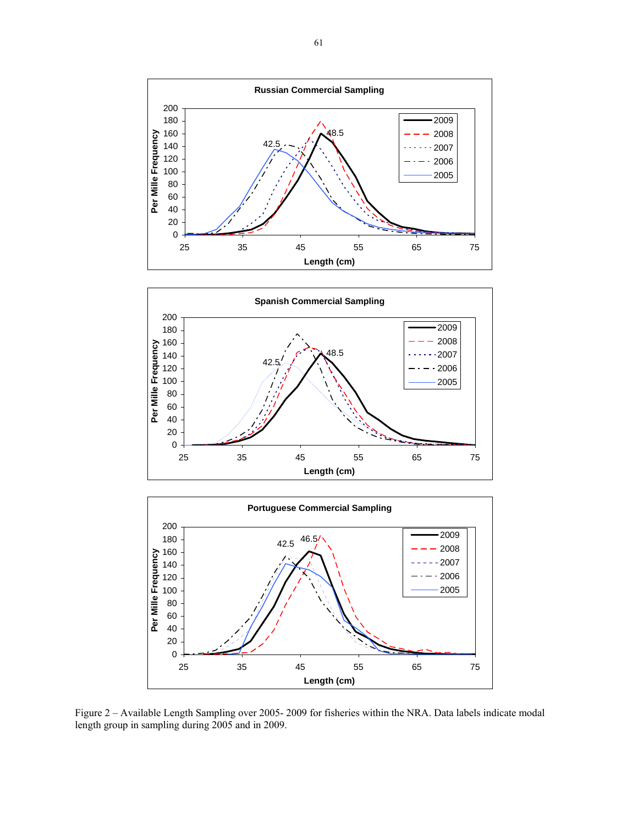





Figure 2 – Available Length Sampling over 2005- 2009 for fisheries within the NRA. Data labels indicate modal length group in sampling during 2005 and in 2009.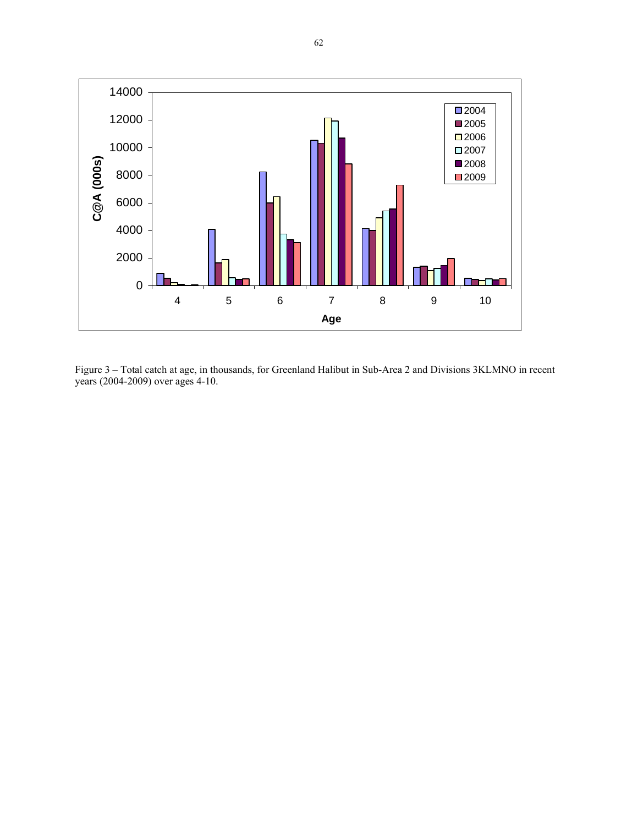

Figure 3 – Total catch at age, in thousands, for Greenland Halibut in Sub-Area 2 and Divisions 3KLMNO in recent years (2004-2009) over ages 4-10.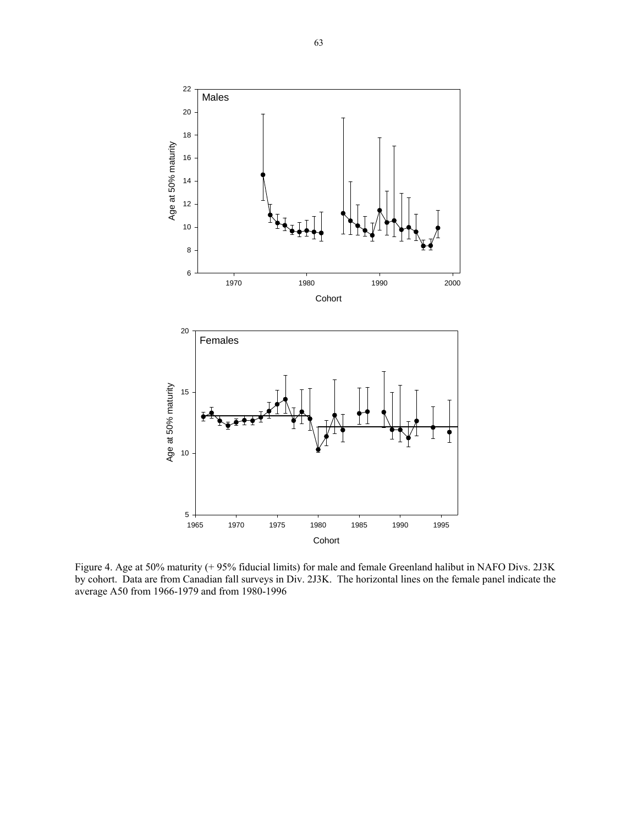

Figure 4. Age at 50% maturity (+ 95% fiducial limits) for male and female Greenland halibut in NAFO Divs. 2J3K by cohort. Data are from Canadian fall surveys in Div. 2J3K. The horizontal lines on the female panel indicate the average A50 from 1966-1979 and from 1980-1996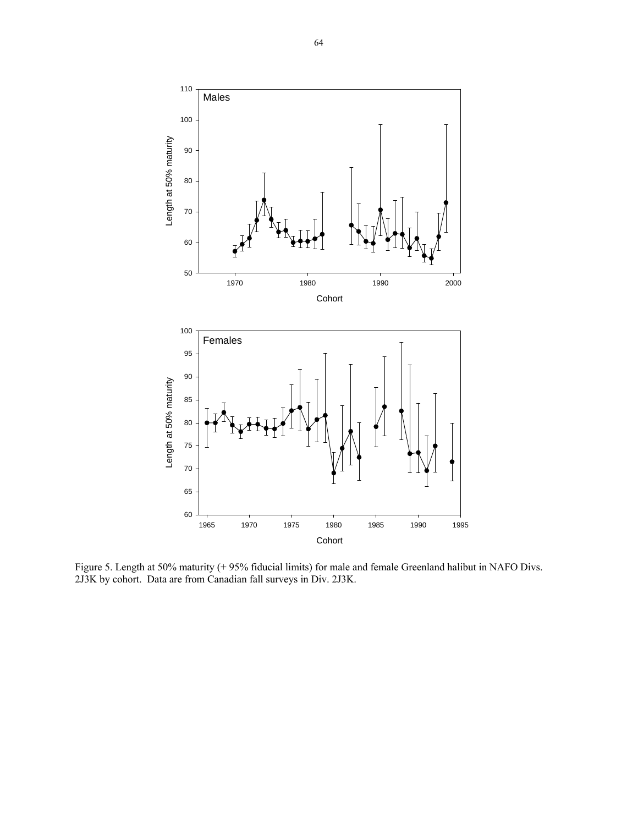

Figure 5. Length at 50% maturity (+ 95% fiducial limits) for male and female Greenland halibut in NAFO Divs. 2J3K by cohort. Data are from Canadian fall surveys in Div. 2J3K.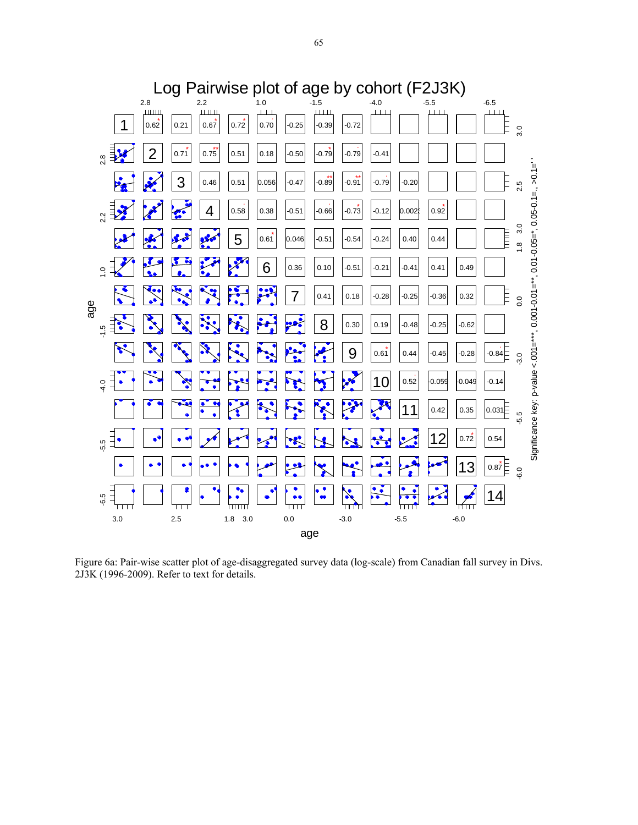

Figure 6a: Pair-wise scatter plot of age-disaggregated survey data (log-scale) from Canadian fall survey in Divs. 2J3K (1996-2009). Refer to text for details.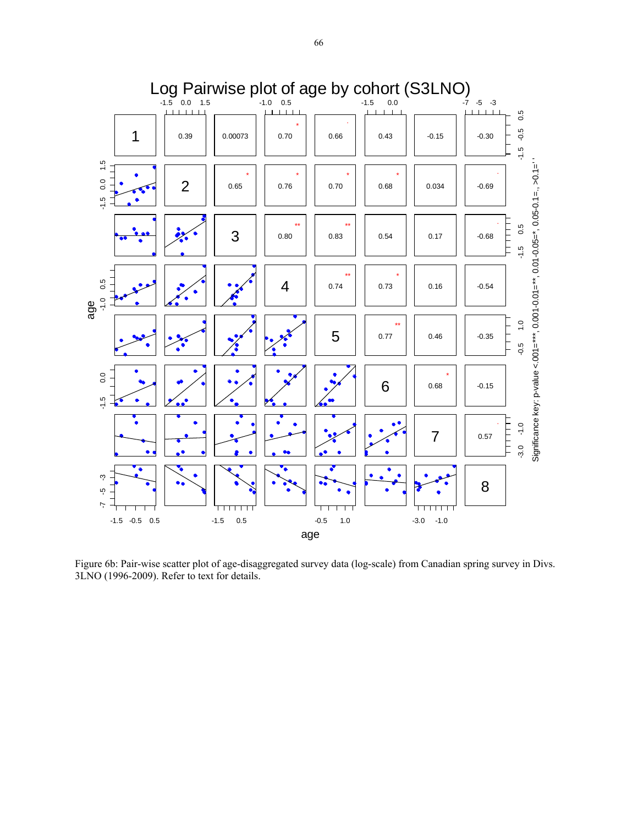

Figure 6b: Pair-wise scatter plot of age-disaggregated survey data (log-scale) from Canadian spring survey in Divs. 3LNO (1996-2009). Refer to text for details.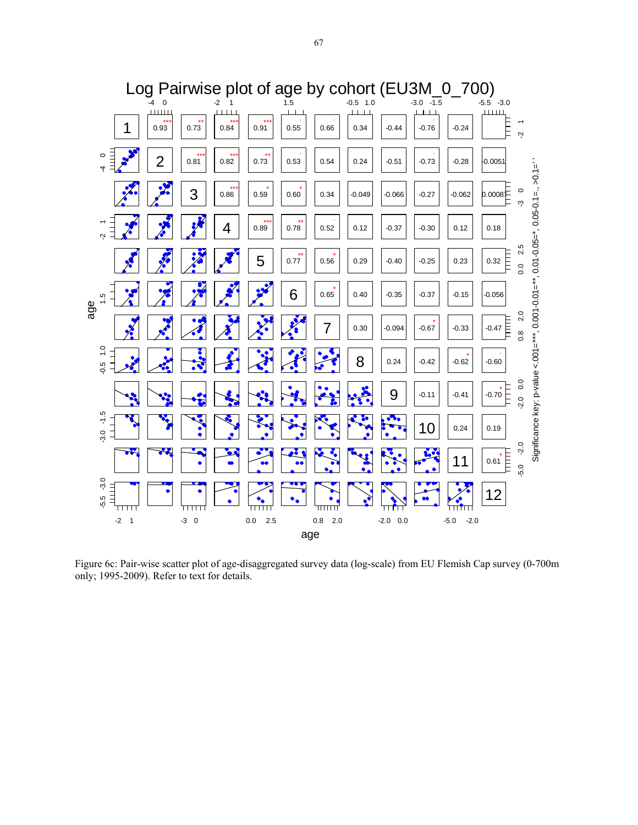

Figure 6c: Pair-wise scatter plot of age-disaggregated survey data (log-scale) from EU Flemish Cap survey (0-700m only; 1995-2009). Refer to text for details.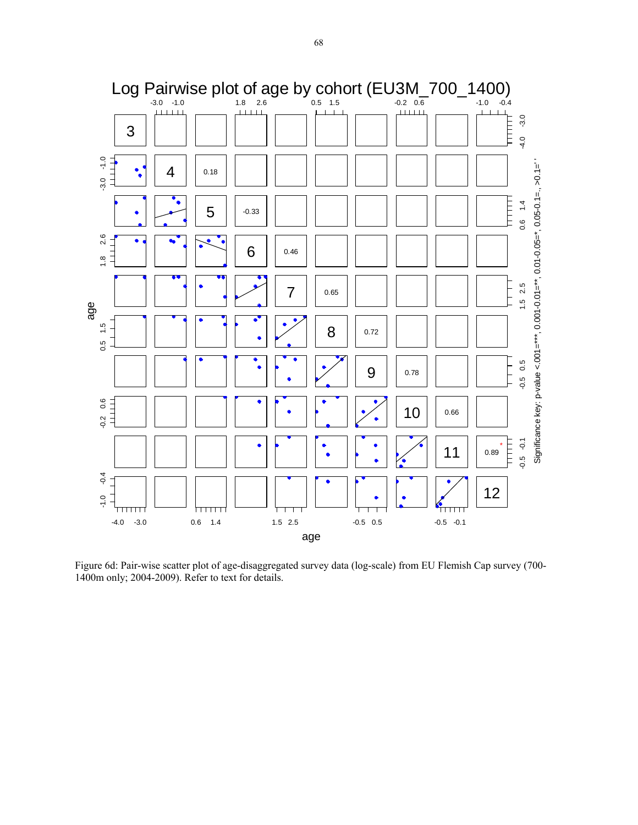

Figure 6d: Pair-wise scatter plot of age-disaggregated survey data (log-scale) from EU Flemish Cap survey (700- 1400m only; 2004-2009). Refer to text for details.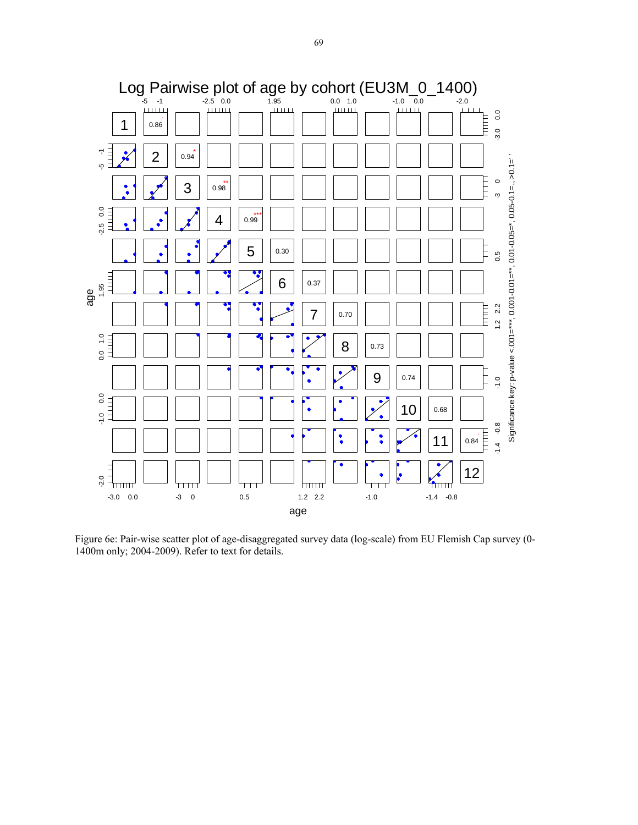

Figure 6e: Pair-wise scatter plot of age-disaggregated survey data (log-scale) from EU Flemish Cap survey (0- 1400m only; 2004-2009). Refer to text for details.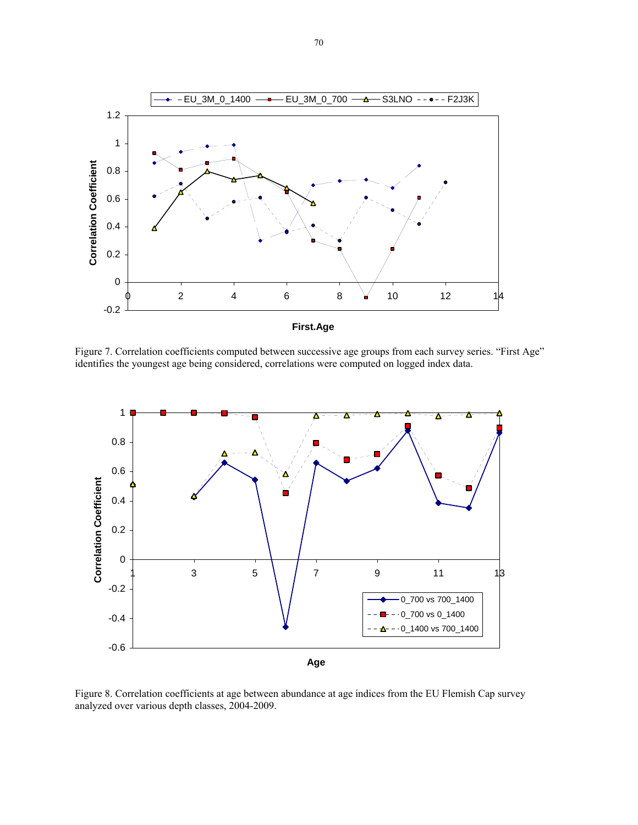

Figure 7. Correlation coefficients computed between successive age groups from each survey series. "First Age" identifies the youngest age being considered, correlations were computed on logged index data.



Figure 8. Correlation coefficients at age between abundance at age indices from the EU Flemish Cap survey analyzed over various depth classes, 2004-2009.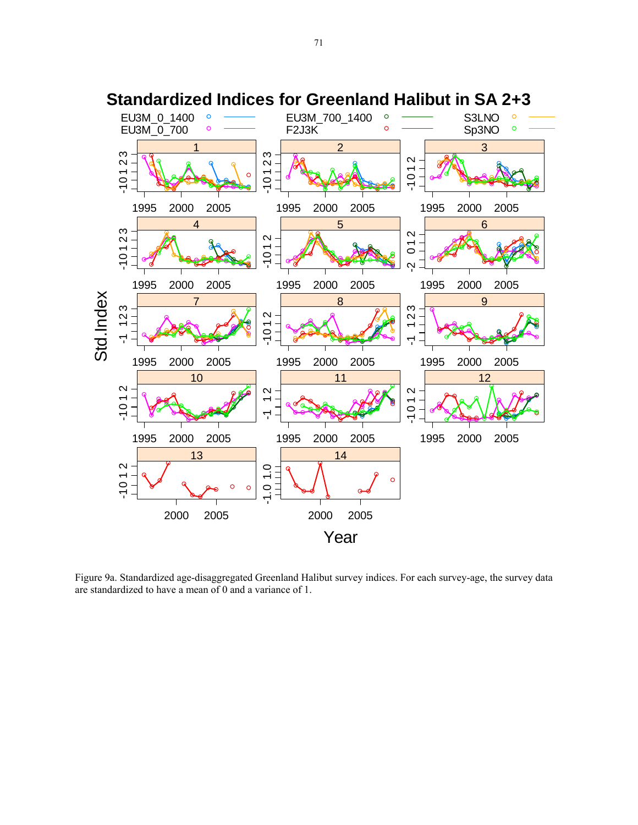

**Standardized Indices for Greenland Halibut in SA 2+3**

Figure 9a. Standardized age-disaggregated Greenland Halibut survey indices. For each survey-age, the survey data are standardized to have a mean of 0 and a variance of 1.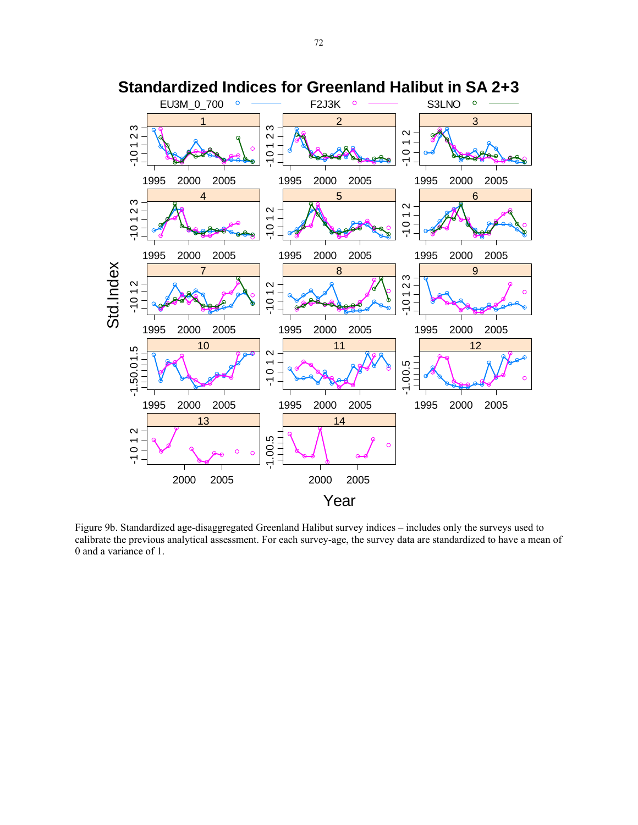

Figure 9b. Standardized age-disaggregated Greenland Halibut survey indices – includes only the surveys used to calibrate the previous analytical assessment. For each survey-age, the survey data are standardized to have a mean of 0 and a variance of 1.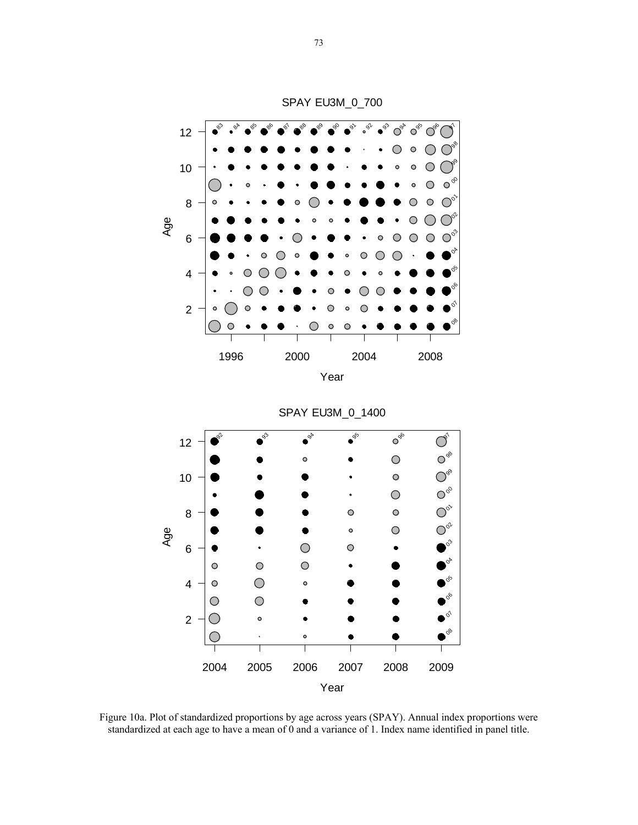

Figure 10a. Plot of standardized proportions by age across years (SPAY). Annual index proportions were standardized at each age to have a mean of 0 and a variance of 1. Index name identified in panel title.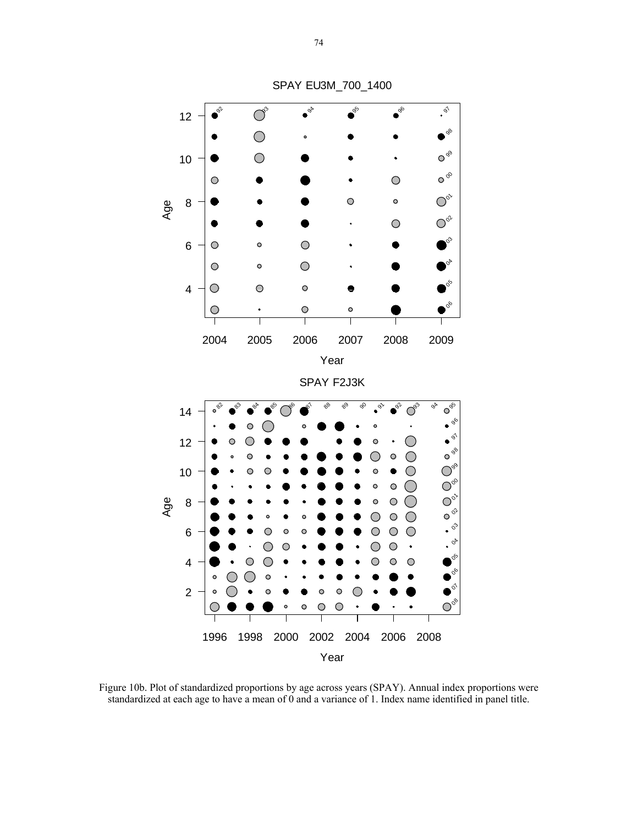

Figure 10b. Plot of standardized proportions by age across years (SPAY). Annual index proportions were standardized at each age to have a mean of 0 and a variance of 1. Index name identified in panel title.

SPAY EU3M\_700\_1400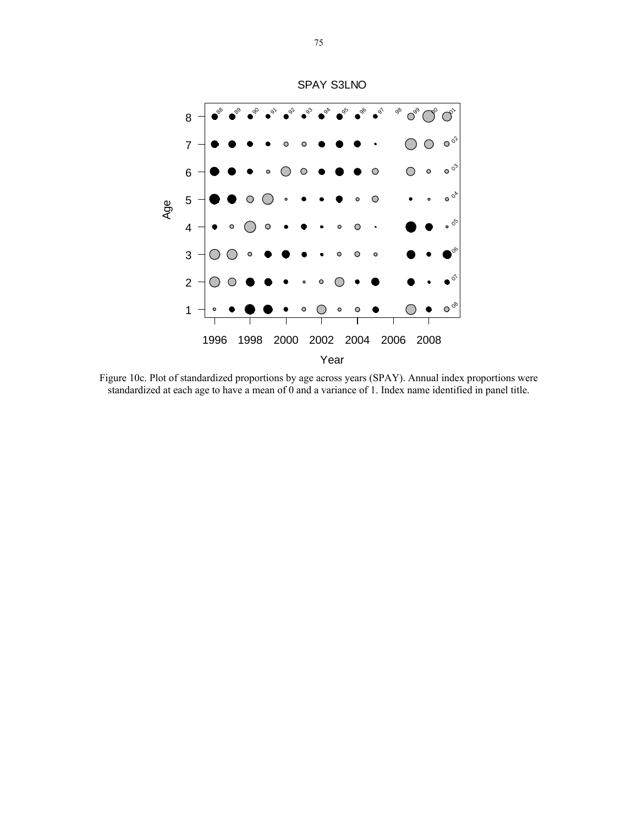

Figure 10c. Plot of standardized proportions by age across years (SPAY). Annual index proportions were standardized at each age to have a mean of 0 and a variance of 1. Index name identified in panel title.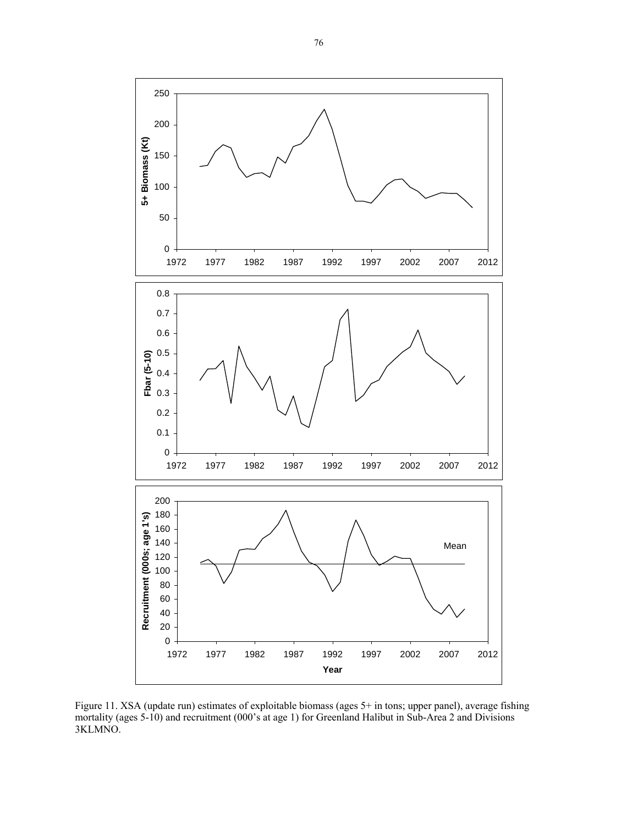

Figure 11. XSA (update run) estimates of exploitable biomass (ages 5+ in tons; upper panel), average fishing mortality (ages 5-10) and recruitment (000's at age 1) for Greenland Halibut in Sub-Area 2 and Divisions 3KLMNO.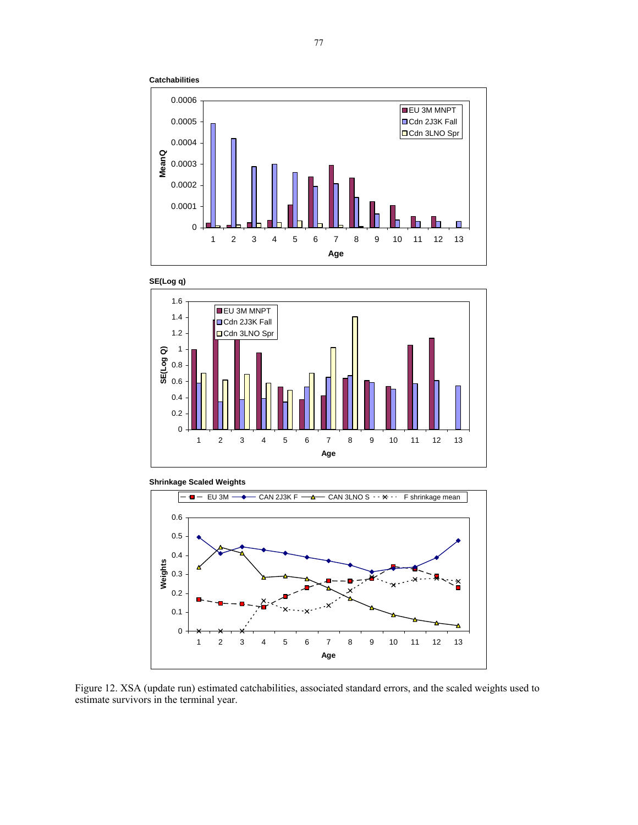









Figure 12. XSA (update run) estimated catchabilities, associated standard errors, and the scaled weights used to estimate survivors in the terminal year.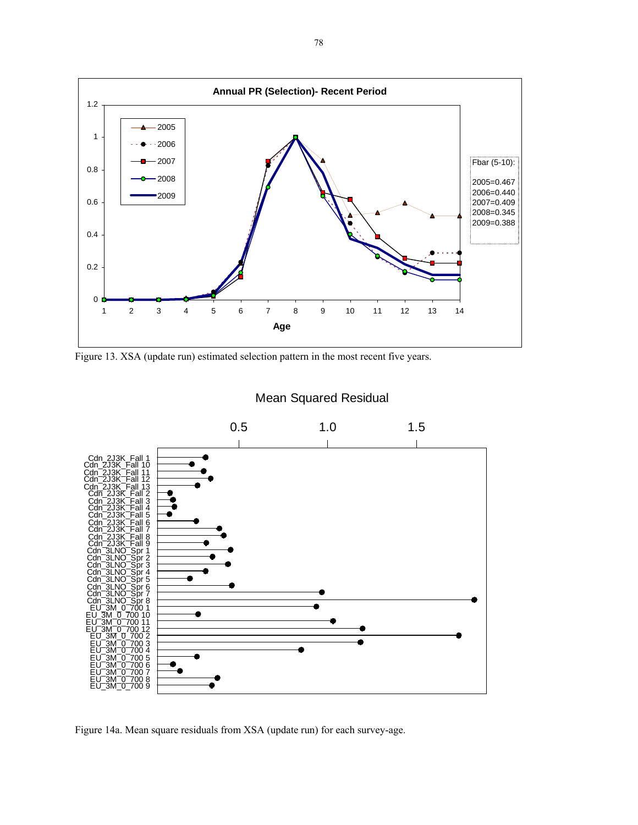

Figure 13. XSA (update run) estimated selection pattern in the most recent five years.



Figure 14a. Mean square residuals from XSA (update run) for each survey-age.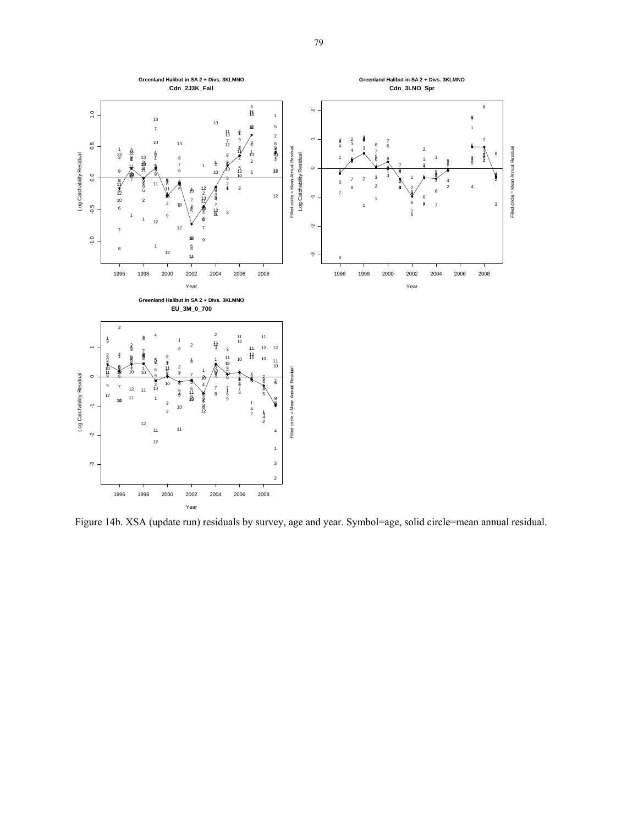

Figure 14b. XSA (update run) residuals by survey, age and year. Symbol=age, solid circle=mean annual residual.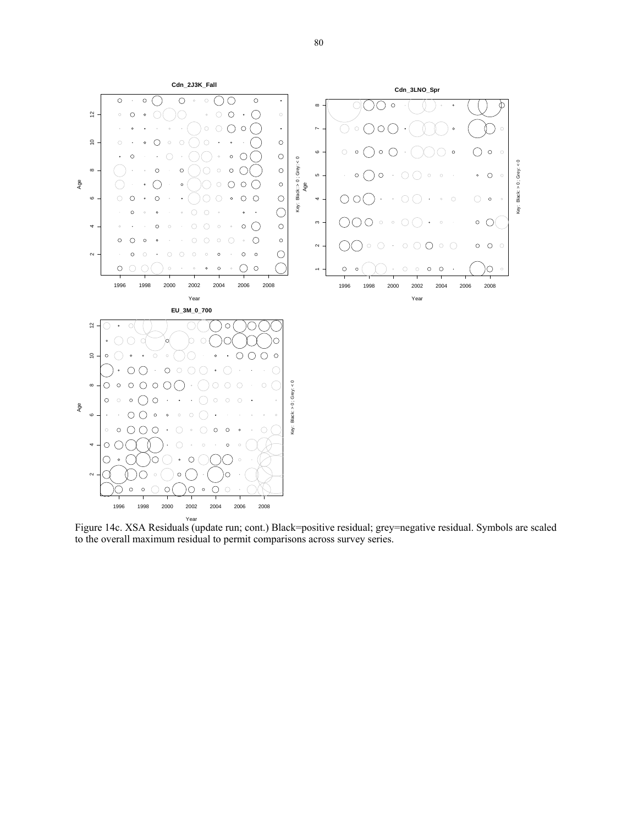

Figure 14c. XSA Residuals (update run; cont.) Black=positive residual; grey=negative residual. Symbols are scaled to the overall maximum residual to permit comparisons across survey series.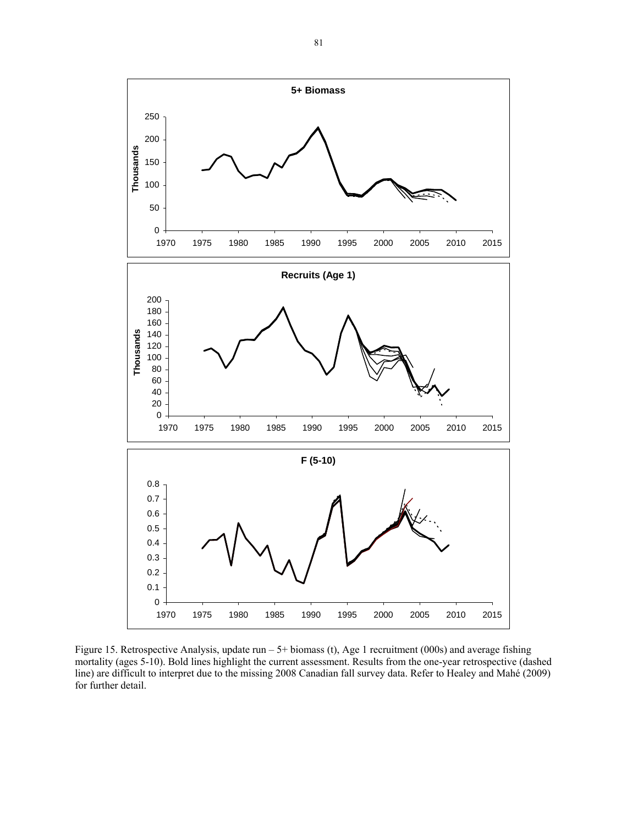

Figure 15. Retrospective Analysis, update run – 5+ biomass (t), Age 1 recruitment (000s) and average fishing mortality (ages 5-10). Bold lines highlight the current assessment. Results from the one-year retrospective (dashed line) are difficult to interpret due to the missing 2008 Canadian fall survey data. Refer to Healey and Mahé (2009) for further detail.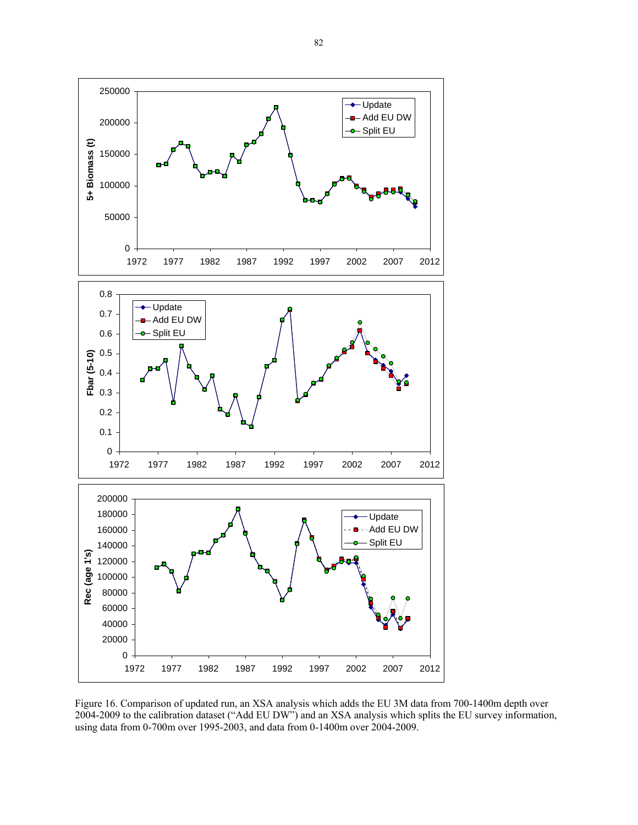

Figure 16. Comparison of updated run, an XSA analysis which adds the EU 3M data from 700-1400m depth over 2004-2009 to the calibration dataset ("Add EU DW") and an XSA analysis which splits the EU survey information, using data from 0-700m over 1995-2003, and data from 0-1400m over 2004-2009.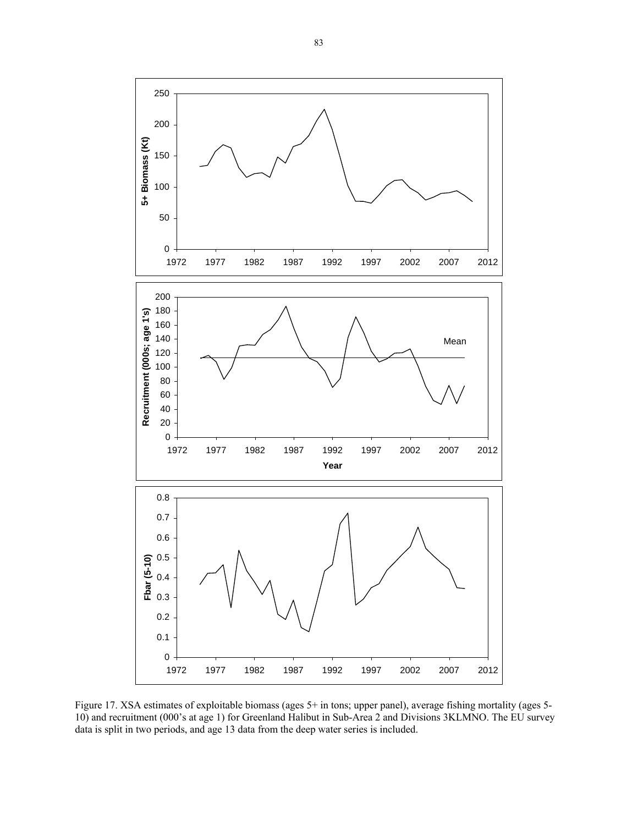

Figure 17. XSA estimates of exploitable biomass (ages 5+ in tons; upper panel), average fishing mortality (ages 5-10) and recruitment (000's at age 1) for Greenland Halibut in Sub-Area 2 and Divisions 3KLMNO. The EU survey data is split in two periods, and age 13 data from the deep water series is included.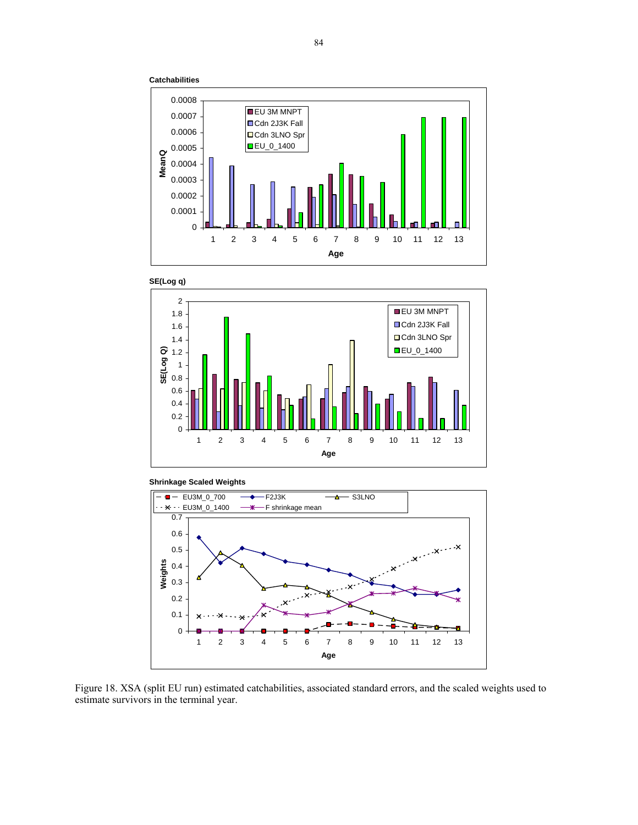











Figure 18. XSA (split EU run) estimated catchabilities, associated standard errors, and the scaled weights used to estimate survivors in the terminal year.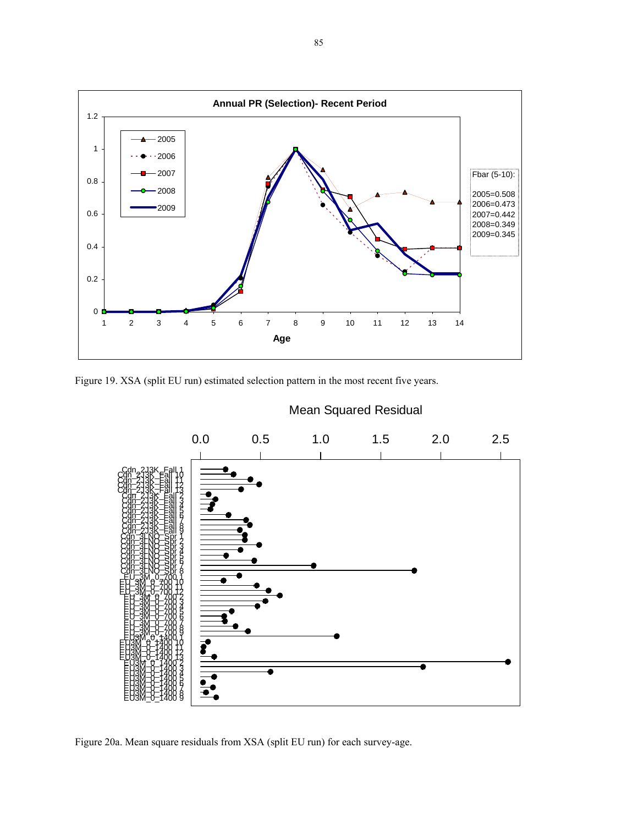

Figure 19. XSA (split EU run) estimated selection pattern in the most recent five years.



Figure 20a. Mean square residuals from XSA (split EU run) for each survey-age.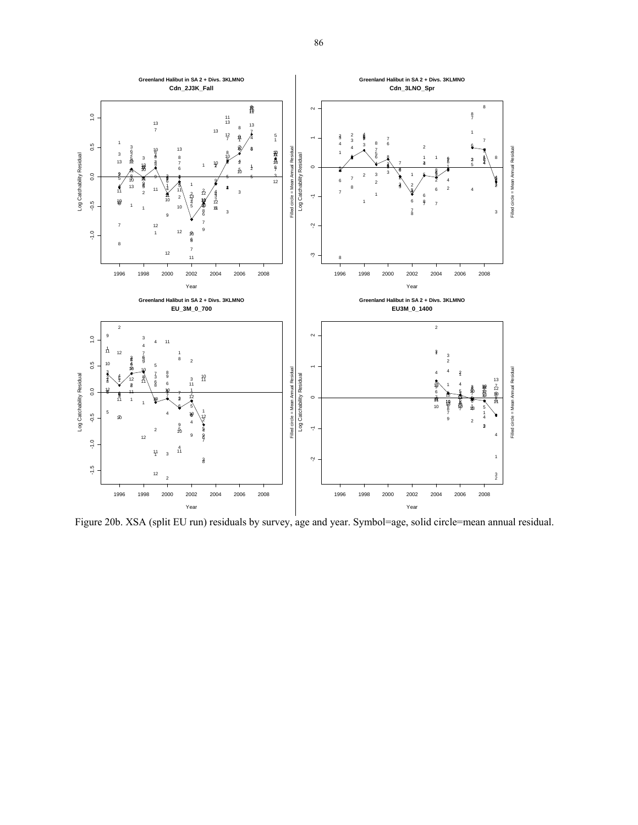

Figure 20b. XSA (split EU run) residuals by survey, age and year. Symbol=age, solid circle=mean annual residual.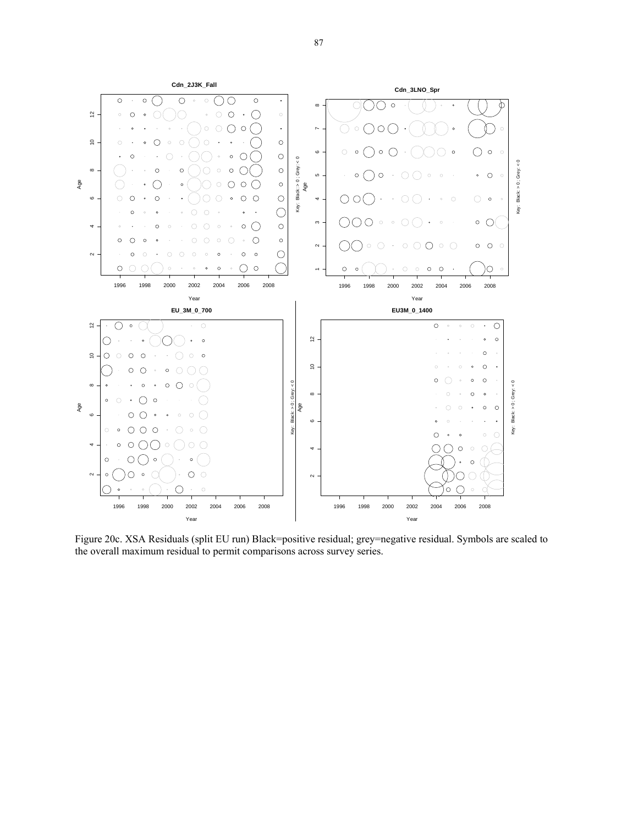

Figure 20c. XSA Residuals (split EU run) Black=positive residual; grey=negative residual. Symbols are scaled to the overall maximum residual to permit comparisons across survey series.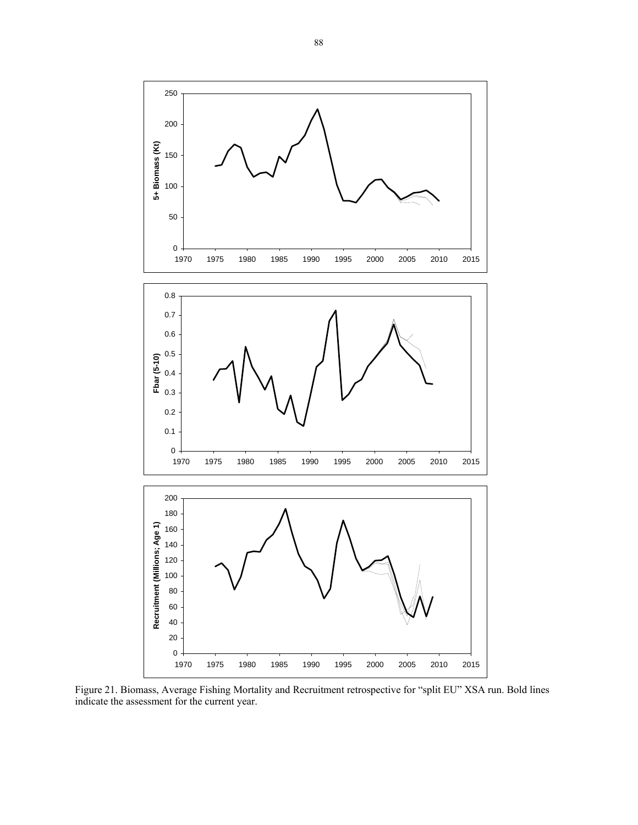

Figure 21. Biomass, Average Fishing Mortality and Recruitment retrospective for "split EU" XSA run. Bold lines indicate the assessment for the current year.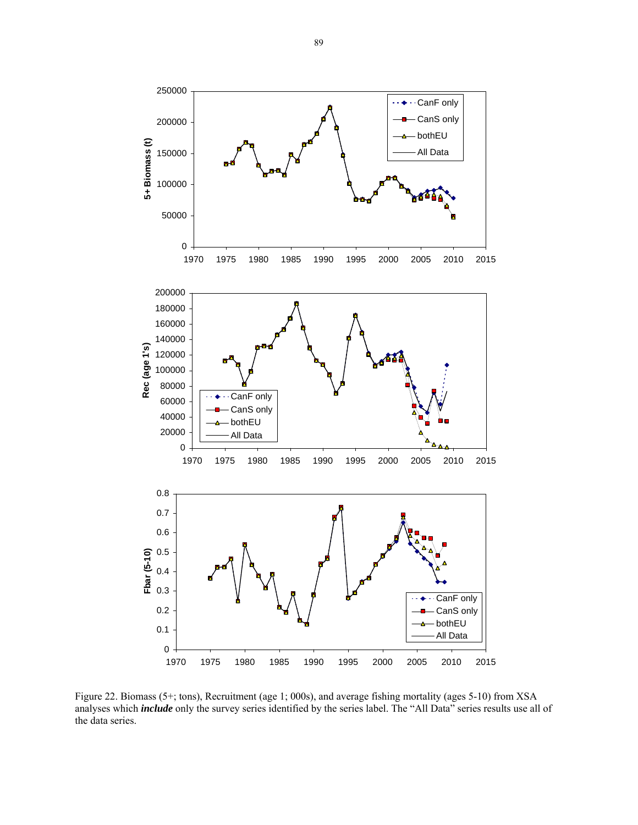

Figure 22. Biomass (5+; tons), Recruitment (age 1; 000s), and average fishing mortality (ages 5-10) from XSA analyses which *include* only the survey series identified by the series label. The "All Data" series results use all of the data series.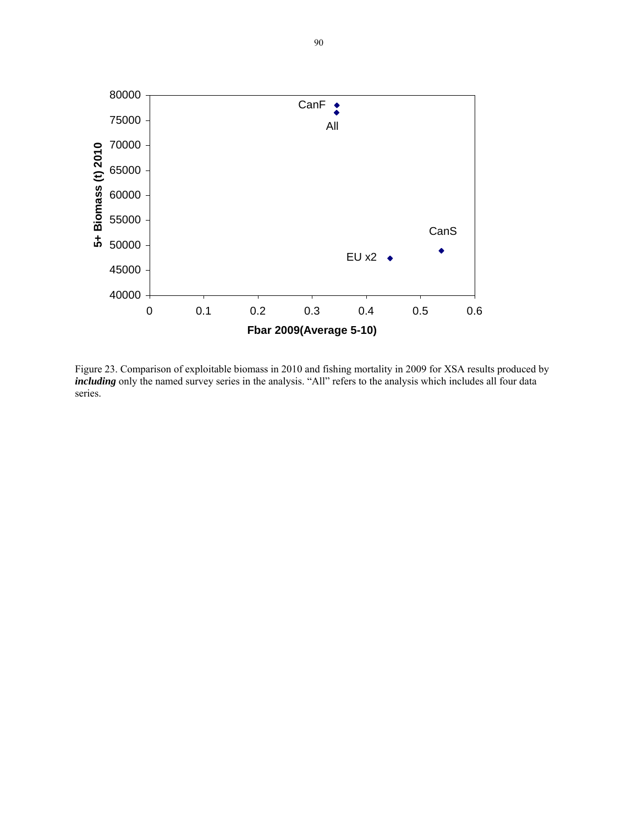

Figure 23. Comparison of exploitable biomass in 2010 and fishing mortality in 2009 for XSA results produced by *including* only the named survey series in the analysis. "All" refers to the analysis which includes all four data series.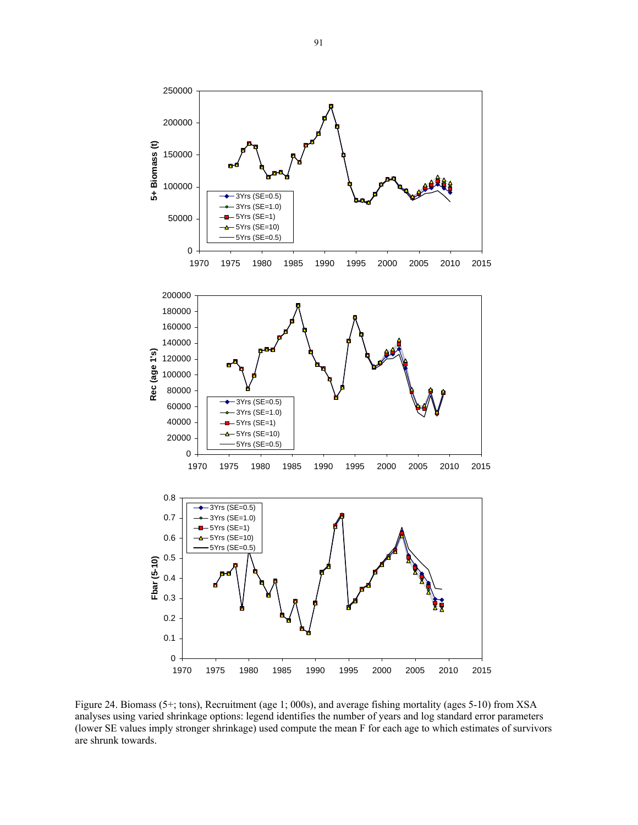

Figure 24. Biomass (5+; tons), Recruitment (age 1; 000s), and average fishing mortality (ages 5-10) from XSA analyses using varied shrinkage options: legend identifies the number of years and log standard error parameters (lower SE values imply stronger shrinkage) used compute the mean F for each age to which estimates of survivors are shrunk towards.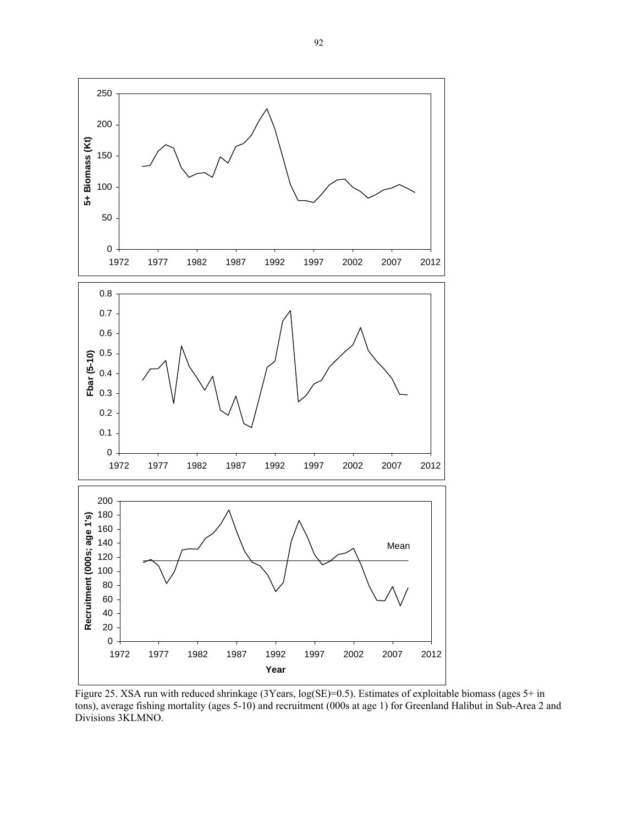

Figure 25. XSA run with reduced shrinkage (3Years, log(SE)=0.5). Estimates of exploitable biomass (ages 5+ in tons), average fishing mortality (ages 5-10) and recruitment (000s at age 1) for Greenland Halibut in Sub-Area 2 and Divisions 3KLMNO.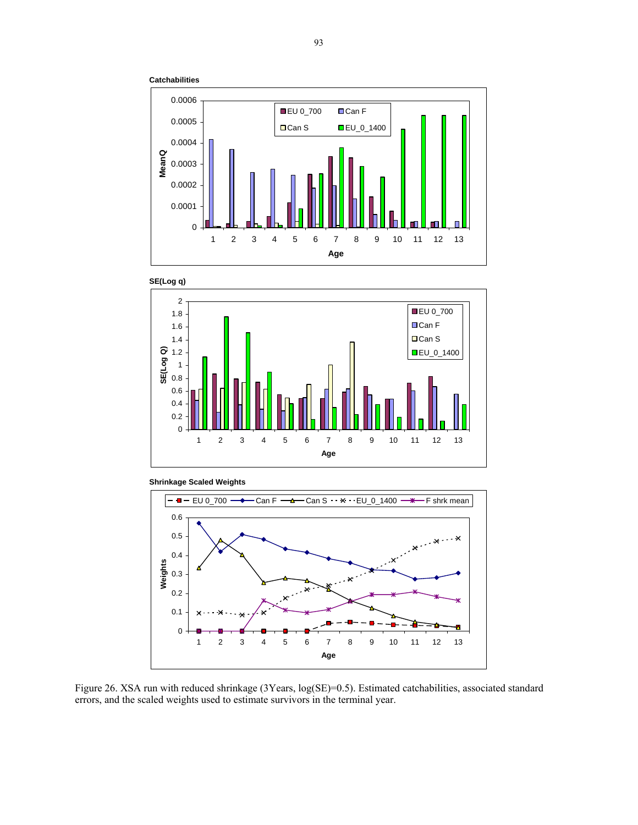









Figure 26. XSA run with reduced shrinkage (3Years, log(SE)=0.5). Estimated catchabilities, associated standard errors, and the scaled weights used to estimate survivors in the terminal year.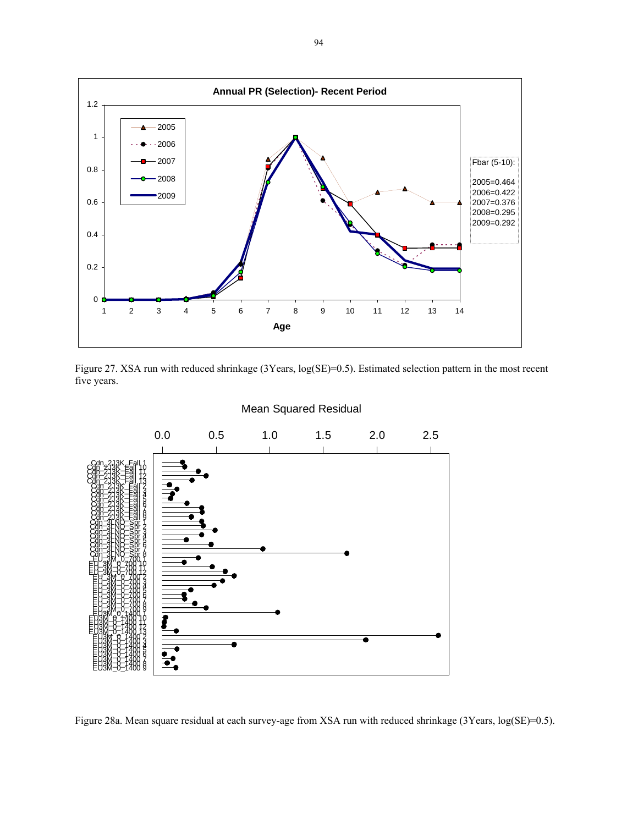





Figure 28a. Mean square residual at each survey-age from XSA run with reduced shrinkage (3Years, log(SE)=0.5).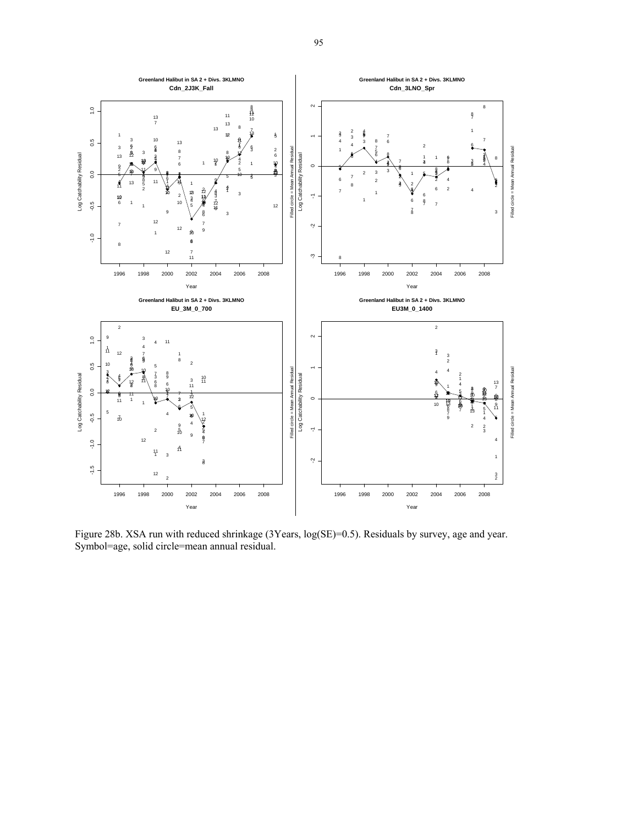

Figure 28b. XSA run with reduced shrinkage (3Years, log(SE)=0.5). Residuals by survey, age and year. Symbol=age, solid circle=mean annual residual.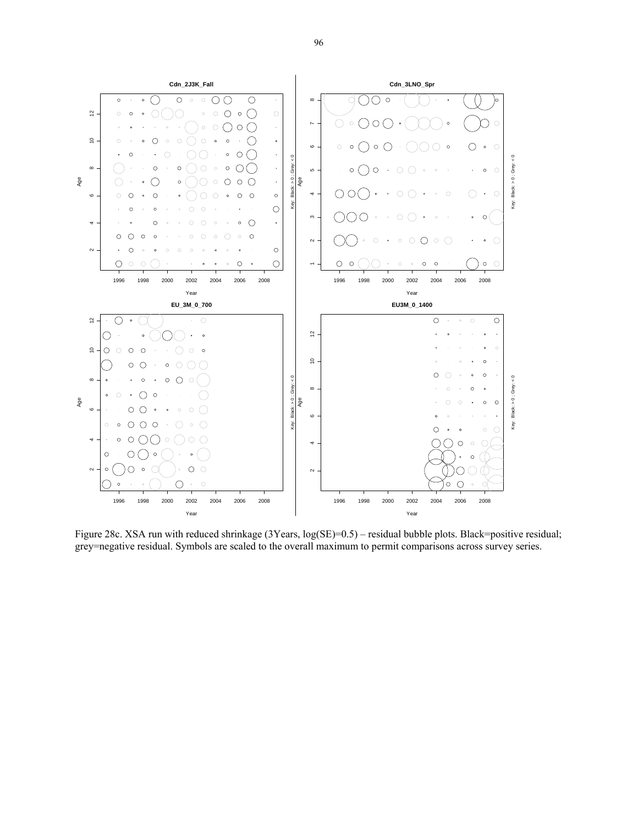

Figure 28c. XSA run with reduced shrinkage (3Years, log(SE)=0.5) – residual bubble plots. Black=positive residual; grey=negative residual. Symbols are scaled to the overall maximum to permit comparisons across survey series.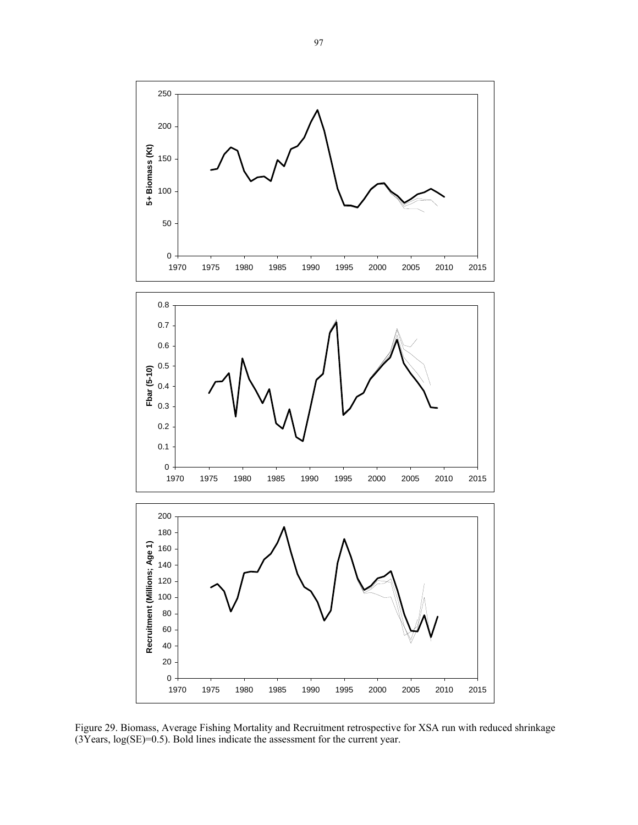

Figure 29. Biomass, Average Fishing Mortality and Recruitment retrospective for XSA run with reduced shrinkage  $(3Years, log(SE)=0.5)$ . Bold lines indicate the assessment for the current year.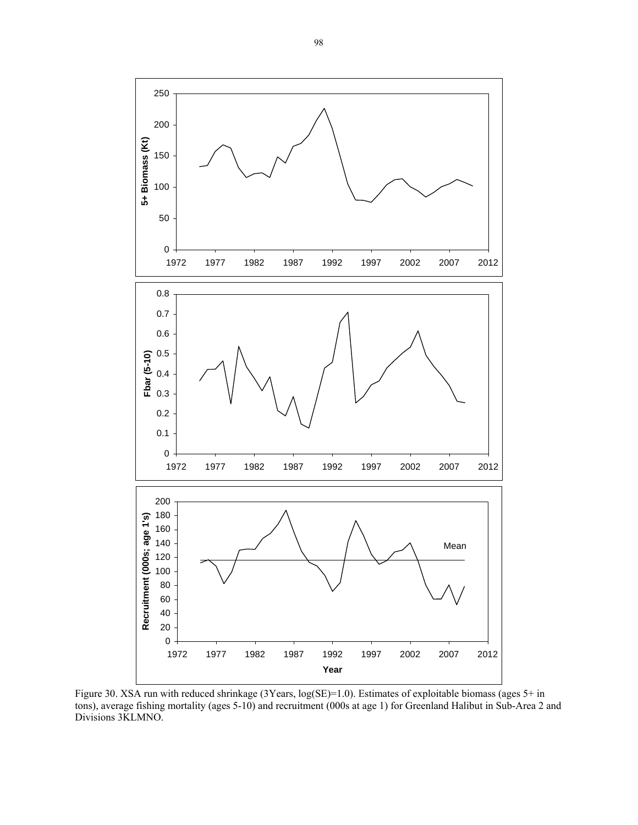

Figure 30. XSA run with reduced shrinkage (3Years, log(SE)=1.0). Estimates of exploitable biomass (ages 5+ in tons), average fishing mortality (ages 5-10) and recruitment (000s at age 1) for Greenland Halibut in Sub-Area 2 and Divisions 3KLMNO.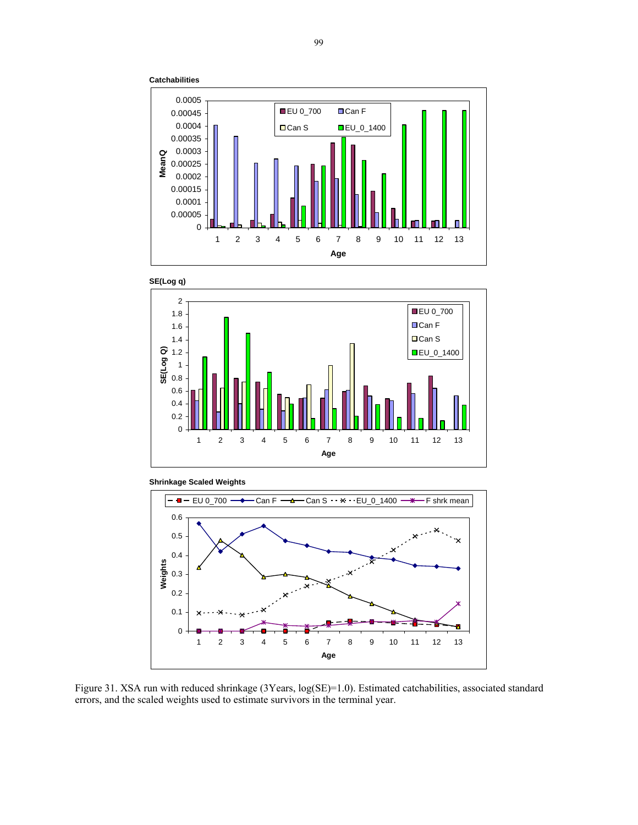









Figure 31. XSA run with reduced shrinkage (3Years, log(SE)=1.0). Estimated catchabilities, associated standard errors, and the scaled weights used to estimate survivors in the terminal year.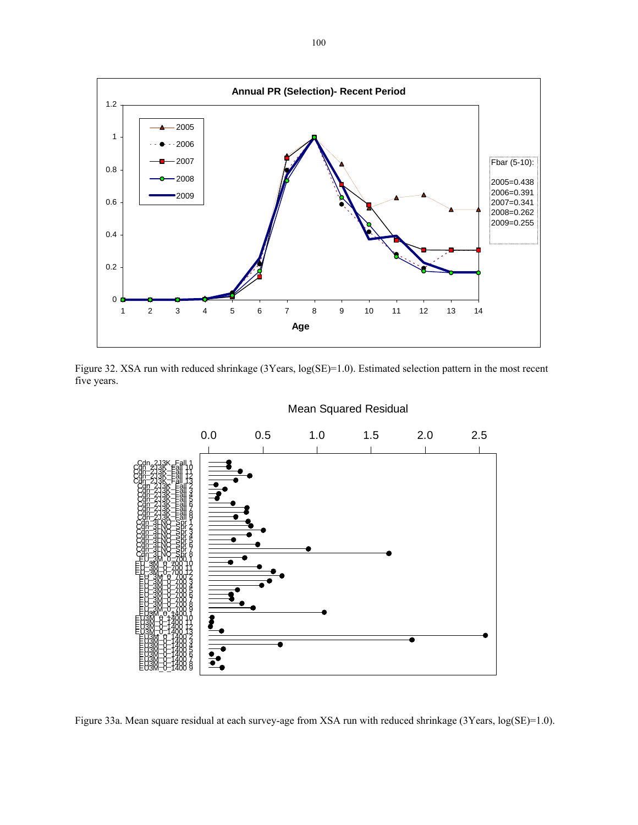





Figure 33a. Mean square residual at each survey-age from XSA run with reduced shrinkage (3Years, log(SE)=1.0).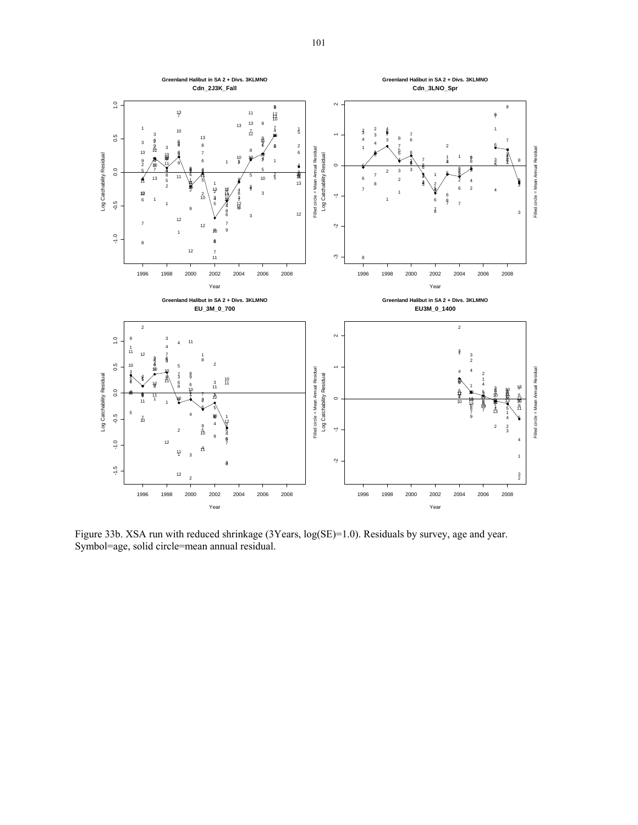

Figure 33b. XSA run with reduced shrinkage (3Years, log(SE)=1.0). Residuals by survey, age and year. Symbol=age, solid circle=mean annual residual.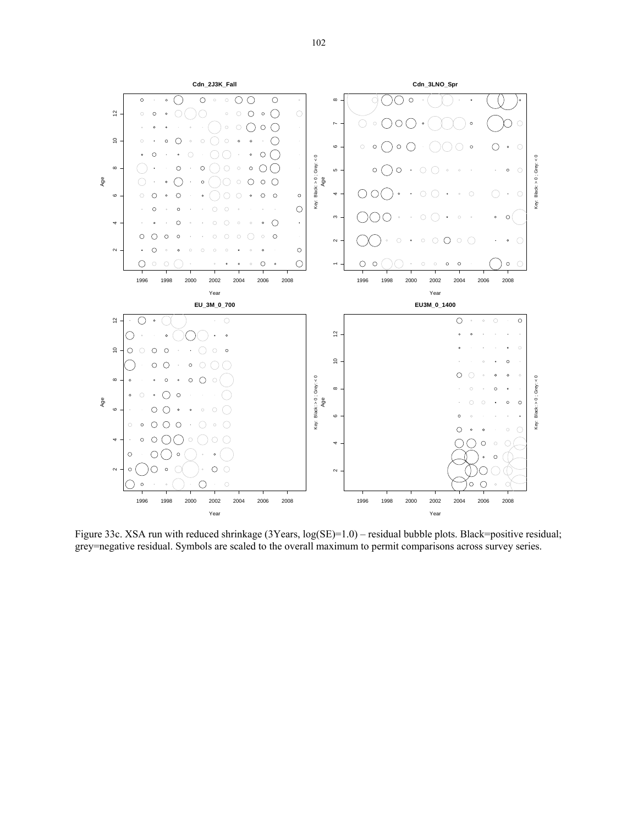

Figure 33c. XSA run with reduced shrinkage (3Years,  $log(SE)=1.0$ ) – residual bubble plots. Black=positive residual; grey=negative residual. Symbols are scaled to the overall maximum to permit comparisons across survey series.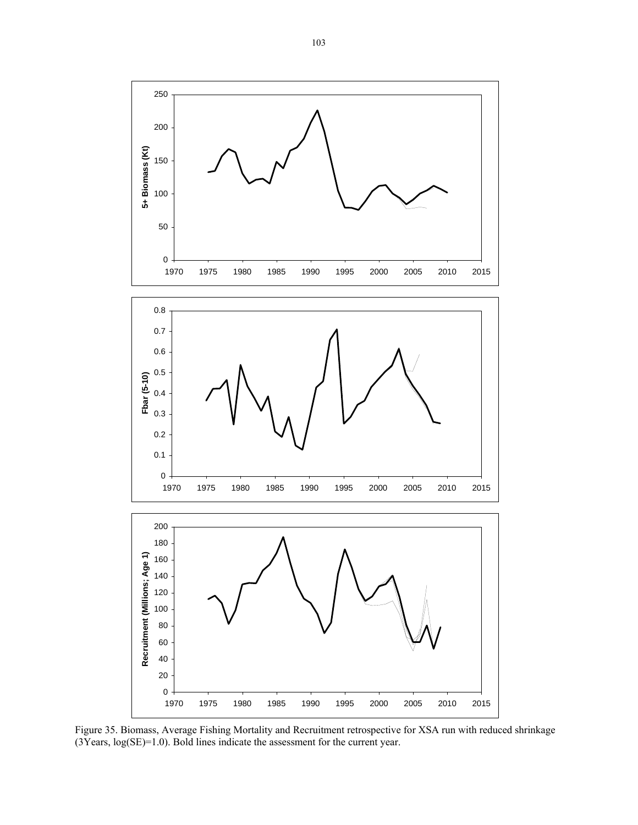

Figure 35. Biomass, Average Fishing Mortality and Recruitment retrospective for XSA run with reduced shrinkage  $(3Years, log(SE)=1.0)$ . Bold lines indicate the assessment for the current year.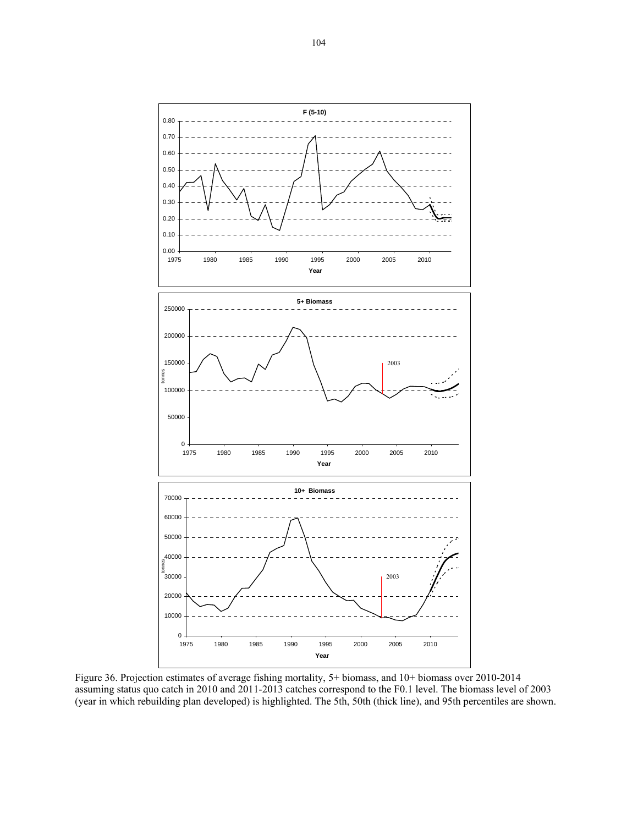

Figure 36. Projection estimates of average fishing mortality, 5+ biomass, and 10+ biomass over 2010-2014 assuming status quo catch in 2010 and 2011-2013 catches correspond to the F0.1 level. The biomass level of 2003 (year in which rebuilding plan developed) is highlighted. The 5th, 50th (thick line), and 95th percentiles are shown.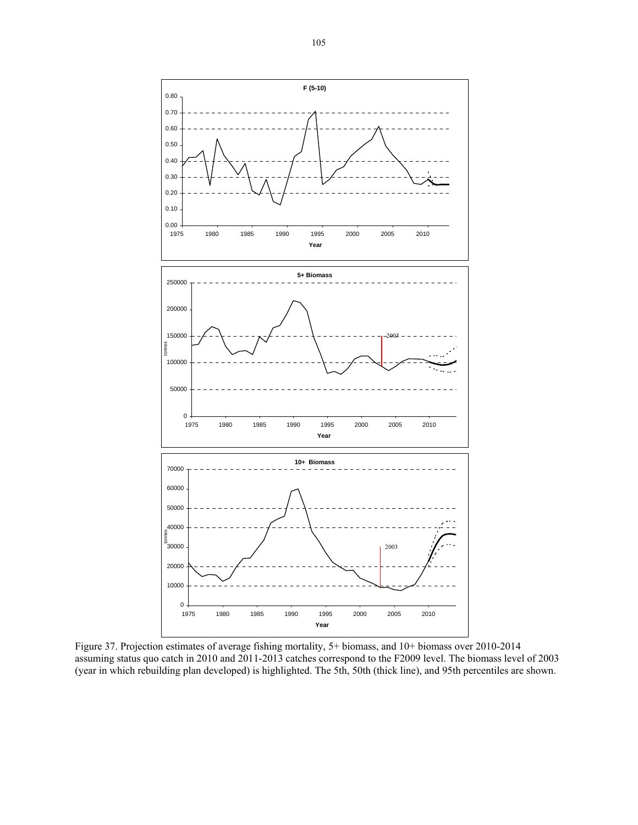

Figure 37. Projection estimates of average fishing mortality, 5+ biomass, and 10+ biomass over 2010-2014 assuming status quo catch in 2010 and 2011-2013 catches correspond to the F2009 level. The biomass level of 2003 (year in which rebuilding plan developed) is highlighted. The 5th, 50th (thick line), and 95th percentiles are shown.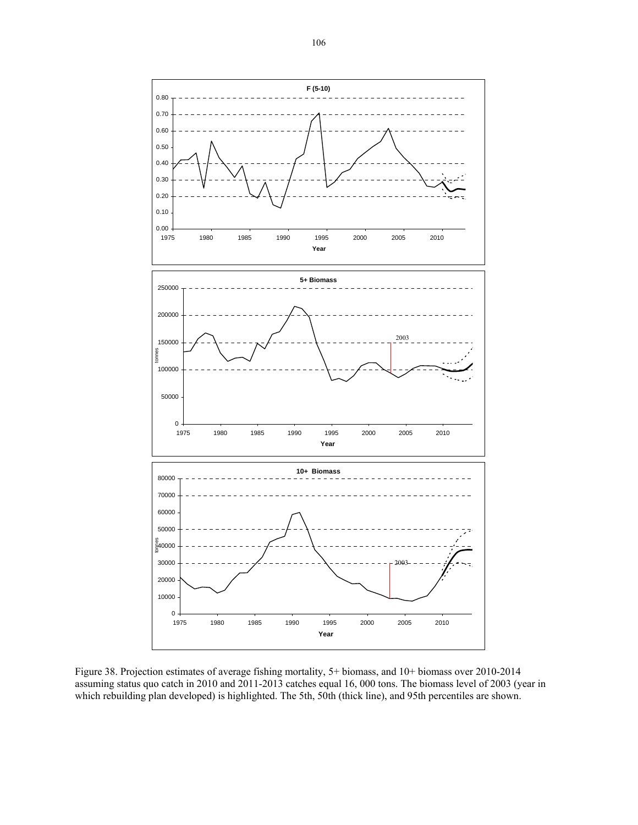

Figure 38. Projection estimates of average fishing mortality, 5+ biomass, and 10+ biomass over 2010-2014 assuming status quo catch in 2010 and 2011-2013 catches equal 16, 000 tons. The biomass level of 2003 (year in which rebuilding plan developed) is highlighted. The 5th, 50th (thick line), and 95th percentiles are shown.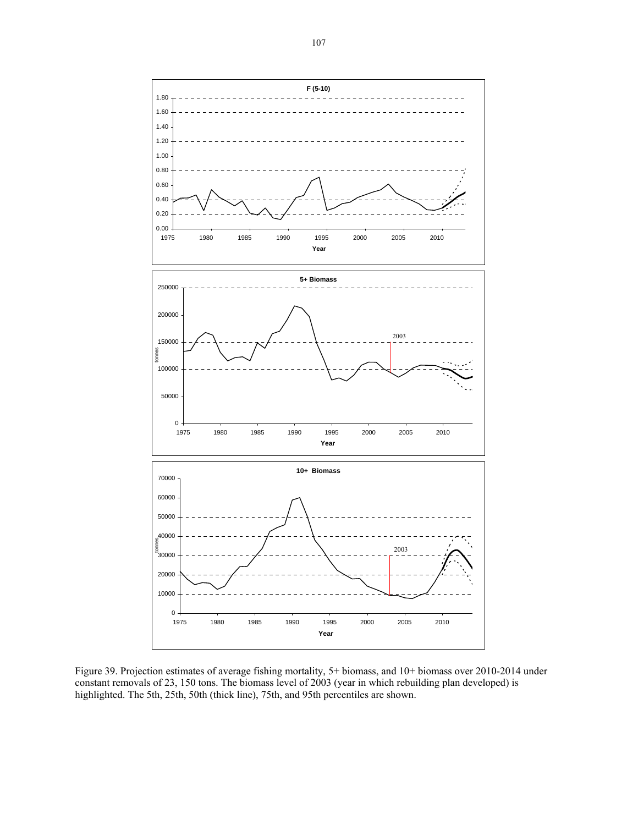

Figure 39. Projection estimates of average fishing mortality, 5+ biomass, and 10+ biomass over 2010-2014 under constant removals of 23, 150 tons. The biomass level of 2003 (year in which rebuilding plan developed) is highlighted. The 5th, 25th, 50th (thick line), 75th, and 95th percentiles are shown.